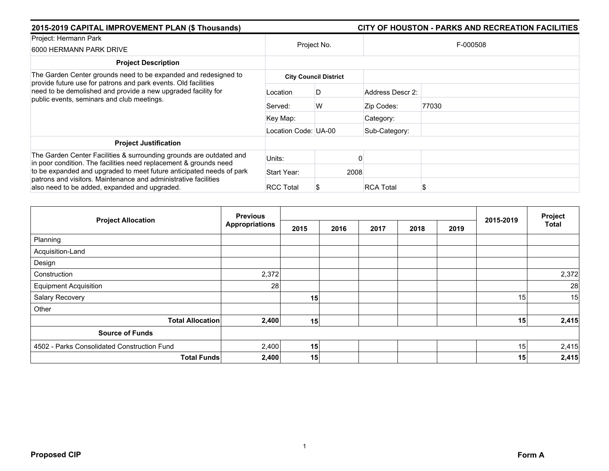| 2015-2019 CAPITAL IMPROVEMENT PLAN (\$ Thousands)                                                                                        |                      |                              | CITY OF HOUSTON - PARKS AND RECREATION FACILITIES |          |  |  |  |
|------------------------------------------------------------------------------------------------------------------------------------------|----------------------|------------------------------|---------------------------------------------------|----------|--|--|--|
| Project: Hermann Park<br>6000 HERMANN PARK DRIVE                                                                                         | Project No.          |                              |                                                   | F-000508 |  |  |  |
| <b>Project Description</b>                                                                                                               |                      |                              |                                                   |          |  |  |  |
| The Garden Center grounds need to be expanded and redesigned to<br>provide future use for patrons and park events. Old facilities        |                      | <b>City Council District</b> |                                                   |          |  |  |  |
| need to be demolished and provide a new upgraded facility for<br>public events, seminars and club meetings.                              | Location             | D                            | Address Descr 2:                                  |          |  |  |  |
|                                                                                                                                          | Served:              | W                            | Zip Codes:                                        | 77030    |  |  |  |
|                                                                                                                                          | Key Map:             |                              | Category:                                         |          |  |  |  |
|                                                                                                                                          | Location Code: UA-00 |                              | Sub-Category:                                     |          |  |  |  |
| <b>Project Justification</b>                                                                                                             |                      |                              |                                                   |          |  |  |  |
| The Garden Center Facilities & surrounding grounds are outdated and<br>in poor condition. The facilities need replacement & grounds need | Units:               |                              |                                                   |          |  |  |  |
| to be expanded and upgraded to meet future anticipated needs of park                                                                     | Start Year:          |                              | 2008                                              |          |  |  |  |
| patrons and visitors. Maintenance and administrative facilities<br>also need to be added, expanded and upgraded.                         | <b>RCC Total</b>     |                              | <b>RCA Total</b>                                  | S        |  |  |  |

| <b>Project Allocation</b>                   | <b>Previous</b>       |      |      |      | 2015-2019 | Project |    |              |
|---------------------------------------------|-----------------------|------|------|------|-----------|---------|----|--------------|
|                                             | <b>Appropriations</b> | 2015 | 2016 | 2017 | 2018      | 2019    |    | <b>Total</b> |
| Planning                                    |                       |      |      |      |           |         |    |              |
| Acquisition-Land                            |                       |      |      |      |           |         |    |              |
| Design                                      |                       |      |      |      |           |         |    |              |
| Construction                                | 2,372                 |      |      |      |           |         |    | 2,372        |
| <b>Equipment Acquisition</b>                | 28                    |      |      |      |           |         |    | 28           |
| Salary Recovery                             |                       | 15   |      |      |           |         | 15 | 15           |
| Other                                       |                       |      |      |      |           |         |    |              |
| <b>Total Allocation</b>                     | 2,400                 | 15   |      |      |           |         | 15 | 2,415        |
| <b>Source of Funds</b>                      |                       |      |      |      |           |         |    |              |
| 4502 - Parks Consolidated Construction Fund | 2,400                 | 15   |      |      |           |         | 15 | 2,415        |
| <b>Total Funds</b>                          | 2,400                 | 15   |      |      |           |         | 15 | 2,415        |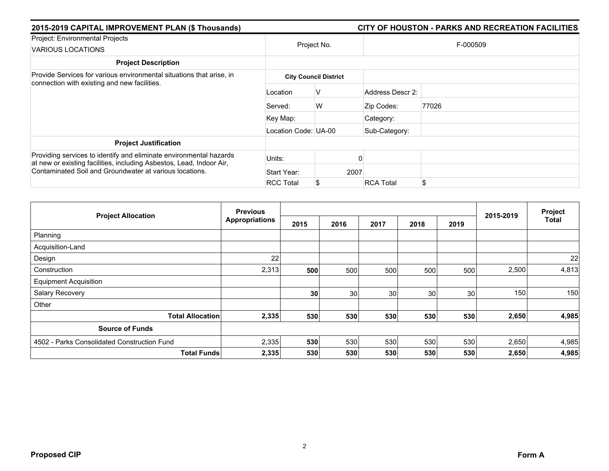| 2015-2019 CAPITAL IMPROVEMENT PLAN (\$ Thousands)                                                                                                                                                     |                      |                              |                  | CITY OF HOUSTON - PARKS AND RECREATION FACILITIES |  |  |
|-------------------------------------------------------------------------------------------------------------------------------------------------------------------------------------------------------|----------------------|------------------------------|------------------|---------------------------------------------------|--|--|
| Project: Environmental Projects<br>VARIOUS LOCATIONS                                                                                                                                                  | Project No.          |                              | F-000509         |                                                   |  |  |
| <b>Project Description</b>                                                                                                                                                                            |                      |                              |                  |                                                   |  |  |
| Provide Services for various environmental situations that arise, in<br>connection with existing and new facilities.                                                                                  |                      | <b>City Council District</b> |                  |                                                   |  |  |
|                                                                                                                                                                                                       | Location             | v                            | Address Descr 2: |                                                   |  |  |
|                                                                                                                                                                                                       | Served:              | W                            | Zip Codes:       | 77026                                             |  |  |
|                                                                                                                                                                                                       | Key Map:             |                              | Category:        |                                                   |  |  |
|                                                                                                                                                                                                       | Location Code: UA-00 |                              | Sub-Category:    |                                                   |  |  |
| <b>Project Justification</b>                                                                                                                                                                          |                      |                              |                  |                                                   |  |  |
| Providing services to identify and eliminate environmental hazards<br>at new or existing facilities, including Asbestos, Lead, Indoor Air,<br>Contaminated Soil and Groundwater at various locations. | Units:               |                              |                  |                                                   |  |  |
|                                                                                                                                                                                                       | Start Year:          | 2007                         |                  |                                                   |  |  |
|                                                                                                                                                                                                       | <b>RCC Total</b>     |                              | <b>RCA Total</b> | \$                                                |  |  |

|                                             | <b>Previous</b>       |      |                 |      | 2015-2019 | Project |       |              |
|---------------------------------------------|-----------------------|------|-----------------|------|-----------|---------|-------|--------------|
| <b>Project Allocation</b>                   | <b>Appropriations</b> | 2015 | 2016            | 2017 | 2018      | 2019    |       | <b>Total</b> |
| Planning                                    |                       |      |                 |      |           |         |       |              |
| Acquisition-Land                            |                       |      |                 |      |           |         |       |              |
| Design                                      | 22                    |      |                 |      |           |         |       | 22           |
| Construction                                | 2,313                 | 500  | 500             | 500  | 500       | 500     | 2,500 | 4,813        |
| <b>Equipment Acquisition</b>                |                       |      |                 |      |           |         |       |              |
| Salary Recovery                             |                       | 30   | 30 <sup>°</sup> | 30   | 30        | 30      | 150   | 150          |
| Other                                       |                       |      |                 |      |           |         |       |              |
| <b>Total Allocation</b>                     | 2,335                 | 530  | 530             | 530  | 530       | 530     | 2,650 | 4,985        |
| <b>Source of Funds</b>                      |                       |      |                 |      |           |         |       |              |
| 4502 - Parks Consolidated Construction Fund | 2,335                 | 530  | 530             | 530  | 530       | 530     | 2,650 | 4,985        |
| <b>Total Funds</b>                          | 2,335                 | 530  | 530             | 530  | 530       | 530     | 2,650 | 4,985        |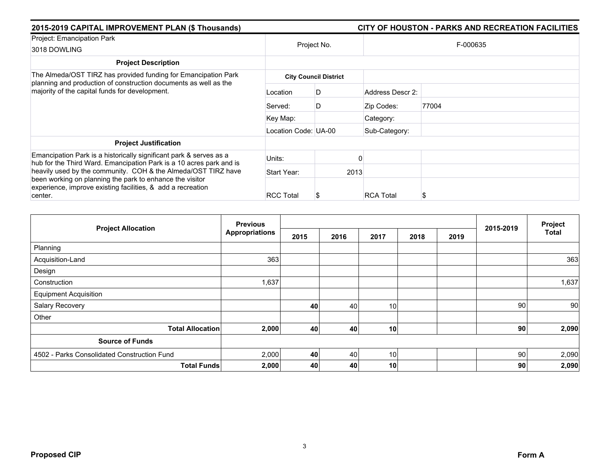| 2015-2019 CAPITAL IMPROVEMENT PLAN (\$ Thousands)                                                                                         | CITY OF HOUSTON - PARKS AND RECREATION FACILITIES |             |                  |          |  |  |  |  |
|-------------------------------------------------------------------------------------------------------------------------------------------|---------------------------------------------------|-------------|------------------|----------|--|--|--|--|
| Project: Emancipation Park<br>3018 DOWLING                                                                                                |                                                   | Project No. |                  | F-000635 |  |  |  |  |
| <b>Project Description</b>                                                                                                                |                                                   |             |                  |          |  |  |  |  |
| The Almeda/OST TIRZ has provided funding for Emancipation Park<br>planning and production of construction documents as well as the        | <b>City Council District</b>                      |             |                  |          |  |  |  |  |
| majority of the capital funds for development.                                                                                            | Location                                          | D           | Address Descr 2: |          |  |  |  |  |
|                                                                                                                                           | Served:                                           | D           | Zip Codes:       | 77004    |  |  |  |  |
|                                                                                                                                           | Key Map:                                          |             | Category:        |          |  |  |  |  |
|                                                                                                                                           | Location Code: UA-00                              |             | Sub-Category:    |          |  |  |  |  |
| <b>Project Justification</b>                                                                                                              |                                                   |             |                  |          |  |  |  |  |
| Emancipation Park is a historically significant park & serves as a<br>hub for the Third Ward. Emancipation Park is a 10 acres park and is | Units:                                            |             |                  |          |  |  |  |  |
| heavily used by the community. COH & the Almeda/OST TIRZ have                                                                             | Start Year:                                       |             | 2013             |          |  |  |  |  |
| been working on planning the park to enhance the visitor<br>experience, improve existing facilities, & add a recreation<br>center.        | <b>RCC Total</b>                                  |             | <b>RCA Total</b> | S        |  |  |  |  |

| <b>Project Allocation</b>                   | <b>Previous</b>             |      |      |      |      |      | 2015-2019       | Project      |
|---------------------------------------------|-----------------------------|------|------|------|------|------|-----------------|--------------|
|                                             | <b>Appropriations</b>       | 2015 | 2016 | 2017 | 2018 | 2019 |                 | <b>Total</b> |
| Planning                                    |                             |      |      |      |      |      |                 |              |
| Acquisition-Land                            | 363                         |      |      |      |      |      |                 | 363          |
| Design                                      |                             |      |      |      |      |      |                 |              |
| Construction                                | 1,637                       |      |      |      |      |      |                 | 1,637        |
| <b>Equipment Acquisition</b>                |                             |      |      |      |      |      |                 |              |
| Salary Recovery                             |                             | 40   | 40   | 10   |      |      | 90 <sub>1</sub> | 90           |
| Other                                       |                             |      |      |      |      |      |                 |              |
| <b>Total Allocation</b>                     | 2,000                       | 40   | 40   | 10   |      |      | 90              | 2,090        |
| <b>Source of Funds</b>                      |                             |      |      |      |      |      |                 |              |
| 4502 - Parks Consolidated Construction Fund | 2,000                       | 40   | 40   | 10   |      |      | -90 l           | 2,090        |
|                                             | 2,000<br><b>Total Funds</b> | 40   | 40   | 10   |      |      | 90              | 2,090        |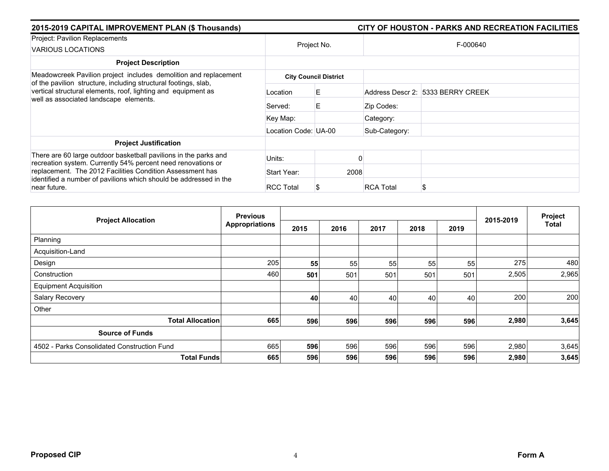| 2015-2019 CAPITAL IMPROVEMENT PLAN (\$ Thousands)                                                                                   | CITY OF HOUSTON - PARKS AND RECREATION FACILITIES |             |                  |                                   |  |  |  |
|-------------------------------------------------------------------------------------------------------------------------------------|---------------------------------------------------|-------------|------------------|-----------------------------------|--|--|--|
| Project: Pavilion Replacements<br><b>VARIOUS LOCATIONS</b>                                                                          |                                                   | Project No. |                  | F-000640                          |  |  |  |
| <b>Project Description</b>                                                                                                          |                                                   |             |                  |                                   |  |  |  |
| Meadowcreek Pavilion project includes demolition and replacement<br>of the pavilion structure, including structural footings, slab, | <b>City Council District</b>                      |             |                  |                                   |  |  |  |
| vertical structural elements, roof, lighting and equipment as<br>well as associated landscape elements.                             | Location                                          | E.          |                  | Address Descr 2: 5333 BERRY CREEK |  |  |  |
|                                                                                                                                     | Served:                                           | Е           | Zip Codes:       |                                   |  |  |  |
|                                                                                                                                     | Key Map:                                          |             | Category:        |                                   |  |  |  |
|                                                                                                                                     | Location Code: UA-00                              |             | Sub-Category:    |                                   |  |  |  |
| <b>Project Justification</b>                                                                                                        |                                                   |             |                  |                                   |  |  |  |
| There are 60 large outdoor basketball pavilions in the parks and<br>recreation system. Currently 54% percent need renovations or    | Units:                                            |             |                  |                                   |  |  |  |
| replacement. The 2012 Facilities Condition Assessment has                                                                           | Start Year:                                       | 2008        |                  |                                   |  |  |  |
| identified a number of pavilions which should be addressed in the<br>near future.                                                   | <b>RCC Total</b>                                  |             | <b>RCA Total</b> | S                                 |  |  |  |

| <b>Project Allocation</b>                   | <b>Previous</b>       |      |      |      |      |      | 2015-2019 | Project |
|---------------------------------------------|-----------------------|------|------|------|------|------|-----------|---------|
|                                             | <b>Appropriations</b> | 2015 | 2016 | 2017 | 2018 | 2019 |           | Total   |
| Planning                                    |                       |      |      |      |      |      |           |         |
| Acquisition-Land                            |                       |      |      |      |      |      |           |         |
| Design                                      | 205                   | 55   | 55   | 55   | 55   | 55   | 275       | 480     |
| Construction                                | 460                   | 501  | 501  | 501  | 501  | 501  | 2,505     | 2,965   |
| <b>Equipment Acquisition</b>                |                       |      |      |      |      |      |           |         |
| Salary Recovery                             |                       | 40   | 40   | 40   | 40   | 40   | 200       | 200     |
| Other                                       |                       |      |      |      |      |      |           |         |
| <b>Total Allocation</b>                     | 665                   | 596  | 596  | 596  | 596  | 596  | 2,980     | 3,645   |
| <b>Source of Funds</b>                      |                       |      |      |      |      |      |           |         |
| 4502 - Parks Consolidated Construction Fund | 665                   | 596  | 596  | 596  | 596  | 596  | 2,980     | 3,645   |
| <b>Total Funds</b>                          | 665                   | 596  | 596  | 596  | 596  | 596  | 2,980     | 3,645   |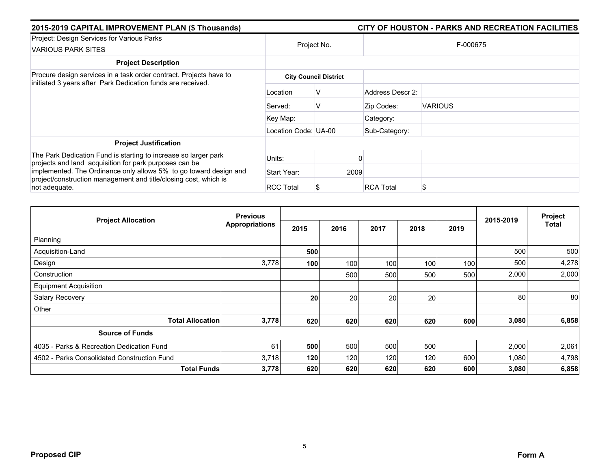| 2015-2019 CAPITAL IMPROVEMENT PLAN (\$ Thousands)                                                                                 |                      |                              |                  | CITY OF HOUSTON - PARKS AND RECREATION FACILITIES |  |  |
|-----------------------------------------------------------------------------------------------------------------------------------|----------------------|------------------------------|------------------|---------------------------------------------------|--|--|
| Project: Design Services for Various Parks<br><b>VARIOUS PARK SITES</b>                                                           | Project No.          |                              | F-000675         |                                                   |  |  |
| <b>Project Description</b>                                                                                                        |                      |                              |                  |                                                   |  |  |
| Procure design services in a task order contract. Projects have to<br>initiated 3 years after Park Dedication funds are received. |                      | <b>City Council District</b> |                  |                                                   |  |  |
|                                                                                                                                   | Location             | V                            | Address Descr 2: |                                                   |  |  |
|                                                                                                                                   | Served:              | v                            | Zip Codes:       | <b>VARIOUS</b>                                    |  |  |
|                                                                                                                                   | Key Map:             |                              | Category:        |                                                   |  |  |
|                                                                                                                                   | Location Code: UA-00 |                              | Sub-Category:    |                                                   |  |  |
| <b>Project Justification</b>                                                                                                      |                      |                              |                  |                                                   |  |  |
| The Park Dedication Fund is starting to increase so larger park<br>projects and land acquisition for park purposes can be         | Units:               |                              |                  |                                                   |  |  |
| implemented. The Ordinance only allows 5% to go toward design and                                                                 | Start Year:          | 2009                         |                  |                                                   |  |  |
| project/construction management and title/closing cost, which is<br>not adequate.                                                 | <b>RCC Total</b>     |                              | <b>RCA Total</b> | \$                                                |  |  |

| <b>Project Allocation</b>                   | <b>Previous</b>       |      |      |      |      |      |           | Project |
|---------------------------------------------|-----------------------|------|------|------|------|------|-----------|---------|
|                                             | <b>Appropriations</b> | 2015 | 2016 | 2017 | 2018 | 2019 | 2015-2019 | Total   |
| Planning                                    |                       |      |      |      |      |      |           |         |
| Acquisition-Land                            |                       | 500  |      |      |      |      | 500       | 500     |
| Design                                      | 3,778                 | 100  | 100  | 100  | 100  | 100  | 500       | 4,278   |
| Construction                                |                       |      | 500  | 500  | 500  | 500  | 2,000     | 2,000   |
| <b>Equipment Acquisition</b>                |                       |      |      |      |      |      |           |         |
| Salary Recovery                             |                       | 20   | 20   | 20   | 20   |      | 80        | 80      |
| Other                                       |                       |      |      |      |      |      |           |         |
| <b>Total Allocation</b>                     | 3,778                 | 620  | 620  | 620  | 620  | 600  | 3,080     | 6,858   |
| <b>Source of Funds</b>                      |                       |      |      |      |      |      |           |         |
| 4035 - Parks & Recreation Dedication Fund   | 61                    | 500  | 500  | 500  | 500  |      | 2,000     | 2,061   |
| 4502 - Parks Consolidated Construction Fund | 3,718                 | 120  | 120  | 120  | 120  | 600  | 1,080     | 4,798   |
| <b>Total Funds</b>                          | 3,778                 | 620  | 620  | 620  | 620  | 600  | 3,080     | 6,858   |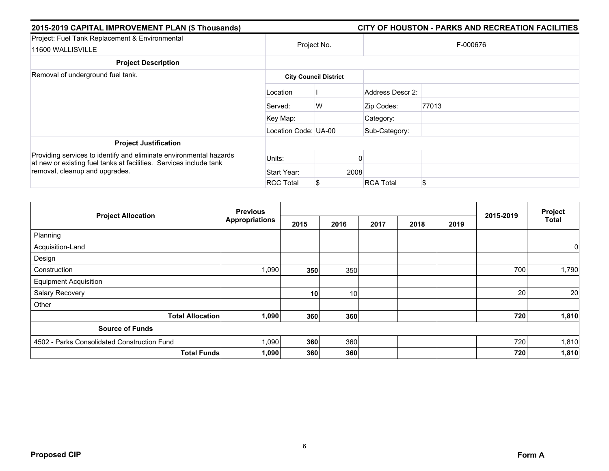| 2015-2019 CAPITAL IMPROVEMENT PLAN (\$ Thousands)                                                                                                                          |                      |                              |                  | CITY OF HOUSTON - PARKS AND RECREATION FACILITIES |  |  |  |
|----------------------------------------------------------------------------------------------------------------------------------------------------------------------------|----------------------|------------------------------|------------------|---------------------------------------------------|--|--|--|
| Project: Fuel Tank Replacement & Environmental<br>11600 WALLISVILLE                                                                                                        | Project No.          |                              | F-000676         |                                                   |  |  |  |
| <b>Project Description</b>                                                                                                                                                 |                      |                              |                  |                                                   |  |  |  |
| Removal of underground fuel tank.                                                                                                                                          |                      | <b>City Council District</b> |                  |                                                   |  |  |  |
|                                                                                                                                                                            | Location             |                              | Address Descr 2: |                                                   |  |  |  |
|                                                                                                                                                                            | Served:              | W                            | Zip Codes:       | 77013                                             |  |  |  |
|                                                                                                                                                                            | Key Map:             |                              | Category:        |                                                   |  |  |  |
|                                                                                                                                                                            | Location Code: UA-00 |                              | Sub-Category:    |                                                   |  |  |  |
| <b>Project Justification</b>                                                                                                                                               |                      |                              |                  |                                                   |  |  |  |
| Providing services to identify and eliminate environmental hazards<br>at new or existing fuel tanks at facilities. Services include tank<br>removal, cleanup and upgrades. | Units:               |                              |                  |                                                   |  |  |  |
|                                                                                                                                                                            | Start Year:          | 2008                         |                  |                                                   |  |  |  |
|                                                                                                                                                                            | <b>RCC Total</b>     |                              | <b>RCA Total</b> | \$                                                |  |  |  |

| <b>Project Allocation</b>                   | <b>Previous</b>       |                 |                 |      |      |      |           | Project      |
|---------------------------------------------|-----------------------|-----------------|-----------------|------|------|------|-----------|--------------|
|                                             | <b>Appropriations</b> | 2015            | 2016            | 2017 | 2018 | 2019 | 2015-2019 | <b>Total</b> |
| Planning                                    |                       |                 |                 |      |      |      |           |              |
| Acquisition-Land                            |                       |                 |                 |      |      |      |           | 0            |
| Design                                      |                       |                 |                 |      |      |      |           |              |
| Construction                                | 1,090                 | 350             | 350             |      |      |      | 700       | 1,790        |
| <b>Equipment Acquisition</b>                |                       |                 |                 |      |      |      |           |              |
| Salary Recovery                             |                       | 10 <sub>1</sub> | 10 <sup>1</sup> |      |      |      | 20        | 20           |
| Other                                       |                       |                 |                 |      |      |      |           |              |
| <b>Total Allocation</b>                     | 1,090                 | 360             | 360             |      |      |      | 720       | 1,810        |
| <b>Source of Funds</b>                      |                       |                 |                 |      |      |      |           |              |
| 4502 - Parks Consolidated Construction Fund | 1,090                 | 360             | 360             |      |      |      | 720       | 1,810        |
| <b>Total Funds</b>                          | 1,090                 | 360             | 360             |      |      |      | 720       | 1,810        |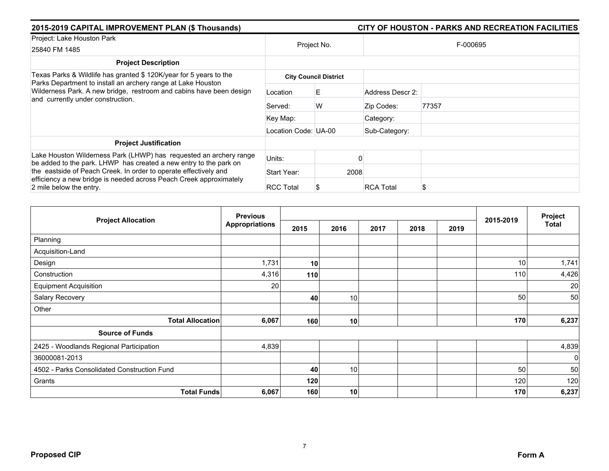| 2015-2019 CAPITAL IMPROVEMENT PLAN (\$ Thousands)<br>CITY OF HOUSTON - PARKS AND RECREATION FACILITIES                                                                   |                              |             |      |                  |          |  |
|--------------------------------------------------------------------------------------------------------------------------------------------------------------------------|------------------------------|-------------|------|------------------|----------|--|
| Project: Lake Houston Park<br>25840 FM 1485                                                                                                                              |                              | Project No. |      |                  | F-000695 |  |
| <b>Project Description</b>                                                                                                                                               |                              |             |      |                  |          |  |
| Texas Parks & Wildlife has granted \$ 120K/year for 5 years to the                                                                                                       | <b>City Council District</b> |             |      |                  |          |  |
| Parks Department to install an archery range at Lake Houston<br>Wilderness Park. A new bridge, restroom and cabins have been design<br>and currently under construction. | Location                     | Е           |      | Address Descr 2: |          |  |
|                                                                                                                                                                          | Served:                      | W           |      | Zip Codes:       | 77357    |  |
|                                                                                                                                                                          | Key Map:                     |             |      | Category:        |          |  |
|                                                                                                                                                                          | Location Code: UA-00         |             |      | Sub-Category:    |          |  |
| <b>Project Justification</b>                                                                                                                                             |                              |             |      |                  |          |  |
| Lake Houston Wilderness Park (LHWP) has requested an archery range<br>be added to the park. LHWP has created a new entry to the park on                                  | Units:                       |             |      |                  |          |  |
| the eastside of Peach Creek. In order to operate effectively and<br>efficiency a new bridge is needed across Peach Creek approximately                                   | Start Year:                  |             | 2008 |                  |          |  |
| 2 mile below the entry.                                                                                                                                                  | <b>RCC Total</b>             |             |      | <b>RCA Total</b> | S        |  |

|                                             | <b>Previous</b>       |      |                 |      | 2015-2019 | Project |     |              |
|---------------------------------------------|-----------------------|------|-----------------|------|-----------|---------|-----|--------------|
| <b>Project Allocation</b>                   | <b>Appropriations</b> | 2015 | 2016            | 2017 | 2018      | 2019    |     | <b>Total</b> |
| Planning                                    |                       |      |                 |      |           |         |     |              |
| Acquisition-Land                            |                       |      |                 |      |           |         |     |              |
| Design                                      | 1,731                 | 10   |                 |      |           |         | 10  | 1,741        |
| Construction                                | 4,316                 | 110  |                 |      |           |         | 110 | 4,426        |
| <b>Equipment Acquisition</b>                | 20                    |      |                 |      |           |         |     | 20           |
| Salary Recovery                             |                       | 40   | 10 <sup>1</sup> |      |           |         | 50  | 50           |
| Other                                       |                       |      |                 |      |           |         |     |              |
| <b>Total Allocation</b>                     | 6,067                 | 160  | 10              |      |           |         | 170 | 6,237        |
| <b>Source of Funds</b>                      |                       |      |                 |      |           |         |     |              |
| 2425 - Woodlands Regional Participation     | 4,839                 |      |                 |      |           |         |     | 4,839        |
| 36000081-2013                               |                       |      |                 |      |           |         |     | $\mathbf 0$  |
| 4502 - Parks Consolidated Construction Fund |                       | 40   | 10 <sup>1</sup> |      |           |         | 50  | 50           |
| Grants                                      |                       | 120  |                 |      |           |         | 120 | 120          |
| <b>Total Funds</b>                          | 6,067                 | 160  | 10              |      |           |         | 170 | 6,237        |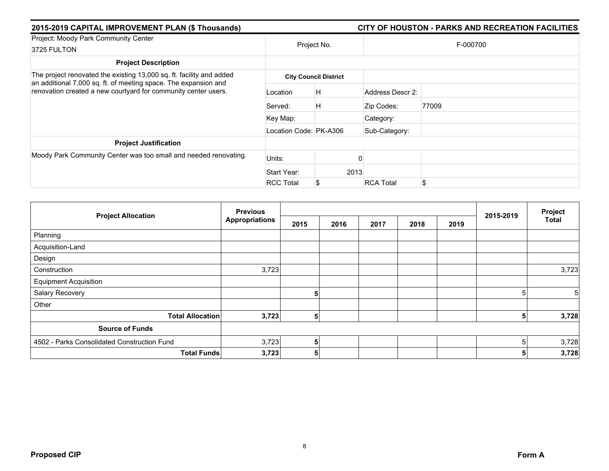| 2015-2019 CAPITAL IMPROVEMENT PLAN (\$ Thousands)                                                                                       |                        | CITY OF HOUSTON - PARKS AND RECREATION FACILITIES |                  |          |  |  |  |  |
|-----------------------------------------------------------------------------------------------------------------------------------------|------------------------|---------------------------------------------------|------------------|----------|--|--|--|--|
| Project: Moody Park Community Center<br>3725 FULTON                                                                                     |                        | Project No.                                       |                  | F-000700 |  |  |  |  |
|                                                                                                                                         |                        |                                                   |                  |          |  |  |  |  |
| <b>Project Description</b>                                                                                                              |                        |                                                   |                  |          |  |  |  |  |
| The project renovated the existing 13,000 sq. ft. facility and added<br>an additional 7,000 sq. ft. of meeting space. The expansion and |                        | <b>City Council District</b>                      |                  |          |  |  |  |  |
| renovation created a new courtyard for community center users.                                                                          | Location               | H                                                 | Address Descr 2: |          |  |  |  |  |
|                                                                                                                                         | Served:                | H                                                 | Zip Codes:       | 77009    |  |  |  |  |
|                                                                                                                                         | Key Map:               |                                                   | Category:        |          |  |  |  |  |
|                                                                                                                                         | Location Code: PK-A306 |                                                   | Sub-Category:    |          |  |  |  |  |
| <b>Project Justification</b>                                                                                                            |                        |                                                   |                  |          |  |  |  |  |
| Moody Park Community Center was too small and needed renovating.                                                                        | Units:                 |                                                   |                  |          |  |  |  |  |
|                                                                                                                                         | Start Year:            | 2013                                              |                  |          |  |  |  |  |
|                                                                                                                                         | <b>RCC Total</b>       |                                                   | <b>RCA Total</b> | \$       |  |  |  |  |

| <b>Project Allocation</b>                   | <b>Previous</b>       |      |      |      |      |      | 2015-2019 | Project        |
|---------------------------------------------|-----------------------|------|------|------|------|------|-----------|----------------|
|                                             | <b>Appropriations</b> | 2015 | 2016 | 2017 | 2018 | 2019 |           | <b>Total</b>   |
| Planning                                    |                       |      |      |      |      |      |           |                |
| Acquisition-Land                            |                       |      |      |      |      |      |           |                |
| Design                                      |                       |      |      |      |      |      |           |                |
| Construction                                | 3,723                 |      |      |      |      |      |           | 3,723          |
| <b>Equipment Acquisition</b>                |                       |      |      |      |      |      |           |                |
| Salary Recovery                             |                       | 5    |      |      |      |      | 5         | 5 <sup>1</sup> |
| Other                                       |                       |      |      |      |      |      |           |                |
| <b>Total Allocation</b>                     | 3,723                 | 5    |      |      |      |      | 5         | 3,728          |
| <b>Source of Funds</b>                      |                       |      |      |      |      |      |           |                |
| 4502 - Parks Consolidated Construction Fund | 3,723                 | 5    |      |      |      |      | 5         | 3,728          |
| <b>Total Funds</b>                          | 3,723                 | 5    |      |      |      |      | 5         | 3,728          |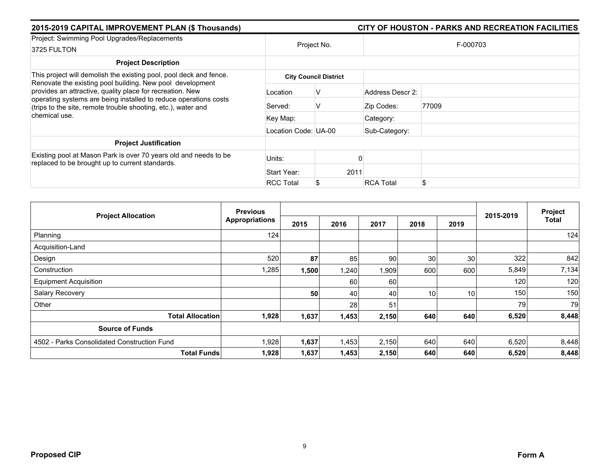| 2015-2019 CAPITAL IMPROVEMENT PLAN (\$ Thousands)                                                                                                                                                                                                           |                      |                              |                  | CITY OF HOUSTON - PARKS AND RECREATION FACILITIES |
|-------------------------------------------------------------------------------------------------------------------------------------------------------------------------------------------------------------------------------------------------------------|----------------------|------------------------------|------------------|---------------------------------------------------|
| Project: Swimming Pool Upgrades/Replacements<br>3725 FULTON                                                                                                                                                                                                 |                      | Project No.                  |                  | F-000703                                          |
| <b>Project Description</b>                                                                                                                                                                                                                                  |                      |                              |                  |                                                   |
| This project will demolish the existing pool, pool deck and fence.                                                                                                                                                                                          |                      | <b>City Council District</b> |                  |                                                   |
| Renovate the existing pool building. New pool development<br>provides an attractive, quality place for recreation. New<br>operating systems are being installed to reduce operations costs<br>(trips to the site, remote trouble shooting, etc.), water and | Location             | ν                            | Address Descr 2: |                                                   |
|                                                                                                                                                                                                                                                             | Served:              | ν                            | Zip Codes:       | 77009                                             |
| chemical use.                                                                                                                                                                                                                                               | Key Map:             |                              | Category:        |                                                   |
|                                                                                                                                                                                                                                                             | Location Code: UA-00 |                              | Sub-Category:    |                                                   |
| <b>Project Justification</b>                                                                                                                                                                                                                                |                      |                              |                  |                                                   |
| Existing pool at Mason Park is over 70 years old and needs to be<br>replaced to be brought up to current standards.                                                                                                                                         | Units:               |                              |                  |                                                   |
|                                                                                                                                                                                                                                                             | Start Year:          | 2011                         |                  |                                                   |
|                                                                                                                                                                                                                                                             | <b>RCC Total</b>     |                              | <b>RCA Total</b> | \$                                                |

| <b>Project Allocation</b>                   | <b>Previous</b>       |       |       |       |      | Project         |           |              |
|---------------------------------------------|-----------------------|-------|-------|-------|------|-----------------|-----------|--------------|
|                                             | <b>Appropriations</b> | 2015  | 2016  | 2017  | 2018 | 2019            | 2015-2019 | <b>Total</b> |
| Planning                                    | 124                   |       |       |       |      |                 |           | 124          |
| Acquisition-Land                            |                       |       |       |       |      |                 |           |              |
| Design                                      | 520                   | 87    | 85    | 90    | 30   | 30 <sup>°</sup> | 322       | 842          |
| Construction                                | 1,285                 | 1,500 | 1,240 | 1,909 | 600  | 600             | 5,849     | 7,134        |
| <b>Equipment Acquisition</b>                |                       |       | 60    | 60    |      |                 | 120       | 120          |
| Salary Recovery                             |                       | 50    | 40    | 40    | 10   | 10 <sup>1</sup> | 150       | 150          |
| Other                                       |                       |       | 28    | 51    |      |                 | 79        | 79           |
| <b>Total Allocation</b>                     | 1,928                 | 1,637 | 1,453 | 2,150 | 640  | 640             | 6,520     | 8,448        |
| <b>Source of Funds</b>                      |                       |       |       |       |      |                 |           |              |
| 4502 - Parks Consolidated Construction Fund | 1,928                 | 1,637 | 1,453 | 2,150 | 640  | 640             | 6,520     | 8,448        |
| <b>Total Funds</b>                          | 1,928                 | 1,637 | 1,453 | 2,150 | 640  | 640             | 6,520     | 8,448        |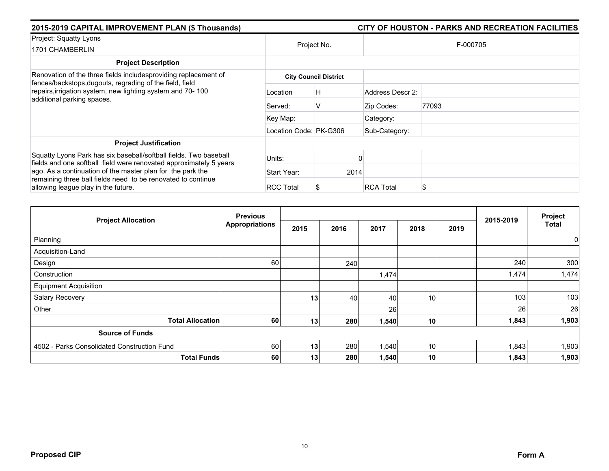| 2015-2019 CAPITAL IMPROVEMENT PLAN (\$ Thousands)                                                                                                                 | CITY OF HOUSTON - PARKS AND RECREATION FACILITIES |                              |                  |       |  |  |  |
|-------------------------------------------------------------------------------------------------------------------------------------------------------------------|---------------------------------------------------|------------------------------|------------------|-------|--|--|--|
| Project: Squatty Lyons<br>1701 CHAMBERLIN                                                                                                                         | Project No.                                       |                              | F-000705         |       |  |  |  |
| <b>Project Description</b>                                                                                                                                        |                                                   |                              |                  |       |  |  |  |
| Renovation of the three fields includesproviding replacement of<br>fences/backstops, dugouts, regrading of the field, field                                       |                                                   | <b>City Council District</b> |                  |       |  |  |  |
| repairs, irrigation system, new lighting system and 70-100<br>additional parking spaces.                                                                          | Location                                          | H                            | Address Descr 2: |       |  |  |  |
|                                                                                                                                                                   | Served:                                           | V                            | Zip Codes:       | 77093 |  |  |  |
|                                                                                                                                                                   | Key Map:                                          |                              | Category:        |       |  |  |  |
|                                                                                                                                                                   | Location Code: PK-G306                            |                              | Sub-Category:    |       |  |  |  |
| <b>Project Justification</b>                                                                                                                                      |                                                   |                              |                  |       |  |  |  |
| Squatty Lyons Park has six baseball/softball fields. Two baseball<br>fields and one softball field were renovated approximately 5 years                           | Units:                                            |                              |                  |       |  |  |  |
| ago. As a continuation of the master plan for the park the<br>remaining three ball fields need to be renovated to continue<br>allowing league play in the future. | Start Year:                                       | 2014                         |                  |       |  |  |  |
|                                                                                                                                                                   | <b>RCC Total</b>                                  |                              | <b>RCA Total</b> | ን     |  |  |  |

| <b>Project Allocation</b>                   | <b>Previous</b><br><b>Appropriations</b> |                 |      |       |      | Project |           |       |
|---------------------------------------------|------------------------------------------|-----------------|------|-------|------|---------|-----------|-------|
|                                             |                                          | 2015            | 2016 | 2017  | 2018 | 2019    | 2015-2019 | Total |
| Planning                                    |                                          |                 |      |       |      |         |           | 0     |
| Acquisition-Land                            |                                          |                 |      |       |      |         |           |       |
| Design                                      | 60                                       |                 | 240  |       |      |         | 240       | 300   |
| Construction                                |                                          |                 |      | 1,474 |      |         | 1,474     | 1,474 |
| <b>Equipment Acquisition</b>                |                                          |                 |      |       |      |         |           |       |
| Salary Recovery                             |                                          | 13              | 40   | 40    | 10   |         | 103       | 103   |
| Other                                       |                                          |                 |      | 26    |      |         | 26        | 26    |
| <b>Total Allocation</b>                     | 60                                       | 13              | 280  | 1,540 | 10   |         | 1,843     | 1,903 |
| <b>Source of Funds</b>                      |                                          |                 |      |       |      |         |           |       |
| 4502 - Parks Consolidated Construction Fund | 60                                       | 13              | 280  | 1,540 | 10   |         | 1,843     | 1,903 |
| <b>Total Funds</b>                          | 60                                       | 13 <sub>1</sub> | 280  | 1,540 | 10   |         | 1,843     | 1,903 |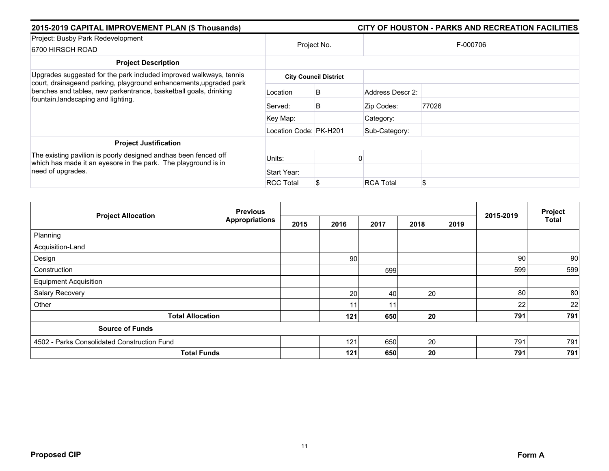| 2015-2019 CAPITAL IMPROVEMENT PLAN (\$ Thousands)                                                                                                                             |                        |                              |                  |       |  |  |  |
|-------------------------------------------------------------------------------------------------------------------------------------------------------------------------------|------------------------|------------------------------|------------------|-------|--|--|--|
| Project: Busby Park Redevelopment<br>6700 HIRSCH ROAD                                                                                                                         | Project No.            |                              | F-000706         |       |  |  |  |
| <b>Project Description</b>                                                                                                                                                    |                        |                              |                  |       |  |  |  |
| Upgrades suggested for the park included improved walkways, tennis                                                                                                            |                        | <b>City Council District</b> |                  |       |  |  |  |
| court, drainageand parking, playground enhancements, upgraded park<br>benches and tables, new parkentrance, basketball goals, drinking<br>fountain, landscaping and lighting. | Location               | B                            | Address Descr 2: |       |  |  |  |
|                                                                                                                                                                               | Served:                | B                            | Zip Codes:       | 77026 |  |  |  |
|                                                                                                                                                                               | Key Map:               |                              | Category:        |       |  |  |  |
|                                                                                                                                                                               | Location Code: PK-H201 |                              | Sub-Category:    |       |  |  |  |
| <b>Project Justification</b>                                                                                                                                                  |                        |                              |                  |       |  |  |  |
| The existing pavilion is poorly designed andhas been fenced off<br>which has made it an eyesore in the park. The playground is in                                             | Units:                 |                              |                  |       |  |  |  |
| need of upgrades.                                                                                                                                                             | Start Year:            |                              |                  |       |  |  |  |
|                                                                                                                                                                               | <b>RCC Total</b>       |                              | <b>RCA Total</b> | \$    |  |  |  |

| <b>Project Allocation</b>                   | <b>Previous</b>       |      |                 |      |      |      | 2015-2019 | Project      |
|---------------------------------------------|-----------------------|------|-----------------|------|------|------|-----------|--------------|
|                                             | <b>Appropriations</b> | 2015 | 2016            | 2017 | 2018 | 2019 |           | <b>Total</b> |
| Planning                                    |                       |      |                 |      |      |      |           |              |
| Acquisition-Land                            |                       |      |                 |      |      |      |           |              |
| Design                                      |                       |      | 90 <sub>1</sub> |      |      |      | 90        | 90           |
| Construction                                |                       |      |                 | 599  |      |      | 599       | 599          |
| <b>Equipment Acquisition</b>                |                       |      |                 |      |      |      |           |              |
| Salary Recovery                             |                       |      | 20              | 40   | 20   |      | 80        | 80           |
| Other                                       |                       |      | 11              | 11   |      |      | 22        | 22           |
| <b>Total Allocation</b>                     |                       |      | 121             | 650  | 20   |      | 791       | 791          |
| <b>Source of Funds</b>                      |                       |      |                 |      |      |      |           |              |
| 4502 - Parks Consolidated Construction Fund |                       |      | 121             | 650  | 20   |      | 791       | 791          |
| <b>Total Funds</b>                          |                       |      | 121             | 650  | 20   |      | 791       | 791          |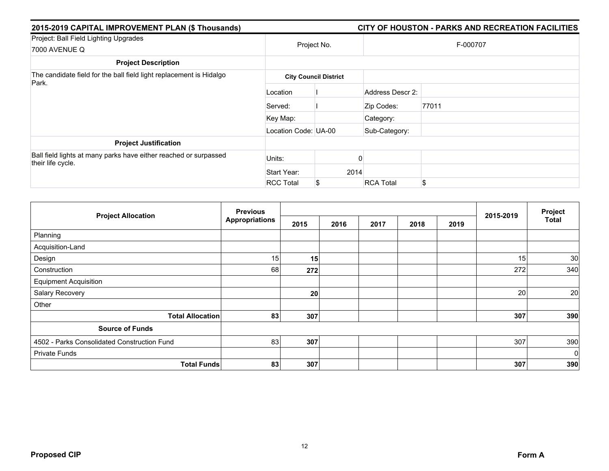| 2015-2019 CAPITAL IMPROVEMENT PLAN (\$ Thousands)                                     | CITY OF HOUSTON - PARKS AND RECREATION FACILITIES |                              |                  |          |  |  |  |  |
|---------------------------------------------------------------------------------------|---------------------------------------------------|------------------------------|------------------|----------|--|--|--|--|
| Project: Ball Field Lighting Upgrades<br>7000 AVENUE Q                                |                                                   | Project No.                  |                  | F-000707 |  |  |  |  |
| <b>Project Description</b>                                                            |                                                   |                              |                  |          |  |  |  |  |
| The candidate field for the ball field light replacement is Hidalgo<br>Park.          |                                                   | <b>City Council District</b> |                  |          |  |  |  |  |
|                                                                                       | Location                                          |                              | Address Descr 2: |          |  |  |  |  |
|                                                                                       | Served:                                           |                              | Zip Codes:       | 77011    |  |  |  |  |
|                                                                                       | Key Map:                                          |                              | Category:        |          |  |  |  |  |
|                                                                                       | Location Code: UA-00                              |                              | Sub-Category:    |          |  |  |  |  |
| <b>Project Justification</b>                                                          |                                                   |                              |                  |          |  |  |  |  |
| Ball field lights at many parks have either reached or surpassed<br>their life cycle. | Units:                                            |                              |                  |          |  |  |  |  |
|                                                                                       | Start Year:                                       | 2014                         |                  |          |  |  |  |  |
|                                                                                       | <b>RCC Total</b>                                  | S                            | <b>RCA Total</b> | \$       |  |  |  |  |

| <b>Project Allocation</b>                   | <b>Previous</b><br><b>Appropriations</b> |      |      |      |      |      |           | Project      |
|---------------------------------------------|------------------------------------------|------|------|------|------|------|-----------|--------------|
|                                             |                                          | 2015 | 2016 | 2017 | 2018 | 2019 | 2015-2019 | <b>Total</b> |
| Planning                                    |                                          |      |      |      |      |      |           |              |
| Acquisition-Land                            |                                          |      |      |      |      |      |           |              |
| Design                                      | 15                                       | 15   |      |      |      |      | 15        | 30           |
| Construction                                | 68                                       | 272  |      |      |      |      | 272       | 340          |
| <b>Equipment Acquisition</b>                |                                          |      |      |      |      |      |           |              |
| Salary Recovery                             |                                          | 20   |      |      |      |      | 20        | 20           |
| Other                                       |                                          |      |      |      |      |      |           |              |
| <b>Total Allocation</b>                     | 83                                       | 307  |      |      |      |      | 307       | 390          |
| <b>Source of Funds</b>                      |                                          |      |      |      |      |      |           |              |
| 4502 - Parks Consolidated Construction Fund | 83                                       | 307  |      |      |      |      | 307       | 390          |
| <b>Private Funds</b>                        |                                          |      |      |      |      |      |           | $\mathbf 0$  |
| <b>Total Funds</b>                          | 83                                       | 307  |      |      |      |      | 307       | 390          |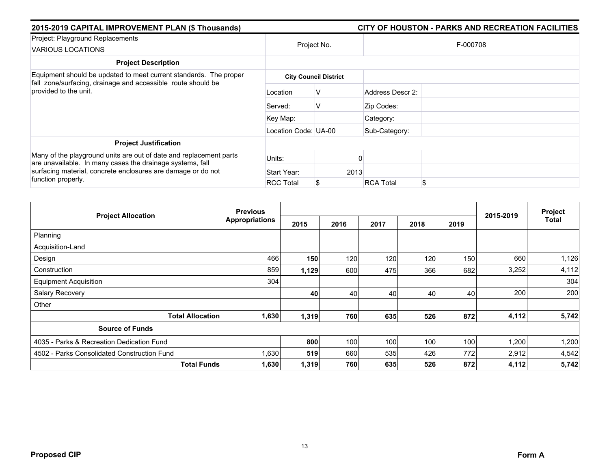| 2015-2019 CAPITAL IMPROVEMENT PLAN (\$ Thousands)                                                                                                                                               | CITY OF HOUSTON - PARKS AND RECREATION FACILITIES |             |                  |          |  |  |  |
|-------------------------------------------------------------------------------------------------------------------------------------------------------------------------------------------------|---------------------------------------------------|-------------|------------------|----------|--|--|--|
| Project: Playground Replacements<br><b>VARIOUS LOCATIONS</b>                                                                                                                                    |                                                   | Project No. |                  | F-000708 |  |  |  |
| <b>Project Description</b>                                                                                                                                                                      |                                                   |             |                  |          |  |  |  |
| Equipment should be updated to meet current standards. The proper<br>fall zone/surfacing, drainage and accessible route should be                                                               | <b>City Council District</b>                      |             |                  |          |  |  |  |
| provided to the unit.                                                                                                                                                                           | Location                                          | v           | Address Descr 2: |          |  |  |  |
|                                                                                                                                                                                                 | Served:                                           | v           | Zip Codes:       |          |  |  |  |
|                                                                                                                                                                                                 | Key Map:                                          |             | Category:        |          |  |  |  |
|                                                                                                                                                                                                 | Location Code: UA-00                              |             | Sub-Category:    |          |  |  |  |
| <b>Project Justification</b>                                                                                                                                                                    |                                                   |             |                  |          |  |  |  |
| Many of the playground units are out of date and replacement parts<br>are unavailable. In many cases the drainage systems, fall<br>surfacing material, concrete enclosures are damage or do not | Units:                                            |             |                  |          |  |  |  |
|                                                                                                                                                                                                 | Start Year:                                       |             | 2013             |          |  |  |  |
| function properly.                                                                                                                                                                              | <b>RCC Total</b>                                  |             | <b>RCA Total</b> | \$       |  |  |  |

|                                             | <b>Previous</b>       |       |      |      |      | Project |           |              |
|---------------------------------------------|-----------------------|-------|------|------|------|---------|-----------|--------------|
| <b>Project Allocation</b>                   | <b>Appropriations</b> | 2015  | 2016 | 2017 | 2018 | 2019    | 2015-2019 | <b>Total</b> |
| Planning                                    |                       |       |      |      |      |         |           |              |
| Acquisition-Land                            |                       |       |      |      |      |         |           |              |
| Design                                      | 466                   | 150   | 120  | 120  | 120  | 150     | 660       | 1,126        |
| Construction                                | 859                   | 1,129 | 600  | 475  | 366  | 682     | 3,252     | 4,112        |
| <b>Equipment Acquisition</b>                | 304                   |       |      |      |      |         |           | 304          |
| Salary Recovery                             |                       | 40    | 40   | 40   | 40   | 40      | 200       | 200          |
| Other                                       |                       |       |      |      |      |         |           |              |
| <b>Total Allocation</b>                     | 1,630                 | 1,319 | 760  | 635  | 526  | 872     | 4,112     | 5,742        |
| <b>Source of Funds</b>                      |                       |       |      |      |      |         |           |              |
| 4035 - Parks & Recreation Dedication Fund   |                       | 800   | 100  | 100  | 100  | 100     | 1,200     | 1,200        |
| 4502 - Parks Consolidated Construction Fund | 1,630                 | 519   | 660  | 535  | 426  | 772     | 2,912     | 4,542        |
| <b>Total Funds</b>                          | 1,630                 | 1,319 | 760  | 635  | 526  | 872     | 4,112     | 5,742        |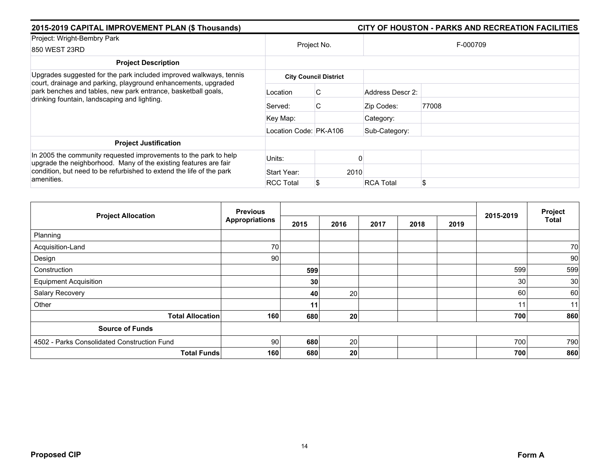| 2015-2019 CAPITAL IMPROVEMENT PLAN (\$ Thousands)                                                                                                                                                                          |                        |                              |                  |          |
|----------------------------------------------------------------------------------------------------------------------------------------------------------------------------------------------------------------------------|------------------------|------------------------------|------------------|----------|
| Project: Wright-Bembry Park<br>850 WEST 23RD                                                                                                                                                                               |                        | Project No.                  |                  | F-000709 |
| <b>Project Description</b>                                                                                                                                                                                                 |                        |                              |                  |          |
| Upgrades suggested for the park included improved walkways, tennis                                                                                                                                                         |                        | <b>City Council District</b> |                  |          |
| court, drainage and parking, playground enhancements, upgraded<br>park benches and tables, new park entrance, basketball goals,<br>drinking fountain, landscaping and lighting.                                            | Location               | C                            | Address Descr 2: |          |
|                                                                                                                                                                                                                            | Served:                | C                            | Zip Codes:       | 77008    |
|                                                                                                                                                                                                                            | Key Map:               |                              | Category:        |          |
|                                                                                                                                                                                                                            | Location Code: PK-A106 |                              | Sub-Category:    |          |
| <b>Project Justification</b>                                                                                                                                                                                               |                        |                              |                  |          |
| In 2005 the community requested improvements to the park to help<br>upgrade the neighborhood. Many of the existing features are fair<br>condition, but need to be refurbished to extend the life of the park<br>amenities. | Units:                 |                              |                  |          |
|                                                                                                                                                                                                                            | Start Year:            | 2010                         |                  |          |
|                                                                                                                                                                                                                            | <b>RCC Total</b>       |                              | <b>RCA Total</b> | \$       |

|                                             | <b>Previous</b> |      |                 |      |      |      |                 | Project      |
|---------------------------------------------|-----------------|------|-----------------|------|------|------|-----------------|--------------|
| <b>Project Allocation</b>                   | Appropriations  | 2015 | 2016            | 2017 | 2018 | 2019 | 2015-2019       | <b>Total</b> |
| Planning                                    |                 |      |                 |      |      |      |                 |              |
| Acquisition-Land                            | 70              |      |                 |      |      |      |                 | 70           |
| Design                                      | 90              |      |                 |      |      |      |                 | 90           |
| Construction                                |                 | 599  |                 |      |      |      | 599             | 599          |
| <b>Equipment Acquisition</b>                |                 | 30   |                 |      |      |      | 30 <sup>°</sup> | 30           |
| Salary Recovery                             |                 | 40   | 20              |      |      |      | 60              | 60           |
| Other                                       |                 | 11   |                 |      |      |      | 11              | 11           |
| <b>Total Allocation</b>                     | 160             | 680  | 20 <sub>l</sub> |      |      |      | 700             | 860          |
| <b>Source of Funds</b>                      |                 |      |                 |      |      |      |                 |              |
| 4502 - Parks Consolidated Construction Fund | 90              | 680  | 20              |      |      |      | 700             | 790          |
| <b>Total Funds</b>                          | 160             | 680  | 20 <sub>l</sub> |      |      |      | 700             | 860          |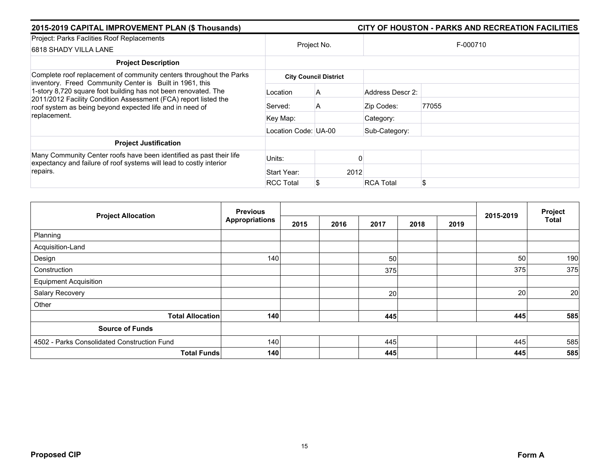| 2015-2019 CAPITAL IMPROVEMENT PLAN (\$ Thousands)                                                                                                                                                                                                                         |                      |                              |                  | CITY OF HOUSTON - PARKS AND RECREATION FACILITIES |  |  |  |  |
|---------------------------------------------------------------------------------------------------------------------------------------------------------------------------------------------------------------------------------------------------------------------------|----------------------|------------------------------|------------------|---------------------------------------------------|--|--|--|--|
| Project: Parks Faclities Roof Replacements<br>6818 SHADY VILLA LANE                                                                                                                                                                                                       |                      | Project No.                  |                  | F-000710                                          |  |  |  |  |
| <b>Project Description</b>                                                                                                                                                                                                                                                |                      |                              |                  |                                                   |  |  |  |  |
| Complete roof replacement of community centers throughout the Parks                                                                                                                                                                                                       |                      | <b>City Council District</b> |                  |                                                   |  |  |  |  |
| inventory. Freed Community Center is Built in 1961, this<br>1-story 8,720 square foot building has not been renovated. The<br>2011/2012 Facility Condition Assessment (FCA) report listed the<br>roof system as being beyond expected life and in need of<br>replacement. | Location             | A                            | Address Descr 2: |                                                   |  |  |  |  |
|                                                                                                                                                                                                                                                                           | Served:              | A                            | Zip Codes:       | 77055                                             |  |  |  |  |
|                                                                                                                                                                                                                                                                           | Key Map:             |                              | Category:        |                                                   |  |  |  |  |
|                                                                                                                                                                                                                                                                           | Location Code: UA-00 |                              | Sub-Category:    |                                                   |  |  |  |  |
| <b>Project Justification</b>                                                                                                                                                                                                                                              |                      |                              |                  |                                                   |  |  |  |  |
| Many Community Center roofs have been identified as past their life<br>expectancy and failure of roof systems will lead to costly interior<br>repairs.                                                                                                                    | Units:               |                              |                  |                                                   |  |  |  |  |
|                                                                                                                                                                                                                                                                           | Start Year:          |                              | 2012             |                                                   |  |  |  |  |
|                                                                                                                                                                                                                                                                           | <b>RCC Total</b>     |                              | <b>RCA Total</b> | \$                                                |  |  |  |  |

| <b>Project Allocation</b>                   | <b>Previous</b>       |      |      |      | 2015-2019 | Project |     |              |
|---------------------------------------------|-----------------------|------|------|------|-----------|---------|-----|--------------|
|                                             | <b>Appropriations</b> | 2015 | 2016 | 2017 | 2018      | 2019    |     | <b>Total</b> |
| Planning                                    |                       |      |      |      |           |         |     |              |
| Acquisition-Land                            |                       |      |      |      |           |         |     |              |
| Design                                      | 140                   |      |      | 50   |           |         | 50  | 190          |
| Construction                                |                       |      |      | 375  |           |         | 375 | 375          |
| <b>Equipment Acquisition</b>                |                       |      |      |      |           |         |     |              |
| Salary Recovery                             |                       |      |      | 20   |           |         | 20  | 20           |
| Other                                       |                       |      |      |      |           |         |     |              |
| <b>Total Allocation</b>                     | 140                   |      |      | 445  |           |         | 445 | 585          |
| <b>Source of Funds</b>                      |                       |      |      |      |           |         |     |              |
| 4502 - Parks Consolidated Construction Fund | 140                   |      |      | 445  |           |         | 445 | 585          |
| <b>Total Funds</b>                          | 140                   |      |      | 445  |           |         | 445 | 585          |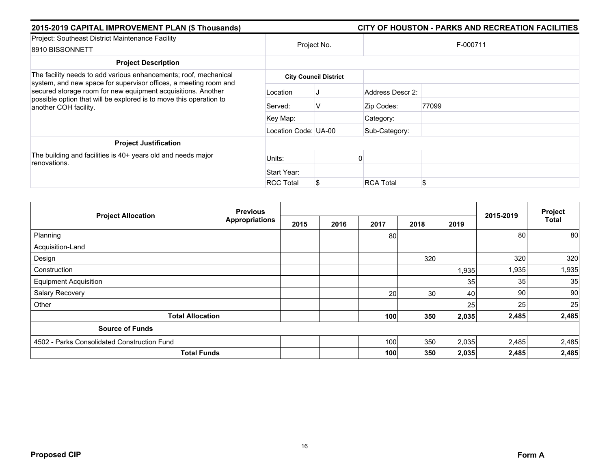| 2015-2019 CAPITAL IMPROVEMENT PLAN (\$ Thousands)                                                                                                                                                                               |                      | CITY OF HOUSTON - PARKS AND RECREATION FACILITIES |                  |       |  |  |  |
|---------------------------------------------------------------------------------------------------------------------------------------------------------------------------------------------------------------------------------|----------------------|---------------------------------------------------|------------------|-------|--|--|--|
| Project: Southeast District Maintenance Facility<br>8910 BISSONNETT                                                                                                                                                             | Project No.          |                                                   | F-000711         |       |  |  |  |
| <b>Project Description</b>                                                                                                                                                                                                      |                      |                                                   |                  |       |  |  |  |
| The facility needs to add various enhancements; roof, mechanical                                                                                                                                                                |                      | <b>City Council District</b>                      |                  |       |  |  |  |
| system, and new space for supervisor offices, a meeting room and<br>secured storage room for new equipment acquisitions. Another<br>possible option that will be explored is to move this operation to<br>another COH facility. | Location             |                                                   | Address Descr 2: |       |  |  |  |
|                                                                                                                                                                                                                                 | Served:              | V                                                 | Zip Codes:       | 77099 |  |  |  |
|                                                                                                                                                                                                                                 | Key Map:             |                                                   | Category:        |       |  |  |  |
|                                                                                                                                                                                                                                 | Location Code: UA-00 |                                                   | Sub-Category:    |       |  |  |  |
| <b>Project Justification</b>                                                                                                                                                                                                    |                      |                                                   |                  |       |  |  |  |
| The building and facilities is 40+ years old and needs major<br>renovations.                                                                                                                                                    | Units:               |                                                   |                  |       |  |  |  |
|                                                                                                                                                                                                                                 | Start Year:          |                                                   |                  |       |  |  |  |
|                                                                                                                                                                                                                                 | <b>RCC Total</b>     |                                                   | <b>RCA Total</b> | \$    |  |  |  |

| <b>Project Allocation</b>                   | <b>Previous</b>       |      |      |      |                 | Project         |           |              |
|---------------------------------------------|-----------------------|------|------|------|-----------------|-----------------|-----------|--------------|
|                                             | <b>Appropriations</b> | 2015 | 2016 | 2017 | 2018            | 2019            | 2015-2019 | <b>Total</b> |
| Planning                                    |                       |      |      | 80   |                 |                 | 80        | 80           |
| Acquisition-Land                            |                       |      |      |      |                 |                 |           |              |
| Design                                      |                       |      |      |      | 320             |                 | 320       | 320          |
| Construction                                |                       |      |      |      |                 | 1,935           | 1,935     | 1,935        |
| <b>Equipment Acquisition</b>                |                       |      |      |      |                 | 35 <sub>1</sub> | 35        | 35           |
| Salary Recovery                             |                       |      |      | 20   | 30 <sup>°</sup> | 40              | 90        | 90           |
| Other                                       |                       |      |      |      |                 | 25              | 25        | 25           |
| <b>Total Allocation</b>                     |                       |      |      | 100  | 350             | 2,035           | 2,485     | 2,485        |
| <b>Source of Funds</b>                      |                       |      |      |      |                 |                 |           |              |
| 4502 - Parks Consolidated Construction Fund |                       |      |      | 100  | 350             | 2,035           | 2,485     | 2,485        |
| <b>Total Funds</b>                          |                       |      |      | 100  | 350             | 2,035           | 2,485     | 2,485        |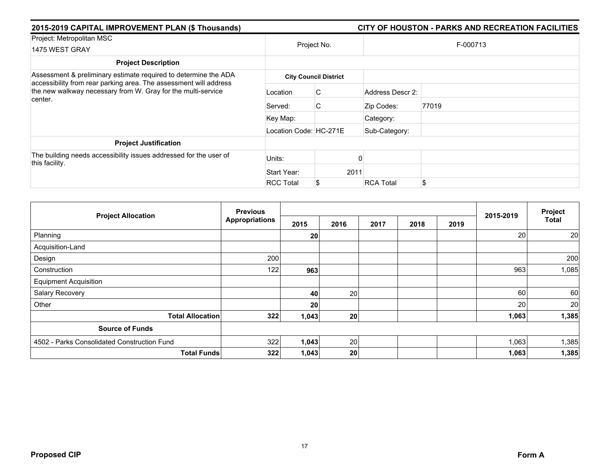| 2015-2019 CAPITAL IMPROVEMENT PLAN (\$ Thousands)                                                                                            |                        | CITY OF HOUSTON - PARKS AND RECREATION FACILITIES |                  |          |  |  |  |  |
|----------------------------------------------------------------------------------------------------------------------------------------------|------------------------|---------------------------------------------------|------------------|----------|--|--|--|--|
| Project: Metropolitan MSC<br>1475 WEST GRAY                                                                                                  |                        | Project No.                                       |                  | F-000713 |  |  |  |  |
| <b>Project Description</b>                                                                                                                   |                        |                                                   |                  |          |  |  |  |  |
| Assessment & preliminary estimate required to determine the ADA                                                                              |                        | <b>City Council District</b>                      |                  |          |  |  |  |  |
| accessibility from rear parking area. The assessment will address<br>the new walkway necessary from W. Gray for the multi-service<br>center. | Location               | C.                                                | Address Descr 2: |          |  |  |  |  |
|                                                                                                                                              | Served:                | C                                                 | Zip Codes:       | 77019    |  |  |  |  |
|                                                                                                                                              | Key Map:               |                                                   | Category:        |          |  |  |  |  |
|                                                                                                                                              | Location Code: HC-271E |                                                   | Sub-Category:    |          |  |  |  |  |
| <b>Project Justification</b>                                                                                                                 |                        |                                                   |                  |          |  |  |  |  |
| The building needs accessibility issues addressed for the user of<br>this facility.                                                          | Units:                 |                                                   |                  |          |  |  |  |  |
|                                                                                                                                              | Start Year:            | 2011                                              |                  |          |  |  |  |  |
|                                                                                                                                              | <b>RCC Total</b>       | <b>RCA Total</b>                                  |                  | \$       |  |  |  |  |

| <b>Project Allocation</b>                   | <b>Previous</b><br><b>Appropriations</b> |       |      |      |      |      | Project   |              |
|---------------------------------------------|------------------------------------------|-------|------|------|------|------|-----------|--------------|
|                                             |                                          | 2015  | 2016 | 2017 | 2018 | 2019 | 2015-2019 | <b>Total</b> |
| Planning                                    |                                          | 20    |      |      |      |      | 20        | 20           |
| Acquisition-Land                            |                                          |       |      |      |      |      |           |              |
| Design                                      | 200                                      |       |      |      |      |      |           | 200          |
| Construction                                | 122                                      | 963   |      |      |      |      | 963       | 1,085        |
| <b>Equipment Acquisition</b>                |                                          |       |      |      |      |      |           |              |
| Salary Recovery                             |                                          | 40    | 20   |      |      |      | 60        | 60           |
| Other                                       |                                          | 20    |      |      |      |      | 20        | 20           |
| <b>Total Allocation</b>                     | 322                                      | 1,043 | 20   |      |      |      | 1,063     | 1,385        |
| <b>Source of Funds</b>                      |                                          |       |      |      |      |      |           |              |
| 4502 - Parks Consolidated Construction Fund | 322                                      | 1,043 | 20   |      |      |      | 1,063     | 1,385        |
| <b>Total Funds</b>                          | 322                                      | 1,043 | 20   |      |      |      | 1,063     | 1,385        |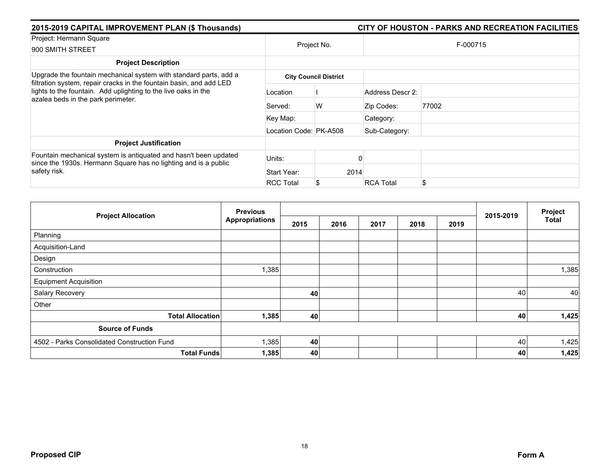| 2015-2019 CAPITAL IMPROVEMENT PLAN (\$ Thousands)                                                                                                   | CITY OF HOUSTON - PARKS AND RECREATION FACILITIES |                              |                  |       |  |  |  |
|-----------------------------------------------------------------------------------------------------------------------------------------------------|---------------------------------------------------|------------------------------|------------------|-------|--|--|--|
| Project: Hermann Square                                                                                                                             |                                                   |                              |                  |       |  |  |  |
| 900 SMITH STREET                                                                                                                                    | Project No.                                       |                              | F-000715         |       |  |  |  |
| <b>Project Description</b>                                                                                                                          |                                                   |                              |                  |       |  |  |  |
| Upgrade the fountain mechanical system with standard parts, add a<br>filtration system, repair cracks in the fountain basin, and add LED            |                                                   | <b>City Council District</b> |                  |       |  |  |  |
| lights to the fountain. Add uplighting to the live oaks in the<br>azalea beds in the park perimeter.                                                | Location                                          |                              | Address Descr 2: |       |  |  |  |
|                                                                                                                                                     | Served:                                           | W                            | Zip Codes:       | 77002 |  |  |  |
|                                                                                                                                                     | Key Map:                                          |                              | Category:        |       |  |  |  |
|                                                                                                                                                     | Location Code: PK-A508                            |                              | Sub-Category:    |       |  |  |  |
| <b>Project Justification</b>                                                                                                                        |                                                   |                              |                  |       |  |  |  |
| Fountain mechanical system is antiquated and hasn't been updated<br>since the 1930s. Hermann Square has no lighting and is a public<br>safety risk. | Units:                                            |                              |                  |       |  |  |  |
|                                                                                                                                                     | Start Year:                                       | 2014                         |                  |       |  |  |  |
|                                                                                                                                                     | <b>RCC Total</b>                                  |                              | <b>RCA Total</b> | \$    |  |  |  |

| <b>Project Allocation</b>                   | <b>Previous</b>       |      |      |      | 2015-2019 | Project |    |              |
|---------------------------------------------|-----------------------|------|------|------|-----------|---------|----|--------------|
|                                             | <b>Appropriations</b> | 2015 | 2016 | 2017 | 2018      | 2019    |    | <b>Total</b> |
| Planning                                    |                       |      |      |      |           |         |    |              |
| Acquisition-Land                            |                       |      |      |      |           |         |    |              |
| Design                                      |                       |      |      |      |           |         |    |              |
| Construction                                | 1,385                 |      |      |      |           |         |    | 1,385        |
| <b>Equipment Acquisition</b>                |                       |      |      |      |           |         |    |              |
| Salary Recovery                             |                       | 40   |      |      |           |         | 40 | 40           |
| Other                                       |                       |      |      |      |           |         |    |              |
| <b>Total Allocation</b>                     | 1,385                 | 40   |      |      |           |         | 40 | 1,425        |
| <b>Source of Funds</b>                      |                       |      |      |      |           |         |    |              |
| 4502 - Parks Consolidated Construction Fund | 1,385                 | 40   |      |      |           |         | 40 | 1,425        |
| <b>Total Funds</b>                          | 1,385                 | 40   |      |      |           |         | 40 | 1,425        |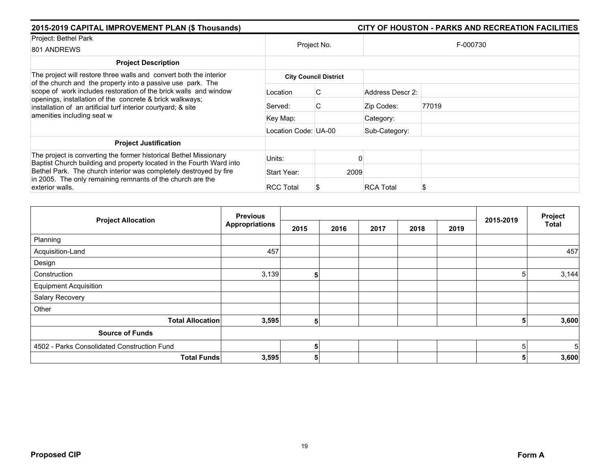| 2015-2019 CAPITAL IMPROVEMENT PLAN (\$ Thousands)                                                                                                                                             |                      |                              |                  | CITY OF HOUSTON - PARKS AND RECREATION FACILITIES |
|-----------------------------------------------------------------------------------------------------------------------------------------------------------------------------------------------|----------------------|------------------------------|------------------|---------------------------------------------------|
| Project: Bethel Park<br>801 ANDREWS                                                                                                                                                           | Project No.          |                              |                  | F-000730                                          |
| <b>Project Description</b>                                                                                                                                                                    |                      |                              |                  |                                                   |
| The project will restore three walls and convert both the interior<br>of the church and the property into a passive use park. The                                                             |                      | <b>City Council District</b> |                  |                                                   |
| scope of work includes restoration of the brick walls and window<br>openings, installation of the concrete & brick walkways;<br>installation of an artificial turf interior courtyard; & site | Location             | С                            | Address Descr 2: |                                                   |
|                                                                                                                                                                                               | Served:              | C.                           | Zip Codes:       | 77019                                             |
| amenities including seat w                                                                                                                                                                    | Key Map:             |                              | Category:        |                                                   |
|                                                                                                                                                                                               | Location Code: UA-00 |                              | Sub-Category:    |                                                   |
| <b>Project Justification</b>                                                                                                                                                                  |                      |                              |                  |                                                   |
| The project is converting the former historical Bethel Missionary<br>Baptist Church building and property located in the Fourth Ward into                                                     | Units:               |                              |                  |                                                   |
| Bethel Park. The church interior was completely destroyed by fire                                                                                                                             | Start Year:          | 2009                         |                  |                                                   |
| in 2005. The only remaining remnants of the church are the<br>exterior walls.                                                                                                                 | <b>RCC Total</b>     |                              | <b>RCA Total</b> | S                                                 |

| <b>Project Allocation</b>                   | <b>Previous</b>       |      |      |      |      | Project |           |              |
|---------------------------------------------|-----------------------|------|------|------|------|---------|-----------|--------------|
|                                             | <b>Appropriations</b> | 2015 | 2016 | 2017 | 2018 | 2019    | 2015-2019 | <b>Total</b> |
| Planning                                    |                       |      |      |      |      |         |           |              |
| Acquisition-Land                            | 457                   |      |      |      |      |         |           | 457          |
| Design                                      |                       |      |      |      |      |         |           |              |
| Construction                                | 3,139                 | 5    |      |      |      |         | 5         | 3,144        |
| <b>Equipment Acquisition</b>                |                       |      |      |      |      |         |           |              |
| Salary Recovery                             |                       |      |      |      |      |         |           |              |
| Other                                       |                       |      |      |      |      |         |           |              |
| <b>Total Allocation</b>                     | 3,595                 | 5    |      |      |      |         | 5         | 3,600        |
| <b>Source of Funds</b>                      |                       |      |      |      |      |         |           |              |
| 4502 - Parks Consolidated Construction Fund |                       | 5    |      |      |      |         | 5         | 5            |
| <b>Total Funds</b>                          | 3,595                 | 5    |      |      |      |         | 5         | 3,600        |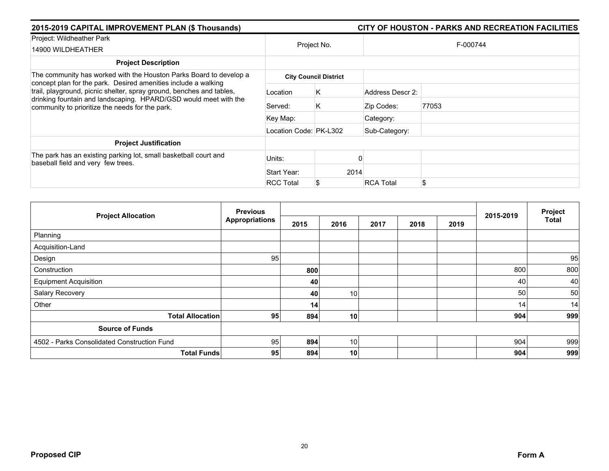| 2015-2019 CAPITAL IMPROVEMENT PLAN (\$ Thousands)                                                                                                                                           |                        |                              |                  |       |  |  |  |  |  |
|---------------------------------------------------------------------------------------------------------------------------------------------------------------------------------------------|------------------------|------------------------------|------------------|-------|--|--|--|--|--|
| Project: Wildheather Park                                                                                                                                                                   |                        | Project No.                  | F-000744         |       |  |  |  |  |  |
| 14900 WILDHEATHER                                                                                                                                                                           |                        |                              |                  |       |  |  |  |  |  |
| <b>Project Description</b>                                                                                                                                                                  |                        |                              |                  |       |  |  |  |  |  |
| The community has worked with the Houston Parks Board to develop a<br>concept plan for the park. Desired amenities include a walking                                                        |                        | <b>City Council District</b> |                  |       |  |  |  |  |  |
| trail, playground, picnic shelter, spray ground, benches and tables,<br>drinking fountain and landscaping. HPARD/GSD would meet with the<br>community to prioritize the needs for the park. | Location               | Κ                            | Address Descr 2: |       |  |  |  |  |  |
|                                                                                                                                                                                             | Served:                | K                            | Zip Codes:       | 77053 |  |  |  |  |  |
|                                                                                                                                                                                             | Key Map:               |                              | Category:        |       |  |  |  |  |  |
|                                                                                                                                                                                             | Location Code: PK-L302 |                              | Sub-Category:    |       |  |  |  |  |  |
| <b>Project Justification</b>                                                                                                                                                                |                        |                              |                  |       |  |  |  |  |  |
| The park has an existing parking lot, small basketball court and<br>baseball field and very few trees.                                                                                      | Units:                 |                              |                  |       |  |  |  |  |  |
|                                                                                                                                                                                             | Start Year:            | 2014                         |                  |       |  |  |  |  |  |
|                                                                                                                                                                                             | <b>RCC Total</b>       |                              | <b>RCA Total</b> | \$    |  |  |  |  |  |

| <b>Project Allocation</b>                   | <b>Previous</b>       |      |                 |      | 2015-2019 | Project |     |              |
|---------------------------------------------|-----------------------|------|-----------------|------|-----------|---------|-----|--------------|
|                                             | <b>Appropriations</b> | 2015 | 2016            | 2017 | 2018      | 2019    |     | <b>Total</b> |
| Planning                                    |                       |      |                 |      |           |         |     |              |
| Acquisition-Land                            |                       |      |                 |      |           |         |     |              |
| Design                                      | 95                    |      |                 |      |           |         |     | 95           |
| Construction                                |                       | 800  |                 |      |           |         | 800 | 800          |
| <b>Equipment Acquisition</b>                |                       | 40   |                 |      |           |         | 40  | 40           |
| Salary Recovery                             |                       | 40   | 10 <sup>1</sup> |      |           |         | 50  | 50           |
| Other                                       |                       | 14   |                 |      |           |         | 14  | 14           |
| <b>Total Allocation</b>                     | 95                    | 894  | 10              |      |           |         | 904 | 999          |
| <b>Source of Funds</b>                      |                       |      |                 |      |           |         |     |              |
| 4502 - Parks Consolidated Construction Fund | 95                    | 894  | 10 <sup>1</sup> |      |           |         | 904 | 999          |
| <b>Total Funds</b>                          | 95                    | 894  | 10 <sup>1</sup> |      |           |         | 904 | 999          |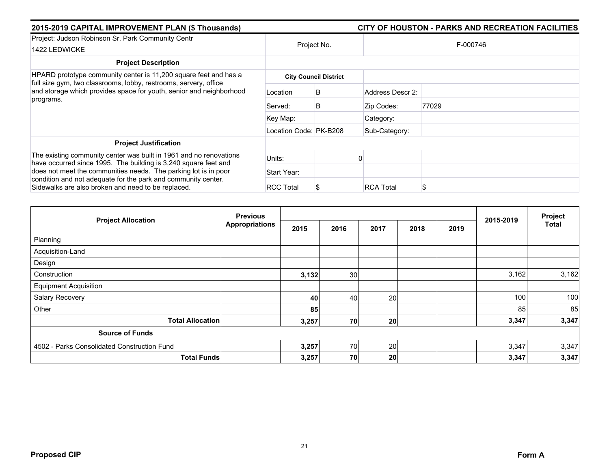| 2015-2019 CAPITAL IMPROVEMENT PLAN (\$ Thousands)                                                                                     |                        |                              |                       | CITY OF HOUSTON - PARKS AND RECREATION FACILITIES |  |  |  |  |
|---------------------------------------------------------------------------------------------------------------------------------------|------------------------|------------------------------|-----------------------|---------------------------------------------------|--|--|--|--|
| Project: Judson Robinson Sr. Park Community Centr<br>1422 LEDWICKE                                                                    | Project No.            |                              | F-000746              |                                                   |  |  |  |  |
| <b>Project Description</b>                                                                                                            |                        |                              |                       |                                                   |  |  |  |  |
| HPARD prototype community center is 11,200 square feet and has a<br>full size gym, two classrooms, lobby, restrooms, servery, office  |                        | <b>City Council District</b> |                       |                                                   |  |  |  |  |
| and storage which provides space for youth, senior and neighborhood<br>programs.                                                      | Location               | B                            | Address Descr 2:      |                                                   |  |  |  |  |
|                                                                                                                                       | Served:                | B                            | Zip Codes:            | 77029                                             |  |  |  |  |
|                                                                                                                                       | Key Map:               |                              | Category:             |                                                   |  |  |  |  |
|                                                                                                                                       | Location Code: PK-B208 |                              | Sub-Category:         |                                                   |  |  |  |  |
| <b>Project Justification</b>                                                                                                          |                        |                              |                       |                                                   |  |  |  |  |
| The existing community center was built in 1961 and no renovations<br>have occurred since 1995. The building is 3,240 square feet and | Units:                 |                              |                       |                                                   |  |  |  |  |
| does not meet the communities needs. The parking lot is in poor                                                                       | Start Year:            |                              |                       |                                                   |  |  |  |  |
| condition and not adequate for the park and community center.<br>Sidewalks are also broken and need to be replaced.                   | <b>RCC Total</b>       |                              | <b>RCA Total</b><br>S |                                                   |  |  |  |  |

| <b>Project Allocation</b>                   | <b>Previous</b><br><b>Appropriations</b> |       |      |      | 2015-2019 | Project |       |              |
|---------------------------------------------|------------------------------------------|-------|------|------|-----------|---------|-------|--------------|
|                                             |                                          | 2015  | 2016 | 2017 | 2018      | 2019    |       | <b>Total</b> |
| Planning                                    |                                          |       |      |      |           |         |       |              |
| Acquisition-Land                            |                                          |       |      |      |           |         |       |              |
| Design                                      |                                          |       |      |      |           |         |       |              |
| Construction                                |                                          | 3,132 | 30   |      |           |         | 3,162 | 3,162        |
| <b>Equipment Acquisition</b>                |                                          |       |      |      |           |         |       |              |
| Salary Recovery                             |                                          | 40    | 40   | 20   |           |         | 100   | 100          |
| Other                                       |                                          | 85    |      |      |           |         | 85    | 85           |
| <b>Total Allocation</b>                     |                                          | 3,257 | 70   | 20   |           |         | 3,347 | 3,347        |
| <b>Source of Funds</b>                      |                                          |       |      |      |           |         |       |              |
| 4502 - Parks Consolidated Construction Fund |                                          | 3,257 | 70   | 20   |           |         | 3,347 | 3,347        |
| <b>Total Funds</b>                          |                                          | 3,257 | 70   | 20   |           |         | 3,347 | 3,347        |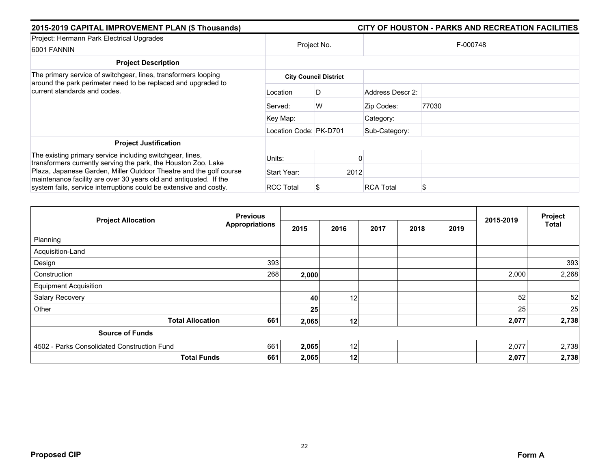| 2015-2019 CAPITAL IMPROVEMENT PLAN (\$ Thousands)                                                                                                                                                 |                        |                              |                  | CITY OF HOUSTON - PARKS AND RECREATION FACILITIES |
|---------------------------------------------------------------------------------------------------------------------------------------------------------------------------------------------------|------------------------|------------------------------|------------------|---------------------------------------------------|
| Project: Hermann Park Electrical Upgrades<br>6001 FANNIN                                                                                                                                          | Project No.            |                              |                  | F-000748                                          |
| <b>Project Description</b>                                                                                                                                                                        |                        |                              |                  |                                                   |
| The primary service of switchgear, lines, transformers looping<br>around the park perimeter need to be replaced and upgraded to<br>current standards and codes.                                   |                        | <b>City Council District</b> |                  |                                                   |
|                                                                                                                                                                                                   | Location               | D                            | Address Descr 2: |                                                   |
|                                                                                                                                                                                                   | Served:                | W                            | Zip Codes:       | 77030                                             |
|                                                                                                                                                                                                   | Key Map:               |                              | Category:        |                                                   |
|                                                                                                                                                                                                   | Location Code: PK-D701 |                              | Sub-Category:    |                                                   |
| <b>Project Justification</b>                                                                                                                                                                      |                        |                              |                  |                                                   |
| The existing primary service including switchgear, lines,<br>transformers currently serving the park, the Houston Zoo, Lake<br>Plaza, Japanese Garden, Miller Outdoor Theatre and the golf course | Units:                 |                              |                  |                                                   |
|                                                                                                                                                                                                   | Start Year:            |                              | 2012             |                                                   |
| maintenance facility are over 30 years old and antiquated. If the<br>system fails, service interruptions could be extensive and costly.                                                           | <b>RCC Total</b>       |                              | <b>RCA Total</b> | S                                                 |

| <b>Project Allocation</b>                   | <b>Previous</b>       |       |                 |      | 2015-2019 | Project |       |              |
|---------------------------------------------|-----------------------|-------|-----------------|------|-----------|---------|-------|--------------|
|                                             | <b>Appropriations</b> | 2015  | 2016            | 2017 | 2018      | 2019    |       | <b>Total</b> |
| Planning                                    |                       |       |                 |      |           |         |       |              |
| Acquisition-Land                            |                       |       |                 |      |           |         |       |              |
| Design                                      | 393                   |       |                 |      |           |         |       | 393          |
| Construction                                | 268                   | 2,000 |                 |      |           |         | 2,000 | 2,268        |
| <b>Equipment Acquisition</b>                |                       |       |                 |      |           |         |       |              |
| Salary Recovery                             |                       | 40    | 12 <sub>1</sub> |      |           |         | 52    | 52           |
| Other                                       |                       | 25    |                 |      |           |         | 25    | 25           |
| <b>Total Allocation</b>                     | 661                   | 2,065 | 12              |      |           |         | 2,077 | 2,738        |
| <b>Source of Funds</b>                      |                       |       |                 |      |           |         |       |              |
| 4502 - Parks Consolidated Construction Fund | 661                   | 2,065 | 12              |      |           |         | 2,077 | 2,738        |
| <b>Total Funds</b>                          | 661                   | 2,065 | 12              |      |           |         | 2,077 | 2,738        |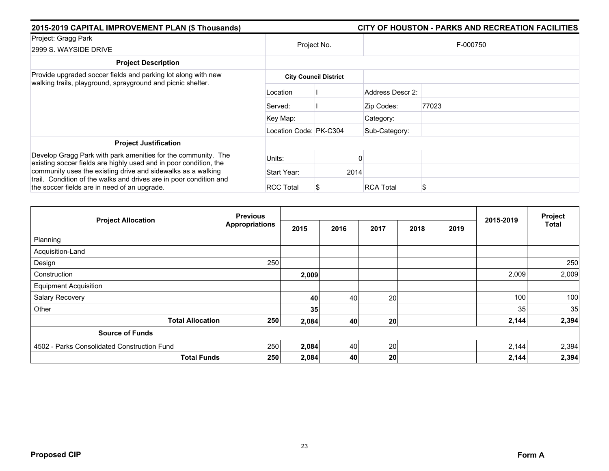| 2015-2019 CAPITAL IMPROVEMENT PLAN (\$ Thousands)                                                                                  | CITY OF HOUSTON - PARKS AND RECREATION FACILITIES |                              |                  |       |  |  |  |
|------------------------------------------------------------------------------------------------------------------------------------|---------------------------------------------------|------------------------------|------------------|-------|--|--|--|
| Project: Gragg Park<br>2999 S. WAYSIDE DRIVE                                                                                       | Project No.                                       |                              | F-000750         |       |  |  |  |
| <b>Project Description</b>                                                                                                         |                                                   |                              |                  |       |  |  |  |
| Provide upgraded soccer fields and parking lot along with new<br>walking trails, playground, sprayground and picnic shelter.       |                                                   | <b>City Council District</b> |                  |       |  |  |  |
|                                                                                                                                    | Location                                          |                              | Address Descr 2: |       |  |  |  |
|                                                                                                                                    | Served:                                           |                              | Zip Codes:       | 77023 |  |  |  |
|                                                                                                                                    | Key Map:                                          |                              | Category:        |       |  |  |  |
|                                                                                                                                    | Location Code: PK-C304                            |                              | Sub-Category:    |       |  |  |  |
| <b>Project Justification</b>                                                                                                       |                                                   |                              |                  |       |  |  |  |
| Develop Gragg Park with park amenities for the community. The<br>existing soccer fields are highly used and in poor condition, the | Units:                                            |                              |                  |       |  |  |  |
| community uses the existing drive and sidewalks as a walking                                                                       | Start Year:                                       | 2014                         |                  |       |  |  |  |
| trail. Condition of the walks and drives are in poor condition and<br>the soccer fields are in need of an upgrade.                 | <b>RCC Total</b>                                  |                              | <b>RCA Total</b> | ን     |  |  |  |

|                                             | <b>Previous</b>       |       |      |      | 2015-2019 | Project |       |              |
|---------------------------------------------|-----------------------|-------|------|------|-----------|---------|-------|--------------|
| <b>Project Allocation</b>                   | <b>Appropriations</b> | 2015  | 2016 | 2017 | 2018      | 2019    |       | <b>Total</b> |
| Planning                                    |                       |       |      |      |           |         |       |              |
| Acquisition-Land                            |                       |       |      |      |           |         |       |              |
| Design                                      | 250                   |       |      |      |           |         |       | 250          |
| Construction                                |                       | 2,009 |      |      |           |         | 2,009 | 2,009        |
| <b>Equipment Acquisition</b>                |                       |       |      |      |           |         |       |              |
| Salary Recovery                             |                       | 40    | 40   | 20   |           |         | 100   | 100          |
| Other                                       |                       | 35    |      |      |           |         | 35    | 35           |
| <b>Total Allocation</b>                     | 250                   | 2,084 | 40   | 20   |           |         | 2,144 | 2,394        |
| <b>Source of Funds</b>                      |                       |       |      |      |           |         |       |              |
| 4502 - Parks Consolidated Construction Fund | 250                   | 2,084 | 40   | 20   |           |         | 2,144 | 2,394        |
| <b>Total Funds</b>                          | 250                   | 2,084 | 40   | 20   |           |         | 2,144 | 2,394        |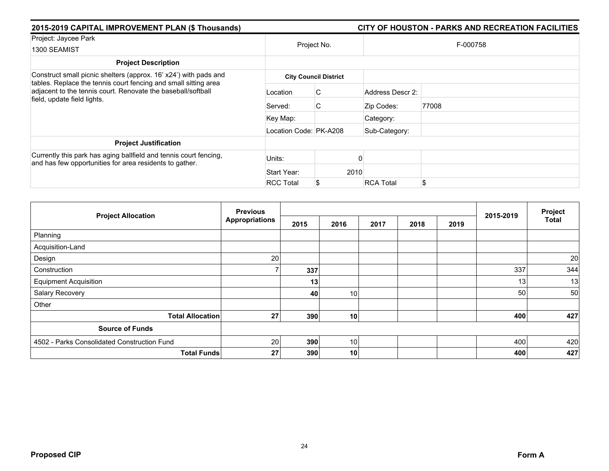| 2015-2019 CAPITAL IMPROVEMENT PLAN (\$ Thousands)                                                                                                              |                        |                              |                  | CITY OF HOUSTON - PARKS AND RECREATION FACILITIES |  |  |  |  |
|----------------------------------------------------------------------------------------------------------------------------------------------------------------|------------------------|------------------------------|------------------|---------------------------------------------------|--|--|--|--|
| Project: Jaycee Park                                                                                                                                           |                        |                              |                  |                                                   |  |  |  |  |
| 1300 SEAMIST                                                                                                                                                   |                        | Project No.                  |                  | F-000758                                          |  |  |  |  |
| <b>Project Description</b>                                                                                                                                     |                        |                              |                  |                                                   |  |  |  |  |
| Construct small picnic shelters (approx. 16' x24') with pads and                                                                                               |                        | <b>City Council District</b> |                  |                                                   |  |  |  |  |
| tables. Replace the tennis court fencing and small sitting area<br>adjacent to the tennis court. Renovate the baseball/softball<br>field, update field lights. | Location               | C.                           | Address Descr 2: |                                                   |  |  |  |  |
|                                                                                                                                                                | Served:                | C                            | Zip Codes:       | 77008                                             |  |  |  |  |
|                                                                                                                                                                | Key Map:               |                              | Category:        |                                                   |  |  |  |  |
|                                                                                                                                                                | Location Code: PK-A208 |                              | Sub-Category:    |                                                   |  |  |  |  |
| <b>Project Justification</b>                                                                                                                                   |                        |                              |                  |                                                   |  |  |  |  |
| Currently this park has aging ballfield and tennis court fencing,<br>and has few opportunities for area residents to gather.                                   | Units:                 |                              |                  |                                                   |  |  |  |  |
|                                                                                                                                                                | Start Year:            | 2010                         |                  |                                                   |  |  |  |  |
|                                                                                                                                                                | <b>RCC Total</b>       |                              | <b>RCA Total</b> | \$                                                |  |  |  |  |

|                                             | <b>Previous</b>       |      |                 |      |      | 2015-2019 | Project |              |
|---------------------------------------------|-----------------------|------|-----------------|------|------|-----------|---------|--------------|
| <b>Project Allocation</b>                   | <b>Appropriations</b> | 2015 | 2016            | 2017 | 2018 | 2019      |         | <b>Total</b> |
| Planning                                    |                       |      |                 |      |      |           |         |              |
| Acquisition-Land                            |                       |      |                 |      |      |           |         |              |
| Design                                      | 20                    |      |                 |      |      |           |         | 20           |
| Construction                                |                       | 337  |                 |      |      |           | 337     | 344          |
| <b>Equipment Acquisition</b>                |                       | 13   |                 |      |      |           | 13      | 13           |
| Salary Recovery                             |                       | 40   | 10 <sub>1</sub> |      |      |           | 50      | 50           |
| Other                                       |                       |      |                 |      |      |           |         |              |
| <b>Total Allocation</b>                     | 27                    | 390  | 10              |      |      |           | 400     | 427          |
| <b>Source of Funds</b>                      |                       |      |                 |      |      |           |         |              |
| 4502 - Parks Consolidated Construction Fund | 20                    | 390  | 10 <sup>1</sup> |      |      |           | 400     | 420          |
| <b>Total Funds</b>                          | 27                    | 390  | 10 <sup>1</sup> |      |      |           | 400     | 427          |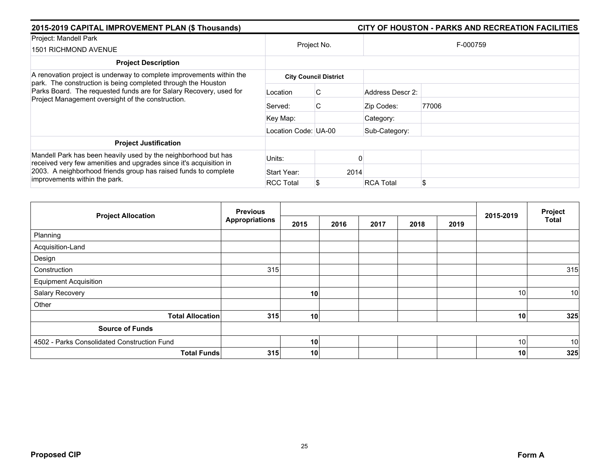| 2015-2019 CAPITAL IMPROVEMENT PLAN (\$ Thousands)                                                                                                                                                       |                      |                              |                  | CITY OF HOUSTON - PARKS AND RECREATION FACILITIES |  |  |  |
|---------------------------------------------------------------------------------------------------------------------------------------------------------------------------------------------------------|----------------------|------------------------------|------------------|---------------------------------------------------|--|--|--|
| Project: Mandell Park                                                                                                                                                                                   | Project No.          |                              | F-000759         |                                                   |  |  |  |
| 1501 RICHMOND AVENUE                                                                                                                                                                                    |                      |                              |                  |                                                   |  |  |  |
| <b>Project Description</b>                                                                                                                                                                              |                      |                              |                  |                                                   |  |  |  |
| A renovation project is underway to complete improvements within the<br>park. The construction is being completed through the Houston                                                                   |                      | <b>City Council District</b> |                  |                                                   |  |  |  |
| Parks Board. The requested funds are for Salary Recovery, used for<br>Project Management oversight of the construction.                                                                                 | Location             | С                            | Address Descr 2: |                                                   |  |  |  |
|                                                                                                                                                                                                         | Served:              | C                            | Zip Codes:       | 77006                                             |  |  |  |
|                                                                                                                                                                                                         | Key Map:             |                              | Category:        |                                                   |  |  |  |
|                                                                                                                                                                                                         | Location Code: UA-00 |                              | Sub-Category:    |                                                   |  |  |  |
| <b>Project Justification</b>                                                                                                                                                                            |                      |                              |                  |                                                   |  |  |  |
| Mandell Park has been heavily used by the neighborhood but has<br>received very few amenities and upgrades since it's acquisition in<br>2003. A neighborhood friends group has raised funds to complete | Units:               |                              |                  |                                                   |  |  |  |
|                                                                                                                                                                                                         | Start Year:          | 2014                         |                  |                                                   |  |  |  |
| improvements within the park.                                                                                                                                                                           | <b>RCC Total</b>     |                              | <b>RCA Total</b> | \$                                                |  |  |  |

|                                             | <b>Previous</b>           |      |      |      |      | Project |           |              |
|---------------------------------------------|---------------------------|------|------|------|------|---------|-----------|--------------|
| <b>Project Allocation</b>                   | <b>Appropriations</b>     | 2015 | 2016 | 2017 | 2018 | 2019    | 2015-2019 | <b>Total</b> |
| Planning                                    |                           |      |      |      |      |         |           |              |
| Acquisition-Land                            |                           |      |      |      |      |         |           |              |
| Design                                      |                           |      |      |      |      |         |           |              |
| Construction                                | 315                       |      |      |      |      |         |           | 315          |
| <b>Equipment Acquisition</b>                |                           |      |      |      |      |         |           |              |
| Salary Recovery                             |                           | 10   |      |      |      |         | 10        | 10           |
| Other                                       |                           |      |      |      |      |         |           |              |
| <b>Total Allocation</b>                     | 315                       | 10   |      |      |      |         | 10        | 325          |
| <b>Source of Funds</b>                      |                           |      |      |      |      |         |           |              |
| 4502 - Parks Consolidated Construction Fund |                           | 10   |      |      |      |         | 10        | 10           |
|                                             | <b>Total Funds</b><br>315 | 10   |      |      |      |         | 10        | 325          |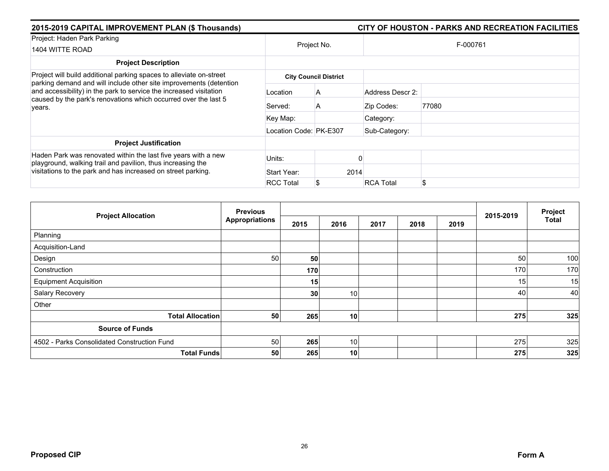| 2015-2019 CAPITAL IMPROVEMENT PLAN (\$ Thousands)                                                                                                                                                                     |                        |                              | CITY OF HOUSTON - PARKS AND RECREATION FACILITIES |          |  |  |  |  |
|-----------------------------------------------------------------------------------------------------------------------------------------------------------------------------------------------------------------------|------------------------|------------------------------|---------------------------------------------------|----------|--|--|--|--|
| Project: Haden Park Parking<br>1404 WITTE ROAD                                                                                                                                                                        |                        | Project No.                  |                                                   | F-000761 |  |  |  |  |
| <b>Project Description</b>                                                                                                                                                                                            |                        |                              |                                                   |          |  |  |  |  |
| Project will build additional parking spaces to alleviate on-street                                                                                                                                                   |                        | <b>City Council District</b> |                                                   |          |  |  |  |  |
| parking demand and will include other site improvements (detention<br>and accessibility) in the park to service the increased visitation<br>caused by the park's renovations which occurred over the last 5<br>years. | Location               | A                            | Address Descr 2:                                  |          |  |  |  |  |
|                                                                                                                                                                                                                       | Served:                | A                            | Zip Codes:                                        | 77080    |  |  |  |  |
|                                                                                                                                                                                                                       | Key Map:               |                              | Category:                                         |          |  |  |  |  |
|                                                                                                                                                                                                                       | Location Code: PK-E307 |                              | Sub-Category:                                     |          |  |  |  |  |
| <b>Project Justification</b>                                                                                                                                                                                          |                        |                              |                                                   |          |  |  |  |  |
| Haden Park was renovated within the last five years with a new<br>playground, walking trail and pavilion, thus increasing the<br>visitations to the park and has increased on street parking.                         | Units:                 |                              |                                                   |          |  |  |  |  |
|                                                                                                                                                                                                                       | Start Year:            | 2014                         |                                                   |          |  |  |  |  |
|                                                                                                                                                                                                                       | <b>RCC Total</b>       |                              | <b>RCA Total</b>                                  | \$       |  |  |  |  |

|                                             | <b>Previous</b>       |      | 2015-2019       | Project |      |      |     |              |
|---------------------------------------------|-----------------------|------|-----------------|---------|------|------|-----|--------------|
| <b>Project Allocation</b>                   | <b>Appropriations</b> | 2015 | 2016            | 2017    | 2018 | 2019 |     | <b>Total</b> |
| Planning                                    |                       |      |                 |         |      |      |     |              |
| Acquisition-Land                            |                       |      |                 |         |      |      |     |              |
| Design                                      | 50                    | 50   |                 |         |      |      | 50  | 100          |
| Construction                                |                       | 170  |                 |         |      |      | 170 | 170          |
| <b>Equipment Acquisition</b>                |                       | 15   |                 |         |      |      | 15  | 15           |
| Salary Recovery                             |                       | 30   | 10 <sup>1</sup> |         |      |      | 40  | 40           |
| Other                                       |                       |      |                 |         |      |      |     |              |
| <b>Total Allocation</b>                     | 50                    | 265  | 10              |         |      |      | 275 | 325          |
| <b>Source of Funds</b>                      |                       |      |                 |         |      |      |     |              |
| 4502 - Parks Consolidated Construction Fund | 50                    | 265  | 10 <sup>1</sup> |         |      |      | 275 | 325          |
| <b>Total Funds</b>                          | 50                    | 265  | 10 <sup>1</sup> |         |      |      | 275 | 325          |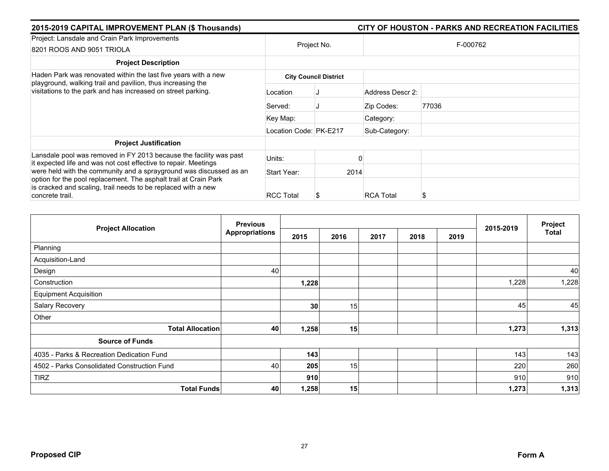| 2015-2019 CAPITAL IMPROVEMENT PLAN (\$ Thousands)                                                                                                                                                                          |                              | CITY OF HOUSTON - PARKS AND RECREATION FACILITIES |                  |       |  |  |  |
|----------------------------------------------------------------------------------------------------------------------------------------------------------------------------------------------------------------------------|------------------------------|---------------------------------------------------|------------------|-------|--|--|--|
| Project: Lansdale and Crain Park Improvements<br>8201 ROOS AND 9051 TRIOLA                                                                                                                                                 |                              | Project No.                                       | F-000762         |       |  |  |  |
| <b>Project Description</b>                                                                                                                                                                                                 |                              |                                                   |                  |       |  |  |  |
| Haden Park was renovated within the last five years with a new<br>playground, walking trail and pavilion, thus increasing the<br>visitations to the park and has increased on street parking.                              | <b>City Council District</b> |                                                   |                  |       |  |  |  |
|                                                                                                                                                                                                                            | Location                     |                                                   | Address Descr 2: |       |  |  |  |
|                                                                                                                                                                                                                            | Served:                      |                                                   | Zip Codes:       | 77036 |  |  |  |
|                                                                                                                                                                                                                            | Key Map:                     |                                                   | Category:        |       |  |  |  |
|                                                                                                                                                                                                                            | Location Code: PK-E217       |                                                   | Sub-Category:    |       |  |  |  |
| <b>Project Justification</b>                                                                                                                                                                                               |                              |                                                   |                  |       |  |  |  |
| Lansdale pool was removed in FY 2013 because the facility was past<br>it expected life and was not cost effective to repair. Meetings                                                                                      | Units:                       |                                                   |                  |       |  |  |  |
| were held with the community and a sprayground was discussed as an<br>option for the pool replacement. The asphalt trail at Crain Park<br>is cracked and scaling, trail needs to be replaced with a new<br>concrete trail. | Start Year:                  |                                                   | 2014             |       |  |  |  |
|                                                                                                                                                                                                                            | <b>RCC Total</b>             |                                                   | <b>RCA Total</b> | S     |  |  |  |

|                                             | <b>Previous</b>       |       |      | 2015-2019 | Project |      |       |       |
|---------------------------------------------|-----------------------|-------|------|-----------|---------|------|-------|-------|
| <b>Project Allocation</b>                   | <b>Appropriations</b> | 2015  | 2016 | 2017      | 2018    | 2019 |       | Total |
| Planning                                    |                       |       |      |           |         |      |       |       |
| Acquisition-Land                            |                       |       |      |           |         |      |       |       |
| Design                                      | 40                    |       |      |           |         |      |       | 40    |
| Construction                                |                       | 1,228 |      |           |         |      | 1,228 | 1,228 |
| <b>Equipment Acquisition</b>                |                       |       |      |           |         |      |       |       |
| Salary Recovery                             |                       | 30    | 15   |           |         |      | 45    | 45    |
| Other                                       |                       |       |      |           |         |      |       |       |
| <b>Total Allocation</b>                     | 40                    | 1,258 | 15   |           |         |      | 1,273 | 1,313 |
| <b>Source of Funds</b>                      |                       |       |      |           |         |      |       |       |
| 4035 - Parks & Recreation Dedication Fund   |                       | 143   |      |           |         |      | 143   | 143   |
| 4502 - Parks Consolidated Construction Fund | 40                    | 205   | 15   |           |         |      | 220   | 260   |
| <b>TIRZ</b>                                 |                       | 910   |      |           |         |      | 910   | 910   |
| <b>Total Funds</b>                          | 40                    | 1,258 | 15   |           |         |      | 1,273 | 1,313 |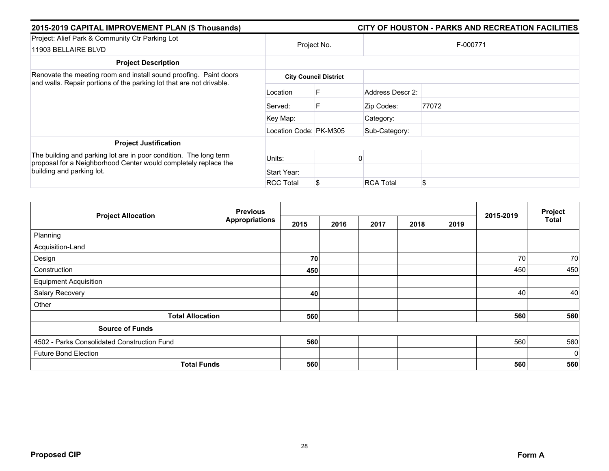| 2015-2019 CAPITAL IMPROVEMENT PLAN (\$ Thousands)                                                                                                                 |                        |                              | CITY OF HOUSTON - PARKS AND RECREATION FACILITIES |       |  |  |  |
|-------------------------------------------------------------------------------------------------------------------------------------------------------------------|------------------------|------------------------------|---------------------------------------------------|-------|--|--|--|
| Project: Alief Park & Community Ctr Parking Lot<br>11903 BELLAIRE BLVD                                                                                            | Project No.            |                              | F-000771                                          |       |  |  |  |
| <b>Project Description</b>                                                                                                                                        |                        |                              |                                                   |       |  |  |  |
| Renovate the meeting room and install sound proofing. Paint doors<br>and walls. Repair portions of the parking lot that are not drivable.                         |                        | <b>City Council District</b> |                                                   |       |  |  |  |
|                                                                                                                                                                   | Location               |                              | Address Descr 2:                                  |       |  |  |  |
|                                                                                                                                                                   | Served:                | F                            | Zip Codes:                                        | 77072 |  |  |  |
|                                                                                                                                                                   | Key Map:               |                              | Category:                                         |       |  |  |  |
|                                                                                                                                                                   | Location Code: PK-M305 |                              | Sub-Category:                                     |       |  |  |  |
| <b>Project Justification</b>                                                                                                                                      |                        |                              |                                                   |       |  |  |  |
| The building and parking lot are in poor condition. The long term<br>proposal for a Neighborhood Center would completely replace the<br>building and parking lot. | Units:                 |                              |                                                   |       |  |  |  |
|                                                                                                                                                                   | Start Year:            |                              |                                                   |       |  |  |  |
|                                                                                                                                                                   | <b>RCC Total</b>       |                              | <b>RCA Total</b>                                  | \$    |  |  |  |

| <b>Project Allocation</b>                   | <b>Previous</b><br><b>Appropriations</b> |      |      |      |      | 2015-2019 | Project |             |
|---------------------------------------------|------------------------------------------|------|------|------|------|-----------|---------|-------------|
|                                             |                                          | 2015 | 2016 | 2017 | 2018 | 2019      |         | Total       |
| Planning                                    |                                          |      |      |      |      |           |         |             |
| Acquisition-Land                            |                                          |      |      |      |      |           |         |             |
| Design                                      |                                          | 70   |      |      |      |           | 70      | 70          |
| Construction                                |                                          | 450  |      |      |      |           | 450     | 450         |
| <b>Equipment Acquisition</b>                |                                          |      |      |      |      |           |         |             |
| Salary Recovery                             |                                          | 40   |      |      |      |           | 40      | 40          |
| Other                                       |                                          |      |      |      |      |           |         |             |
| <b>Total Allocation</b>                     |                                          | 560  |      |      |      |           | 560     | 560         |
| <b>Source of Funds</b>                      |                                          |      |      |      |      |           |         |             |
| 4502 - Parks Consolidated Construction Fund |                                          | 560  |      |      |      |           | 560     | 560         |
| <b>Future Bond Election</b>                 |                                          |      |      |      |      |           |         | $\mathbf 0$ |
| <b>Total Funds</b>                          |                                          | 560  |      |      |      |           | 560     | 560         |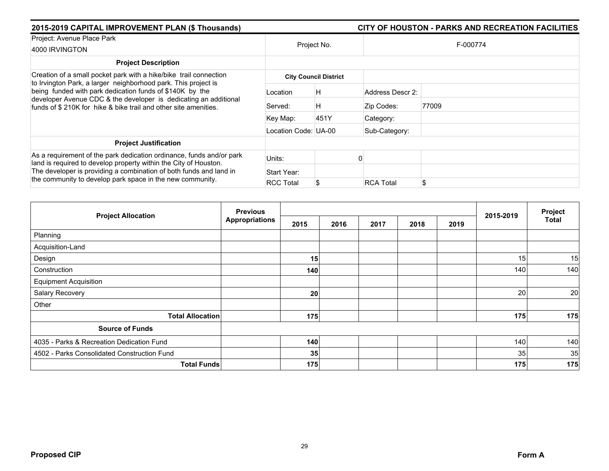| 2015-2019 CAPITAL IMPROVEMENT PLAN (\$ Thousands)                                                                                                                                                                                                                           |                      |                              |                  |          |
|-----------------------------------------------------------------------------------------------------------------------------------------------------------------------------------------------------------------------------------------------------------------------------|----------------------|------------------------------|------------------|----------|
| Project: Avenue Place Park<br>4000 IRVINGTON                                                                                                                                                                                                                                | Project No.          |                              |                  | F-000774 |
| <b>Project Description</b>                                                                                                                                                                                                                                                  |                      |                              |                  |          |
| Creation of a small pocket park with a hike/bike trail connection                                                                                                                                                                                                           |                      | <b>City Council District</b> |                  |          |
| to Irvington Park, a larger neighborhood park. This project is<br>being funded with park dedication funds of \$140K by the<br>developer Avenue CDC & the developer is dedicating an additional<br>funds of \$210K for hike & bike trail and other site amenities.           | Location             | H                            | Address Descr 2: |          |
|                                                                                                                                                                                                                                                                             | Served:              | H                            | Zip Codes:       | 77009    |
|                                                                                                                                                                                                                                                                             | Key Map:             | 451Y                         | Category:        |          |
|                                                                                                                                                                                                                                                                             | Location Code: UA-00 |                              | Sub-Category:    |          |
| <b>Project Justification</b>                                                                                                                                                                                                                                                |                      |                              |                  |          |
| As a requirement of the park dedication ordinance, funds and/or park<br>land is required to develop property within the City of Houston.<br>The developer is providing a combination of both funds and land in<br>the community to develop park space in the new community. | Units:               |                              |                  |          |
|                                                                                                                                                                                                                                                                             | Start Year:          |                              |                  |          |
|                                                                                                                                                                                                                                                                             | <b>RCC Total</b>     |                              | <b>RCA Total</b> | \$       |

| <b>Project Allocation</b>                   | <b>Previous</b><br><b>Appropriations</b> |      |      |      |      | 2015-2019 | Project |       |
|---------------------------------------------|------------------------------------------|------|------|------|------|-----------|---------|-------|
|                                             |                                          | 2015 | 2016 | 2017 | 2018 | 2019      |         | Total |
| Planning                                    |                                          |      |      |      |      |           |         |       |
| Acquisition-Land                            |                                          |      |      |      |      |           |         |       |
| Design                                      |                                          | 15   |      |      |      |           | 15      | 15    |
| Construction                                |                                          | 140  |      |      |      |           | 140     | 140   |
| <b>Equipment Acquisition</b>                |                                          |      |      |      |      |           |         |       |
| Salary Recovery                             |                                          | 20   |      |      |      |           | 20      | 20    |
| Other                                       |                                          |      |      |      |      |           |         |       |
| <b>Total Allocation</b>                     |                                          | 175  |      |      |      |           | 175     | 175   |
| <b>Source of Funds</b>                      |                                          |      |      |      |      |           |         |       |
| 4035 - Parks & Recreation Dedication Fund   |                                          | 140  |      |      |      |           | 140     | 140   |
| 4502 - Parks Consolidated Construction Fund |                                          | 35   |      |      |      |           | 35      | 35    |
| <b>Total Funds</b>                          |                                          | 175  |      |      |      |           | 175     | 175   |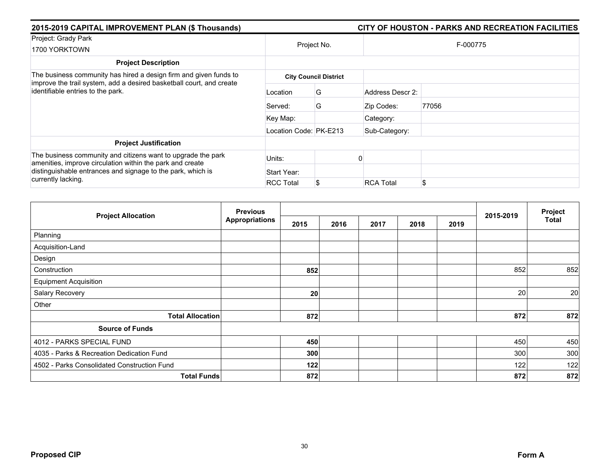| 2015-2019 CAPITAL IMPROVEMENT PLAN (\$ Thousands)                                                                                                                              |                        |                              |                  |          |  |
|--------------------------------------------------------------------------------------------------------------------------------------------------------------------------------|------------------------|------------------------------|------------------|----------|--|
| Project: Grady Park<br>1700 YORKTOWN                                                                                                                                           |                        | Project No.                  |                  | F-000775 |  |
| <b>Project Description</b>                                                                                                                                                     |                        |                              |                  |          |  |
| The business community has hired a design firm and given funds to<br>improve the trail system, add a desired basketball court, and create<br>identifiable entries to the park. |                        | <b>City Council District</b> |                  |          |  |
|                                                                                                                                                                                | Location               | G                            | Address Descr 2: |          |  |
|                                                                                                                                                                                | Served:                | G                            | Zip Codes:       | 77056    |  |
|                                                                                                                                                                                | Key Map:               |                              | Category:        |          |  |
|                                                                                                                                                                                | Location Code: PK-E213 |                              | Sub-Category:    |          |  |
| <b>Project Justification</b>                                                                                                                                                   |                        |                              |                  |          |  |
| The business community and citizens want to upgrade the park<br>amenities, improve circulation within the park and create                                                      | Units:                 |                              |                  |          |  |
| distinguishable entrances and signage to the park, which is                                                                                                                    | Start Year:            |                              |                  |          |  |
| currently lacking.                                                                                                                                                             | <b>RCC Total</b>       |                              | <b>RCA Total</b> | \$       |  |

|                                             | <b>Previous</b>       |      |      | 2015-2019 | Project |      |     |              |
|---------------------------------------------|-----------------------|------|------|-----------|---------|------|-----|--------------|
| <b>Project Allocation</b>                   | <b>Appropriations</b> | 2015 | 2016 | 2017      | 2018    | 2019 |     | <b>Total</b> |
| Planning                                    |                       |      |      |           |         |      |     |              |
| Acquisition-Land                            |                       |      |      |           |         |      |     |              |
| Design                                      |                       |      |      |           |         |      |     |              |
| Construction                                |                       | 852  |      |           |         |      | 852 | 852          |
| <b>Equipment Acquisition</b>                |                       |      |      |           |         |      |     |              |
| Salary Recovery                             |                       | 20   |      |           |         |      | 20  | 20           |
| Other                                       |                       |      |      |           |         |      |     |              |
| <b>Total Allocation</b>                     |                       | 872  |      |           |         |      | 872 | 872          |
| <b>Source of Funds</b>                      |                       |      |      |           |         |      |     |              |
| 4012 - PARKS SPECIAL FUND                   |                       | 450  |      |           |         |      | 450 | 450          |
| 4035 - Parks & Recreation Dedication Fund   |                       | 300  |      |           |         |      | 300 | 300          |
| 4502 - Parks Consolidated Construction Fund |                       | 122  |      |           |         |      | 122 | 122          |
| <b>Total Funds</b>                          |                       | 872  |      |           |         |      | 872 | 872          |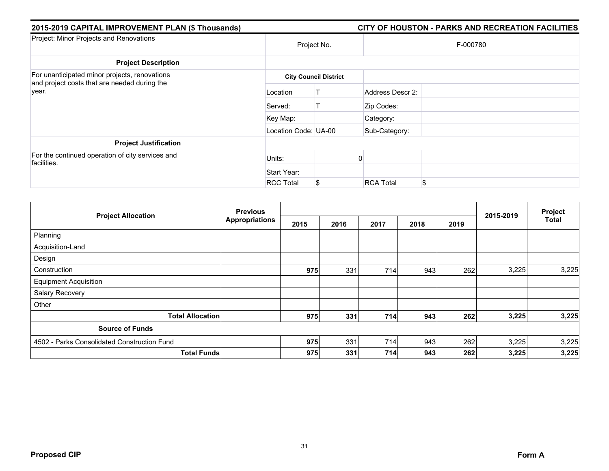| 2015-2019 CAPITAL IMPROVEMENT PLAN (\$ Thousands)                                             |                      |                              |                  | CITY OF HOUSTON - PARKS AND RECREATION FACILITIES |
|-----------------------------------------------------------------------------------------------|----------------------|------------------------------|------------------|---------------------------------------------------|
| Project: Minor Projects and Renovations                                                       |                      | Project No.                  |                  | F-000780                                          |
| <b>Project Description</b>                                                                    |                      |                              |                  |                                                   |
| For unanticipated minor projects, renovations<br>and project costs that are needed during the |                      | <b>City Council District</b> |                  |                                                   |
| year.                                                                                         | Location             |                              | Address Descr 2: |                                                   |
|                                                                                               | Served:              |                              | Zip Codes:       |                                                   |
|                                                                                               | Key Map:             |                              | Category:        |                                                   |
|                                                                                               | Location Code: UA-00 |                              | Sub-Category:    |                                                   |
| <b>Project Justification</b>                                                                  |                      |                              |                  |                                                   |
| For the continued operation of city services and<br>facilities.                               | Units:               |                              |                  |                                                   |
|                                                                                               | Start Year:          |                              |                  |                                                   |
|                                                                                               | <b>RCC Total</b>     | S                            | <b>RCA Total</b> | \$                                                |

| <b>Project Allocation</b>                   | <b>Previous</b>       |      |      |      |      | Project |           |              |
|---------------------------------------------|-----------------------|------|------|------|------|---------|-----------|--------------|
|                                             | <b>Appropriations</b> | 2015 | 2016 | 2017 | 2018 | 2019    | 2015-2019 | <b>Total</b> |
| Planning                                    |                       |      |      |      |      |         |           |              |
| Acquisition-Land                            |                       |      |      |      |      |         |           |              |
| Design                                      |                       |      |      |      |      |         |           |              |
| Construction                                |                       | 975  | 331  | 714  | 943  | 262     | 3,225     | 3,225        |
| <b>Equipment Acquisition</b>                |                       |      |      |      |      |         |           |              |
| Salary Recovery                             |                       |      |      |      |      |         |           |              |
| Other                                       |                       |      |      |      |      |         |           |              |
| <b>Total Allocation</b>                     |                       | 975  | 331  | 714  | 943  | 262     | 3,225     | 3,225        |
| <b>Source of Funds</b>                      |                       |      |      |      |      |         |           |              |
| 4502 - Parks Consolidated Construction Fund |                       | 975  | 331  | 714  | 943  | 262     | 3,225     | 3,225        |
| <b>Total Funds</b>                          |                       | 975  | 331  | 714  | 943  | 262     | 3,225     | 3,225        |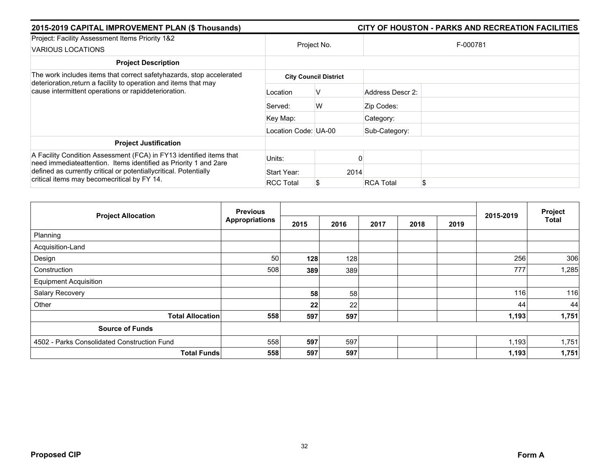| 2015-2019 CAPITAL IMPROVEMENT PLAN (\$ Thousands)                                                                                       |                      | CITY OF HOUSTON - PARKS AND RECREATION FACILITIES |                        |  |  |  |
|-----------------------------------------------------------------------------------------------------------------------------------------|----------------------|---------------------------------------------------|------------------------|--|--|--|
| Project: Facility Assessment Items Priority 1&2<br>VARIOUS LOCATIONS                                                                    | Project No.          |                                                   | F-000781               |  |  |  |
| <b>Project Description</b>                                                                                                              |                      |                                                   |                        |  |  |  |
| The work includes items that correct safety hazards, stop accelerated                                                                   |                      | <b>City Council District</b>                      |                        |  |  |  |
| deterioration, return a facility to operation and items that may<br>cause intermittent operations or rapiddeterioration.                | Location             | v                                                 | Address Descr 2:       |  |  |  |
|                                                                                                                                         | Served:              | W                                                 | Zip Codes:             |  |  |  |
|                                                                                                                                         | Key Map:             |                                                   | Category:              |  |  |  |
|                                                                                                                                         | Location Code: UA-00 |                                                   | Sub-Category:          |  |  |  |
| <b>Project Justification</b>                                                                                                            |                      |                                                   |                        |  |  |  |
| A Facility Condition Assessment (FCA) in FY13 identified items that<br>need immediateattention. Items identified as Priority 1 and 2are | Units:               |                                                   |                        |  |  |  |
| defined as currently critical or potentiallycritical. Potentially<br>critical items may becomecritical by FY 14.                        | Start Year:          | 2014                                              |                        |  |  |  |
|                                                                                                                                         | <b>RCC Total</b>     |                                                   | \$<br><b>RCA Total</b> |  |  |  |

|                                             | <b>Previous</b>       |      |      | Project |      |      |           |              |
|---------------------------------------------|-----------------------|------|------|---------|------|------|-----------|--------------|
| <b>Project Allocation</b>                   | <b>Appropriations</b> | 2015 | 2016 | 2017    | 2018 | 2019 | 2015-2019 | <b>Total</b> |
| Planning                                    |                       |      |      |         |      |      |           |              |
| Acquisition-Land                            |                       |      |      |         |      |      |           |              |
| Design                                      | 50                    | 128  | 128  |         |      |      | 256       | 306          |
| Construction                                | 508                   | 389  | 389  |         |      |      | 777       | 1,285        |
| <b>Equipment Acquisition</b>                |                       |      |      |         |      |      |           |              |
| Salary Recovery                             |                       | 58   | 58   |         |      |      | 116       | 116          |
| Other                                       |                       | 22   | 22   |         |      |      | 44        | 44           |
| <b>Total Allocation</b>                     | 558                   | 597  | 597  |         |      |      | 1,193     | 1,751        |
| <b>Source of Funds</b>                      |                       |      |      |         |      |      |           |              |
| 4502 - Parks Consolidated Construction Fund | 558                   | 597  | 597  |         |      |      | 1,193     | 1,751        |
| <b>Total Funds</b>                          | 558                   | 597  | 597  |         |      |      | 1,193     | 1,751        |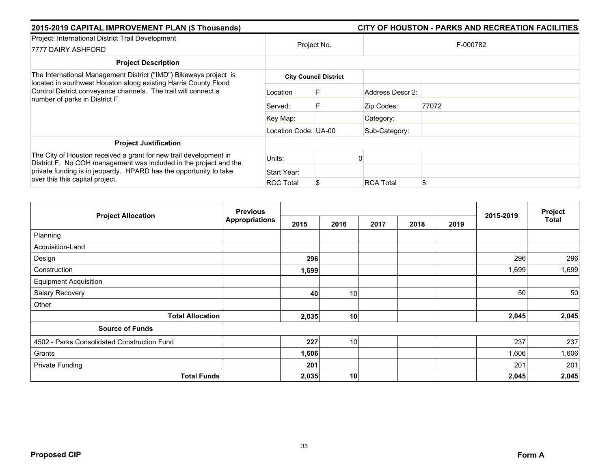| 2015-2019 CAPITAL IMPROVEMENT PLAN (\$ Thousands)                                                                                                                                                                                              |                      | CITY OF HOUSTON - PARKS AND RECREATION FACILITIES |                  |       |  |  |  |
|------------------------------------------------------------------------------------------------------------------------------------------------------------------------------------------------------------------------------------------------|----------------------|---------------------------------------------------|------------------|-------|--|--|--|
| Project: International District Trail Development<br>7777 DAIRY ASHFORD                                                                                                                                                                        | Project No.          |                                                   | F-000782         |       |  |  |  |
| <b>Project Description</b>                                                                                                                                                                                                                     |                      |                                                   |                  |       |  |  |  |
| The International Management District ("IMD") Bikeways project is<br>located in southwest Houston along existing Harris County Flood                                                                                                           |                      | <b>City Council District</b>                      |                  |       |  |  |  |
| Control District conveyance channels. The trail will connect a<br>number of parks in District F.                                                                                                                                               | Location             |                                                   | Address Descr 2: |       |  |  |  |
|                                                                                                                                                                                                                                                | Served:              | F                                                 | Zip Codes:       | 77072 |  |  |  |
|                                                                                                                                                                                                                                                | Key Map:             |                                                   | Category:        |       |  |  |  |
|                                                                                                                                                                                                                                                | Location Code: UA-00 |                                                   | Sub-Category:    |       |  |  |  |
| <b>Project Justification</b>                                                                                                                                                                                                                   |                      |                                                   |                  |       |  |  |  |
| The City of Houston received a grant for new trail development in<br>District F. No COH management was included in the project and the<br>private funding is in jeopardy. HPARD has the opportunity to take<br>over this this capital project. | Units:               |                                                   |                  |       |  |  |  |
|                                                                                                                                                                                                                                                | Start Year:          |                                                   |                  |       |  |  |  |
|                                                                                                                                                                                                                                                | <b>RCC Total</b>     |                                                   | <b>RCA Total</b> | \$    |  |  |  |

| <b>Project Allocation</b>                   | <b>Previous</b>       |       |      |      | Project |      |           |              |
|---------------------------------------------|-----------------------|-------|------|------|---------|------|-----------|--------------|
|                                             | <b>Appropriations</b> | 2015  | 2016 | 2017 | 2018    | 2019 | 2015-2019 | <b>Total</b> |
| Planning                                    |                       |       |      |      |         |      |           |              |
| Acquisition-Land                            |                       |       |      |      |         |      |           |              |
| Design                                      |                       | 296   |      |      |         |      | 296       | 296          |
| Construction                                |                       | 1,699 |      |      |         |      | 1,699     | 1,699        |
| <b>Equipment Acquisition</b>                |                       |       |      |      |         |      |           |              |
| Salary Recovery                             |                       | 40    | 10   |      |         |      | 50        | 50           |
| Other                                       |                       |       |      |      |         |      |           |              |
| <b>Total Allocation</b>                     |                       | 2,035 | 10   |      |         |      | 2,045     | 2,045        |
| <b>Source of Funds</b>                      |                       |       |      |      |         |      |           |              |
| 4502 - Parks Consolidated Construction Fund |                       | 227   | 10   |      |         |      | 237       | 237          |
| Grants                                      |                       | 1,606 |      |      |         |      | 1,606     | 1,606        |
| <b>Private Funding</b>                      |                       | 201   |      |      |         |      | 201       | 201          |
| <b>Total Funds</b>                          |                       | 2,035 | 10   |      |         |      | 2,045     | 2,045        |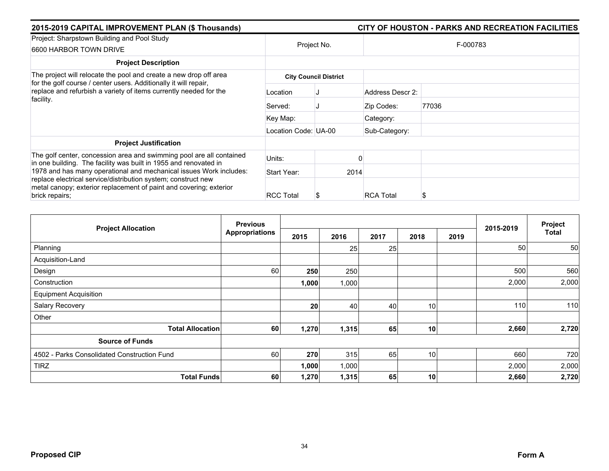| 2015-2019 CAPITAL IMPROVEMENT PLAN (\$ Thousands)                                                                                                                                                                           |                      |                              |                  | CITY OF HOUSTON - PARKS AND RECREATION FACILITIES |  |  |  |
|-----------------------------------------------------------------------------------------------------------------------------------------------------------------------------------------------------------------------------|----------------------|------------------------------|------------------|---------------------------------------------------|--|--|--|
| Project: Sharpstown Building and Pool Study<br>6600 HARBOR TOWN DRIVE                                                                                                                                                       |                      | Project No.                  | F-000783         |                                                   |  |  |  |
| <b>Project Description</b>                                                                                                                                                                                                  |                      |                              |                  |                                                   |  |  |  |
| The project will relocate the pool and create a new drop off area                                                                                                                                                           |                      | <b>City Council District</b> |                  |                                                   |  |  |  |
| for the golf course / center users. Additionally it will repair,<br>replace and refurbish a variety of items currently needed for the<br>facility.                                                                          | Location             |                              | Address Descr 2: |                                                   |  |  |  |
|                                                                                                                                                                                                                             | Served:              |                              | Zip Codes:       | 77036                                             |  |  |  |
|                                                                                                                                                                                                                             | Key Map:             |                              | Category:        |                                                   |  |  |  |
|                                                                                                                                                                                                                             | Location Code: UA-00 |                              | Sub-Category:    |                                                   |  |  |  |
| <b>Project Justification</b>                                                                                                                                                                                                |                      |                              |                  |                                                   |  |  |  |
| The golf center, concession area and swimming pool are all contained<br>in one building. The facility was built in 1955 and renovated in                                                                                    | Units:               |                              |                  |                                                   |  |  |  |
| 1978 and has many operational and mechanical issues Work includes:<br>replace electrical service/distribution system; construct new<br>metal canopy; exterior replacement of paint and covering; exterior<br>brick repairs; | Start Year:          |                              | 2014             |                                                   |  |  |  |
|                                                                                                                                                                                                                             | <b>RCC Total</b>     |                              | <b>RCA Total</b> | S                                                 |  |  |  |

| <b>Project Allocation</b>                   | <b>Previous</b>       |       |       |      | 2015-2019       | Project |       |              |
|---------------------------------------------|-----------------------|-------|-------|------|-----------------|---------|-------|--------------|
|                                             | <b>Appropriations</b> | 2015  | 2016  | 2017 | 2018            | 2019    |       | <b>Total</b> |
| Planning                                    |                       |       | 25    | 25   |                 |         | 50    | 50           |
| Acquisition-Land                            |                       |       |       |      |                 |         |       |              |
| Design                                      | 60                    | 250   | 250   |      |                 |         | 500   | 560          |
| Construction                                |                       | 1,000 | 1,000 |      |                 |         | 2,000 | 2,000        |
| <b>Equipment Acquisition</b>                |                       |       |       |      |                 |         |       |              |
| Salary Recovery                             |                       | 20    | 40    | 40   | 10              |         | 110   | 110          |
| Other                                       |                       |       |       |      |                 |         |       |              |
| <b>Total Allocation</b>                     | 60                    | 1,270 | 1,315 | 65   | 10              |         | 2,660 | 2,720        |
| <b>Source of Funds</b>                      |                       |       |       |      |                 |         |       |              |
| 4502 - Parks Consolidated Construction Fund | 60                    | 270   | 315   | 65   | 10 <sup>1</sup> |         | 660   | 720          |
| <b>TIRZ</b>                                 |                       | 1,000 | 1,000 |      |                 |         | 2,000 | 2,000        |
| <b>Total Funds</b>                          | 60                    | 1,270 | 1,315 | 65   | 10              |         | 2,660 | 2,720        |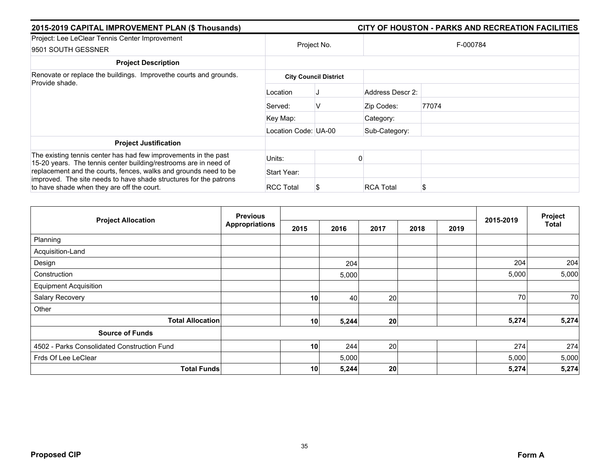| 2015-2019 CAPITAL IMPROVEMENT PLAN (\$ Thousands)                                                                                   |                      |                              | CITY OF HOUSTON - PARKS AND RECREATION FACILITIES |
|-------------------------------------------------------------------------------------------------------------------------------------|----------------------|------------------------------|---------------------------------------------------|
| Project: Lee LeClear Tennis Center Improvement<br>9501 SOUTH GESSNER                                                                | Project No.          |                              | F-000784                                          |
| <b>Project Description</b>                                                                                                          |                      |                              |                                                   |
| Renovate or replace the buildings. Improvethe courts and grounds.<br>Provide shade.                                                 |                      | <b>City Council District</b> |                                                   |
|                                                                                                                                     | Location             |                              | Address Descr 2:                                  |
|                                                                                                                                     | Served:              | v                            | 77074<br>Zip Codes:                               |
|                                                                                                                                     | Key Map:             |                              | Category:                                         |
|                                                                                                                                     | Location Code: UA-00 |                              | Sub-Category:                                     |
| <b>Project Justification</b>                                                                                                        |                      |                              |                                                   |
| The existing tennis center has had few improvements in the past<br>15-20 years. The tennis center building/restrooms are in need of | Units:               |                              |                                                   |
| replacement and the courts, fences, walks and grounds need to be                                                                    | Start Year:          |                              |                                                   |
| improved. The site needs to have shade structures for the patrons<br>to have shade when they are off the court.                     | <b>RCC Total</b>     |                              | <b>RCA Total</b><br>S                             |

| <b>Project Allocation</b>                   | <b>Previous</b>       |                 |       |      | Project |      |           |              |
|---------------------------------------------|-----------------------|-----------------|-------|------|---------|------|-----------|--------------|
|                                             | <b>Appropriations</b> | 2015            | 2016  | 2017 | 2018    | 2019 | 2015-2019 | <b>Total</b> |
| Planning                                    |                       |                 |       |      |         |      |           |              |
| Acquisition-Land                            |                       |                 |       |      |         |      |           |              |
| Design                                      |                       |                 | 204   |      |         |      | 204       | 204          |
| Construction                                |                       |                 | 5,000 |      |         |      | 5,000     | 5,000        |
| <b>Equipment Acquisition</b>                |                       |                 |       |      |         |      |           |              |
| Salary Recovery                             |                       | 10              | 40    | 20   |         |      | 70        | 70           |
| Other                                       |                       |                 |       |      |         |      |           |              |
| <b>Total Allocation</b>                     |                       | 10              | 5,244 | 20   |         |      | 5,274     | 5,274        |
| <b>Source of Funds</b>                      |                       |                 |       |      |         |      |           |              |
| 4502 - Parks Consolidated Construction Fund |                       | 10              | 244   | 20   |         |      | 274       | 274          |
| Frds Of Lee LeClear                         |                       |                 | 5,000 |      |         |      | 5,000     | 5,000        |
| <b>Total Funds</b>                          |                       | 10 <sup>1</sup> | 5,244 | 20   |         |      | 5,274     | 5,274        |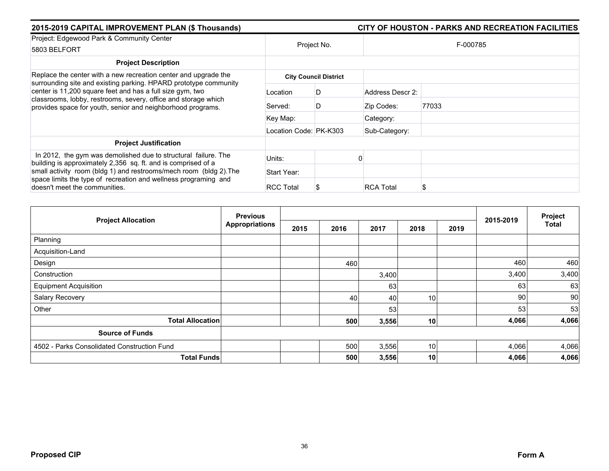| 2015-2019 CAPITAL IMPROVEMENT PLAN (\$ Thousands)                                                                                                                                          |                        |                              |                       | CITY OF HOUSTON - PARKS AND RECREATION FACILITIES |  |  |
|--------------------------------------------------------------------------------------------------------------------------------------------------------------------------------------------|------------------------|------------------------------|-----------------------|---------------------------------------------------|--|--|
| Project: Edgewood Park & Community Center<br>5803 BELFORT                                                                                                                                  | Project No.            |                              | F-000785              |                                                   |  |  |
| <b>Project Description</b>                                                                                                                                                                 |                        |                              |                       |                                                   |  |  |
| Replace the center with a new recreation center and upgrade the<br>surrounding site and existing parking. HPARD prototype community                                                        |                        | <b>City Council District</b> |                       |                                                   |  |  |
| center is 11,200 square feet and has a full size gym, two<br>classrooms, lobby, restrooms, severy, office and storage which<br>provides space for youth, senior and neighborhood programs. | Location               | D                            | Address Descr 2:      |                                                   |  |  |
|                                                                                                                                                                                            | Served:                | D                            | Zip Codes:            | 77033                                             |  |  |
|                                                                                                                                                                                            | Key Map:               |                              | Category:             |                                                   |  |  |
|                                                                                                                                                                                            | Location Code: PK-K303 |                              | Sub-Category:         |                                                   |  |  |
| <b>Project Justification</b>                                                                                                                                                               |                        |                              |                       |                                                   |  |  |
| In 2012, the gym was demolished due to structural failure. The<br>building is approximately 2,356 sq. ft. and is comprised of a                                                            | Units:                 |                              |                       |                                                   |  |  |
| small activity room (bldg 1) and restrooms/mech room (bldg 2). The<br>space limits the type of recreation and wellness programing and<br>doesn't meet the communities.                     | Start Year:            |                              |                       |                                                   |  |  |
|                                                                                                                                                                                            | <b>RCC Total</b>       |                              | <b>RCA Total</b><br>ъ |                                                   |  |  |

| <b>Project Allocation</b>                   | <b>Previous</b>       |      |      |       |                 |      | 2015-2019 | Project |
|---------------------------------------------|-----------------------|------|------|-------|-----------------|------|-----------|---------|
|                                             | <b>Appropriations</b> | 2015 | 2016 | 2017  | 2018            | 2019 |           | Total   |
| Planning                                    |                       |      |      |       |                 |      |           |         |
| Acquisition-Land                            |                       |      |      |       |                 |      |           |         |
| Design                                      |                       |      | 460  |       |                 |      | 460       | 460     |
| Construction                                |                       |      |      | 3,400 |                 |      | 3,400     | 3,400   |
| <b>Equipment Acquisition</b>                |                       |      |      | 63    |                 |      | 63        | 63      |
| Salary Recovery                             |                       |      | 40   | 40    | 10 <sub>1</sub> |      | 90        | 90      |
| Other                                       |                       |      |      | 53    |                 |      | 53        | 53      |
| <b>Total Allocation</b>                     |                       |      | 500  | 3,556 | 10              |      | 4,066     | 4,066   |
| <b>Source of Funds</b>                      |                       |      |      |       |                 |      |           |         |
| 4502 - Parks Consolidated Construction Fund |                       |      | 500  | 3,556 | 10              |      | 4,066     | 4,066   |
| <b>Total Funds</b>                          |                       |      | 500  | 3,556 | 10              |      | 4,066     | 4,066   |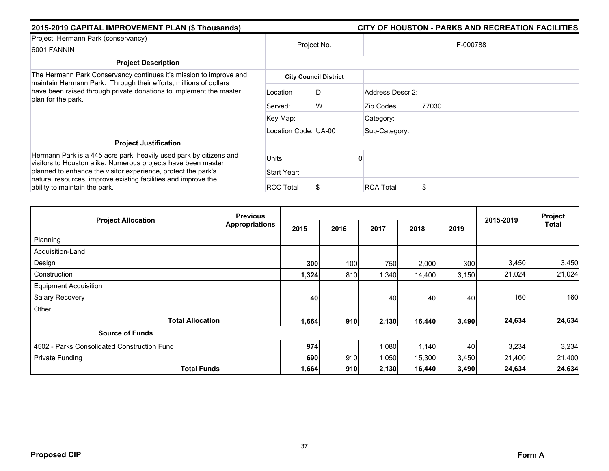| 2015-2019 CAPITAL IMPROVEMENT PLAN (\$ Thousands)                                                                                                                |                      |                              | CITY OF HOUSTON - PARKS AND RECREATION FACILITIES |  |  |  |  |
|------------------------------------------------------------------------------------------------------------------------------------------------------------------|----------------------|------------------------------|---------------------------------------------------|--|--|--|--|
| Project: Hermann Park (conservancy)<br>6001 FANNIN                                                                                                               | Project No.          |                              | F-000788                                          |  |  |  |  |
| <b>Project Description</b>                                                                                                                                       |                      |                              |                                                   |  |  |  |  |
| The Hermann Park Conservancy continues it's mission to improve and                                                                                               |                      | <b>City Council District</b> |                                                   |  |  |  |  |
| maintain Hermann Park. Through their efforts, millions of dollars<br>have been raised through private donations to implement the master<br>plan for the park.    | Location             | D                            | Address Descr 2:                                  |  |  |  |  |
|                                                                                                                                                                  | Served:              | W                            | 77030<br>Zip Codes:                               |  |  |  |  |
|                                                                                                                                                                  | Key Map:             |                              | Category:                                         |  |  |  |  |
|                                                                                                                                                                  | Location Code: UA-00 |                              | Sub-Category:                                     |  |  |  |  |
| <b>Project Justification</b>                                                                                                                                     |                      |                              |                                                   |  |  |  |  |
| Hermann Park is a 445 acre park, heavily used park by citizens and<br>visitors to Houston alike. Numerous projects have been master                              | Units:               |                              |                                                   |  |  |  |  |
| planned to enhance the visitor experience, protect the park's<br>natural resources, improve existing facilities and improve the<br>ability to maintain the park. | Start Year:          |                              |                                                   |  |  |  |  |
|                                                                                                                                                                  | <b>RCC Total</b>     |                              | <b>RCA Total</b><br>\$                            |  |  |  |  |

| <b>Project Allocation</b>                   | <b>Previous</b>       |       |      |       | Project |       |           |        |
|---------------------------------------------|-----------------------|-------|------|-------|---------|-------|-----------|--------|
|                                             | <b>Appropriations</b> | 2015  | 2016 | 2017  | 2018    | 2019  | 2015-2019 | Total  |
| Planning                                    |                       |       |      |       |         |       |           |        |
| Acquisition-Land                            |                       |       |      |       |         |       |           |        |
| Design                                      |                       | 300   | 100  | 750   | 2,000   | 300   | 3,450     | 3,450  |
| Construction                                |                       | 1,324 | 810  | 1,340 | 14,400  | 3,150 | 21,024    | 21,024 |
| <b>Equipment Acquisition</b>                |                       |       |      |       |         |       |           |        |
| Salary Recovery                             |                       | 40    |      | 40    | 40      | 40    | 160       | 160    |
| Other                                       |                       |       |      |       |         |       |           |        |
| <b>Total Allocation</b>                     |                       | 1,664 | 910  | 2,130 | 16,440  | 3,490 | 24,634    | 24,634 |
| <b>Source of Funds</b>                      |                       |       |      |       |         |       |           |        |
| 4502 - Parks Consolidated Construction Fund |                       | 974   |      | 1,080 | 1,140   | 40    | 3,234     | 3,234  |
| Private Funding                             |                       | 690   | 910  | 1,050 | 15,300  | 3,450 | 21,400    | 21,400 |
| <b>Total Funds</b>                          |                       | 1,664 | 910  | 2,130 | 16,440  | 3,490 | 24,634    | 24,634 |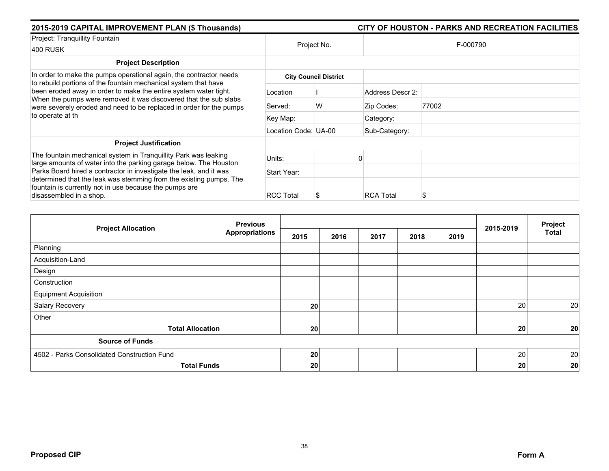| 2015-2019 CAPITAL IMPROVEMENT PLAN (\$ Thousands)                                                                                                                                                                                                                                                  |                      |                              | CITY OF HOUSTON - PARKS AND RECREATION FACILITIES |          |  |  |  |
|----------------------------------------------------------------------------------------------------------------------------------------------------------------------------------------------------------------------------------------------------------------------------------------------------|----------------------|------------------------------|---------------------------------------------------|----------|--|--|--|
| Project: Tranquillity Fountain<br><b>400 RUSK</b>                                                                                                                                                                                                                                                  |                      | Project No.                  |                                                   | F-000790 |  |  |  |
| <b>Project Description</b>                                                                                                                                                                                                                                                                         |                      |                              |                                                   |          |  |  |  |
| In order to make the pumps operational again, the contractor needs                                                                                                                                                                                                                                 |                      | <b>City Council District</b> |                                                   |          |  |  |  |
| to rebuild portions of the fountain mechanical system that have<br>been eroded away in order to make the entire system water tight.<br>When the pumps were removed it was discovered that the sub slabs<br>were severely eroded and need to be replaced in order for the pumps<br>to operate at th | Location             |                              | Address Descr 2:                                  |          |  |  |  |
|                                                                                                                                                                                                                                                                                                    | Served:              | W                            | Zip Codes:                                        | 77002    |  |  |  |
|                                                                                                                                                                                                                                                                                                    | Key Map:             |                              | Category:                                         |          |  |  |  |
|                                                                                                                                                                                                                                                                                                    | Location Code: UA-00 |                              | Sub-Category:                                     |          |  |  |  |
| <b>Project Justification</b>                                                                                                                                                                                                                                                                       |                      |                              |                                                   |          |  |  |  |
| The fountain mechanical system in Tranquillity Park was leaking<br>large amounts of water into the parking garage below. The Houston                                                                                                                                                               | Units:               |                              |                                                   |          |  |  |  |
| Parks Board hired a contractor in investigate the leak, and it was<br>determined that the leak was stemming from the existing pumps. The<br>fountain is currently not in use because the pumps are<br>disassembled in a shop.                                                                      | Start Year:          |                              |                                                   |          |  |  |  |
|                                                                                                                                                                                                                                                                                                    | <b>RCC Total</b>     |                              | <b>RCA Total</b>                                  | S        |  |  |  |

|                                             | <b>Previous</b>       |      | Project |      |      |      |           |              |
|---------------------------------------------|-----------------------|------|---------|------|------|------|-----------|--------------|
| <b>Project Allocation</b>                   | <b>Appropriations</b> | 2015 | 2016    | 2017 | 2018 | 2019 | 2015-2019 | <b>Total</b> |
| Planning                                    |                       |      |         |      |      |      |           |              |
| Acquisition-Land                            |                       |      |         |      |      |      |           |              |
| Design                                      |                       |      |         |      |      |      |           |              |
| Construction                                |                       |      |         |      |      |      |           |              |
| <b>Equipment Acquisition</b>                |                       |      |         |      |      |      |           |              |
| Salary Recovery                             |                       | 20   |         |      |      |      | 20        | 20           |
| Other                                       |                       |      |         |      |      |      |           |              |
| <b>Total Allocation</b>                     |                       | 20   |         |      |      |      | 20        | 20           |
| <b>Source of Funds</b>                      |                       |      |         |      |      |      |           |              |
| 4502 - Parks Consolidated Construction Fund |                       | 20   |         |      |      |      | 20        | 20           |
| <b>Total Funds</b>                          |                       | 20   |         |      |      |      | 20        | 20           |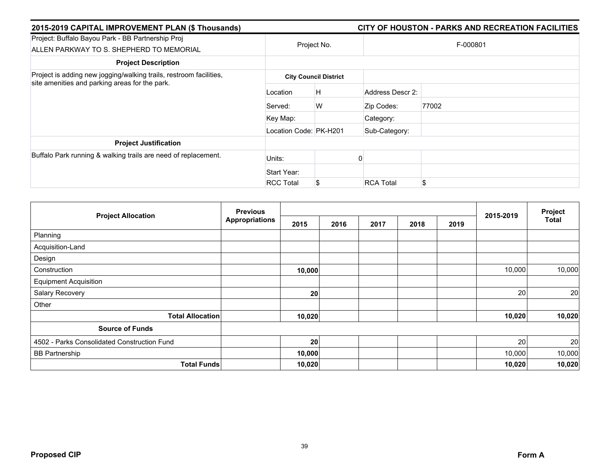| 2015-2019 CAPITAL IMPROVEMENT PLAN (\$ Thousands)                                                                    |                        |                              |                  | CITY OF HOUSTON - PARKS AND RECREATION FACILITIES |  |  |  |
|----------------------------------------------------------------------------------------------------------------------|------------------------|------------------------------|------------------|---------------------------------------------------|--|--|--|
| Project: Buffalo Bayou Park - BB Partnership Proj<br>ALLEN PARKWAY TO S. SHEPHERD TO MEMORIAL                        | Project No.            |                              | F-000801         |                                                   |  |  |  |
| <b>Project Description</b>                                                                                           |                        |                              |                  |                                                   |  |  |  |
| Project is adding new jogging/walking trails, restroom facilities,<br>site amenities and parking areas for the park. |                        | <b>City Council District</b> |                  |                                                   |  |  |  |
|                                                                                                                      | Location               | Η                            | Address Descr 2: |                                                   |  |  |  |
|                                                                                                                      | Served:                | W                            | Zip Codes:       | 77002                                             |  |  |  |
|                                                                                                                      | Key Map:               |                              | Category:        |                                                   |  |  |  |
|                                                                                                                      | Location Code: PK-H201 |                              | Sub-Category:    |                                                   |  |  |  |
| <b>Project Justification</b>                                                                                         |                        |                              |                  |                                                   |  |  |  |
| Buffalo Park running & walking trails are need of replacement.                                                       | Units:                 |                              |                  |                                                   |  |  |  |
|                                                                                                                      | Start Year:            |                              |                  |                                                   |  |  |  |
|                                                                                                                      | <b>RCC Total</b>       | \$                           | <b>RCA Total</b> | \$                                                |  |  |  |

| <b>Project Allocation</b>                   | <b>Previous</b>       |        |      |      |      | Project |           |        |
|---------------------------------------------|-----------------------|--------|------|------|------|---------|-----------|--------|
|                                             | <b>Appropriations</b> | 2015   | 2016 | 2017 | 2018 | 2019    | 2015-2019 | Total  |
| Planning                                    |                       |        |      |      |      |         |           |        |
| Acquisition-Land                            |                       |        |      |      |      |         |           |        |
| Design                                      |                       |        |      |      |      |         |           |        |
| Construction                                |                       | 10,000 |      |      |      |         | 10,000    | 10,000 |
| <b>Equipment Acquisition</b>                |                       |        |      |      |      |         |           |        |
| Salary Recovery                             |                       | 20     |      |      |      |         | 20        | 20     |
| Other                                       |                       |        |      |      |      |         |           |        |
| <b>Total Allocation</b>                     |                       | 10,020 |      |      |      |         | 10,020    | 10,020 |
| <b>Source of Funds</b>                      |                       |        |      |      |      |         |           |        |
| 4502 - Parks Consolidated Construction Fund |                       | 20     |      |      |      |         | 20        | 20     |
| <b>BB Partnership</b>                       |                       | 10,000 |      |      |      |         | 10,000    | 10,000 |
| <b>Total Funds</b>                          |                       | 10,020 |      |      |      |         | 10,020    | 10,020 |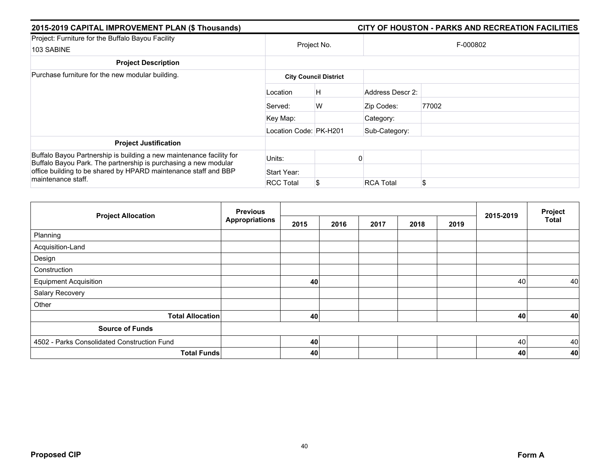| 2015-2019 CAPITAL IMPROVEMENT PLAN (\$ Thousands)                                                                                       | CITY OF HOUSTON - PARKS AND RECREATION FACILITIES |                              |                  |       |  |  |  |
|-----------------------------------------------------------------------------------------------------------------------------------------|---------------------------------------------------|------------------------------|------------------|-------|--|--|--|
| Project: Furniture for the Buffalo Bayou Facility<br>103 SABINE                                                                         | Project No.                                       |                              | F-000802         |       |  |  |  |
| <b>Project Description</b>                                                                                                              |                                                   |                              |                  |       |  |  |  |
| Purchase furniture for the new modular building.                                                                                        |                                                   | <b>City Council District</b> |                  |       |  |  |  |
|                                                                                                                                         | Location                                          | H                            | Address Descr 2: |       |  |  |  |
|                                                                                                                                         | Served:                                           | W                            | Zip Codes:       | 77002 |  |  |  |
|                                                                                                                                         | Key Map:                                          |                              | Category:        |       |  |  |  |
|                                                                                                                                         | Location Code: PK-H201                            |                              | Sub-Category:    |       |  |  |  |
| <b>Project Justification</b>                                                                                                            |                                                   |                              |                  |       |  |  |  |
| Buffalo Bayou Partnership is building a new maintenance facility for<br>Buffalo Bayou Park. The partnership is purchasing a new modular | Units:                                            |                              |                  |       |  |  |  |
| office building to be shared by HPARD maintenance staff and BBP                                                                         | Start Year:                                       |                              |                  |       |  |  |  |
| maintenance staff.                                                                                                                      | <b>RCC Total</b>                                  |                              | <b>RCA Total</b> | \$    |  |  |  |

|                                             | <b>Previous</b>       |      |      | Project |      |      |           |              |
|---------------------------------------------|-----------------------|------|------|---------|------|------|-----------|--------------|
| <b>Project Allocation</b>                   | <b>Appropriations</b> | 2015 | 2016 | 2017    | 2018 | 2019 | 2015-2019 | <b>Total</b> |
| Planning                                    |                       |      |      |         |      |      |           |              |
| Acquisition-Land                            |                       |      |      |         |      |      |           |              |
| Design                                      |                       |      |      |         |      |      |           |              |
| Construction                                |                       |      |      |         |      |      |           |              |
| <b>Equipment Acquisition</b>                |                       | 40   |      |         |      |      | 40        | 40           |
| Salary Recovery                             |                       |      |      |         |      |      |           |              |
| Other                                       |                       |      |      |         |      |      |           |              |
| <b>Total Allocation</b>                     |                       | 40   |      |         |      |      | 40        | 40           |
| <b>Source of Funds</b>                      |                       |      |      |         |      |      |           |              |
| 4502 - Parks Consolidated Construction Fund |                       | 40   |      |         |      |      | 40        | 40           |
| <b>Total Funds</b>                          |                       | 40   |      |         |      |      | 40        | 40           |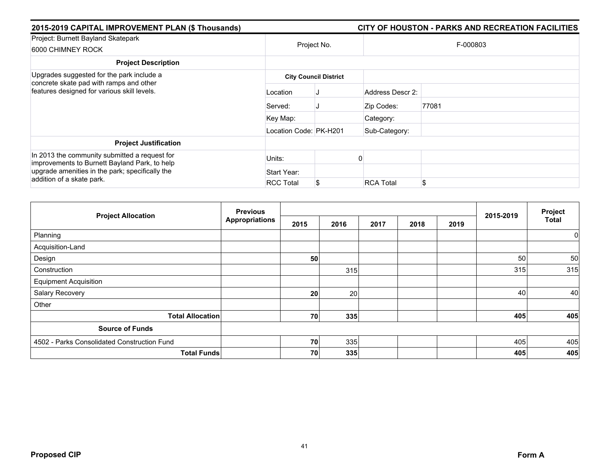| 2015-2019 CAPITAL IMPROVEMENT PLAN (\$ Thousands)                                                                                                 |                        |                              |                  | CITY OF HOUSTON - PARKS AND RECREATION FACILITIES |  |  |  |
|---------------------------------------------------------------------------------------------------------------------------------------------------|------------------------|------------------------------|------------------|---------------------------------------------------|--|--|--|
| Project: Burnett Bayland Skatepark<br>6000 CHIMNEY ROCK                                                                                           | Project No.            |                              | F-000803         |                                                   |  |  |  |
| <b>Project Description</b>                                                                                                                        |                        |                              |                  |                                                   |  |  |  |
| Upgrades suggested for the park include a                                                                                                         |                        | <b>City Council District</b> |                  |                                                   |  |  |  |
| concrete skate pad with ramps and other<br>features designed for various skill levels.                                                            | Location               |                              | Address Descr 2: |                                                   |  |  |  |
|                                                                                                                                                   | Served:                |                              | Zip Codes:       | 77081                                             |  |  |  |
|                                                                                                                                                   | Key Map:               |                              | Category:        |                                                   |  |  |  |
|                                                                                                                                                   | Location Code: PK-H201 |                              | Sub-Category:    |                                                   |  |  |  |
| <b>Project Justification</b>                                                                                                                      |                        |                              |                  |                                                   |  |  |  |
| In 2013 the community submitted a request for<br>improvements to Burnett Bayland Park, to help<br>upgrade amenities in the park; specifically the | Units:                 |                              |                  |                                                   |  |  |  |
|                                                                                                                                                   | Start Year:            |                              |                  |                                                   |  |  |  |
| addition of a skate park.                                                                                                                         | <b>RCC Total</b>       |                              | <b>RCA Total</b> | \$                                                |  |  |  |

|                                             | <b>Previous</b>       |      |      |      |      |      |           | Project      |
|---------------------------------------------|-----------------------|------|------|------|------|------|-----------|--------------|
| <b>Project Allocation</b>                   | <b>Appropriations</b> | 2015 | 2016 | 2017 | 2018 | 2019 | 2015-2019 | <b>Total</b> |
| Planning                                    |                       |      |      |      |      |      |           | 0            |
| Acquisition-Land                            |                       |      |      |      |      |      |           |              |
| Design                                      |                       | 50   |      |      |      |      | 50        | 50           |
| Construction                                |                       |      | 315  |      |      |      | 315       | 315          |
| <b>Equipment Acquisition</b>                |                       |      |      |      |      |      |           |              |
| Salary Recovery                             |                       | 20   | 20   |      |      |      | 40        | 40           |
| Other                                       |                       |      |      |      |      |      |           |              |
| <b>Total Allocation</b>                     |                       | 70   | 335  |      |      |      | 405       | 405          |
| <b>Source of Funds</b>                      |                       |      |      |      |      |      |           |              |
| 4502 - Parks Consolidated Construction Fund |                       | 70   | 335  |      |      |      | 405       | 405          |
| <b>Total Funds</b>                          |                       | 70   | 335  |      |      |      | 405       | 405          |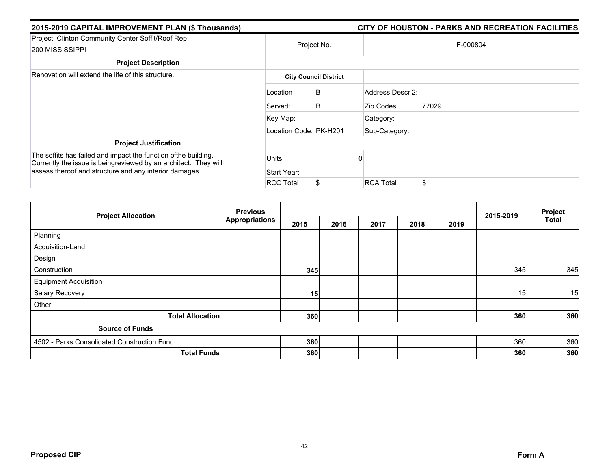| 2015-2019 CAPITAL IMPROVEMENT PLAN (\$ Thousands)                                                                                 |                        |                              |                  | CITY OF HOUSTON - PARKS AND RECREATION FACILITIES |  |  |  |
|-----------------------------------------------------------------------------------------------------------------------------------|------------------------|------------------------------|------------------|---------------------------------------------------|--|--|--|
| Project: Clinton Community Center Soffit/Roof Rep<br>200 MISSISSIPPI                                                              | Project No.            |                              | F-000804         |                                                   |  |  |  |
| <b>Project Description</b>                                                                                                        |                        |                              |                  |                                                   |  |  |  |
| Renovation will extend the life of this structure.                                                                                |                        | <b>City Council District</b> |                  |                                                   |  |  |  |
|                                                                                                                                   | Location               | B                            | Address Descr 2: |                                                   |  |  |  |
|                                                                                                                                   | Served:                | B                            | Zip Codes:       | 77029                                             |  |  |  |
|                                                                                                                                   | Key Map:               |                              | Category:        |                                                   |  |  |  |
|                                                                                                                                   | Location Code: PK-H201 |                              | Sub-Category:    |                                                   |  |  |  |
| <b>Project Justification</b>                                                                                                      |                        |                              |                  |                                                   |  |  |  |
| The soffits has failed and impact the function ofthe building.<br>Currently the issue is beingreviewed by an architect. They will | Units:                 |                              |                  |                                                   |  |  |  |
| assess theroof and structure and any interior damages.                                                                            | Start Year:            |                              |                  |                                                   |  |  |  |
|                                                                                                                                   | <b>RCC Total</b>       |                              | <b>RCA Total</b> | \$                                                |  |  |  |

|                                             | <b>Previous</b>       |      |      |      |      | Project |           |              |
|---------------------------------------------|-----------------------|------|------|------|------|---------|-----------|--------------|
| <b>Project Allocation</b>                   | <b>Appropriations</b> | 2015 | 2016 | 2017 | 2018 | 2019    | 2015-2019 | <b>Total</b> |
| Planning                                    |                       |      |      |      |      |         |           |              |
| Acquisition-Land                            |                       |      |      |      |      |         |           |              |
| Design                                      |                       |      |      |      |      |         |           |              |
| Construction                                |                       | 345  |      |      |      |         | 345       | 345          |
| <b>Equipment Acquisition</b>                |                       |      |      |      |      |         |           |              |
| Salary Recovery                             |                       | 15   |      |      |      |         | 15        | 15           |
| Other                                       |                       |      |      |      |      |         |           |              |
| <b>Total Allocation</b>                     |                       | 360  |      |      |      |         | 360       | 360          |
| <b>Source of Funds</b>                      |                       |      |      |      |      |         |           |              |
| 4502 - Parks Consolidated Construction Fund |                       | 360  |      |      |      |         | 360       | 360          |
|                                             | <b>Total Funds</b>    | 360  |      |      |      |         | 360       | 360          |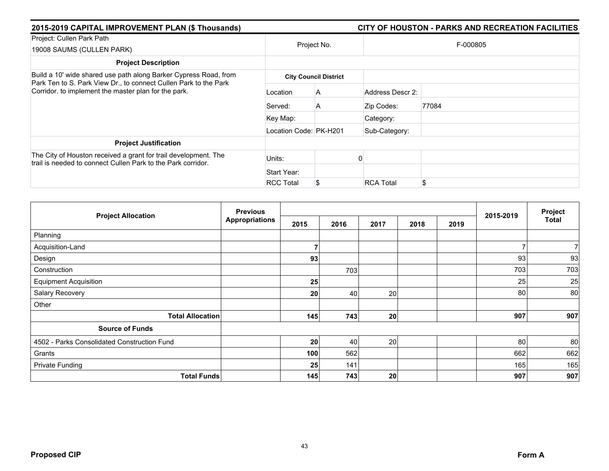| 2015-2019 CAPITAL IMPROVEMENT PLAN (\$ Thousands)                                                                                                                                            |                        |                              |                  | CITY OF HOUSTON - PARKS AND RECREATION FACILITIES |
|----------------------------------------------------------------------------------------------------------------------------------------------------------------------------------------------|------------------------|------------------------------|------------------|---------------------------------------------------|
| Project: Cullen Park Path<br>19008 SAUMS (CULLEN PARK)                                                                                                                                       |                        | Project No.                  |                  | F-000805                                          |
| <b>Project Description</b>                                                                                                                                                                   |                        |                              |                  |                                                   |
| Build a 10' wide shared use path along Barker Cypress Road, from<br>Park Ten to S. Park View Dr., to connect Cullen Park to the Park<br>Corridor. to implement the master plan for the park. |                        | <b>City Council District</b> |                  |                                                   |
|                                                                                                                                                                                              | Location               | A                            | Address Descr 2: |                                                   |
|                                                                                                                                                                                              | Served:                | A                            | Zip Codes:       | 77084                                             |
|                                                                                                                                                                                              | Key Map:               |                              | Category:        |                                                   |
|                                                                                                                                                                                              | Location Code: PK-H201 |                              | Sub-Category:    |                                                   |
| <b>Project Justification</b>                                                                                                                                                                 |                        |                              |                  |                                                   |
| The City of Houston received a grant for trail development. The<br>trail is needed to connect Cullen Park to the Park corridor.                                                              | Units:                 |                              |                  |                                                   |
|                                                                                                                                                                                              | Start Year:            |                              |                  |                                                   |
|                                                                                                                                                                                              | <b>RCC Total</b>       |                              | <b>RCA Total</b> | \$                                                |

| <b>Project Allocation</b>                   | <b>Previous</b>       |      |      |      | 2015-2019 | Project |     |              |
|---------------------------------------------|-----------------------|------|------|------|-----------|---------|-----|--------------|
|                                             | <b>Appropriations</b> | 2015 | 2016 | 2017 | 2018      | 2019    |     | <b>Total</b> |
| Planning                                    |                       |      |      |      |           |         |     |              |
| Acquisition-Land                            |                       |      |      |      |           |         | ⇁   |              |
| Design                                      |                       | 93   |      |      |           |         | 93  | 93           |
| Construction                                |                       |      | 703  |      |           |         | 703 | 703          |
| <b>Equipment Acquisition</b>                |                       | 25   |      |      |           |         | 25  | 25           |
| Salary Recovery                             |                       | 20   | 40   | 20   |           |         | 80  | 80           |
| Other                                       |                       |      |      |      |           |         |     |              |
| <b>Total Allocation</b>                     |                       | 145  | 743  | 20   |           |         | 907 | 907          |
| <b>Source of Funds</b>                      |                       |      |      |      |           |         |     |              |
| 4502 - Parks Consolidated Construction Fund |                       | 20   | 40   | 20   |           |         | 80  | 80           |
| Grants                                      |                       | 100  | 562  |      |           |         | 662 | 662          |
| <b>Private Funding</b>                      |                       | 25   | 141  |      |           |         | 165 | 165          |
| <b>Total Funds</b>                          |                       | 145  | 743  | 20   |           |         | 907 | 907          |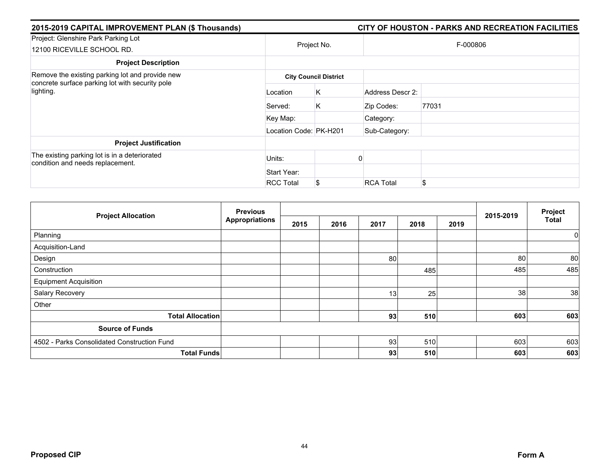| 2015-2019 CAPITAL IMPROVEMENT PLAN (\$ Thousands)                                 |                        |                              |                  | CITY OF HOUSTON - PARKS AND RECREATION FACILITIES |  |  |
|-----------------------------------------------------------------------------------|------------------------|------------------------------|------------------|---------------------------------------------------|--|--|
| Project: Glenshire Park Parking Lot<br>12100 RICEVILLE SCHOOL RD.                 | Project No.            |                              |                  | F-000806                                          |  |  |
| <b>Project Description</b>                                                        |                        |                              |                  |                                                   |  |  |
| Remove the existing parking lot and provide new                                   |                        | <b>City Council District</b> |                  |                                                   |  |  |
| concrete surface parking lot with security pole<br>lighting.                      | Location               | K.                           | Address Descr 2: |                                                   |  |  |
|                                                                                   | Served:                | Κ                            | Zip Codes:       | 77031                                             |  |  |
|                                                                                   | Key Map:               |                              | Category:        |                                                   |  |  |
|                                                                                   | Location Code: PK-H201 |                              | Sub-Category:    |                                                   |  |  |
| <b>Project Justification</b>                                                      |                        |                              |                  |                                                   |  |  |
| The existing parking lot is in a deteriorated<br>condition and needs replacement. | Units:                 |                              |                  |                                                   |  |  |
|                                                                                   | Start Year:            |                              |                  |                                                   |  |  |
|                                                                                   | <b>RCC Total</b>       |                              | <b>RCA Total</b> | \$                                                |  |  |

| <b>Project Allocation</b>                   | <b>Previous</b><br><b>Appropriations</b> |      |      |      |      | Project |           |              |
|---------------------------------------------|------------------------------------------|------|------|------|------|---------|-----------|--------------|
|                                             |                                          | 2015 | 2016 | 2017 | 2018 | 2019    | 2015-2019 | <b>Total</b> |
| Planning                                    |                                          |      |      |      |      |         |           | $\mathbf 0$  |
| Acquisition-Land                            |                                          |      |      |      |      |         |           |              |
| Design                                      |                                          |      |      | 80   |      |         | 80        | 80           |
| Construction                                |                                          |      |      |      | 485  |         | 485       | 485          |
| <b>Equipment Acquisition</b>                |                                          |      |      |      |      |         |           |              |
| Salary Recovery                             |                                          |      |      | 13   | 25   |         | 38        | 38           |
| Other                                       |                                          |      |      |      |      |         |           |              |
| <b>Total Allocation</b>                     |                                          |      |      | 93   | 510  |         | 603       | 603          |
| <b>Source of Funds</b>                      |                                          |      |      |      |      |         |           |              |
| 4502 - Parks Consolidated Construction Fund |                                          |      |      | 93   | 510  |         | 603       | 603          |
| <b>Total Funds</b>                          |                                          |      |      | 93   | 510  |         | 603       | 603          |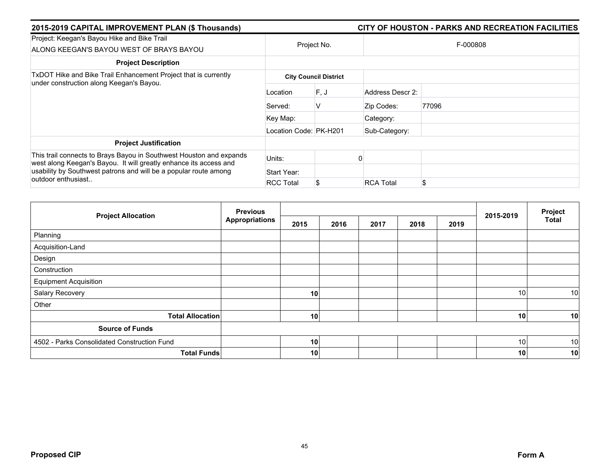| 2015-2019 CAPITAL IMPROVEMENT PLAN (\$ Thousands)                                                                                                                                                            |                        |                              |                  |          |  |
|--------------------------------------------------------------------------------------------------------------------------------------------------------------------------------------------------------------|------------------------|------------------------------|------------------|----------|--|
| Project: Keegan's Bayou Hike and Bike Trail<br>ALONG KEEGAN'S BAYOU WEST OF BRAYS BAYOU                                                                                                                      |                        | Project No.                  |                  | F-000808 |  |
| <b>Project Description</b>                                                                                                                                                                                   |                        |                              |                  |          |  |
| TxDOT Hike and Bike Trail Enhancement Project that is currently<br>under construction along Keegan's Bayou.                                                                                                  |                        | <b>City Council District</b> |                  |          |  |
|                                                                                                                                                                                                              | Location               | F.J                          | Address Descr 2: |          |  |
|                                                                                                                                                                                                              | Served:                | v                            | Zip Codes:       | 77096    |  |
|                                                                                                                                                                                                              | Key Map:               |                              | Category:        |          |  |
|                                                                                                                                                                                                              | Location Code: PK-H201 |                              | Sub-Category:    |          |  |
| <b>Project Justification</b>                                                                                                                                                                                 |                        |                              |                  |          |  |
| This trail connects to Brays Bayou in Southwest Houston and expands<br>west along Keegan's Bayou. It will greatly enhance its access and<br>usability by Southwest patrons and will be a popular route among | Units:                 |                              |                  |          |  |
|                                                                                                                                                                                                              | Start Year:            |                              |                  |          |  |
| outdoor enthusiast                                                                                                                                                                                           | <b>RCC Total</b>       |                              | <b>RCA Total</b> | \$       |  |

|                                             | <b>Previous</b>       |      |      |      |      |      |           | Project      |
|---------------------------------------------|-----------------------|------|------|------|------|------|-----------|--------------|
| <b>Project Allocation</b>                   | <b>Appropriations</b> | 2015 | 2016 | 2017 | 2018 | 2019 | 2015-2019 | <b>Total</b> |
| Planning                                    |                       |      |      |      |      |      |           |              |
| Acquisition-Land                            |                       |      |      |      |      |      |           |              |
| Design                                      |                       |      |      |      |      |      |           |              |
| Construction                                |                       |      |      |      |      |      |           |              |
| <b>Equipment Acquisition</b>                |                       |      |      |      |      |      |           |              |
| Salary Recovery                             |                       | 10   |      |      |      |      | 10        | 10           |
| Other                                       |                       |      |      |      |      |      |           |              |
| <b>Total Allocation</b>                     |                       | 10   |      |      |      |      | 10        | 10           |
| <b>Source of Funds</b>                      |                       |      |      |      |      |      |           |              |
| 4502 - Parks Consolidated Construction Fund |                       | 10   |      |      |      |      | 10        | 10           |
| <b>Total Funds</b>                          |                       | 10   |      |      |      |      | 10        | 10           |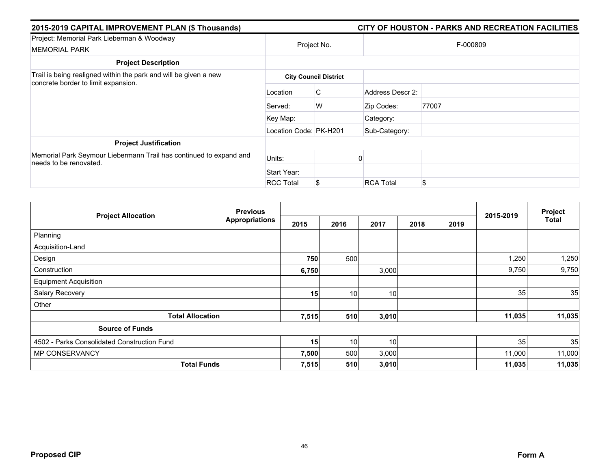| 2015-2019 CAPITAL IMPROVEMENT PLAN (\$ Thousands)                                                       |                        | CITY OF HOUSTON - PARKS AND RECREATION FACILITIES |                  |       |  |  |  |
|---------------------------------------------------------------------------------------------------------|------------------------|---------------------------------------------------|------------------|-------|--|--|--|
| Project: Memorial Park Lieberman & Woodway<br><b>MEMORIAL PARK</b>                                      | Project No.            |                                                   | F-000809         |       |  |  |  |
| <b>Project Description</b>                                                                              |                        |                                                   |                  |       |  |  |  |
| Trail is being realigned within the park and will be given a new<br>concrete border to limit expansion. |                        | <b>City Council District</b>                      |                  |       |  |  |  |
|                                                                                                         | Location               | C                                                 | Address Descr 2: |       |  |  |  |
|                                                                                                         | Served:                | W                                                 | Zip Codes:       | 77007 |  |  |  |
|                                                                                                         | Key Map:               |                                                   | Category:        |       |  |  |  |
|                                                                                                         | Location Code: PK-H201 |                                                   | Sub-Category:    |       |  |  |  |
| <b>Project Justification</b>                                                                            |                        |                                                   |                  |       |  |  |  |
| Memorial Park Seymour Liebermann Trail has continued to expand and<br>needs to be renovated.            | Units:                 |                                                   |                  |       |  |  |  |
|                                                                                                         | Start Year:            |                                                   |                  |       |  |  |  |
|                                                                                                         | <b>RCC Total</b>       |                                                   | <b>RCA Total</b> | \$    |  |  |  |

|                                             | <b>Previous</b><br><b>Appropriations</b> |       |      |       | 2015-2019 | Project |        |        |
|---------------------------------------------|------------------------------------------|-------|------|-------|-----------|---------|--------|--------|
| <b>Project Allocation</b>                   |                                          | 2015  | 2016 | 2017  | 2018      | 2019    |        | Total  |
| Planning                                    |                                          |       |      |       |           |         |        |        |
| Acquisition-Land                            |                                          |       |      |       |           |         |        |        |
| Design                                      |                                          | 750   | 500  |       |           |         | 1,250  | 1,250  |
| Construction                                |                                          | 6,750 |      | 3,000 |           |         | 9,750  | 9,750  |
| <b>Equipment Acquisition</b>                |                                          |       |      |       |           |         |        |        |
| Salary Recovery                             |                                          | 15    | 10   | 10    |           |         | 35     | 35     |
| Other                                       |                                          |       |      |       |           |         |        |        |
| <b>Total Allocation</b>                     |                                          | 7,515 | 510  | 3,010 |           |         | 11,035 | 11,035 |
| <b>Source of Funds</b>                      |                                          |       |      |       |           |         |        |        |
| 4502 - Parks Consolidated Construction Fund |                                          | 15    | 10   | 10    |           |         | 35     | 35     |
| MP CONSERVANCY                              |                                          | 7,500 | 500  | 3,000 |           |         | 11,000 | 11,000 |
| <b>Total Funds</b>                          |                                          | 7,515 | 510  | 3,010 |           |         | 11,035 | 11,035 |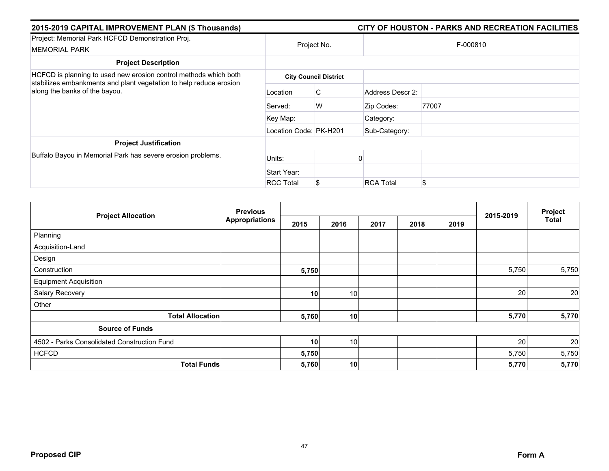| 2015-2019 CAPITAL IMPROVEMENT PLAN (\$ Thousands)                                                                                                                       |                        | CITY OF HOUSTON - PARKS AND RECREATION FACILITIES |                  |       |  |  |  |
|-------------------------------------------------------------------------------------------------------------------------------------------------------------------------|------------------------|---------------------------------------------------|------------------|-------|--|--|--|
| Project: Memorial Park HCFCD Demonstration Proj.<br><b>MEMORIAL PARK</b>                                                                                                | Project No.            |                                                   | F-000810         |       |  |  |  |
| <b>Project Description</b>                                                                                                                                              |                        |                                                   |                  |       |  |  |  |
| HCFCD is planning to used new erosion control methods which both<br>stabilizes embankments and plant vegetation to help reduce erosion<br>along the banks of the bayou. |                        | <b>City Council District</b>                      |                  |       |  |  |  |
|                                                                                                                                                                         | Location               | C                                                 | Address Descr 2: |       |  |  |  |
|                                                                                                                                                                         | Served:                | W                                                 | Zip Codes:       | 77007 |  |  |  |
|                                                                                                                                                                         | Key Map:               |                                                   | Category:        |       |  |  |  |
|                                                                                                                                                                         | Location Code: PK-H201 |                                                   | Sub-Category:    |       |  |  |  |
| <b>Project Justification</b>                                                                                                                                            |                        |                                                   |                  |       |  |  |  |
| Buffalo Bayou in Memorial Park has severe erosion problems.                                                                                                             | Units:                 |                                                   |                  |       |  |  |  |
|                                                                                                                                                                         | Start Year:            |                                                   |                  |       |  |  |  |
|                                                                                                                                                                         | <b>RCC Total</b>       | S                                                 | <b>RCA Total</b> | \$    |  |  |  |

| <b>Project Allocation</b>                   | <b>Previous</b><br><b>Appropriations</b> |       |      |      |      | Project |           |              |
|---------------------------------------------|------------------------------------------|-------|------|------|------|---------|-----------|--------------|
|                                             |                                          | 2015  | 2016 | 2017 | 2018 | 2019    | 2015-2019 | <b>Total</b> |
| Planning                                    |                                          |       |      |      |      |         |           |              |
| Acquisition-Land                            |                                          |       |      |      |      |         |           |              |
| Design                                      |                                          |       |      |      |      |         |           |              |
| Construction                                |                                          | 5,750 |      |      |      |         | 5,750     | 5,750        |
| <b>Equipment Acquisition</b>                |                                          |       |      |      |      |         |           |              |
| Salary Recovery                             |                                          | 10    | 10   |      |      |         | 20        | 20           |
| Other                                       |                                          |       |      |      |      |         |           |              |
| <b>Total Allocation</b>                     |                                          | 5,760 | 10   |      |      |         | 5,770     | 5,770        |
| <b>Source of Funds</b>                      |                                          |       |      |      |      |         |           |              |
| 4502 - Parks Consolidated Construction Fund |                                          | 10    | 10   |      |      |         | 20        | 20           |
| <b>HCFCD</b>                                |                                          | 5,750 |      |      |      |         | 5,750     | 5,750        |
| <b>Total Funds</b>                          |                                          | 5,760 | 10   |      |      |         | 5,770     | 5,770        |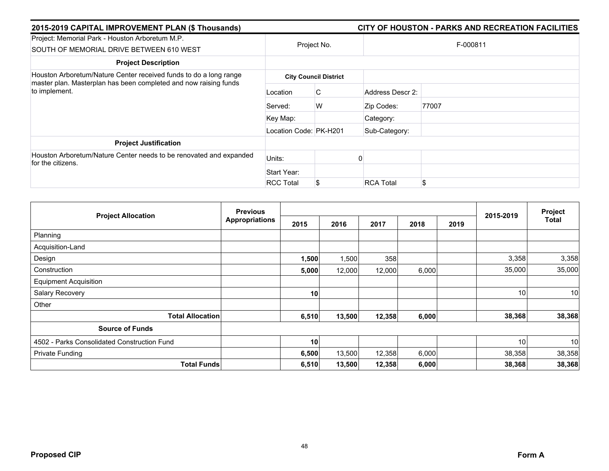| 2015-2019 CAPITAL IMPROVEMENT PLAN (\$ Thousands)                                                                                                      |                        | CITY OF HOUSTON - PARKS AND RECREATION FACILITIES |                  |          |  |  |  |
|--------------------------------------------------------------------------------------------------------------------------------------------------------|------------------------|---------------------------------------------------|------------------|----------|--|--|--|
| Project: Memorial Park - Houston Arboretum M.P.<br>SOUTH OF MEMORIAL DRIVE BETWEEN 610 WEST                                                            | Project No.            |                                                   |                  | F-000811 |  |  |  |
| <b>Project Description</b>                                                                                                                             |                        |                                                   |                  |          |  |  |  |
| Houston Arboretum/Nature Center received funds to do a long range<br>master plan. Masterplan has been completed and now raising funds<br>to implement. |                        | <b>City Council District</b>                      |                  |          |  |  |  |
|                                                                                                                                                        | Location               | C                                                 | Address Descr 2: |          |  |  |  |
|                                                                                                                                                        | Served:                | W                                                 | Zip Codes:       | 77007    |  |  |  |
|                                                                                                                                                        | Key Map:               |                                                   | Category:        |          |  |  |  |
|                                                                                                                                                        | Location Code: PK-H201 |                                                   | Sub-Category:    |          |  |  |  |
| <b>Project Justification</b>                                                                                                                           |                        |                                                   |                  |          |  |  |  |
| Houston Arboretum/Nature Center needs to be renovated and expanded<br>for the citizens.                                                                | Units:                 |                                                   |                  |          |  |  |  |
|                                                                                                                                                        | Start Year:            |                                                   |                  |          |  |  |  |
|                                                                                                                                                        | <b>RCC Total</b>       |                                                   | <b>RCA Total</b> | \$       |  |  |  |

| <b>Project Allocation</b>                   | <b>Previous</b><br><b>Appropriations</b> |       |        |        |       | Project |                 |                 |
|---------------------------------------------|------------------------------------------|-------|--------|--------|-------|---------|-----------------|-----------------|
|                                             |                                          | 2015  | 2016   | 2017   | 2018  | 2019    | 2015-2019       | Total           |
| Planning                                    |                                          |       |        |        |       |         |                 |                 |
| Acquisition-Land                            |                                          |       |        |        |       |         |                 |                 |
| Design                                      |                                          | 1,500 | 1,500  | 358    |       |         | 3,358           | 3,358           |
| Construction                                |                                          | 5,000 | 12,000 | 12,000 | 6,000 |         | 35,000          | 35,000          |
| <b>Equipment Acquisition</b>                |                                          |       |        |        |       |         |                 |                 |
| Salary Recovery                             |                                          | 10    |        |        |       |         | 10              | 10              |
| Other                                       |                                          |       |        |        |       |         |                 |                 |
| <b>Total Allocation</b>                     |                                          | 6,510 | 13,500 | 12,358 | 6,000 |         | 38,368          | 38,368          |
| <b>Source of Funds</b>                      |                                          |       |        |        |       |         |                 |                 |
| 4502 - Parks Consolidated Construction Fund |                                          | 10    |        |        |       |         | 10 <sup>1</sup> | 10 <sup>1</sup> |
| <b>Private Funding</b>                      |                                          | 6,500 | 13,500 | 12,358 | 6,000 |         | 38,358          | 38,358          |
| <b>Total Funds</b>                          |                                          | 6,510 | 13,500 | 12,358 | 6,000 |         | 38,368          | 38,368          |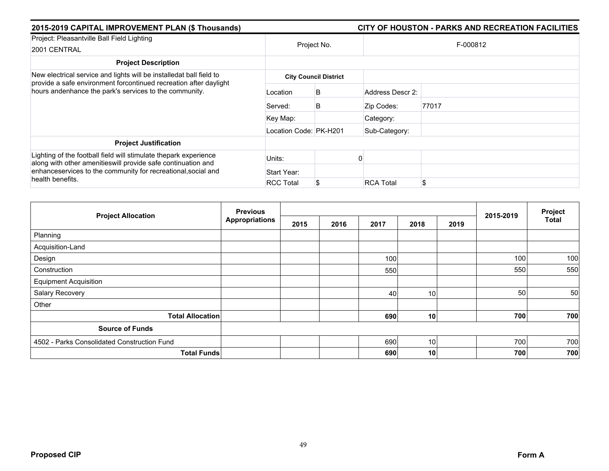| 2015-2019 CAPITAL IMPROVEMENT PLAN (\$ Thousands)                                                                                |                        |                              |                  | CITY OF HOUSTON - PARKS AND RECREATION FACILITIES |  |  |  |
|----------------------------------------------------------------------------------------------------------------------------------|------------------------|------------------------------|------------------|---------------------------------------------------|--|--|--|
| Project: Pleasantville Ball Field Lighting<br>2001 CENTRAL                                                                       |                        | Project No.                  | F-000812         |                                                   |  |  |  |
| <b>Project Description</b>                                                                                                       |                        |                              |                  |                                                   |  |  |  |
| New electrical service and lights will be installedat ball field to                                                              |                        | <b>City Council District</b> |                  |                                                   |  |  |  |
| provide a safe environment forcontinued recreation after daylight<br>hours andenhance the park's services to the community.      | Location               | B                            | Address Descr 2: |                                                   |  |  |  |
|                                                                                                                                  | Served:                | B                            | Zip Codes:       | 77017                                             |  |  |  |
|                                                                                                                                  | Key Map:               |                              | Category:        |                                                   |  |  |  |
|                                                                                                                                  | Location Code: PK-H201 |                              | Sub-Category:    |                                                   |  |  |  |
| <b>Project Justification</b>                                                                                                     |                        |                              |                  |                                                   |  |  |  |
| Lighting of the football field will stimulate thepark experience<br>along with other amenitieswill provide safe continuation and | Units:                 |                              |                  |                                                   |  |  |  |
| enhanceservices to the community for recreational, social and<br>health benefits.                                                | Start Year:            |                              |                  |                                                   |  |  |  |
|                                                                                                                                  | <b>RCC Total</b>       |                              | <b>RCA Total</b> | \$                                                |  |  |  |

| <b>Project Allocation</b>                   | <b>Previous</b>       |      |      |      | Project         |      |           |              |
|---------------------------------------------|-----------------------|------|------|------|-----------------|------|-----------|--------------|
|                                             | <b>Appropriations</b> | 2015 | 2016 | 2017 | 2018            | 2019 | 2015-2019 | <b>Total</b> |
| Planning                                    |                       |      |      |      |                 |      |           |              |
| Acquisition-Land                            |                       |      |      |      |                 |      |           |              |
| Design                                      |                       |      |      | 100  |                 |      | 100       | 100          |
| Construction                                |                       |      |      | 550  |                 |      | 550       | 550          |
| <b>Equipment Acquisition</b>                |                       |      |      |      |                 |      |           |              |
| Salary Recovery                             |                       |      |      | 40   | 10 <sub>1</sub> |      | 50        | 50           |
| Other                                       |                       |      |      |      |                 |      |           |              |
| <b>Total Allocation</b>                     |                       |      |      | 690  | 10              |      | 700       | 700          |
| <b>Source of Funds</b>                      |                       |      |      |      |                 |      |           |              |
| 4502 - Parks Consolidated Construction Fund |                       |      |      | 690  | 10              |      | 700       | 700          |
| <b>Total Funds</b>                          |                       |      |      | 690  | 10 <sub>1</sub> |      | 700       | 700          |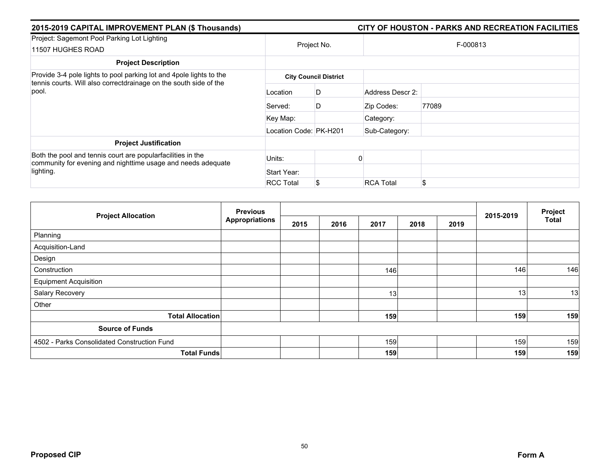| 2015-2019 CAPITAL IMPROVEMENT PLAN (\$ Thousands)                                                                           |                        | CITY OF HOUSTON - PARKS AND RECREATION FACILITIES |                  |          |  |  |  |
|-----------------------------------------------------------------------------------------------------------------------------|------------------------|---------------------------------------------------|------------------|----------|--|--|--|
| Project: Sagemont Pool Parking Lot Lighting<br>11507 HUGHES ROAD                                                            | Project No.            |                                                   |                  | F-000813 |  |  |  |
| <b>Project Description</b>                                                                                                  |                        |                                                   |                  |          |  |  |  |
| Provide 3-4 pole lights to pool parking lot and 4 pole lights to the                                                        |                        | <b>City Council District</b>                      |                  |          |  |  |  |
| tennis courts. Will also correctdrainage on the south side of the<br>pool.                                                  | Location               | D                                                 | Address Descr 2: |          |  |  |  |
|                                                                                                                             | Served:                | D                                                 | Zip Codes:       | 77089    |  |  |  |
|                                                                                                                             | Key Map:               |                                                   | Category:        |          |  |  |  |
|                                                                                                                             | Location Code: PK-H201 |                                                   | Sub-Category:    |          |  |  |  |
| <b>Project Justification</b>                                                                                                |                        |                                                   |                  |          |  |  |  |
| Both the pool and tennis court are popularfacilities in the<br>community for evening and nighttime usage and needs adequate | Units:                 |                                                   |                  |          |  |  |  |
| lighting.                                                                                                                   | Start Year:            |                                                   |                  |          |  |  |  |
|                                                                                                                             | <b>RCC Total</b>       |                                                   | <b>RCA Total</b> | \$       |  |  |  |

| <b>Project Allocation</b>                   | <b>Previous</b><br><b>Appropriations</b> |      |      | 2015-2019 | Project |      |     |              |
|---------------------------------------------|------------------------------------------|------|------|-----------|---------|------|-----|--------------|
|                                             |                                          | 2015 | 2016 | 2017      | 2018    | 2019 |     | <b>Total</b> |
| Planning                                    |                                          |      |      |           |         |      |     |              |
| Acquisition-Land                            |                                          |      |      |           |         |      |     |              |
| Design                                      |                                          |      |      |           |         |      |     |              |
| Construction                                |                                          |      |      | 146       |         |      | 146 | 146          |
| <b>Equipment Acquisition</b>                |                                          |      |      |           |         |      |     |              |
| Salary Recovery                             |                                          |      |      | 13        |         |      | 13  | 13           |
| Other                                       |                                          |      |      |           |         |      |     |              |
| <b>Total Allocation</b>                     |                                          |      |      | 159       |         |      | 159 | 159          |
| <b>Source of Funds</b>                      |                                          |      |      |           |         |      |     |              |
| 4502 - Parks Consolidated Construction Fund |                                          |      |      | 159       |         |      | 159 | 159          |
| <b>Total Funds</b>                          |                                          |      |      | 159       |         |      | 159 | 159          |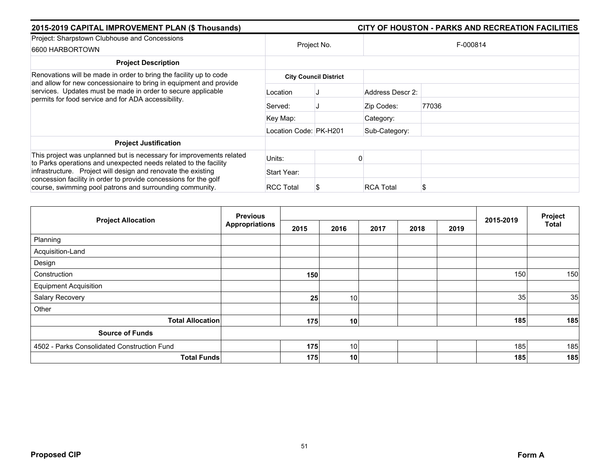| 2015-2019 CAPITAL IMPROVEMENT PLAN (\$ Thousands)                                                                                        |                        |                              | CITY OF HOUSTON - PARKS AND RECREATION FACILITIES |  |  |  |  |  |
|------------------------------------------------------------------------------------------------------------------------------------------|------------------------|------------------------------|---------------------------------------------------|--|--|--|--|--|
| Project: Sharpstown Clubhouse and Concessions<br>6600 HARBORTOWN                                                                         |                        | Project No.                  | F-000814                                          |  |  |  |  |  |
| <b>Project Description</b>                                                                                                               |                        |                              |                                                   |  |  |  |  |  |
| Renovations will be made in order to bring the facility up to code<br>and allow for new concessionaire to bring in equipment and provide |                        | <b>City Council District</b> |                                                   |  |  |  |  |  |
| services. Updates must be made in order to secure applicable<br>permits for food service and for ADA accessibility.                      | Location               |                              | Address Descr 2:                                  |  |  |  |  |  |
|                                                                                                                                          | Served:                |                              | 77036<br>Zip Codes:                               |  |  |  |  |  |
|                                                                                                                                          | Key Map:               |                              | Category:                                         |  |  |  |  |  |
|                                                                                                                                          | Location Code: PK-H201 |                              | Sub-Category:                                     |  |  |  |  |  |
| <b>Project Justification</b>                                                                                                             |                        |                              |                                                   |  |  |  |  |  |
| This project was unplanned but is necessary for improvements related<br>to Parks operations and unexpected needs related to the facility | Units:                 |                              |                                                   |  |  |  |  |  |
| infrastructure. Project will design and renovate the existing                                                                            | Start Year:            |                              |                                                   |  |  |  |  |  |
| concession facility in order to provide concessions for the golf<br>course, swimming pool patrons and surrounding community.             | <b>RCC Total</b>       |                              | <b>RCA Total</b><br>S                             |  |  |  |  |  |

| <b>Project Allocation</b>                   | <b>Previous</b>       |      |                 |      | Project |      |           |              |
|---------------------------------------------|-----------------------|------|-----------------|------|---------|------|-----------|--------------|
|                                             | <b>Appropriations</b> | 2015 | 2016            | 2017 | 2018    | 2019 | 2015-2019 | <b>Total</b> |
| Planning                                    |                       |      |                 |      |         |      |           |              |
| Acquisition-Land                            |                       |      |                 |      |         |      |           |              |
| Design                                      |                       |      |                 |      |         |      |           |              |
| Construction                                |                       | 150  |                 |      |         |      | 150       | 150          |
| <b>Equipment Acquisition</b>                |                       |      |                 |      |         |      |           |              |
| Salary Recovery                             |                       | 25   | 10              |      |         |      | 35        | 35           |
| Other                                       |                       |      |                 |      |         |      |           |              |
| <b>Total Allocation</b>                     |                       | 175  | 10              |      |         |      | 185       | 185          |
| <b>Source of Funds</b>                      |                       |      |                 |      |         |      |           |              |
| 4502 - Parks Consolidated Construction Fund |                       | 175  | 10              |      |         |      | 185       | 185          |
| <b>Total Funds</b>                          |                       | 175  | 10 <sub>l</sub> |      |         |      | 185       | 185          |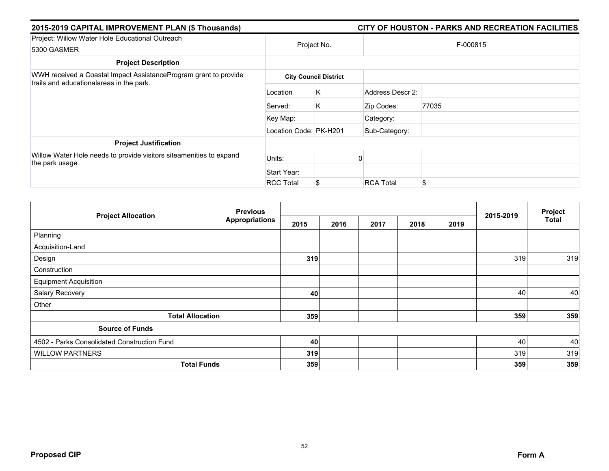| 2015-2019 CAPITAL IMPROVEMENT PLAN (\$ Thousands)                                                            |                        | CITY OF HOUSTON - PARKS AND RECREATION FACILITIES |                  |          |  |  |
|--------------------------------------------------------------------------------------------------------------|------------------------|---------------------------------------------------|------------------|----------|--|--|
| Project: Willow Water Hole Educational Outreach<br>5300 GASMER                                               | Project No.            |                                                   |                  | F-000815 |  |  |
| <b>Project Description</b>                                                                                   |                        |                                                   |                  |          |  |  |
| WWH received a Coastal Impact AssistanceProgram grant to provide<br>trails and educationalareas in the park. |                        | <b>City Council District</b>                      |                  |          |  |  |
|                                                                                                              | Location               | Κ                                                 | Address Descr 2: |          |  |  |
|                                                                                                              | Served:                | K.                                                | Zip Codes:       | 77035    |  |  |
|                                                                                                              | Key Map:               |                                                   | Category:        |          |  |  |
|                                                                                                              | Location Code: PK-H201 |                                                   | Sub-Category:    |          |  |  |
| <b>Project Justification</b>                                                                                 |                        |                                                   |                  |          |  |  |
| Willow Water Hole needs to provide visitors siteamenities to expand<br>the park usage.                       | Units:                 |                                                   |                  |          |  |  |
|                                                                                                              | Start Year:            |                                                   |                  |          |  |  |
|                                                                                                              | <b>RCC Total</b>       |                                                   | <b>RCA Total</b> | \$       |  |  |

| <b>Project Allocation</b>                   | <b>Previous</b>       |      |      |      |      | Project |           |       |
|---------------------------------------------|-----------------------|------|------|------|------|---------|-----------|-------|
|                                             | <b>Appropriations</b> | 2015 | 2016 | 2017 | 2018 | 2019    | 2015-2019 | Total |
| Planning                                    |                       |      |      |      |      |         |           |       |
| Acquisition-Land                            |                       |      |      |      |      |         |           |       |
| Design                                      |                       | 319  |      |      |      |         | 319       | 319   |
| Construction                                |                       |      |      |      |      |         |           |       |
| <b>Equipment Acquisition</b>                |                       |      |      |      |      |         |           |       |
| Salary Recovery                             |                       | 40   |      |      |      |         | 40        | 40    |
| Other                                       |                       |      |      |      |      |         |           |       |
| <b>Total Allocation</b>                     |                       | 359  |      |      |      |         | 359       | 359   |
| <b>Source of Funds</b>                      |                       |      |      |      |      |         |           |       |
| 4502 - Parks Consolidated Construction Fund |                       | 40   |      |      |      |         | 40        | 40    |
| <b>WILLOW PARTNERS</b>                      |                       | 319  |      |      |      |         | 319       | 319   |
| <b>Total Funds</b>                          |                       | 359  |      |      |      |         | 359       | 359   |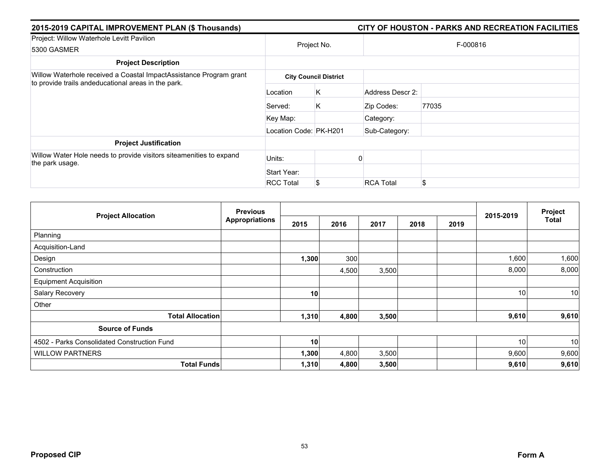| 2015-2019 CAPITAL IMPROVEMENT PLAN (\$ Thousands)                                                                         |                        | CITY OF HOUSTON - PARKS AND RECREATION FACILITIES |                  |          |  |  |  |  |
|---------------------------------------------------------------------------------------------------------------------------|------------------------|---------------------------------------------------|------------------|----------|--|--|--|--|
| Project: Willow Waterhole Levitt Pavilion<br>5300 GASMER                                                                  |                        | Project No.                                       |                  | F-000816 |  |  |  |  |
| <b>Project Description</b>                                                                                                |                        |                                                   |                  |          |  |  |  |  |
| Willow Waterhole received a Coastal ImpactAssistance Program grant<br>to provide trails andeducational areas in the park. |                        | <b>City Council District</b>                      |                  |          |  |  |  |  |
|                                                                                                                           | Location               | Κ                                                 | Address Descr 2: |          |  |  |  |  |
|                                                                                                                           | Served:                | K.                                                | Zip Codes:       | 77035    |  |  |  |  |
|                                                                                                                           | Key Map:               |                                                   | Category:        |          |  |  |  |  |
|                                                                                                                           | Location Code: PK-H201 |                                                   | Sub-Category:    |          |  |  |  |  |
| <b>Project Justification</b>                                                                                              |                        |                                                   |                  |          |  |  |  |  |
| Willow Water Hole needs to provide visitors siteamenities to expand<br>the park usage.                                    | Units:                 |                                                   |                  |          |  |  |  |  |
|                                                                                                                           | Start Year:            |                                                   |                  |          |  |  |  |  |
|                                                                                                                           | <b>RCC Total</b>       |                                                   | <b>RCA Total</b> | \$       |  |  |  |  |

| <b>Project Allocation</b>                   | <b>Previous</b>       |       |       |       | 2015-2019 | Project |       |       |
|---------------------------------------------|-----------------------|-------|-------|-------|-----------|---------|-------|-------|
|                                             | <b>Appropriations</b> | 2015  | 2016  | 2017  | 2018      | 2019    |       | Total |
| Planning                                    |                       |       |       |       |           |         |       |       |
| Acquisition-Land                            |                       |       |       |       |           |         |       |       |
| Design                                      |                       | 1,300 | 300   |       |           |         | 1,600 | 1,600 |
| Construction                                |                       |       | 4,500 | 3,500 |           |         | 8,000 | 8,000 |
| <b>Equipment Acquisition</b>                |                       |       |       |       |           |         |       |       |
| Salary Recovery                             |                       | 10    |       |       |           |         | 10    | 10    |
| Other                                       |                       |       |       |       |           |         |       |       |
| <b>Total Allocation</b>                     |                       | 1,310 | 4,800 | 3,500 |           |         | 9,610 | 9,610 |
| <b>Source of Funds</b>                      |                       |       |       |       |           |         |       |       |
| 4502 - Parks Consolidated Construction Fund |                       | 10    |       |       |           |         | 10    | 10    |
| <b>WILLOW PARTNERS</b>                      |                       | 1,300 | 4,800 | 3,500 |           |         | 9,600 | 9,600 |
| <b>Total Funds</b>                          |                       | 1,310 | 4,800 | 3,500 |           |         | 9,610 | 9,610 |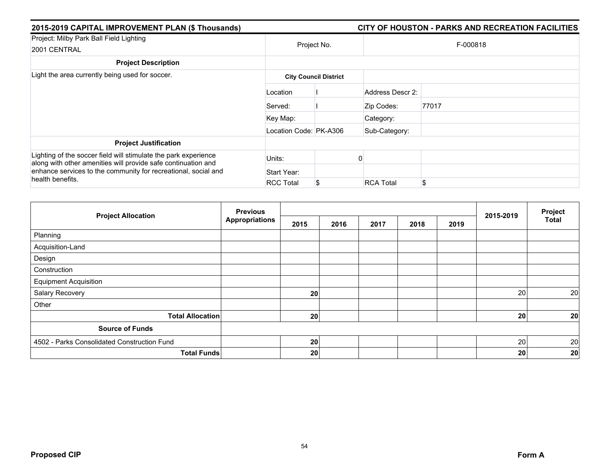| 2015-2019 CAPITAL IMPROVEMENT PLAN (\$ Thousands)                                                                                | CITY OF HOUSTON - PARKS AND RECREATION FACILITIES |                              |                  |       |  |  |  |
|----------------------------------------------------------------------------------------------------------------------------------|---------------------------------------------------|------------------------------|------------------|-------|--|--|--|
| Project: Milby Park Ball Field Lighting<br>2001 CENTRAL                                                                          | Project No.                                       |                              | F-000818         |       |  |  |  |
| <b>Project Description</b>                                                                                                       |                                                   |                              |                  |       |  |  |  |
| Light the area currently being used for soccer.                                                                                  |                                                   | <b>City Council District</b> |                  |       |  |  |  |
|                                                                                                                                  | Location                                          |                              | Address Descr 2: |       |  |  |  |
|                                                                                                                                  | Served:                                           |                              | Zip Codes:       | 77017 |  |  |  |
|                                                                                                                                  | Key Map:                                          |                              | Category:        |       |  |  |  |
|                                                                                                                                  | Location Code: PK-A306                            |                              | Sub-Category:    |       |  |  |  |
| <b>Project Justification</b>                                                                                                     |                                                   |                              |                  |       |  |  |  |
| Lighting of the soccer field will stimulate the park experience<br>along with other amenities will provide safe continuation and | Units:                                            |                              |                  |       |  |  |  |
| enhance services to the community for recreational, social and                                                                   | Start Year:                                       |                              |                  |       |  |  |  |
| health benefits.                                                                                                                 | <b>RCC Total</b>                                  |                              | <b>RCA Total</b> | \$    |  |  |  |

| <b>Project Allocation</b>                   | <b>Previous</b>       |      |      |      |      | Project |           |                 |
|---------------------------------------------|-----------------------|------|------|------|------|---------|-----------|-----------------|
|                                             | <b>Appropriations</b> | 2015 | 2016 | 2017 | 2018 | 2019    | 2015-2019 | <b>Total</b>    |
| Planning                                    |                       |      |      |      |      |         |           |                 |
| Acquisition-Land                            |                       |      |      |      |      |         |           |                 |
| Design                                      |                       |      |      |      |      |         |           |                 |
| Construction                                |                       |      |      |      |      |         |           |                 |
| <b>Equipment Acquisition</b>                |                       |      |      |      |      |         |           |                 |
| Salary Recovery                             |                       | 20   |      |      |      |         | 20        | 20              |
| Other                                       |                       |      |      |      |      |         |           |                 |
| <b>Total Allocation</b>                     |                       | 20   |      |      |      |         | 20        | 20 <sub>l</sub> |
| <b>Source of Funds</b>                      |                       |      |      |      |      |         |           |                 |
| 4502 - Parks Consolidated Construction Fund |                       | 20   |      |      |      |         | 20        | 20              |
| <b>Total Funds</b>                          |                       | 20   |      |      |      |         | 20        | 20              |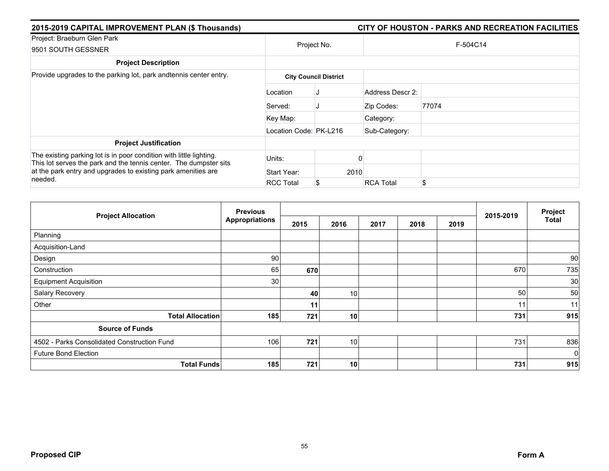| 2015-2019 CAPITAL IMPROVEMENT PLAN (\$ Thousands)                                                                                                                                                                    | CITY OF HOUSTON - PARKS AND RECREATION FACILITIES |                              |                  |          |  |  |  |
|----------------------------------------------------------------------------------------------------------------------------------------------------------------------------------------------------------------------|---------------------------------------------------|------------------------------|------------------|----------|--|--|--|
| Project: Braeburn Glen Park<br>9501 SOUTH GESSNER                                                                                                                                                                    | Project No.                                       |                              |                  | F-504C14 |  |  |  |
| <b>Project Description</b>                                                                                                                                                                                           |                                                   |                              |                  |          |  |  |  |
| Provide upgrades to the parking lot, park and tennis center entry.                                                                                                                                                   |                                                   | <b>City Council District</b> |                  |          |  |  |  |
|                                                                                                                                                                                                                      | Location                                          |                              | Address Descr 2: |          |  |  |  |
|                                                                                                                                                                                                                      | Served:                                           |                              | Zip Codes:       | 77074    |  |  |  |
|                                                                                                                                                                                                                      | Key Map:                                          |                              | Category:        |          |  |  |  |
|                                                                                                                                                                                                                      | Location Code: PK-L216                            |                              | Sub-Category:    |          |  |  |  |
| <b>Project Justification</b>                                                                                                                                                                                         |                                                   |                              |                  |          |  |  |  |
| The existing parking lot is in poor condition with little lighting.<br>This lot serves the park and the tennis center. The dumpster sits<br>at the park entry and upgrades to existing park amenities are<br>needed. | Units:                                            |                              |                  |          |  |  |  |
|                                                                                                                                                                                                                      | Start Year:                                       | 2010                         |                  |          |  |  |  |
|                                                                                                                                                                                                                      | <b>RCC Total</b>                                  |                              | <b>RCA Total</b> | \$       |  |  |  |

|                                             | <b>Previous</b>       |      |                 |      | Project |      |           |              |
|---------------------------------------------|-----------------------|------|-----------------|------|---------|------|-----------|--------------|
| <b>Project Allocation</b>                   | <b>Appropriations</b> | 2015 | 2016            | 2017 | 2018    | 2019 | 2015-2019 | <b>Total</b> |
| Planning                                    |                       |      |                 |      |         |      |           |              |
| Acquisition-Land                            |                       |      |                 |      |         |      |           |              |
| Design                                      | 90                    |      |                 |      |         |      |           | 90           |
| Construction                                | 65                    | 670  |                 |      |         |      | 670       | 735          |
| <b>Equipment Acquisition</b>                | 30                    |      |                 |      |         |      |           | 30           |
| Salary Recovery                             |                       | 40   | 10 <sup>1</sup> |      |         |      | 50        | 50           |
| Other                                       |                       | 11   |                 |      |         |      | 11        | 11           |
| <b>Total Allocation</b>                     | 185                   | 721  | 10              |      |         |      | 731       | 915          |
| <b>Source of Funds</b>                      |                       |      |                 |      |         |      |           |              |
| 4502 - Parks Consolidated Construction Fund | 106                   | 721  | 10 <sup>1</sup> |      |         |      | 731       | 836          |
| <b>Future Bond Election</b>                 |                       |      |                 |      |         |      |           | $\mathbf 0$  |
| <b>Total Funds</b>                          | 185                   | 721  | 10              |      |         |      | 731       | 915          |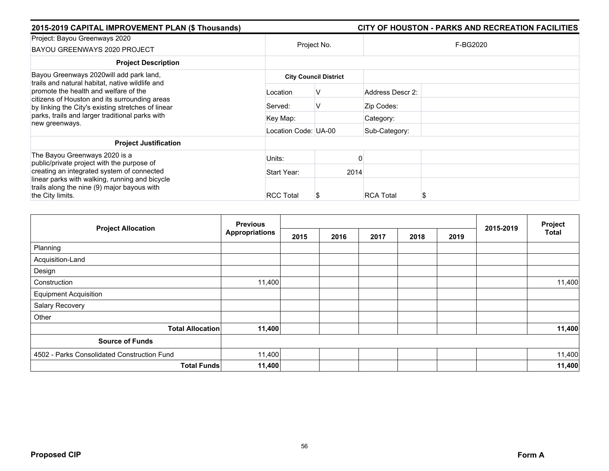| 2015-2019 CAPITAL IMPROVEMENT PLAN (\$ Thousands)                                                                                            |                      |                              |                  | CITY OF HOUSTON - PARKS AND RECREATION FACILITIES |  |  |
|----------------------------------------------------------------------------------------------------------------------------------------------|----------------------|------------------------------|------------------|---------------------------------------------------|--|--|
| Project: Bayou Greenways 2020<br>BAYOU GREENWAYS 2020 PROJECT                                                                                |                      | Project No.                  | F-BG2020         |                                                   |  |  |
| <b>Project Description</b>                                                                                                                   |                      |                              |                  |                                                   |  |  |
| Bayou Greenways 2020 will add park land,<br>trails and natural habitat, native wildlife and                                                  |                      | <b>City Council District</b> |                  |                                                   |  |  |
| promote the health and welfare of the<br>citizens of Houston and its surrounding areas<br>by linking the City's existing stretches of linear | Location             | ν                            | Address Descr 2: |                                                   |  |  |
|                                                                                                                                              | Served:              | v                            | Zip Codes:       |                                                   |  |  |
| parks, trails and larger traditional parks with<br>new greenways.                                                                            | Key Map:             |                              | Category:        |                                                   |  |  |
|                                                                                                                                              | Location Code: UA-00 |                              | Sub-Category:    |                                                   |  |  |
| <b>Project Justification</b>                                                                                                                 |                      |                              |                  |                                                   |  |  |
| The Bayou Greenways 2020 is a<br>public/private project with the purpose of                                                                  | Units:               |                              |                  |                                                   |  |  |
| creating an integrated system of connected                                                                                                   | Start Year:          | 2014                         |                  |                                                   |  |  |
| linear parks with walking, running and bicycle<br>trails along the nine (9) major bayous with<br>the City limits.                            | <b>RCC Total</b>     |                              | <b>RCA Total</b> |                                                   |  |  |

| <b>Project Allocation</b>                   | <b>Previous</b>       |      |      |      |      |      | 2015-2019 | Project      |
|---------------------------------------------|-----------------------|------|------|------|------|------|-----------|--------------|
|                                             | <b>Appropriations</b> | 2015 | 2016 | 2017 | 2018 | 2019 |           | <b>Total</b> |
| Planning                                    |                       |      |      |      |      |      |           |              |
| Acquisition-Land                            |                       |      |      |      |      |      |           |              |
| Design                                      |                       |      |      |      |      |      |           |              |
| Construction                                | 11,400                |      |      |      |      |      |           | 11,400       |
| <b>Equipment Acquisition</b>                |                       |      |      |      |      |      |           |              |
| Salary Recovery                             |                       |      |      |      |      |      |           |              |
| Other                                       |                       |      |      |      |      |      |           |              |
| <b>Total Allocation</b>                     | 11,400                |      |      |      |      |      |           | 11,400       |
| <b>Source of Funds</b>                      |                       |      |      |      |      |      |           |              |
| 4502 - Parks Consolidated Construction Fund | 11,400                |      |      |      |      |      |           | 11,400       |
| <b>Total Funds</b>                          | 11,400                |      |      |      |      |      |           | 11,400       |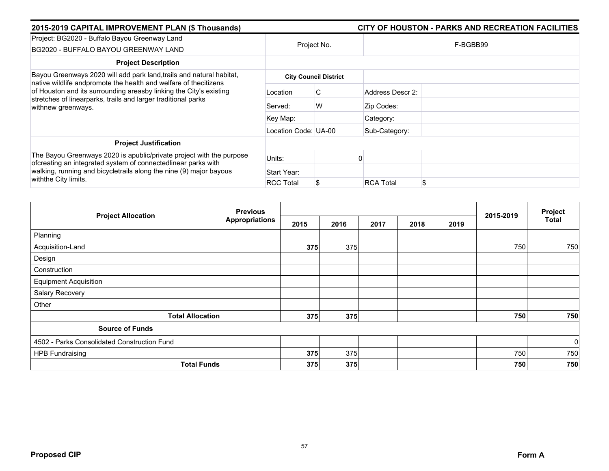| 2015-2019 CAPITAL IMPROVEMENT PLAN (\$ Thousands)                                                                                                                                                                                    |                      |                              | CITY OF HOUSTON - PARKS AND RECREATION FACILITIES |
|--------------------------------------------------------------------------------------------------------------------------------------------------------------------------------------------------------------------------------------|----------------------|------------------------------|---------------------------------------------------|
| Project: BG2020 - Buffalo Bayou Greenway Land<br>BG2020 - BUFFALO BAYOU GREENWAY LAND                                                                                                                                                | Project No.          |                              | F-BGBB99                                          |
| <b>Project Description</b>                                                                                                                                                                                                           |                      |                              |                                                   |
| Bayou Greenways 2020 will add park land, trails and natural habitat,                                                                                                                                                                 |                      | <b>City Council District</b> |                                                   |
| native wildlife andpromote the health and welfare of thecitizens<br>of Houston and its surrounding areasby linking the City's existing<br>stretches of linearparks, trails and larger traditional parks<br>withnew greenways.        | Location             | C                            | Address Descr 2:                                  |
|                                                                                                                                                                                                                                      | Served:              | W                            | Zip Codes:                                        |
|                                                                                                                                                                                                                                      | Key Map:             |                              | Category:                                         |
|                                                                                                                                                                                                                                      | Location Code: UA-00 |                              | Sub-Category:                                     |
| <b>Project Justification</b>                                                                                                                                                                                                         |                      |                              |                                                   |
| The Bayou Greenways 2020 is apublic/private project with the purpose<br>ofcreating an integrated system of connectedlinear parks with<br>walking, running and bicycletrails along the nine (9) major bayous<br>with the City limits. | Units:               |                              |                                                   |
|                                                                                                                                                                                                                                      | Start Year:          |                              |                                                   |
|                                                                                                                                                                                                                                      | <b>RCC Total</b>     |                              | \$<br><b>RCA Total</b>                            |

| <b>Project Allocation</b>                   | <b>Previous</b>       |      |      |      | Project |      |           |              |
|---------------------------------------------|-----------------------|------|------|------|---------|------|-----------|--------------|
|                                             | <b>Appropriations</b> | 2015 | 2016 | 2017 | 2018    | 2019 | 2015-2019 | <b>Total</b> |
| Planning                                    |                       |      |      |      |         |      |           |              |
| Acquisition-Land                            |                       | 375  | 375  |      |         |      | 750       | 750          |
| Design                                      |                       |      |      |      |         |      |           |              |
| Construction                                |                       |      |      |      |         |      |           |              |
| <b>Equipment Acquisition</b>                |                       |      |      |      |         |      |           |              |
| Salary Recovery                             |                       |      |      |      |         |      |           |              |
| Other                                       |                       |      |      |      |         |      |           |              |
| <b>Total Allocation</b>                     |                       | 375  | 375  |      |         |      | 750       | 750          |
| <b>Source of Funds</b>                      |                       |      |      |      |         |      |           |              |
| 4502 - Parks Consolidated Construction Fund |                       |      |      |      |         |      |           | $\mathbf 0$  |
| <b>HPB Fundraising</b>                      |                       | 375  | 375  |      |         |      | 750       | 750          |
| <b>Total Funds</b>                          |                       | 375  | 375  |      |         |      | 750       | 750          |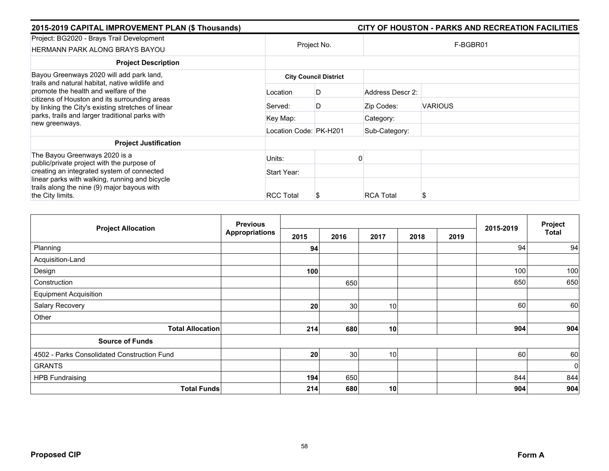| 2015-2019 CAPITAL IMPROVEMENT PLAN (\$ Thousands)                                                                                            |                        |                              |                  | CITY OF HOUSTON - PARKS AND RECREATION FACILITIES |  |  |
|----------------------------------------------------------------------------------------------------------------------------------------------|------------------------|------------------------------|------------------|---------------------------------------------------|--|--|
| Project: BG2020 - Brays Trail Development<br>HERMANN PARK ALONG BRAYS BAYOU                                                                  | Project No.            |                              | F-BGBR01         |                                                   |  |  |
| <b>Project Description</b>                                                                                                                   |                        |                              |                  |                                                   |  |  |
| Bayou Greenways 2020 will add park land,<br>trails and natural habitat, native wildlife and                                                  |                        | <b>City Council District</b> |                  |                                                   |  |  |
| promote the health and welfare of the<br>citizens of Houston and its surrounding areas<br>by linking the City's existing stretches of linear | Location               | D                            | Address Descr 2: |                                                   |  |  |
|                                                                                                                                              | Served:                | D                            | Zip Codes:       | <b>VARIOUS</b>                                    |  |  |
| parks, trails and larger traditional parks with<br>new greenways.                                                                            | Key Map:               |                              | Category:        |                                                   |  |  |
|                                                                                                                                              | Location Code: PK-H201 |                              | Sub-Category:    |                                                   |  |  |
| <b>Project Justification</b>                                                                                                                 |                        |                              |                  |                                                   |  |  |
| The Bayou Greenways 2020 is a<br>public/private project with the purpose of                                                                  | Units:                 |                              |                  |                                                   |  |  |
| creating an integrated system of connected                                                                                                   | Start Year:            |                              |                  |                                                   |  |  |
| linear parks with walking, running and bicycle<br>trails along the nine (9) major bayous with<br>the City limits.                            | <b>RCC Total</b>       | J                            | <b>RCA Total</b> |                                                   |  |  |

|                                             | <b>Previous</b>       | 2015-2019 | Project         |      |      |      |     |              |
|---------------------------------------------|-----------------------|-----------|-----------------|------|------|------|-----|--------------|
| <b>Project Allocation</b>                   | <b>Appropriations</b> | 2015      | 2016            | 2017 | 2018 | 2019 |     | <b>Total</b> |
| Planning                                    |                       | 94        |                 |      |      |      | 94  | 94           |
| Acquisition-Land                            |                       |           |                 |      |      |      |     |              |
| Design                                      |                       | 100       |                 |      |      |      | 100 | 100          |
| Construction                                |                       |           | 650             |      |      |      | 650 | 650          |
| <b>Equipment Acquisition</b>                |                       |           |                 |      |      |      |     |              |
| Salary Recovery                             |                       | 20        | 30 <sup>°</sup> | 10   |      |      | 60  | 60           |
| Other                                       |                       |           |                 |      |      |      |     |              |
| <b>Total Allocation</b>                     |                       | 214       | 680             | 10   |      |      | 904 | 904          |
| <b>Source of Funds</b>                      |                       |           |                 |      |      |      |     |              |
| 4502 - Parks Consolidated Construction Fund |                       | 20        | 30 <sup>°</sup> | 10   |      |      | 60  | 60           |
| <b>GRANTS</b>                               |                       |           |                 |      |      |      |     | $\mathbf 0$  |
| <b>HPB Fundraising</b>                      |                       | 194       | 650             |      |      |      | 844 | 844          |
| <b>Total Funds</b>                          |                       | 214       | 680             | 10   |      |      | 904 | 904          |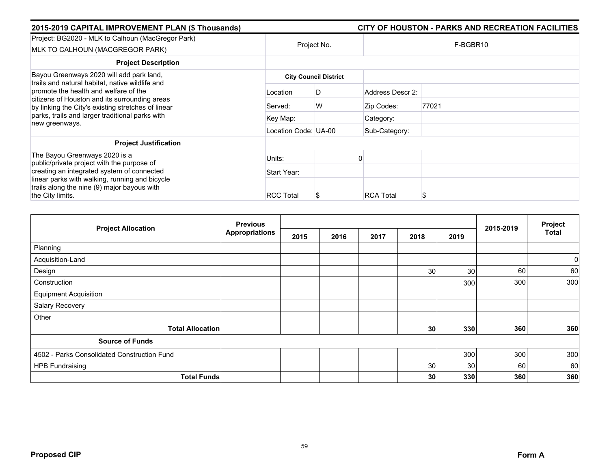| 2015-2019 CAPITAL IMPROVEMENT PLAN (\$ Thousands)                                                                                                                                               |                      |                              |                  | CITY OF HOUSTON - PARKS AND RECREATION FACILITIES |
|-------------------------------------------------------------------------------------------------------------------------------------------------------------------------------------------------|----------------------|------------------------------|------------------|---------------------------------------------------|
| Project: BG2020 - MLK to Calhoun (MacGregor Park)<br>MLK TO CALHOUN (MACGREGOR PARK)                                                                                                            | Project No.          |                              |                  | F-BGBR10                                          |
| <b>Project Description</b>                                                                                                                                                                      |                      |                              |                  |                                                   |
| Bayou Greenways 2020 will add park land,                                                                                                                                                        |                      | <b>City Council District</b> |                  |                                                   |
| trails and natural habitat, native wildlife and<br>promote the health and welfare of the<br>citizens of Houston and its surrounding areas<br>by linking the City's existing stretches of linear | Location             | D                            | Address Descr 2: |                                                   |
|                                                                                                                                                                                                 | Served:              | W                            | Zip Codes:       | 77021                                             |
| parks, trails and larger traditional parks with<br>new greenways.                                                                                                                               | Key Map:             |                              | Category:        |                                                   |
|                                                                                                                                                                                                 | Location Code: UA-00 |                              | Sub-Category:    |                                                   |
| <b>Project Justification</b>                                                                                                                                                                    |                      |                              |                  |                                                   |
| The Bayou Greenways 2020 is a<br>public/private project with the purpose of                                                                                                                     | Units:               |                              |                  |                                                   |
| creating an integrated system of connected                                                                                                                                                      | Start Year:          |                              |                  |                                                   |
| linear parks with walking, running and bicycle<br>trails along the nine (9) major bayous with<br>the City limits.                                                                               | <b>RCC Total</b>     | S                            | <b>RCA Total</b> |                                                   |

| <b>Project Allocation</b>                   | <b>Previous</b>       |      |      |      |      |      |           | Project      |
|---------------------------------------------|-----------------------|------|------|------|------|------|-----------|--------------|
|                                             | <b>Appropriations</b> | 2015 | 2016 | 2017 | 2018 | 2019 | 2015-2019 | <b>Total</b> |
| Planning                                    |                       |      |      |      |      |      |           |              |
| Acquisition-Land                            |                       |      |      |      |      |      |           | $\mathbf 0$  |
| Design                                      |                       |      |      |      | 30   | 30   | 60        | 60           |
| Construction                                |                       |      |      |      |      | 300  | 300       | 300          |
| <b>Equipment Acquisition</b>                |                       |      |      |      |      |      |           |              |
| Salary Recovery                             |                       |      |      |      |      |      |           |              |
| Other                                       |                       |      |      |      |      |      |           |              |
| <b>Total Allocation</b>                     |                       |      |      |      | 30   | 330  | 360       | 360          |
| <b>Source of Funds</b>                      |                       |      |      |      |      |      |           |              |
| 4502 - Parks Consolidated Construction Fund |                       |      |      |      |      | 300  | 300       | 300          |
| <b>HPB Fundraising</b>                      |                       |      |      |      | 30   | 30   | 60        | 60           |
| <b>Total Funds</b>                          |                       |      |      |      | 30   | 330  | 360       | 360          |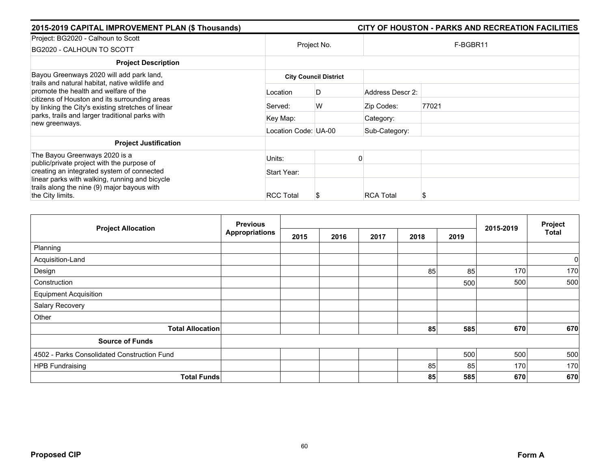| 2015-2019 CAPITAL IMPROVEMENT PLAN (\$ Thousands)                                                                                            |                      |                              |                  | CITY OF HOUSTON - PARKS AND RECREATION FACILITIES |
|----------------------------------------------------------------------------------------------------------------------------------------------|----------------------|------------------------------|------------------|---------------------------------------------------|
| Project: BG2020 - Calhoun to Scott<br>BG2020 - CALHOUN TO SCOTT                                                                              |                      | Project No.                  |                  | F-BGBR11                                          |
| <b>Project Description</b>                                                                                                                   |                      |                              |                  |                                                   |
| Bayou Greenways 2020 will add park land,<br>trails and natural habitat, native wildlife and                                                  |                      | <b>City Council District</b> |                  |                                                   |
| promote the health and welfare of the<br>citizens of Houston and its surrounding areas<br>by linking the City's existing stretches of linear | Location             | D                            | Address Descr 2: |                                                   |
|                                                                                                                                              | Served:              | W                            | Zip Codes:       | 77021                                             |
| parks, trails and larger traditional parks with<br>new greenways.                                                                            | Key Map:             |                              | Category:        |                                                   |
|                                                                                                                                              | Location Code: UA-00 |                              | Sub-Category:    |                                                   |
| <b>Project Justification</b>                                                                                                                 |                      |                              |                  |                                                   |
| The Bayou Greenways 2020 is a<br>public/private project with the purpose of                                                                  | Units:               |                              |                  |                                                   |
| creating an integrated system of connected                                                                                                   | Start Year:          |                              |                  |                                                   |
| linear parks with walking, running and bicycle<br>trails along the nine (9) major bayous with<br>the City limits.                            | <b>RCC Total</b>     | Ъ                            | <b>RCA Total</b> | S                                                 |

| <b>Project Allocation</b>                   | <b>Previous</b>       |      |      |      |      |      |           | Project      |
|---------------------------------------------|-----------------------|------|------|------|------|------|-----------|--------------|
|                                             | <b>Appropriations</b> | 2015 | 2016 | 2017 | 2018 | 2019 | 2015-2019 | <b>Total</b> |
| Planning                                    |                       |      |      |      |      |      |           |              |
| Acquisition-Land                            |                       |      |      |      |      |      |           | $\mathbf 0$  |
| Design                                      |                       |      |      |      | 85   | 85   | 170       | 170          |
| Construction                                |                       |      |      |      |      | 500  | 500       | 500          |
| <b>Equipment Acquisition</b>                |                       |      |      |      |      |      |           |              |
| Salary Recovery                             |                       |      |      |      |      |      |           |              |
| Other                                       |                       |      |      |      |      |      |           |              |
| <b>Total Allocation</b>                     |                       |      |      |      | 85   | 585  | 670       | 670          |
| <b>Source of Funds</b>                      |                       |      |      |      |      |      |           |              |
| 4502 - Parks Consolidated Construction Fund |                       |      |      |      |      | 500  | 500       | 500          |
| <b>HPB Fundraising</b>                      |                       |      |      |      | 85   | 85   | 170       | 170          |
| <b>Total Funds</b>                          |                       |      |      |      | 85   | 585  | 670       | 670          |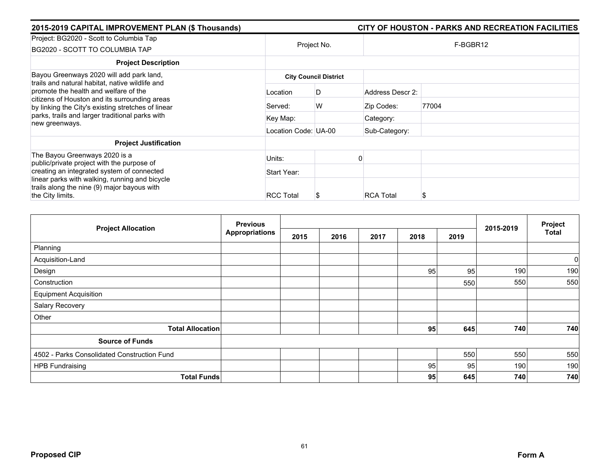| 2015-2019 CAPITAL IMPROVEMENT PLAN (\$ Thousands)                                                                                            |                              |             |                  | CITY OF HOUSTON - PARKS AND RECREATION FACILITIES |  |  |  |  |
|----------------------------------------------------------------------------------------------------------------------------------------------|------------------------------|-------------|------------------|---------------------------------------------------|--|--|--|--|
| Project: BG2020 - Scott to Columbia Tap<br>BG2020 - SCOTT TO COLUMBIA TAP                                                                    |                              | Project No. | F-BGBR12         |                                                   |  |  |  |  |
| <b>Project Description</b>                                                                                                                   |                              |             |                  |                                                   |  |  |  |  |
| Bayou Greenways 2020 will add park land,<br>trails and natural habitat, native wildlife and                                                  | <b>City Council District</b> |             |                  |                                                   |  |  |  |  |
| promote the health and welfare of the<br>citizens of Houston and its surrounding areas<br>by linking the City's existing stretches of linear | Location                     | D           | Address Descr 2: |                                                   |  |  |  |  |
|                                                                                                                                              | Served:                      | W           | Zip Codes:       | 77004                                             |  |  |  |  |
| parks, trails and larger traditional parks with<br>new greenways.                                                                            | Key Map:                     |             | Category:        |                                                   |  |  |  |  |
|                                                                                                                                              | Location Code: UA-00         |             | Sub-Category:    |                                                   |  |  |  |  |
| <b>Project Justification</b>                                                                                                                 |                              |             |                  |                                                   |  |  |  |  |
| The Bayou Greenways 2020 is a<br>public/private project with the purpose of                                                                  | Units:                       |             |                  |                                                   |  |  |  |  |
| creating an integrated system of connected                                                                                                   | Start Year:                  |             |                  |                                                   |  |  |  |  |
| linear parks with walking, running and bicycle<br>trails along the nine (9) major bayous with<br>the City limits.                            | <b>RCC Total</b>             |             | <b>RCA Total</b> | S                                                 |  |  |  |  |

| <b>Project Allocation</b>                   | <b>Previous</b>       |      |      |      | 2015-2019 | Project |     |              |
|---------------------------------------------|-----------------------|------|------|------|-----------|---------|-----|--------------|
|                                             | <b>Appropriations</b> | 2015 | 2016 | 2017 | 2018      | 2019    |     | <b>Total</b> |
| Planning                                    |                       |      |      |      |           |         |     |              |
| Acquisition-Land                            |                       |      |      |      |           |         |     | $\mathbf 0$  |
| Design                                      |                       |      |      |      | 95        | 95      | 190 | 190          |
| Construction                                |                       |      |      |      |           | 550     | 550 | 550          |
| <b>Equipment Acquisition</b>                |                       |      |      |      |           |         |     |              |
| Salary Recovery                             |                       |      |      |      |           |         |     |              |
| Other                                       |                       |      |      |      |           |         |     |              |
| <b>Total Allocation</b>                     |                       |      |      |      | 95        | 645     | 740 | 740          |
| <b>Source of Funds</b>                      |                       |      |      |      |           |         |     |              |
| 4502 - Parks Consolidated Construction Fund |                       |      |      |      |           | 550     | 550 | 550          |
| <b>HPB Fundraising</b>                      |                       |      |      |      | 95        | 95      | 190 | 190          |
| <b>Total Funds</b>                          |                       |      |      |      | 95        | 645     | 740 | 740          |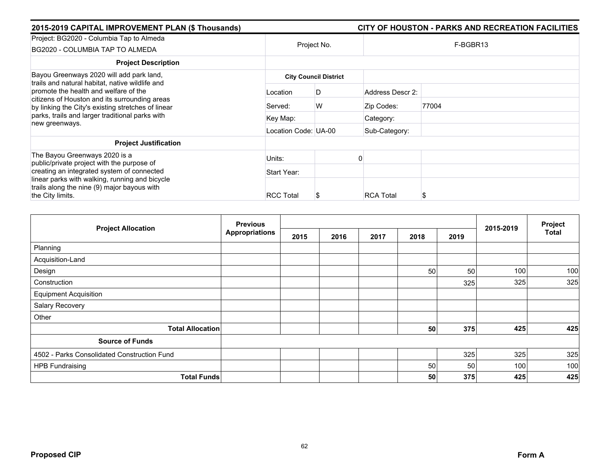| 2015-2019 CAPITAL IMPROVEMENT PLAN (\$ Thousands)                                                                                            |                      |                              |                  | CITY OF HOUSTON - PARKS AND RECREATION FACILITIES |
|----------------------------------------------------------------------------------------------------------------------------------------------|----------------------|------------------------------|------------------|---------------------------------------------------|
| Project: BG2020 - Columbia Tap to Almeda<br>BG2020 - COLUMBIA TAP TO ALMEDA                                                                  |                      | Project No.                  | F-BGBR13         |                                                   |
| <b>Project Description</b>                                                                                                                   |                      |                              |                  |                                                   |
| Bayou Greenways 2020 will add park land,<br>trails and natural habitat, native wildlife and                                                  |                      | <b>City Council District</b> |                  |                                                   |
| promote the health and welfare of the<br>citizens of Houston and its surrounding areas<br>by linking the City's existing stretches of linear | Location             | D                            | Address Descr 2: |                                                   |
|                                                                                                                                              | Served:              | W                            | Zip Codes:       | 77004                                             |
| parks, trails and larger traditional parks with<br>new greenways.                                                                            | Key Map:             |                              | Category:        |                                                   |
|                                                                                                                                              | Location Code: UA-00 |                              | Sub-Category:    |                                                   |
| <b>Project Justification</b>                                                                                                                 |                      |                              |                  |                                                   |
| The Bayou Greenways 2020 is a<br>public/private project with the purpose of                                                                  | Units:               |                              |                  |                                                   |
| creating an integrated system of connected                                                                                                   | Start Year:          |                              |                  |                                                   |
| linear parks with walking, running and bicycle<br>trails along the nine (9) major bayous with<br>the City limits.                            | <b>RCC Total</b>     |                              | <b>RCA Total</b> | S                                                 |

| <b>Project Allocation</b>                   | <b>Previous</b>       | 2015-2019 | Project |      |      |      |     |              |
|---------------------------------------------|-----------------------|-----------|---------|------|------|------|-----|--------------|
|                                             | <b>Appropriations</b> | 2015      | 2016    | 2017 | 2018 | 2019 |     | <b>Total</b> |
| Planning                                    |                       |           |         |      |      |      |     |              |
| Acquisition-Land                            |                       |           |         |      |      |      |     |              |
| Design                                      |                       |           |         |      | 50   | 50   | 100 | 100          |
| Construction                                |                       |           |         |      |      | 325  | 325 | 325          |
| <b>Equipment Acquisition</b>                |                       |           |         |      |      |      |     |              |
| Salary Recovery                             |                       |           |         |      |      |      |     |              |
| Other                                       |                       |           |         |      |      |      |     |              |
| <b>Total Allocation</b>                     |                       |           |         |      | 50   | 375  | 425 | 425          |
| <b>Source of Funds</b>                      |                       |           |         |      |      |      |     |              |
| 4502 - Parks Consolidated Construction Fund |                       |           |         |      |      | 325  | 325 | 325          |
| <b>HPB Fundraising</b>                      |                       |           |         |      | 50   | 50   | 100 | 100          |
| <b>Total Funds</b>                          |                       |           |         |      | 50   | 375  | 425 | 425          |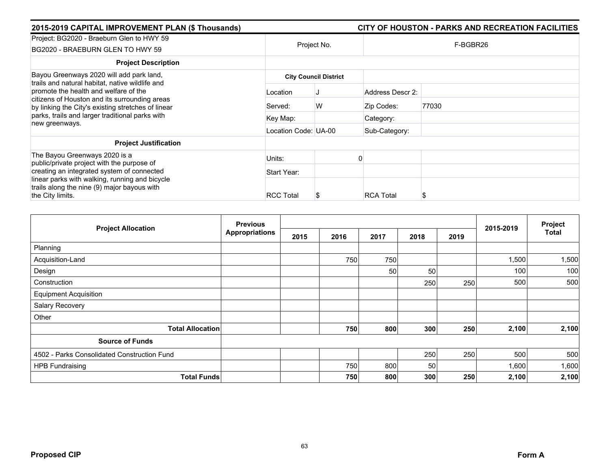| 2015-2019 CAPITAL IMPROVEMENT PLAN (\$ Thousands)                                                                                            |                      |                              |                  | CITY OF HOUSTON - PARKS AND RECREATION FACILITIES |
|----------------------------------------------------------------------------------------------------------------------------------------------|----------------------|------------------------------|------------------|---------------------------------------------------|
| Project: BG2020 - Braeburn Glen to HWY 59<br>BG2020 - BRAEBURN GLEN TO HWY 59                                                                |                      | Project No.                  |                  | F-BGBR26                                          |
| <b>Project Description</b>                                                                                                                   |                      |                              |                  |                                                   |
| Bayou Greenways 2020 will add park land,<br>trails and natural habitat, native wildlife and                                                  |                      | <b>City Council District</b> |                  |                                                   |
| promote the health and welfare of the<br>citizens of Houston and its surrounding areas<br>by linking the City's existing stretches of linear | Location             |                              | Address Descr 2: |                                                   |
|                                                                                                                                              | Served:              | W                            | Zip Codes:       | 77030                                             |
| parks, trails and larger traditional parks with<br>new greenways.                                                                            | Key Map:             |                              | Category:        |                                                   |
|                                                                                                                                              | Location Code: UA-00 |                              | Sub-Category:    |                                                   |
| <b>Project Justification</b>                                                                                                                 |                      |                              |                  |                                                   |
| The Bayou Greenways 2020 is a<br>public/private project with the purpose of                                                                  | Units:               |                              |                  |                                                   |
| creating an integrated system of connected                                                                                                   | Start Year:          |                              |                  |                                                   |
| linear parks with walking, running and bicycle<br>trails along the nine (9) major bayous with<br>the City limits.                            | <b>RCC Total</b>     | Ъ                            | <b>RCA Total</b> | S                                                 |

| <b>Project Allocation</b>                   | <b>Previous</b>       |      |      |      |      |      |           | Project |
|---------------------------------------------|-----------------------|------|------|------|------|------|-----------|---------|
|                                             | <b>Appropriations</b> | 2015 | 2016 | 2017 | 2018 | 2019 | 2015-2019 | Total   |
| Planning                                    |                       |      |      |      |      |      |           |         |
| Acquisition-Land                            |                       |      | 750  | 750  |      |      | 1,500     | 1,500   |
| Design                                      |                       |      |      | 50   | 50   |      | 100       | 100     |
| Construction                                |                       |      |      |      | 250  | 250  | 500       | 500     |
| <b>Equipment Acquisition</b>                |                       |      |      |      |      |      |           |         |
| Salary Recovery                             |                       |      |      |      |      |      |           |         |
| Other                                       |                       |      |      |      |      |      |           |         |
| <b>Total Allocation</b>                     |                       |      | 750  | 800  | 300  | 250  | 2,100     | 2,100   |
| <b>Source of Funds</b>                      |                       |      |      |      |      |      |           |         |
| 4502 - Parks Consolidated Construction Fund |                       |      |      |      | 250  | 250  | 500       | 500     |
| <b>HPB Fundraising</b>                      |                       |      | 750  | 800  | 50   |      | 1,600     | 1,600   |
| <b>Total Funds</b>                          |                       |      | 750  | 800  | 300  | 250  | 2,100     | 2,100   |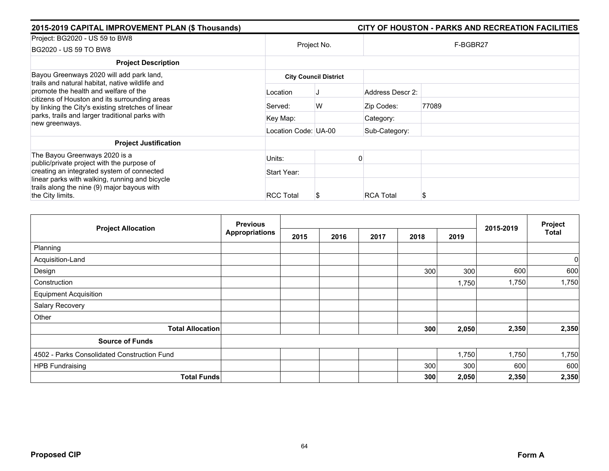| 2015-2019 CAPITAL IMPROVEMENT PLAN (\$ Thousands)                                                                                                                                                                                           |                      |                              |                  | CITY OF HOUSTON - PARKS AND RECREATION FACILITIES |
|---------------------------------------------------------------------------------------------------------------------------------------------------------------------------------------------------------------------------------------------|----------------------|------------------------------|------------------|---------------------------------------------------|
| Project: BG2020 - US 59 to BW8<br>BG2020 - US 59 TO BW8                                                                                                                                                                                     |                      | Project No.                  |                  | F-BGBR27                                          |
| <b>Project Description</b>                                                                                                                                                                                                                  |                      |                              |                  |                                                   |
| Bayou Greenways 2020 will add park land,<br>trails and natural habitat, native wildlife and<br>promote the health and welfare of the<br>citizens of Houston and its surrounding areas<br>by linking the City's existing stretches of linear |                      | <b>City Council District</b> |                  |                                                   |
|                                                                                                                                                                                                                                             | Location             |                              | Address Descr 2: |                                                   |
|                                                                                                                                                                                                                                             | Served:              | W                            | Zip Codes:       | 77089                                             |
| parks, trails and larger traditional parks with<br>new greenways.                                                                                                                                                                           | Key Map:             |                              | Category:        |                                                   |
|                                                                                                                                                                                                                                             | Location Code: UA-00 |                              | Sub-Category:    |                                                   |
| <b>Project Justification</b>                                                                                                                                                                                                                |                      |                              |                  |                                                   |
| The Bayou Greenways 2020 is a<br>public/private project with the purpose of                                                                                                                                                                 | Units:               |                              |                  |                                                   |
| creating an integrated system of connected                                                                                                                                                                                                  | Start Year:          |                              |                  |                                                   |
| linear parks with walking, running and bicycle<br>trails along the nine (9) major bayous with<br>the City limits.                                                                                                                           | <b>RCC Total</b>     | Ъ                            | <b>RCA Total</b> | S                                                 |

|                                             | <b>Previous</b>       |      | 2015-2019 | Project |      |       |       |              |
|---------------------------------------------|-----------------------|------|-----------|---------|------|-------|-------|--------------|
| <b>Project Allocation</b>                   | <b>Appropriations</b> | 2015 | 2016      | 2017    | 2018 | 2019  |       | <b>Total</b> |
| Planning                                    |                       |      |           |         |      |       |       |              |
| Acquisition-Land                            |                       |      |           |         |      |       |       | $\mathbf 0$  |
| Design                                      |                       |      |           |         | 300  | 300   | 600   | 600          |
| Construction                                |                       |      |           |         |      | 1,750 | 1,750 | 1,750        |
| <b>Equipment Acquisition</b>                |                       |      |           |         |      |       |       |              |
| Salary Recovery                             |                       |      |           |         |      |       |       |              |
| Other                                       |                       |      |           |         |      |       |       |              |
| <b>Total Allocation</b>                     |                       |      |           |         | 300  | 2,050 | 2,350 | 2,350        |
| <b>Source of Funds</b>                      |                       |      |           |         |      |       |       |              |
| 4502 - Parks Consolidated Construction Fund |                       |      |           |         |      | 1,750 | 1,750 | 1,750        |
| <b>HPB Fundraising</b>                      |                       |      |           |         | 300  | 300   | 600   | 600          |
| <b>Total Funds</b>                          |                       |      |           |         | 300  | 2,050 | 2,350 | 2,350        |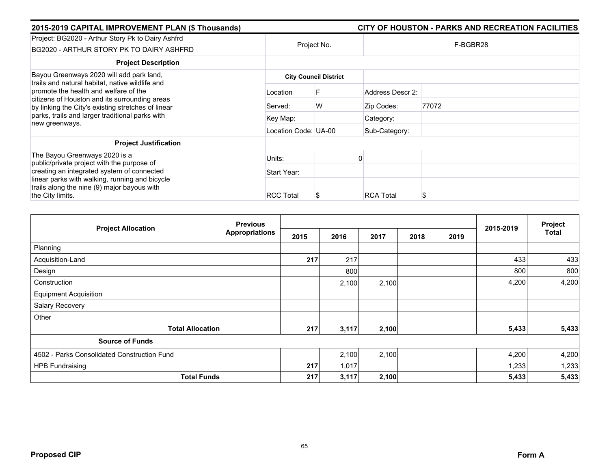| 2015-2019 CAPITAL IMPROVEMENT PLAN (\$ Thousands)                                                                                            |                      |                              |                  | CITY OF HOUSTON - PARKS AND RECREATION FACILITIES |
|----------------------------------------------------------------------------------------------------------------------------------------------|----------------------|------------------------------|------------------|---------------------------------------------------|
| Project: BG2020 - Arthur Story Pk to Dairy Ashfrd<br>BG2020 - ARTHUR STORY PK TO DAIRY ASHFRD                                                |                      | Project No.                  |                  | F-BGBR28                                          |
| <b>Project Description</b>                                                                                                                   |                      |                              |                  |                                                   |
| Bayou Greenways 2020 will add park land,<br>trails and natural habitat, native wildlife and                                                  |                      | <b>City Council District</b> |                  |                                                   |
| promote the health and welfare of the<br>citizens of Houston and its surrounding areas<br>by linking the City's existing stretches of linear | Location             |                              | Address Descr 2: |                                                   |
|                                                                                                                                              | Served:              | W                            | Zip Codes:       | 77072                                             |
| parks, trails and larger traditional parks with<br>new greenways.                                                                            | Key Map:             |                              | Category:        |                                                   |
|                                                                                                                                              | Location Code: UA-00 |                              | Sub-Category:    |                                                   |
| <b>Project Justification</b>                                                                                                                 |                      |                              |                  |                                                   |
| The Bayou Greenways 2020 is a<br>public/private project with the purpose of                                                                  | Units:               |                              |                  |                                                   |
| creating an integrated system of connected                                                                                                   | Start Year:          |                              |                  |                                                   |
| linear parks with walking, running and bicycle<br>trails along the nine (9) major bayous with                                                |                      |                              |                  |                                                   |
| the City limits.                                                                                                                             | <b>RCC Total</b>     |                              | <b>RCA Total</b> | S                                                 |

| <b>Project Allocation</b>                   | <b>Previous</b>       |      | 2015-2019 | Project |      |      |       |              |
|---------------------------------------------|-----------------------|------|-----------|---------|------|------|-------|--------------|
|                                             | <b>Appropriations</b> | 2015 | 2016      | 2017    | 2018 | 2019 |       | <b>Total</b> |
| Planning                                    |                       |      |           |         |      |      |       |              |
| Acquisition-Land                            |                       | 217  | 217       |         |      |      | 433   | 433          |
| Design                                      |                       |      | 800       |         |      |      | 800   | 800          |
| Construction                                |                       |      | 2,100     | 2,100   |      |      | 4,200 | 4,200        |
| <b>Equipment Acquisition</b>                |                       |      |           |         |      |      |       |              |
| Salary Recovery                             |                       |      |           |         |      |      |       |              |
| Other                                       |                       |      |           |         |      |      |       |              |
| <b>Total Allocation</b>                     |                       | 217  | 3,117     | 2,100   |      |      | 5,433 | 5,433        |
| <b>Source of Funds</b>                      |                       |      |           |         |      |      |       |              |
| 4502 - Parks Consolidated Construction Fund |                       |      | 2,100     | 2,100   |      |      | 4,200 | 4,200        |
| <b>HPB Fundraising</b>                      |                       | 217  | 1,017     |         |      |      | 1,233 | 1,233        |
| <b>Total Funds</b>                          |                       | 217  | 3,117     | 2,100   |      |      | 5,433 | 5,433        |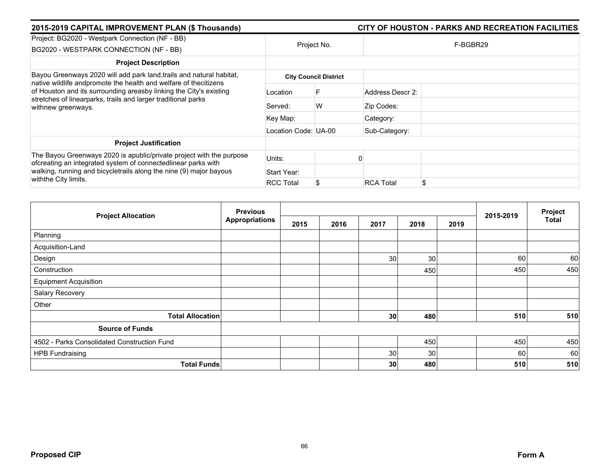| 2015-2019 CAPITAL IMPROVEMENT PLAN (\$ Thousands)                                                                                                                                                                                   |                      | CITY OF HOUSTON - PARKS AND RECREATION FACILITIES |                        |  |  |  |
|-------------------------------------------------------------------------------------------------------------------------------------------------------------------------------------------------------------------------------------|----------------------|---------------------------------------------------|------------------------|--|--|--|
| Project: BG2020 - Westpark Connection (NF - BB)<br>BG2020 - WESTPARK CONNECTION (NF - BB)                                                                                                                                           | Project No.          |                                                   | F-BGBR29               |  |  |  |
| <b>Project Description</b>                                                                                                                                                                                                          |                      |                                                   |                        |  |  |  |
| Bayou Greenways 2020 will add park land, trails and natural habitat,                                                                                                                                                                |                      | <b>City Council District</b>                      |                        |  |  |  |
| native wildlife andpromote the health and welfare of thecitizens<br>of Houston and its surrounding areasby linking the City's existing<br>stretches of linearparks, trails and larger traditional parks<br>withnew greenways.       | Location             |                                                   | Address Descr 2:       |  |  |  |
|                                                                                                                                                                                                                                     | Served:              | W                                                 | Zip Codes:             |  |  |  |
|                                                                                                                                                                                                                                     | Key Map:             |                                                   | Category:              |  |  |  |
|                                                                                                                                                                                                                                     | Location Code: UA-00 |                                                   | Sub-Category:          |  |  |  |
| <b>Project Justification</b>                                                                                                                                                                                                        |                      |                                                   |                        |  |  |  |
| The Bayou Greenways 2020 is apublic/private project with the purpose<br>ofcreating an integrated system of connectedlinear parks with<br>walking, running and bicycletrails along the nine (9) major bayous<br>withthe City limits. | Units:               |                                                   |                        |  |  |  |
|                                                                                                                                                                                                                                     | Start Year:          |                                                   |                        |  |  |  |
|                                                                                                                                                                                                                                     | <b>RCC Total</b>     |                                                   | \$<br><b>RCA Total</b> |  |  |  |

| <b>Project Allocation</b>                   | <b>Previous</b>       |      |      |                 |      |      |           | Project      |
|---------------------------------------------|-----------------------|------|------|-----------------|------|------|-----------|--------------|
|                                             | <b>Appropriations</b> | 2015 | 2016 | 2017            | 2018 | 2019 | 2015-2019 | <b>Total</b> |
| Planning                                    |                       |      |      |                 |      |      |           |              |
| Acquisition-Land                            |                       |      |      |                 |      |      |           |              |
| Design                                      |                       |      |      | 30 <sup>°</sup> | 30   |      | 60        | 60           |
| Construction                                |                       |      |      |                 | 450  |      | 450       | 450          |
| <b>Equipment Acquisition</b>                |                       |      |      |                 |      |      |           |              |
| Salary Recovery                             |                       |      |      |                 |      |      |           |              |
| Other                                       |                       |      |      |                 |      |      |           |              |
| <b>Total Allocation</b>                     |                       |      |      | 30              | 480  |      | 510       | 510          |
| <b>Source of Funds</b>                      |                       |      |      |                 |      |      |           |              |
| 4502 - Parks Consolidated Construction Fund |                       |      |      |                 | 450  |      | 450       | 450          |
| <b>HPB Fundraising</b>                      |                       |      |      | 30              | 30   |      | 60        | 60           |
| <b>Total Funds</b>                          |                       |      |      | 30              | 480  |      | 510       | 510          |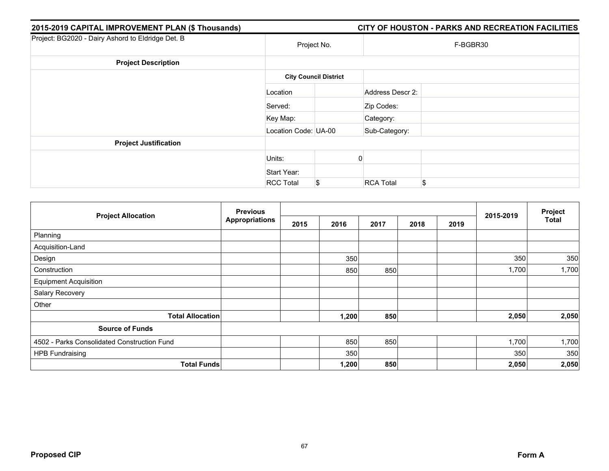| 2015-2019 CAPITAL IMPROVEMENT PLAN (\$ Thousands) |                      |                              | CITY OF HOUSTON - PARKS AND RECREATION FACILITIES |
|---------------------------------------------------|----------------------|------------------------------|---------------------------------------------------|
| Project: BG2020 - Dairy Ashord to Eldridge Det. B | Project No.          |                              | F-BGBR30                                          |
| <b>Project Description</b>                        |                      |                              |                                                   |
|                                                   |                      | <b>City Council District</b> |                                                   |
|                                                   | Location             |                              | Address Descr 2:                                  |
|                                                   | Served:              |                              | Zip Codes:                                        |
|                                                   | Key Map:             |                              | Category:                                         |
|                                                   | Location Code: UA-00 |                              | Sub-Category:                                     |
| <b>Project Justification</b>                      |                      |                              |                                                   |
|                                                   | Units:               |                              |                                                   |
|                                                   | Start Year:          |                              |                                                   |
|                                                   | <b>RCC Total</b>     | \$                           | \$<br><b>RCA Total</b>                            |

|                                             | <b>Previous</b> |      |       |      | Project |      |           |              |
|---------------------------------------------|-----------------|------|-------|------|---------|------|-----------|--------------|
| <b>Project Allocation</b>                   | Appropriations  | 2015 | 2016  | 2017 | 2018    | 2019 | 2015-2019 | <b>Total</b> |
| Planning                                    |                 |      |       |      |         |      |           |              |
| Acquisition-Land                            |                 |      |       |      |         |      |           |              |
| Design                                      |                 |      | 350   |      |         |      | 350       | 350          |
| Construction                                |                 |      | 850   | 850  |         |      | 1,700     | 1,700        |
| <b>Equipment Acquisition</b>                |                 |      |       |      |         |      |           |              |
| Salary Recovery                             |                 |      |       |      |         |      |           |              |
| Other                                       |                 |      |       |      |         |      |           |              |
| <b>Total Allocation</b>                     |                 |      | 1,200 | 850  |         |      | 2,050     | 2,050        |
| <b>Source of Funds</b>                      |                 |      |       |      |         |      |           |              |
| 4502 - Parks Consolidated Construction Fund |                 |      | 850   | 850  |         |      | 1,700     | 1,700        |
| <b>HPB Fundraising</b>                      |                 |      | 350   |      |         |      | 350       | 350          |
| <b>Total Funds</b>                          |                 |      | 1,200 | 850  |         |      | 2,050     | 2,050        |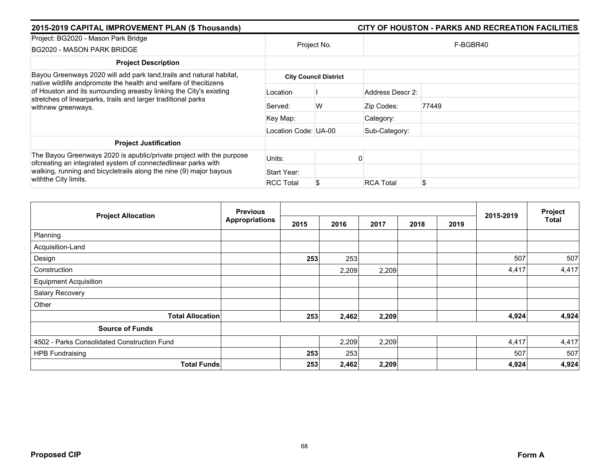| 2015-2019 CAPITAL IMPROVEMENT PLAN (\$ Thousands)                                                                                                                                                                             | CITY OF HOUSTON - PARKS AND RECREATION FACILITIES |   |                  |       |  |  |  |
|-------------------------------------------------------------------------------------------------------------------------------------------------------------------------------------------------------------------------------|---------------------------------------------------|---|------------------|-------|--|--|--|
| Project: BG2020 - Mason Park Bridge<br>BG2020 - MASON PARK BRIDGE                                                                                                                                                             | Project No.                                       |   | F-BGBR40         |       |  |  |  |
| <b>Project Description</b>                                                                                                                                                                                                    |                                                   |   |                  |       |  |  |  |
| Bayou Greenways 2020 will add park land, trails and natural habitat,                                                                                                                                                          | <b>City Council District</b>                      |   |                  |       |  |  |  |
| native wildlife andpromote the health and welfare of thecitizens<br>of Houston and its surrounding areasby linking the City's existing<br>stretches of linearparks, trails and larger traditional parks<br>withnew greenways. | Location                                          |   | Address Descr 2: |       |  |  |  |
|                                                                                                                                                                                                                               | Served:                                           | W | Zip Codes:       | 77449 |  |  |  |
|                                                                                                                                                                                                                               | Key Map:                                          |   | Category:        |       |  |  |  |
|                                                                                                                                                                                                                               | Location Code: UA-00                              |   | Sub-Category:    |       |  |  |  |
| <b>Project Justification</b>                                                                                                                                                                                                  |                                                   |   |                  |       |  |  |  |
| The Bayou Greenways 2020 is apublic/private project with the purpose<br>ofcreating an integrated system of connectedlinear parks with                                                                                         | Units:                                            |   |                  |       |  |  |  |
| walking, running and bicycletrails along the nine (9) major bayous<br>withthe City limits.                                                                                                                                    | Start Year:                                       |   |                  |       |  |  |  |
|                                                                                                                                                                                                                               | <b>RCC Total</b>                                  |   | <b>RCA Total</b> | \$    |  |  |  |

| <b>Project Allocation</b>                   | <b>Previous</b>       |      |       |       |      |      |           | Project      |
|---------------------------------------------|-----------------------|------|-------|-------|------|------|-----------|--------------|
|                                             | <b>Appropriations</b> | 2015 | 2016  | 2017  | 2018 | 2019 | 2015-2019 | <b>Total</b> |
| Planning                                    |                       |      |       |       |      |      |           |              |
| Acquisition-Land                            |                       |      |       |       |      |      |           |              |
| Design                                      |                       | 253  | 253   |       |      |      | 507       | 507          |
| Construction                                |                       |      | 2,209 | 2,209 |      |      | 4,417     | 4,417        |
| <b>Equipment Acquisition</b>                |                       |      |       |       |      |      |           |              |
| Salary Recovery                             |                       |      |       |       |      |      |           |              |
| Other                                       |                       |      |       |       |      |      |           |              |
| <b>Total Allocation</b>                     |                       | 253  | 2,462 | 2,209 |      |      | 4,924     | 4,924        |
| <b>Source of Funds</b>                      |                       |      |       |       |      |      |           |              |
| 4502 - Parks Consolidated Construction Fund |                       |      | 2,209 | 2,209 |      |      | 4,417     | 4,417        |
| <b>HPB Fundraising</b>                      |                       | 253  | 253   |       |      |      | 507       | 507          |
| <b>Total Funds</b>                          |                       | 253  | 2,462 | 2,209 |      |      | 4,924     | 4,924        |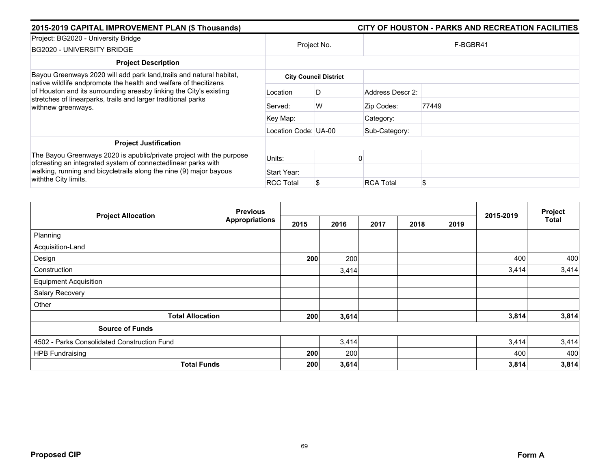| 2015-2019 CAPITAL IMPROVEMENT PLAN (\$ Thousands)                                                                                                                                                                             |                      |                              |                  | CITY OF HOUSTON - PARKS AND RECREATION FACILITIES |  |  |  |
|-------------------------------------------------------------------------------------------------------------------------------------------------------------------------------------------------------------------------------|----------------------|------------------------------|------------------|---------------------------------------------------|--|--|--|
| Project: BG2020 - University Bridge<br>BG2020 - UNIVERSITY BRIDGE                                                                                                                                                             | Project No.          |                              | F-BGBR41         |                                                   |  |  |  |
| <b>Project Description</b>                                                                                                                                                                                                    |                      |                              |                  |                                                   |  |  |  |
| Bayou Greenways 2020 will add park land, trails and natural habitat,                                                                                                                                                          |                      | <b>City Council District</b> |                  |                                                   |  |  |  |
| native wildlife andpromote the health and welfare of thecitizens<br>of Houston and its surrounding areasby linking the City's existing<br>stretches of linearparks, trails and larger traditional parks<br>withnew greenways. | Location             | D                            | Address Descr 2: |                                                   |  |  |  |
|                                                                                                                                                                                                                               | Served:              | W                            | Zip Codes:       | 77449                                             |  |  |  |
|                                                                                                                                                                                                                               | Key Map:             |                              | Category:        |                                                   |  |  |  |
|                                                                                                                                                                                                                               | Location Code: UA-00 |                              | Sub-Category:    |                                                   |  |  |  |
| <b>Project Justification</b>                                                                                                                                                                                                  |                      |                              |                  |                                                   |  |  |  |
| The Bayou Greenways 2020 is apublic/private project with the purpose<br>ofcreating an integrated system of connectedlinear parks with                                                                                         | Units:               |                              |                  |                                                   |  |  |  |
| walking, running and bicycletrails along the nine (9) major bayous<br>withthe City limits.                                                                                                                                    | Start Year:          |                              |                  |                                                   |  |  |  |
|                                                                                                                                                                                                                               | <b>RCC Total</b>     |                              | <b>RCA Total</b> | \$                                                |  |  |  |

| <b>Project Allocation</b>                   | <b>Previous</b>       |      |       |      | Project |      |           |       |
|---------------------------------------------|-----------------------|------|-------|------|---------|------|-----------|-------|
|                                             | <b>Appropriations</b> | 2015 | 2016  | 2017 | 2018    | 2019 | 2015-2019 | Total |
| Planning                                    |                       |      |       |      |         |      |           |       |
| Acquisition-Land                            |                       |      |       |      |         |      |           |       |
| Design                                      |                       | 200  | 200   |      |         |      | 400       | 400   |
| Construction                                |                       |      | 3,414 |      |         |      | 3,414     | 3,414 |
| <b>Equipment Acquisition</b>                |                       |      |       |      |         |      |           |       |
| Salary Recovery                             |                       |      |       |      |         |      |           |       |
| Other                                       |                       |      |       |      |         |      |           |       |
| <b>Total Allocation</b>                     |                       | 200  | 3,614 |      |         |      | 3,814     | 3,814 |
| <b>Source of Funds</b>                      |                       |      |       |      |         |      |           |       |
| 4502 - Parks Consolidated Construction Fund |                       |      | 3,414 |      |         |      | 3,414     | 3,414 |
| <b>HPB Fundraising</b>                      |                       | 200  | 200   |      |         |      | 400       | 400   |
| <b>Total Funds</b>                          |                       | 200  | 3,614 |      |         |      | 3,814     | 3,814 |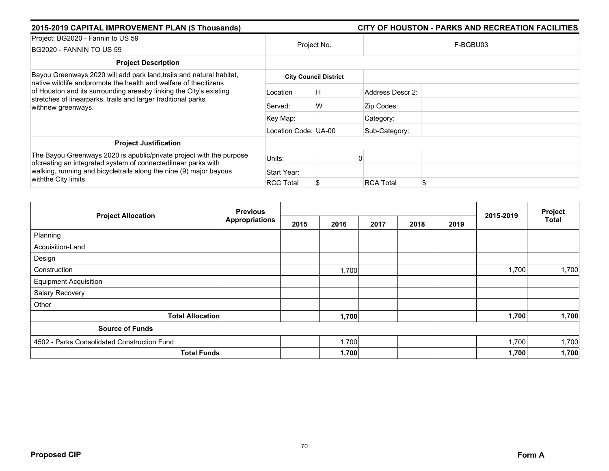| 2015-2019 CAPITAL IMPROVEMENT PLAN (\$ Thousands)                                                                                                                                                                                   |                      |                              | CITY OF HOUSTON - PARKS AND RECREATION FACILITIES |
|-------------------------------------------------------------------------------------------------------------------------------------------------------------------------------------------------------------------------------------|----------------------|------------------------------|---------------------------------------------------|
| Project: BG2020 - Fannin to US 59                                                                                                                                                                                                   | Project No.          |                              |                                                   |
| BG2020 - FANNIN TO US 59                                                                                                                                                                                                            |                      |                              | F-BGBU03                                          |
| <b>Project Description</b>                                                                                                                                                                                                          |                      |                              |                                                   |
| Bayou Greenways 2020 will add park land, trails and natural habitat,<br>native wildlife andpromote the health and welfare of thecitizens                                                                                            |                      | <b>City Council District</b> |                                                   |
| of Houston and its surrounding areasby linking the City's existing<br>stretches of linearparks, trails and larger traditional parks<br>withnew greenways.                                                                           | Location             | H                            | Address Descr 2:                                  |
|                                                                                                                                                                                                                                     | Served:              | W                            | Zip Codes:                                        |
|                                                                                                                                                                                                                                     | Key Map:             |                              | Category:                                         |
|                                                                                                                                                                                                                                     | Location Code: UA-00 |                              | Sub-Category:                                     |
| <b>Project Justification</b>                                                                                                                                                                                                        |                      |                              |                                                   |
| The Bayou Greenways 2020 is apublic/private project with the purpose<br>ofcreating an integrated system of connectedlinear parks with<br>walking, running and bicycletrails along the nine (9) major bayous<br>withthe City limits. | Units:               |                              |                                                   |
|                                                                                                                                                                                                                                     | Start Year:          |                              |                                                   |
|                                                                                                                                                                                                                                     | <b>RCC Total</b>     |                              | \$<br><b>RCA Total</b>                            |

| <b>Project Allocation</b>                   | <b>Previous</b>       |      |       |      |      |      |           | Project      |
|---------------------------------------------|-----------------------|------|-------|------|------|------|-----------|--------------|
|                                             | <b>Appropriations</b> | 2015 | 2016  | 2017 | 2018 | 2019 | 2015-2019 | <b>Total</b> |
| Planning                                    |                       |      |       |      |      |      |           |              |
| Acquisition-Land                            |                       |      |       |      |      |      |           |              |
| Design                                      |                       |      |       |      |      |      |           |              |
| Construction                                |                       |      | 1,700 |      |      |      | 1,700     | 1,700        |
| <b>Equipment Acquisition</b>                |                       |      |       |      |      |      |           |              |
| Salary Recovery                             |                       |      |       |      |      |      |           |              |
| Other                                       |                       |      |       |      |      |      |           |              |
| <b>Total Allocation</b>                     |                       |      | 1,700 |      |      |      | 1,700     | 1,700        |
| <b>Source of Funds</b>                      |                       |      |       |      |      |      |           |              |
| 4502 - Parks Consolidated Construction Fund |                       |      | 1,700 |      |      |      | 1,700     | 1,700        |
| <b>Total Funds</b>                          |                       |      | 1,700 |      |      |      | 1,700     | 1,700        |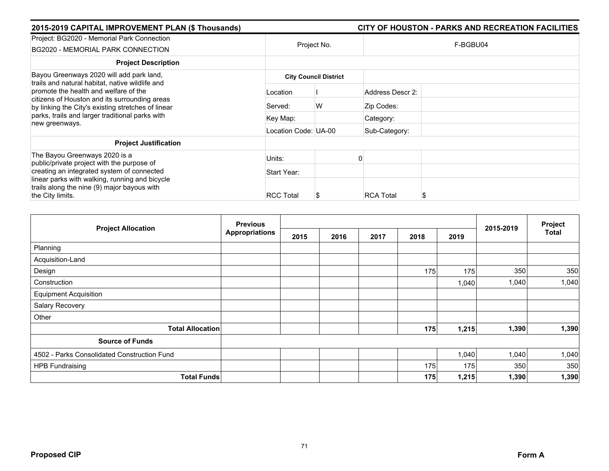| 2015-2019 CAPITAL IMPROVEMENT PLAN (\$ Thousands)                                                                                            |                      |                              |                  | CITY OF HOUSTON - PARKS AND RECREATION FACILITIES |  |  |
|----------------------------------------------------------------------------------------------------------------------------------------------|----------------------|------------------------------|------------------|---------------------------------------------------|--|--|
| Project: BG2020 - Memorial Park Connection<br>BG2020 - MEMORIAL PARK CONNECTION                                                              | Project No.          |                              | F-BGBU04         |                                                   |  |  |
| <b>Project Description</b>                                                                                                                   |                      |                              |                  |                                                   |  |  |
| Bayou Greenways 2020 will add park land,<br>trails and natural habitat, native wildlife and                                                  |                      | <b>City Council District</b> |                  |                                                   |  |  |
| promote the health and welfare of the<br>citizens of Houston and its surrounding areas<br>by linking the City's existing stretches of linear | Location             |                              | Address Descr 2: |                                                   |  |  |
|                                                                                                                                              | Served:              | W                            | Zip Codes:       |                                                   |  |  |
| parks, trails and larger traditional parks with<br>new greenways.                                                                            | Key Map:             |                              | Category:        |                                                   |  |  |
|                                                                                                                                              | Location Code: UA-00 |                              | Sub-Category:    |                                                   |  |  |
| <b>Project Justification</b>                                                                                                                 |                      |                              |                  |                                                   |  |  |
| The Bayou Greenways 2020 is a<br>public/private project with the purpose of                                                                  | Units:               |                              |                  |                                                   |  |  |
| creating an integrated system of connected                                                                                                   | Start Year:          |                              |                  |                                                   |  |  |
| linear parks with walking, running and bicycle<br>trails along the nine (9) major bayous with                                                |                      |                              |                  |                                                   |  |  |
| the City limits.                                                                                                                             | <b>RCC Total</b>     |                              | <b>RCA Total</b> |                                                   |  |  |

|                                             | <b>Previous</b>       |      | 2015-2019 | Project |      |       |       |       |
|---------------------------------------------|-----------------------|------|-----------|---------|------|-------|-------|-------|
| <b>Project Allocation</b>                   | <b>Appropriations</b> | 2015 | 2016      | 2017    | 2018 | 2019  |       | Total |
| Planning                                    |                       |      |           |         |      |       |       |       |
| Acquisition-Land                            |                       |      |           |         |      |       |       |       |
| Design                                      |                       |      |           |         | 175  | 175   | 350   | 350   |
| Construction                                |                       |      |           |         |      | 1,040 | 1,040 | 1,040 |
| <b>Equipment Acquisition</b>                |                       |      |           |         |      |       |       |       |
| Salary Recovery                             |                       |      |           |         |      |       |       |       |
| Other                                       |                       |      |           |         |      |       |       |       |
| <b>Total Allocation</b>                     |                       |      |           |         | 175  | 1,215 | 1,390 | 1,390 |
| <b>Source of Funds</b>                      |                       |      |           |         |      |       |       |       |
| 4502 - Parks Consolidated Construction Fund |                       |      |           |         |      | 1,040 | 1,040 | 1,040 |
| <b>HPB Fundraising</b>                      |                       |      |           |         | 175  | 175   | 350   | 350   |
| <b>Total Funds</b>                          |                       |      |           |         | 175  | 1,215 | 1,390 | 1,390 |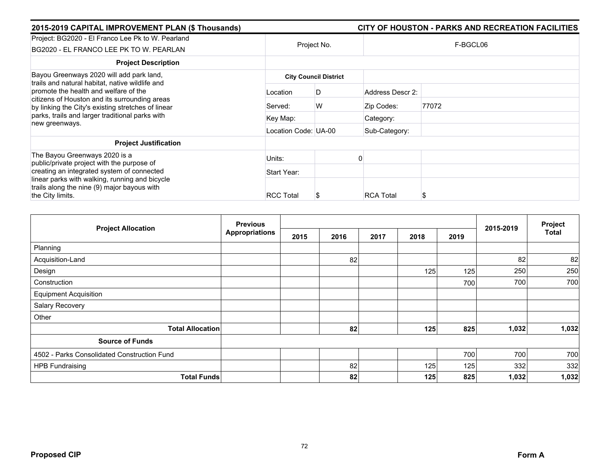| 2015-2019 CAPITAL IMPROVEMENT PLAN (\$ Thousands)                                                                                                                                                                                           |                      |                              |                  | CITY OF HOUSTON - PARKS AND RECREATION FACILITIES |  |  |
|---------------------------------------------------------------------------------------------------------------------------------------------------------------------------------------------------------------------------------------------|----------------------|------------------------------|------------------|---------------------------------------------------|--|--|
| Project: BG2020 - El Franco Lee Pk to W. Pearland<br>BG2020 - EL FRANCO LEE PK TO W. PEARLAN                                                                                                                                                | Project No.          |                              | F-BGCL06         |                                                   |  |  |
| <b>Project Description</b>                                                                                                                                                                                                                  |                      |                              |                  |                                                   |  |  |
| Bayou Greenways 2020 will add park land,<br>trails and natural habitat, native wildlife and<br>promote the health and welfare of the<br>citizens of Houston and its surrounding areas<br>by linking the City's existing stretches of linear |                      | <b>City Council District</b> |                  |                                                   |  |  |
|                                                                                                                                                                                                                                             | Location             | D                            | Address Descr 2: |                                                   |  |  |
|                                                                                                                                                                                                                                             | Served:              | W                            | Zip Codes:       | 77072                                             |  |  |
| parks, trails and larger traditional parks with<br>new greenways.                                                                                                                                                                           | Key Map:             |                              | Category:        |                                                   |  |  |
|                                                                                                                                                                                                                                             | Location Code: UA-00 |                              | Sub-Category:    |                                                   |  |  |
| <b>Project Justification</b>                                                                                                                                                                                                                |                      |                              |                  |                                                   |  |  |
| The Bayou Greenways 2020 is a<br>public/private project with the purpose of                                                                                                                                                                 | Units:               |                              |                  |                                                   |  |  |
| creating an integrated system of connected                                                                                                                                                                                                  | Start Year:          |                              |                  |                                                   |  |  |
| linear parks with walking, running and bicycle<br>trails along the nine (9) major bayous with                                                                                                                                               |                      |                              |                  |                                                   |  |  |
| the City limits.                                                                                                                                                                                                                            | <b>RCC Total</b>     | S                            | <b>RCA Total</b> |                                                   |  |  |

| <b>Project Allocation</b>                   | <b>Previous</b>       |      |      |      |      |      |           | Project |
|---------------------------------------------|-----------------------|------|------|------|------|------|-----------|---------|
|                                             | <b>Appropriations</b> | 2015 | 2016 | 2017 | 2018 | 2019 | 2015-2019 | Total   |
| Planning                                    |                       |      |      |      |      |      |           |         |
| Acquisition-Land                            |                       |      | 82   |      |      |      | 82        | 82      |
| Design                                      |                       |      |      |      | 125  | 125  | 250       | 250     |
| Construction                                |                       |      |      |      |      | 700  | 700       | 700     |
| <b>Equipment Acquisition</b>                |                       |      |      |      |      |      |           |         |
| Salary Recovery                             |                       |      |      |      |      |      |           |         |
| Other                                       |                       |      |      |      |      |      |           |         |
| <b>Total Allocation</b>                     |                       |      | 82   |      | 125  | 825  | 1,032     | 1,032   |
| <b>Source of Funds</b>                      |                       |      |      |      |      |      |           |         |
| 4502 - Parks Consolidated Construction Fund |                       |      |      |      |      | 700  | 700       | 700     |
| <b>HPB Fundraising</b>                      |                       |      | 82   |      | 125  | 125  | 332       | 332     |
| <b>Total Funds</b>                          |                       |      | 82   |      | 125  | 825  | 1,032     | 1,032   |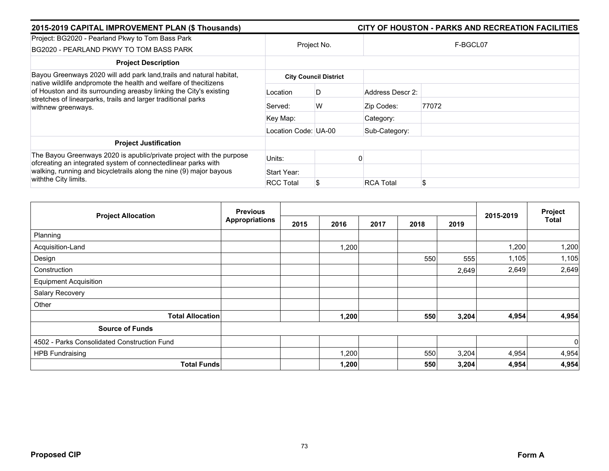| 2015-2019 CAPITAL IMPROVEMENT PLAN (\$ Thousands)                                                                                                                                                                             |                      |                              |                  | CITY OF HOUSTON - PARKS AND RECREATION FACILITIES |
|-------------------------------------------------------------------------------------------------------------------------------------------------------------------------------------------------------------------------------|----------------------|------------------------------|------------------|---------------------------------------------------|
| Project: BG2020 - Pearland Pkwy to Tom Bass Park<br>BG2020 - PEARLAND PKWY TO TOM BASS PARK                                                                                                                                   | Project No.          |                              |                  | F-BGCL07                                          |
| <b>Project Description</b>                                                                                                                                                                                                    |                      |                              |                  |                                                   |
| Bayou Greenways 2020 will add park land, trails and natural habitat,                                                                                                                                                          |                      | <b>City Council District</b> |                  |                                                   |
| native wildlife andpromote the health and welfare of thecitizens<br>of Houston and its surrounding areasby linking the City's existing<br>stretches of linearparks, trails and larger traditional parks<br>withnew greenways. | Location             | D                            | Address Descr 2: |                                                   |
|                                                                                                                                                                                                                               | Served:              | W                            | Zip Codes:       | 77072                                             |
|                                                                                                                                                                                                                               | Key Map:             |                              | Category:        |                                                   |
|                                                                                                                                                                                                                               | Location Code: UA-00 |                              | Sub-Category:    |                                                   |
| <b>Project Justification</b>                                                                                                                                                                                                  |                      |                              |                  |                                                   |
| The Bayou Greenways 2020 is apublic/private project with the purpose<br>ofcreating an integrated system of connectedlinear parks with                                                                                         | Units:               |                              |                  |                                                   |
| walking, running and bicycletrails along the nine (9) major bayous                                                                                                                                                            | Start Year:          |                              |                  |                                                   |
| with the City limits.                                                                                                                                                                                                         | <b>RCC Total</b>     |                              | <b>RCA Total</b> | \$                                                |

|                                             | <b>Previous</b>       |      |       |      |      |       |           |                  |
|---------------------------------------------|-----------------------|------|-------|------|------|-------|-----------|------------------|
| <b>Project Allocation</b>                   | <b>Appropriations</b> | 2015 | 2016  | 2017 | 2018 | 2019  | 2015-2019 | Project<br>Total |
| Planning                                    |                       |      |       |      |      |       |           |                  |
| Acquisition-Land                            |                       |      | ,200  |      |      |       | 1,200     | 1,200            |
| Design                                      |                       |      |       |      | 550  | 555   | 1,105     | 1,105            |
| Construction                                |                       |      |       |      |      | 2,649 | 2,649     | 2,649            |
| <b>Equipment Acquisition</b>                |                       |      |       |      |      |       |           |                  |
| Salary Recovery                             |                       |      |       |      |      |       |           |                  |
| Other                                       |                       |      |       |      |      |       |           |                  |
| <b>Total Allocation</b>                     |                       |      | 1,200 |      | 550  | 3,204 | 4,954     | 4,954            |
| <b>Source of Funds</b>                      |                       |      |       |      |      |       |           |                  |
| 4502 - Parks Consolidated Construction Fund |                       |      |       |      |      |       |           | $\mathbf 0$      |
| <b>HPB Fundraising</b>                      |                       |      | 1,200 |      | 550  | 3,204 | 4,954     | 4,954            |
| <b>Total Funds</b>                          |                       |      | 1,200 |      | 550  | 3,204 | 4,954     | 4,954            |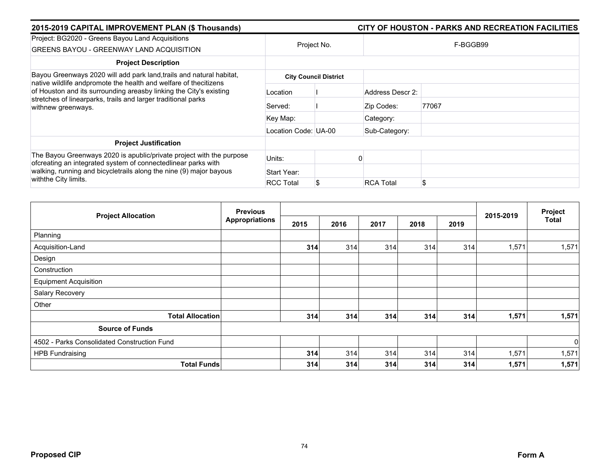| 2015-2019 CAPITAL IMPROVEMENT PLAN (\$ Thousands)                                                                                                                                                                             |                      |                              |                  | CITY OF HOUSTON - PARKS AND RECREATION FACILITIES |
|-------------------------------------------------------------------------------------------------------------------------------------------------------------------------------------------------------------------------------|----------------------|------------------------------|------------------|---------------------------------------------------|
| Project: BG2020 - Greens Bayou Land Acquisitions<br><b>GREENS BAYOU - GREENWAY LAND ACQUISITION</b>                                                                                                                           | Project No.          |                              |                  | F-BGGB99                                          |
| <b>Project Description</b>                                                                                                                                                                                                    |                      |                              |                  |                                                   |
| Bayou Greenways 2020 will add park land, trails and natural habitat,                                                                                                                                                          |                      | <b>City Council District</b> |                  |                                                   |
| native wildlife andpromote the health and welfare of thecitizens<br>of Houston and its surrounding areasby linking the City's existing<br>stretches of linearparks, trails and larger traditional parks<br>withnew greenways. | Location             |                              | Address Descr 2: |                                                   |
|                                                                                                                                                                                                                               | Served:              |                              | Zip Codes:       | 77067                                             |
|                                                                                                                                                                                                                               | Key Map:             |                              | Category:        |                                                   |
|                                                                                                                                                                                                                               | Location Code: UA-00 |                              | Sub-Category:    |                                                   |
| <b>Project Justification</b>                                                                                                                                                                                                  |                      |                              |                  |                                                   |
| The Bayou Greenways 2020 is apublic/private project with the purpose<br>ofcreating an integrated system of connectedlinear parks with                                                                                         | Units:               |                              |                  |                                                   |
| walking, running and bicycletrails along the nine (9) major bayous                                                                                                                                                            | Start Year:          |                              |                  |                                                   |
| with the City limits.                                                                                                                                                                                                         | <b>RCC Total</b>     |                              | <b>RCA Total</b> | \$                                                |

|                                             | <b>Previous</b>       |      |      |      |      |      |           | Project     |
|---------------------------------------------|-----------------------|------|------|------|------|------|-----------|-------------|
| <b>Project Allocation</b>                   | <b>Appropriations</b> | 2015 | 2016 | 2017 | 2018 | 2019 | 2015-2019 | Total       |
| Planning                                    |                       |      |      |      |      |      |           |             |
| Acquisition-Land                            |                       | 314  | 314  | 314  | 314  | 314  | 1,571     | 1,571       |
| Design                                      |                       |      |      |      |      |      |           |             |
| Construction                                |                       |      |      |      |      |      |           |             |
| <b>Equipment Acquisition</b>                |                       |      |      |      |      |      |           |             |
| Salary Recovery                             |                       |      |      |      |      |      |           |             |
| Other                                       |                       |      |      |      |      |      |           |             |
| <b>Total Allocation</b>                     |                       | 314  | 314  | 314  | 314  | 314  | 1,571     | 1,571       |
| <b>Source of Funds</b>                      |                       |      |      |      |      |      |           |             |
| 4502 - Parks Consolidated Construction Fund |                       |      |      |      |      |      |           | $\mathbf 0$ |
| <b>HPB Fundraising</b>                      |                       | 314  | 314  | 314  | 314  | 314  | 1,571     | 1,571       |
| <b>Total Funds</b>                          |                       | 314  | 314  | 314  | 314  | 314  | 1,571     | 1,571       |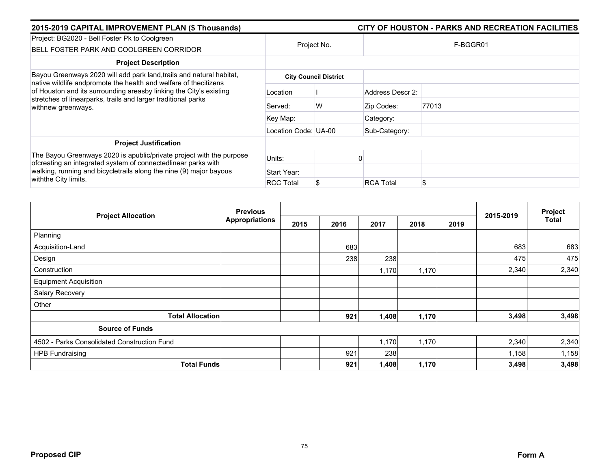| 2015-2019 CAPITAL IMPROVEMENT PLAN (\$ Thousands)                                                                                                                                                                                   |                      | CITY OF HOUSTON - PARKS AND RECREATION FACILITIES |                  |          |  |  |
|-------------------------------------------------------------------------------------------------------------------------------------------------------------------------------------------------------------------------------------|----------------------|---------------------------------------------------|------------------|----------|--|--|
| Project: BG2020 - Bell Foster Pk to Coolgreen<br>BELL FOSTER PARK AND COOLGREEN CORRIDOR                                                                                                                                            | Project No.          |                                                   |                  | F-BGGR01 |  |  |
| <b>Project Description</b>                                                                                                                                                                                                          |                      |                                                   |                  |          |  |  |
| Bayou Greenways 2020 will add park land, trails and natural habitat,                                                                                                                                                                |                      | <b>City Council District</b>                      |                  |          |  |  |
| native wildlife andpromote the health and welfare of thecitizens<br>of Houston and its surrounding areasby linking the City's existing<br>stretches of linearparks, trails and larger traditional parks<br>withnew greenways.       | Location             |                                                   | Address Descr 2: |          |  |  |
|                                                                                                                                                                                                                                     | Served:              | W                                                 | Zip Codes:       | 77013    |  |  |
|                                                                                                                                                                                                                                     | Key Map:             |                                                   | Category:        |          |  |  |
|                                                                                                                                                                                                                                     | Location Code: UA-00 |                                                   | Sub-Category:    |          |  |  |
| <b>Project Justification</b>                                                                                                                                                                                                        |                      |                                                   |                  |          |  |  |
| The Bayou Greenways 2020 is apublic/private project with the purpose<br>ofcreating an integrated system of connectedlinear parks with<br>walking, running and bicycletrails along the nine (9) major bayous<br>withthe City limits. | Units:               |                                                   |                  |          |  |  |
|                                                                                                                                                                                                                                     | Start Year:          |                                                   |                  |          |  |  |
|                                                                                                                                                                                                                                     | <b>RCC Total</b>     |                                                   | <b>RCA Total</b> | \$       |  |  |

| <b>Project Allocation</b>                   | <b>Previous</b>       |      |      |       |       |      |           | Project |
|---------------------------------------------|-----------------------|------|------|-------|-------|------|-----------|---------|
|                                             | <b>Appropriations</b> | 2015 | 2016 | 2017  | 2018  | 2019 | 2015-2019 | Total   |
| Planning                                    |                       |      |      |       |       |      |           |         |
| Acquisition-Land                            |                       |      | 683  |       |       |      | 683       | 683     |
| Design                                      |                       |      | 238  | 238   |       |      | 475       | 475     |
| Construction                                |                       |      |      | 1,170 | 1,170 |      | 2,340     | 2,340   |
| <b>Equipment Acquisition</b>                |                       |      |      |       |       |      |           |         |
| Salary Recovery                             |                       |      |      |       |       |      |           |         |
| Other                                       |                       |      |      |       |       |      |           |         |
| <b>Total Allocation</b>                     |                       |      | 921  | 1,408 | 1,170 |      | 3,498     | 3,498   |
| <b>Source of Funds</b>                      |                       |      |      |       |       |      |           |         |
| 4502 - Parks Consolidated Construction Fund |                       |      |      | 1,170 | 1,170 |      | 2,340     | 2,340   |
| <b>HPB Fundraising</b>                      |                       |      | 921  | 238   |       |      | 1,158     | 1,158   |
| <b>Total Funds</b>                          |                       |      | 921  | 1,408 | 1,170 |      | 3,498     | 3,498   |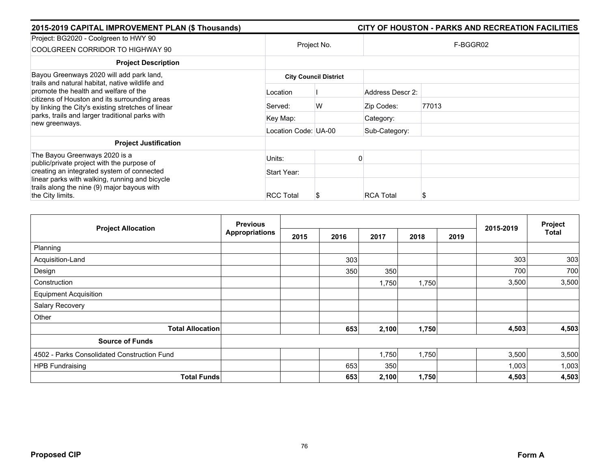| 2015-2019 CAPITAL IMPROVEMENT PLAN (\$ Thousands) |                  |                                                                          | CITY OF HOUSTON - PARKS AND RECREATION FACILITIES |  |  |
|---------------------------------------------------|------------------|--------------------------------------------------------------------------|---------------------------------------------------|--|--|
|                                                   |                  | F-BGGR02                                                                 |                                                   |  |  |
|                                                   |                  |                                                                          |                                                   |  |  |
|                                                   |                  |                                                                          |                                                   |  |  |
| Location                                          |                  | Address Descr 2:                                                         |                                                   |  |  |
| Served:                                           | W                | Zip Codes:                                                               | 77013                                             |  |  |
| Key Map:                                          |                  | Category:                                                                |                                                   |  |  |
|                                                   |                  | Sub-Category:                                                            |                                                   |  |  |
|                                                   |                  |                                                                          |                                                   |  |  |
| Units:                                            |                  |                                                                          |                                                   |  |  |
| Start Year:                                       |                  |                                                                          |                                                   |  |  |
|                                                   |                  |                                                                          |                                                   |  |  |
|                                                   | <b>RCC Total</b> | Project No.<br><b>City Council District</b><br>Location Code: UA-00<br>ъ | <b>RCA Total</b>                                  |  |  |

| <b>Project Allocation</b>                   | <b>Previous</b>       |      |      |       | Project |      |           |              |
|---------------------------------------------|-----------------------|------|------|-------|---------|------|-----------|--------------|
|                                             | <b>Appropriations</b> | 2015 | 2016 | 2017  | 2018    | 2019 | 2015-2019 | <b>Total</b> |
| Planning                                    |                       |      |      |       |         |      |           |              |
| Acquisition-Land                            |                       |      | 303  |       |         |      | 303       | 303          |
| Design                                      |                       |      | 350  | 350   |         |      | 700       | 700          |
| Construction                                |                       |      |      | 1,750 | 1,750   |      | 3,500     | 3,500        |
| <b>Equipment Acquisition</b>                |                       |      |      |       |         |      |           |              |
| Salary Recovery                             |                       |      |      |       |         |      |           |              |
| Other                                       |                       |      |      |       |         |      |           |              |
| <b>Total Allocation</b>                     |                       |      | 653  | 2,100 | 1,750   |      | 4,503     | 4,503        |
| <b>Source of Funds</b>                      |                       |      |      |       |         |      |           |              |
| 4502 - Parks Consolidated Construction Fund |                       |      |      | 1,750 | 1,750   |      | 3,500     | 3,500        |
| <b>HPB Fundraising</b>                      |                       |      | 653  | 350   |         |      | 1,003     | 1,003        |
| <b>Total Funds</b>                          |                       |      | 653  | 2,100 | 1,750   |      | 4,503     | 4,503        |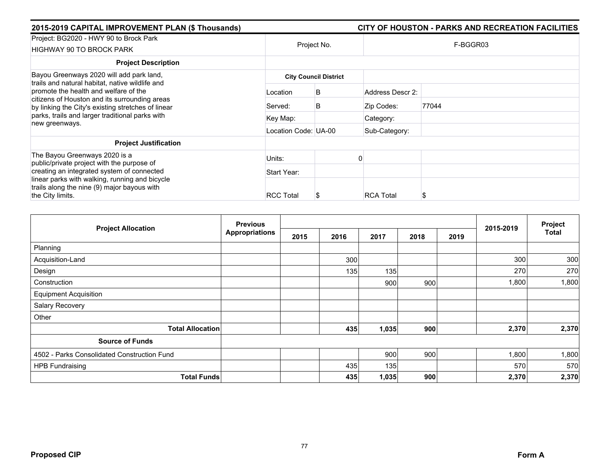| 2015-2019 CAPITAL IMPROVEMENT PLAN (\$ Thousands)                                                                                            |                      |                              |                  | CITY OF HOUSTON - PARKS AND RECREATION FACILITIES |  |  |  |
|----------------------------------------------------------------------------------------------------------------------------------------------|----------------------|------------------------------|------------------|---------------------------------------------------|--|--|--|
| Project: BG2020 - HWY 90 to Brock Park<br><b>HIGHWAY 90 TO BROCK PARK</b>                                                                    | Project No.          |                              | F-BGGR03         |                                                   |  |  |  |
| <b>Project Description</b>                                                                                                                   |                      |                              |                  |                                                   |  |  |  |
| Bayou Greenways 2020 will add park land,<br>trails and natural habitat, native wildlife and                                                  |                      | <b>City Council District</b> |                  |                                                   |  |  |  |
| promote the health and welfare of the<br>citizens of Houston and its surrounding areas<br>by linking the City's existing stretches of linear | Location             | B                            | Address Descr 2: |                                                   |  |  |  |
|                                                                                                                                              | Served:              | B                            | Zip Codes:       | 77044                                             |  |  |  |
| parks, trails and larger traditional parks with<br>new greenways.                                                                            | Key Map:             |                              | Category:        |                                                   |  |  |  |
|                                                                                                                                              | Location Code: UA-00 |                              | Sub-Category:    |                                                   |  |  |  |
| <b>Project Justification</b>                                                                                                                 |                      |                              |                  |                                                   |  |  |  |
| The Bayou Greenways 2020 is a<br>public/private project with the purpose of                                                                  | Units:               |                              |                  |                                                   |  |  |  |
| creating an integrated system of connected                                                                                                   | Start Year:          |                              |                  |                                                   |  |  |  |
| linear parks with walking, running and bicycle<br>trails along the nine (9) major bayous with<br>the City limits.                            | <b>RCC Total</b>     | Ъ                            | <b>RCA Total</b> | S                                                 |  |  |  |

| <b>Project Allocation</b>                   | <b>Previous</b>       |      |      |       |      |      | 2015-2019 | Project |
|---------------------------------------------|-----------------------|------|------|-------|------|------|-----------|---------|
|                                             | <b>Appropriations</b> | 2015 | 2016 | 2017  | 2018 | 2019 |           | Total   |
| Planning                                    |                       |      |      |       |      |      |           |         |
| Acquisition-Land                            |                       |      | 300  |       |      |      | 300       | 300     |
| Design                                      |                       |      | 135  | 135   |      |      | 270       | 270     |
| Construction                                |                       |      |      | 900   | 900  |      | 1,800     | 1,800   |
| <b>Equipment Acquisition</b>                |                       |      |      |       |      |      |           |         |
| Salary Recovery                             |                       |      |      |       |      |      |           |         |
| Other                                       |                       |      |      |       |      |      |           |         |
| <b>Total Allocation</b>                     |                       |      | 435  | 1,035 | 900  |      | 2,370     | 2,370   |
| <b>Source of Funds</b>                      |                       |      |      |       |      |      |           |         |
| 4502 - Parks Consolidated Construction Fund |                       |      |      | 900   | 900  |      | 1,800     | 1,800   |
| <b>HPB Fundraising</b>                      |                       |      | 435  | 135   |      |      | 570       | 570     |
| <b>Total Funds</b>                          |                       |      | 435  | 1,035 | 900  |      | 2,370     | 2,370   |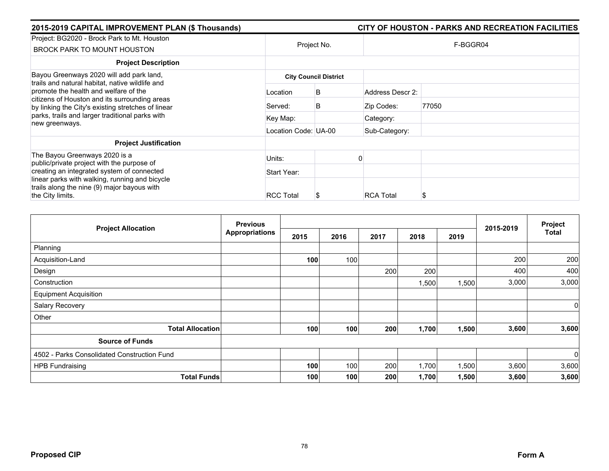| 2015-2019 CAPITAL IMPROVEMENT PLAN (\$ Thousands)                                                                                                                                               |                      |                              |                  | CITY OF HOUSTON - PARKS AND RECREATION FACILITIES |  |  |  |
|-------------------------------------------------------------------------------------------------------------------------------------------------------------------------------------------------|----------------------|------------------------------|------------------|---------------------------------------------------|--|--|--|
| Project: BG2020 - Brock Park to Mt. Houston<br>BROCK PARK TO MOUNT HOUSTON                                                                                                                      | Project No.          |                              | F-BGGR04         |                                                   |  |  |  |
| <b>Project Description</b>                                                                                                                                                                      |                      |                              |                  |                                                   |  |  |  |
| Bayou Greenways 2020 will add park land,                                                                                                                                                        |                      | <b>City Council District</b> |                  |                                                   |  |  |  |
| trails and natural habitat, native wildlife and<br>promote the health and welfare of the<br>citizens of Houston and its surrounding areas<br>by linking the City's existing stretches of linear | Location             | B                            | Address Descr 2: |                                                   |  |  |  |
|                                                                                                                                                                                                 | Served:              | B                            | Zip Codes:       | 77050                                             |  |  |  |
| parks, trails and larger traditional parks with<br>new greenways.                                                                                                                               | Key Map:             |                              | Category:        |                                                   |  |  |  |
|                                                                                                                                                                                                 | Location Code: UA-00 |                              | Sub-Category:    |                                                   |  |  |  |
| <b>Project Justification</b>                                                                                                                                                                    |                      |                              |                  |                                                   |  |  |  |
| The Bayou Greenways 2020 is a<br>public/private project with the purpose of                                                                                                                     | Units:               |                              |                  |                                                   |  |  |  |
| creating an integrated system of connected                                                                                                                                                      | Start Year:          |                              |                  |                                                   |  |  |  |
| linear parks with walking, running and bicycle<br>trails along the nine (9) major bayous with<br>the City limits.                                                                               | <b>RCC Total</b>     | Ъ                            | <b>RCA Total</b> | S                                                 |  |  |  |

| <b>Project Allocation</b>                   | <b>Previous</b>       | 2015-2019 | Project |      |       |       |       |              |
|---------------------------------------------|-----------------------|-----------|---------|------|-------|-------|-------|--------------|
|                                             | <b>Appropriations</b> | 2015      | 2016    | 2017 | 2018  | 2019  |       | <b>Total</b> |
| Planning                                    |                       |           |         |      |       |       |       |              |
| Acquisition-Land                            |                       | 100       | 100     |      |       |       | 200   | 200          |
| Design                                      |                       |           |         | 200  | 200   |       | 400   | 400          |
| Construction                                |                       |           |         |      | 1,500 | 1,500 | 3,000 | 3,000        |
| <b>Equipment Acquisition</b>                |                       |           |         |      |       |       |       |              |
| Salary Recovery                             |                       |           |         |      |       |       |       | $\mathbf 0$  |
| Other                                       |                       |           |         |      |       |       |       |              |
| <b>Total Allocation</b>                     |                       | 100       | 100     | 200  | 1,700 | 1,500 | 3,600 | 3,600        |
| <b>Source of Funds</b>                      |                       |           |         |      |       |       |       |              |
| 4502 - Parks Consolidated Construction Fund |                       |           |         |      |       |       |       | $\mathbf 0$  |
| <b>HPB Fundraising</b>                      |                       | 100       | 100     | 200  | 1,700 | 1,500 | 3,600 | 3,600        |
| <b>Total Funds</b>                          |                       | 100       | 100     | 200  | 1,700 | 1,500 | 3,600 | 3,600        |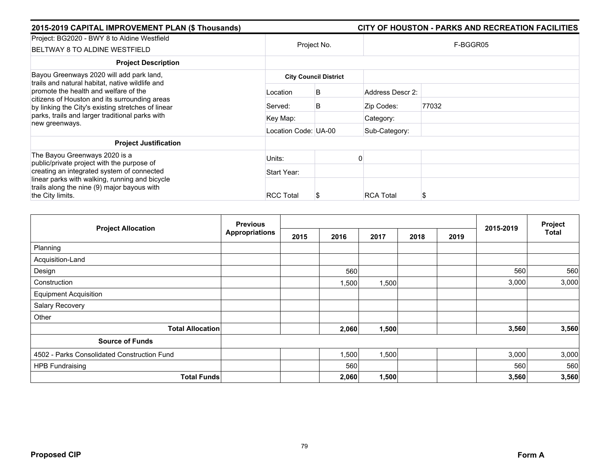| 2015-2019 CAPITAL IMPROVEMENT PLAN (\$ Thousands)                                                                                            |                              |             |                  | CITY OF HOUSTON - PARKS AND RECREATION FACILITIES |  |  |  |  |
|----------------------------------------------------------------------------------------------------------------------------------------------|------------------------------|-------------|------------------|---------------------------------------------------|--|--|--|--|
| Project: BG2020 - BWY 8 to Aldine Westfield<br>BELTWAY 8 TO ALDINE WESTFIELD                                                                 |                              | Project No. |                  | F-BGGR05                                          |  |  |  |  |
| <b>Project Description</b>                                                                                                                   |                              |             |                  |                                                   |  |  |  |  |
| Bayou Greenways 2020 will add park land,<br>trails and natural habitat, native wildlife and                                                  | <b>City Council District</b> |             |                  |                                                   |  |  |  |  |
| promote the health and welfare of the<br>citizens of Houston and its surrounding areas<br>by linking the City's existing stretches of linear | Location                     | B           | Address Descr 2: |                                                   |  |  |  |  |
|                                                                                                                                              | Served:                      | B           | Zip Codes:       | 77032                                             |  |  |  |  |
| parks, trails and larger traditional parks with<br>new greenways.                                                                            | Key Map:                     |             | Category:        |                                                   |  |  |  |  |
|                                                                                                                                              | Location Code: UA-00         |             | Sub-Category:    |                                                   |  |  |  |  |
| <b>Project Justification</b>                                                                                                                 |                              |             |                  |                                                   |  |  |  |  |
| The Bayou Greenways 2020 is a<br>public/private project with the purpose of                                                                  | Units:                       |             |                  |                                                   |  |  |  |  |
| creating an integrated system of connected                                                                                                   | Start Year:                  |             |                  |                                                   |  |  |  |  |
| linear parks with walking, running and bicycle<br>trails along the nine (9) major bayous with<br>the City limits.                            | <b>RCC Total</b>             |             | <b>RCA Total</b> | S                                                 |  |  |  |  |

| <b>Project Allocation</b>                   | <b>Previous</b>       |      |       |       | 2015-2019 | Project |       |              |
|---------------------------------------------|-----------------------|------|-------|-------|-----------|---------|-------|--------------|
|                                             | <b>Appropriations</b> | 2015 | 2016  | 2017  | 2018      | 2019    |       | <b>Total</b> |
| Planning                                    |                       |      |       |       |           |         |       |              |
| Acquisition-Land                            |                       |      |       |       |           |         |       |              |
| Design                                      |                       |      | 560   |       |           |         | 560   | 560          |
| Construction                                |                       |      | ,500  | 1,500 |           |         | 3,000 | 3,000        |
| <b>Equipment Acquisition</b>                |                       |      |       |       |           |         |       |              |
| Salary Recovery                             |                       |      |       |       |           |         |       |              |
| Other                                       |                       |      |       |       |           |         |       |              |
| <b>Total Allocation</b>                     |                       |      | 2,060 | 1,500 |           |         | 3,560 | 3,560        |
| <b>Source of Funds</b>                      |                       |      |       |       |           |         |       |              |
| 4502 - Parks Consolidated Construction Fund |                       |      | ,500  | 1,500 |           |         | 3,000 | 3,000        |
| <b>HPB Fundraising</b>                      |                       |      | 560   |       |           |         | 560   | 560          |
| <b>Total Funds</b>                          |                       |      | 2,060 | 1,500 |           |         | 3,560 | 3,560        |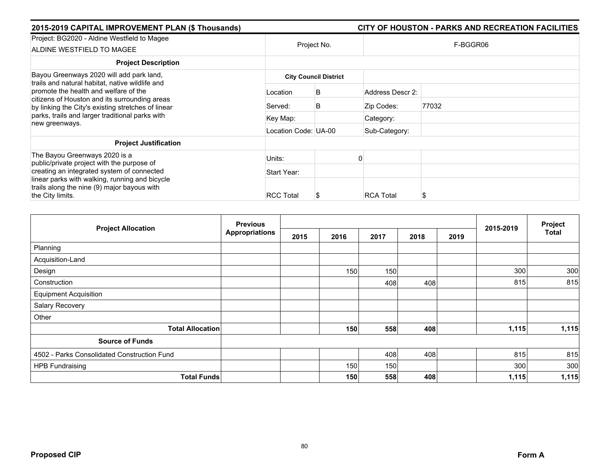| 2015-2019 CAPITAL IMPROVEMENT PLAN (\$ Thousands)                                                                                                                                               |                      |                              |                  | CITY OF HOUSTON - PARKS AND RECREATION FACILITIES |
|-------------------------------------------------------------------------------------------------------------------------------------------------------------------------------------------------|----------------------|------------------------------|------------------|---------------------------------------------------|
| Project: BG2020 - Aldine Westfield to Magee<br>ALDINE WESTFIELD TO MAGEE                                                                                                                        | Project No.          |                              |                  | F-BGGR06                                          |
| <b>Project Description</b>                                                                                                                                                                      |                      |                              |                  |                                                   |
| Bayou Greenways 2020 will add park land,                                                                                                                                                        |                      | <b>City Council District</b> |                  |                                                   |
| trails and natural habitat, native wildlife and<br>promote the health and welfare of the<br>citizens of Houston and its surrounding areas<br>by linking the City's existing stretches of linear | Location             | B                            | Address Descr 2: |                                                   |
|                                                                                                                                                                                                 | Served:              | B                            | Zip Codes:       | 77032                                             |
| parks, trails and larger traditional parks with<br>new greenways.                                                                                                                               | Key Map:             |                              | Category:        |                                                   |
|                                                                                                                                                                                                 | Location Code: UA-00 |                              | Sub-Category:    |                                                   |
| <b>Project Justification</b>                                                                                                                                                                    |                      |                              |                  |                                                   |
| The Bayou Greenways 2020 is a<br>public/private project with the purpose of                                                                                                                     | Units:               |                              |                  |                                                   |
| creating an integrated system of connected                                                                                                                                                      | Start Year:          |                              |                  |                                                   |
| linear parks with walking, running and bicycle<br>trails along the nine (9) major bayous with<br>the City limits.                                                                               | <b>RCC Total</b>     | S                            | <b>RCA Total</b> | S                                                 |

| <b>Project Allocation</b>                   | <b>Previous</b>       |      |      |      | 2015-2019 | Project |       |       |
|---------------------------------------------|-----------------------|------|------|------|-----------|---------|-------|-------|
|                                             | <b>Appropriations</b> | 2015 | 2016 | 2017 | 2018      | 2019    |       | Total |
| Planning                                    |                       |      |      |      |           |         |       |       |
| Acquisition-Land                            |                       |      |      |      |           |         |       |       |
| Design                                      |                       |      | 150  | 150  |           |         | 300   | 300   |
| Construction                                |                       |      |      | 408  | 408       |         | 815   | 815   |
| <b>Equipment Acquisition</b>                |                       |      |      |      |           |         |       |       |
| Salary Recovery                             |                       |      |      |      |           |         |       |       |
| Other                                       |                       |      |      |      |           |         |       |       |
| <b>Total Allocation</b>                     |                       |      | 150  | 558  | 408       |         | 1,115 | 1,115 |
| <b>Source of Funds</b>                      |                       |      |      |      |           |         |       |       |
| 4502 - Parks Consolidated Construction Fund |                       |      |      | 408  | 408       |         | 815   | 815   |
| <b>HPB Fundraising</b>                      |                       |      | 150  | 150  |           |         | 300   | 300   |
| <b>Total Funds</b>                          |                       |      | 150  | 558  | 408       |         | 1,115 | 1,115 |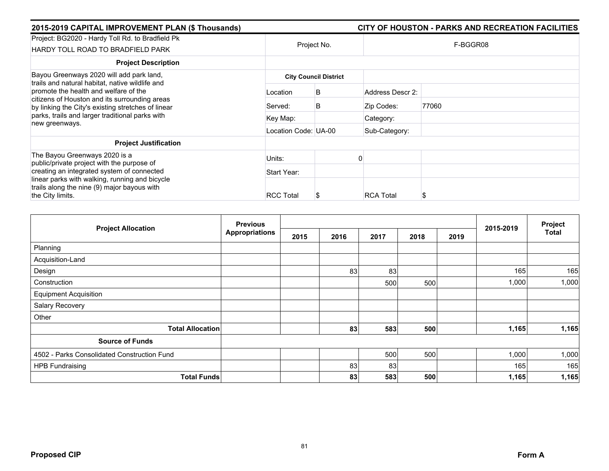| 2015-2019 CAPITAL IMPROVEMENT PLAN (\$ Thousands)                                                                                            |                              |             |                  | CITY OF HOUSTON - PARKS AND RECREATION FACILITIES |  |  |  |  |
|----------------------------------------------------------------------------------------------------------------------------------------------|------------------------------|-------------|------------------|---------------------------------------------------|--|--|--|--|
| Project: BG2020 - Hardy Toll Rd. to Bradfield Pk<br>HARDY TOLL ROAD TO BRADFIELD PARK                                                        |                              | Project No. |                  | F-BGGR08                                          |  |  |  |  |
| <b>Project Description</b>                                                                                                                   |                              |             |                  |                                                   |  |  |  |  |
| Bayou Greenways 2020 will add park land,<br>trails and natural habitat, native wildlife and                                                  | <b>City Council District</b> |             |                  |                                                   |  |  |  |  |
| promote the health and welfare of the<br>citizens of Houston and its surrounding areas<br>by linking the City's existing stretches of linear | Location                     | B           | Address Descr 2: |                                                   |  |  |  |  |
|                                                                                                                                              | Served:                      | B           | Zip Codes:       | 77060                                             |  |  |  |  |
| parks, trails and larger traditional parks with<br>new greenways.                                                                            | Key Map:                     |             | Category:        |                                                   |  |  |  |  |
|                                                                                                                                              | Location Code: UA-00         |             | Sub-Category:    |                                                   |  |  |  |  |
| <b>Project Justification</b>                                                                                                                 |                              |             |                  |                                                   |  |  |  |  |
| The Bayou Greenways 2020 is a<br>public/private project with the purpose of                                                                  | Units:                       |             |                  |                                                   |  |  |  |  |
| creating an integrated system of connected                                                                                                   | Start Year:                  |             |                  |                                                   |  |  |  |  |
| linear parks with walking, running and bicycle<br>trails along the nine (9) major bayous with                                                |                              |             |                  |                                                   |  |  |  |  |
| the City limits.                                                                                                                             | <b>RCC Total</b>             |             | <b>RCA Total</b> | S                                                 |  |  |  |  |

| <b>Project Allocation</b>                   | <b>Previous</b>       |      |      |      |      |      | 2015-2019 | Project |
|---------------------------------------------|-----------------------|------|------|------|------|------|-----------|---------|
|                                             | <b>Appropriations</b> | 2015 | 2016 | 2017 | 2018 | 2019 |           | Total   |
| Planning                                    |                       |      |      |      |      |      |           |         |
| Acquisition-Land                            |                       |      |      |      |      |      |           |         |
| Design                                      |                       |      | 83   | 83   |      |      | 165       | 165     |
| Construction                                |                       |      |      | 500  | 500  |      | 1,000     | 1,000   |
| <b>Equipment Acquisition</b>                |                       |      |      |      |      |      |           |         |
| Salary Recovery                             |                       |      |      |      |      |      |           |         |
| Other                                       |                       |      |      |      |      |      |           |         |
| <b>Total Allocation</b>                     |                       |      | 83   | 583  | 500  |      | 1,165     | 1,165   |
| <b>Source of Funds</b>                      |                       |      |      |      |      |      |           |         |
| 4502 - Parks Consolidated Construction Fund |                       |      |      | 500  | 500  |      | 1,000     | 1,000   |
| <b>HPB Fundraising</b>                      |                       |      | 83   | 83   |      |      | 165       | 165     |
| <b>Total Funds</b>                          |                       |      | 83   | 583  | 500  |      | 1,165     | 1,165   |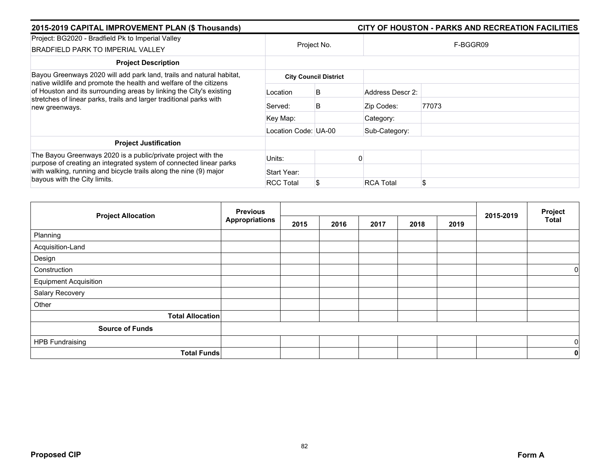| 2015-2019 CAPITAL IMPROVEMENT PLAN (\$ Thousands)                                                                                                                                                                                        |                      | CITY OF HOUSTON - PARKS AND RECREATION FACILITIES |                  |          |  |  |  |
|------------------------------------------------------------------------------------------------------------------------------------------------------------------------------------------------------------------------------------------|----------------------|---------------------------------------------------|------------------|----------|--|--|--|
| Project: BG2020 - Bradfield Pk to Imperial Valley<br><b>BRADFIELD PARK TO IMPERIAL VALLEY</b>                                                                                                                                            | Project No.          |                                                   |                  | F-BGGR09 |  |  |  |
| <b>Project Description</b>                                                                                                                                                                                                               |                      |                                                   |                  |          |  |  |  |
| Bayou Greenways 2020 will add park land, trails and natural habitat,                                                                                                                                                                     |                      | <b>City Council District</b>                      |                  |          |  |  |  |
| native wildlife and promote the health and welfare of the citizens<br>of Houston and its surrounding areas by linking the City's existing<br>stretches of linear parks, trails and larger traditional parks with<br>new greenways.       | Location             | B                                                 | Address Descr 2: |          |  |  |  |
|                                                                                                                                                                                                                                          | Served:              | B                                                 | Zip Codes:       | 77073    |  |  |  |
|                                                                                                                                                                                                                                          | Key Map:             |                                                   | Category:        |          |  |  |  |
|                                                                                                                                                                                                                                          | Location Code: UA-00 |                                                   | Sub-Category:    |          |  |  |  |
| <b>Project Justification</b>                                                                                                                                                                                                             |                      |                                                   |                  |          |  |  |  |
| The Bayou Greenways 2020 is a public/private project with the<br>purpose of creating an integrated system of connected linear parks<br>with walking, running and bicycle trails along the nine (9) major<br>bayous with the City limits. | Units:               |                                                   |                  |          |  |  |  |
|                                                                                                                                                                                                                                          | Start Year:          |                                                   |                  |          |  |  |  |
|                                                                                                                                                                                                                                          | <b>RCC Total</b>     |                                                   | <b>RCA Total</b> | \$       |  |  |  |

|                              | <b>Previous</b>       |      |      |      |      |      | 2015-2019 | Project      |
|------------------------------|-----------------------|------|------|------|------|------|-----------|--------------|
| <b>Project Allocation</b>    | <b>Appropriations</b> | 2015 | 2016 | 2017 | 2018 | 2019 |           | <b>Total</b> |
| Planning                     |                       |      |      |      |      |      |           |              |
| Acquisition-Land             |                       |      |      |      |      |      |           |              |
| Design                       |                       |      |      |      |      |      |           |              |
| Construction                 |                       |      |      |      |      |      |           | $\mathbf 0$  |
| <b>Equipment Acquisition</b> |                       |      |      |      |      |      |           |              |
| Salary Recovery              |                       |      |      |      |      |      |           |              |
| Other                        |                       |      |      |      |      |      |           |              |
| <b>Total Allocation</b>      |                       |      |      |      |      |      |           |              |
| <b>Source of Funds</b>       |                       |      |      |      |      |      |           |              |
| <b>HPB Fundraising</b>       |                       |      |      |      |      |      |           | 0            |
|                              | <b>Total Funds</b>    |      |      |      |      |      |           | 0            |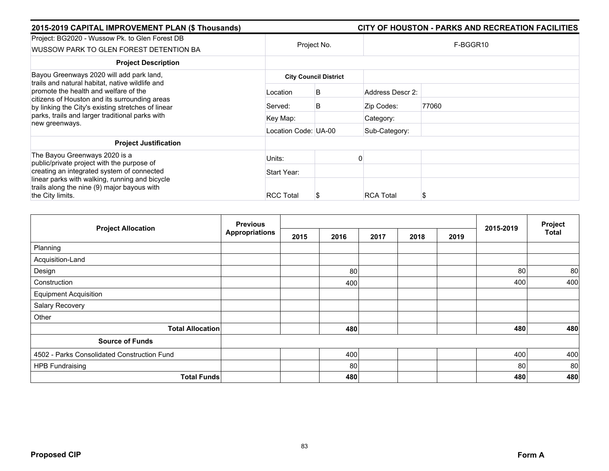| 2015-2019 CAPITAL IMPROVEMENT PLAN (\$ Thousands)                                                                                                                                                                 |                      |                              |                  | CITY OF HOUSTON - PARKS AND RECREATION FACILITIES |
|-------------------------------------------------------------------------------------------------------------------------------------------------------------------------------------------------------------------|----------------------|------------------------------|------------------|---------------------------------------------------|
| Project: BG2020 - Wussow Pk. to Glen Forest DB<br>WUSSOW PARK TO GLEN FOREST DETENTION BA                                                                                                                         |                      | Project No.                  |                  | F-BGGR10                                          |
| <b>Project Description</b>                                                                                                                                                                                        |                      |                              |                  |                                                   |
| Bayou Greenways 2020 will add park land,<br>trails and natural habitat, native wildlife and                                                                                                                       |                      | <b>City Council District</b> |                  |                                                   |
| promote the health and welfare of the<br>citizens of Houston and its surrounding areas<br>by linking the City's existing stretches of linear<br>parks, trails and larger traditional parks with<br>new greenways. | Location             | B                            | Address Descr 2: |                                                   |
|                                                                                                                                                                                                                   | Served:              | B                            | Zip Codes:       | 77060                                             |
|                                                                                                                                                                                                                   | Key Map:             |                              | Category:        |                                                   |
|                                                                                                                                                                                                                   | Location Code: UA-00 |                              | Sub-Category:    |                                                   |
| <b>Project Justification</b>                                                                                                                                                                                      |                      |                              |                  |                                                   |
| The Bayou Greenways 2020 is a<br>public/private project with the purpose of                                                                                                                                       | Units:               |                              |                  |                                                   |
| creating an integrated system of connected                                                                                                                                                                        | Start Year:          |                              |                  |                                                   |
| linear parks with walking, running and bicycle<br>trails along the nine (9) major bayous with                                                                                                                     |                      |                              |                  |                                                   |
| the City limits.                                                                                                                                                                                                  | <b>RCC Total</b>     | S                            | <b>RCA Total</b> |                                                   |

| <b>Project Allocation</b>                   | <b>Previous</b>       |      |      | 2015-2019 | Project |      |     |       |
|---------------------------------------------|-----------------------|------|------|-----------|---------|------|-----|-------|
|                                             | <b>Appropriations</b> | 2015 | 2016 | 2017      | 2018    | 2019 |     | Total |
| Planning                                    |                       |      |      |           |         |      |     |       |
| Acquisition-Land                            |                       |      |      |           |         |      |     |       |
| Design                                      |                       |      | 80   |           |         |      | 80  | 80    |
| Construction                                |                       |      | 400  |           |         |      | 400 | 400   |
| <b>Equipment Acquisition</b>                |                       |      |      |           |         |      |     |       |
| Salary Recovery                             |                       |      |      |           |         |      |     |       |
| Other                                       |                       |      |      |           |         |      |     |       |
| <b>Total Allocation</b>                     |                       |      | 480  |           |         |      | 480 | 480   |
| <b>Source of Funds</b>                      |                       |      |      |           |         |      |     |       |
| 4502 - Parks Consolidated Construction Fund |                       |      | 400  |           |         |      | 400 | 400   |
| <b>HPB Fundraising</b>                      |                       |      | 80   |           |         |      | 80  | 80    |
| <b>Total Funds</b>                          |                       |      | 480  |           |         |      | 480 | 480   |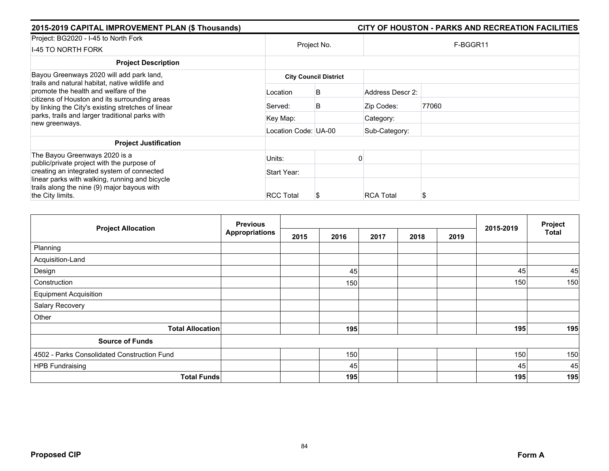| 2015-2019 CAPITAL IMPROVEMENT PLAN (\$ Thousands)                                                                                                                                               |                      |                              |                  | CITY OF HOUSTON - PARKS AND RECREATION FACILITIES |
|-------------------------------------------------------------------------------------------------------------------------------------------------------------------------------------------------|----------------------|------------------------------|------------------|---------------------------------------------------|
| Project: BG2020 - I-45 to North Fork<br><b>I-45 TO NORTH FORK</b>                                                                                                                               |                      | Project No.                  |                  | F-BGGR11                                          |
| <b>Project Description</b>                                                                                                                                                                      |                      |                              |                  |                                                   |
| Bayou Greenways 2020 will add park land,                                                                                                                                                        |                      | <b>City Council District</b> |                  |                                                   |
| trails and natural habitat, native wildlife and<br>promote the health and welfare of the<br>citizens of Houston and its surrounding areas<br>by linking the City's existing stretches of linear | Location             | B                            | Address Descr 2: |                                                   |
|                                                                                                                                                                                                 | Served:              | B                            | Zip Codes:       | 77060                                             |
| parks, trails and larger traditional parks with<br>new greenways.                                                                                                                               | Key Map:             |                              | Category:        |                                                   |
|                                                                                                                                                                                                 | Location Code: UA-00 |                              | Sub-Category:    |                                                   |
| <b>Project Justification</b>                                                                                                                                                                    |                      |                              |                  |                                                   |
| The Bayou Greenways 2020 is a<br>public/private project with the purpose of                                                                                                                     | Units:               |                              |                  |                                                   |
| creating an integrated system of connected                                                                                                                                                      | Start Year:          |                              |                  |                                                   |
| linear parks with walking, running and bicycle<br>trails along the nine (9) major bayous with<br>the City limits.                                                                               | <b>RCC Total</b>     | Ъ                            | <b>RCA Total</b> | S                                                 |

|                                             | <b>Previous</b>       |      |      | 2015-2019 | Project |      |     |              |
|---------------------------------------------|-----------------------|------|------|-----------|---------|------|-----|--------------|
| <b>Project Allocation</b>                   | <b>Appropriations</b> | 2015 | 2016 | 2017      | 2018    | 2019 |     | <b>Total</b> |
| Planning                                    |                       |      |      |           |         |      |     |              |
| Acquisition-Land                            |                       |      |      |           |         |      |     |              |
| Design                                      |                       |      | 45   |           |         |      | 45  | 45           |
| Construction                                |                       |      | 150  |           |         |      | 150 | 150          |
| <b>Equipment Acquisition</b>                |                       |      |      |           |         |      |     |              |
| Salary Recovery                             |                       |      |      |           |         |      |     |              |
| Other                                       |                       |      |      |           |         |      |     |              |
| <b>Total Allocation</b>                     |                       |      | 195  |           |         |      | 195 | 195          |
| <b>Source of Funds</b>                      |                       |      |      |           |         |      |     |              |
| 4502 - Parks Consolidated Construction Fund |                       |      | 150  |           |         |      | 150 | 150          |
| <b>HPB Fundraising</b>                      |                       |      | 45   |           |         |      | 45  | 45           |
| <b>Total Funds</b>                          |                       |      | 195  |           |         |      | 195 | 195          |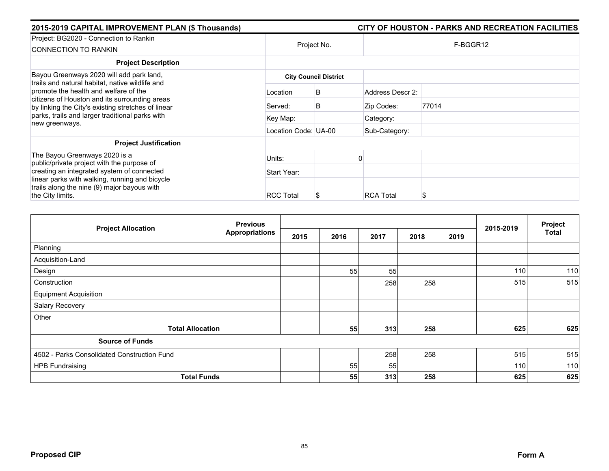| 2015-2019 CAPITAL IMPROVEMENT PLAN (\$ Thousands)                                                                                                                                                                                           |                      |                              |                  | CITY OF HOUSTON - PARKS AND RECREATION FACILITIES |  |  |  |  |
|---------------------------------------------------------------------------------------------------------------------------------------------------------------------------------------------------------------------------------------------|----------------------|------------------------------|------------------|---------------------------------------------------|--|--|--|--|
| Project: BG2020 - Connection to Rankin<br>CONNECTION TO RANKIN                                                                                                                                                                              |                      | Project No.                  |                  | F-BGGR12                                          |  |  |  |  |
| <b>Project Description</b>                                                                                                                                                                                                                  |                      |                              |                  |                                                   |  |  |  |  |
| Bayou Greenways 2020 will add park land,<br>trails and natural habitat, native wildlife and<br>promote the health and welfare of the<br>citizens of Houston and its surrounding areas<br>by linking the City's existing stretches of linear |                      | <b>City Council District</b> |                  |                                                   |  |  |  |  |
|                                                                                                                                                                                                                                             | Location             | B                            | Address Descr 2: |                                                   |  |  |  |  |
|                                                                                                                                                                                                                                             | Served:              | B                            | Zip Codes:       | 77014                                             |  |  |  |  |
| parks, trails and larger traditional parks with<br>new greenways.                                                                                                                                                                           | Key Map:             |                              | Category:        |                                                   |  |  |  |  |
|                                                                                                                                                                                                                                             | Location Code: UA-00 |                              | Sub-Category:    |                                                   |  |  |  |  |
| <b>Project Justification</b>                                                                                                                                                                                                                |                      |                              |                  |                                                   |  |  |  |  |
| The Bayou Greenways 2020 is a<br>public/private project with the purpose of                                                                                                                                                                 | Units:               |                              |                  |                                                   |  |  |  |  |
| creating an integrated system of connected                                                                                                                                                                                                  | Start Year:          |                              |                  |                                                   |  |  |  |  |
| linear parks with walking, running and bicycle<br>trails along the nine (9) major bayous with<br>the City limits.                                                                                                                           | <b>RCC Total</b>     |                              | <b>RCA Total</b> | S                                                 |  |  |  |  |

| <b>Project Allocation</b>                   | <b>Previous</b>       |      |      |      | 2015-2019 | Project |     |              |
|---------------------------------------------|-----------------------|------|------|------|-----------|---------|-----|--------------|
|                                             | <b>Appropriations</b> | 2015 | 2016 | 2017 | 2018      | 2019    |     | <b>Total</b> |
| Planning                                    |                       |      |      |      |           |         |     |              |
| Acquisition-Land                            |                       |      |      |      |           |         |     |              |
| Design                                      |                       |      | 55   | 55   |           |         | 110 | 110          |
| Construction                                |                       |      |      | 258  | 258       |         | 515 | 515          |
| <b>Equipment Acquisition</b>                |                       |      |      |      |           |         |     |              |
| Salary Recovery                             |                       |      |      |      |           |         |     |              |
| Other                                       |                       |      |      |      |           |         |     |              |
| <b>Total Allocation</b>                     |                       |      | 55   | 313  | 258       |         | 625 | 625          |
| <b>Source of Funds</b>                      |                       |      |      |      |           |         |     |              |
| 4502 - Parks Consolidated Construction Fund |                       |      |      | 258  | 258       |         | 515 | 515          |
| <b>HPB Fundraising</b>                      |                       |      | 55   | 55   |           |         | 110 | 110          |
| <b>Total Funds</b>                          |                       |      | 55   | 313  | 258       |         | 625 | 625          |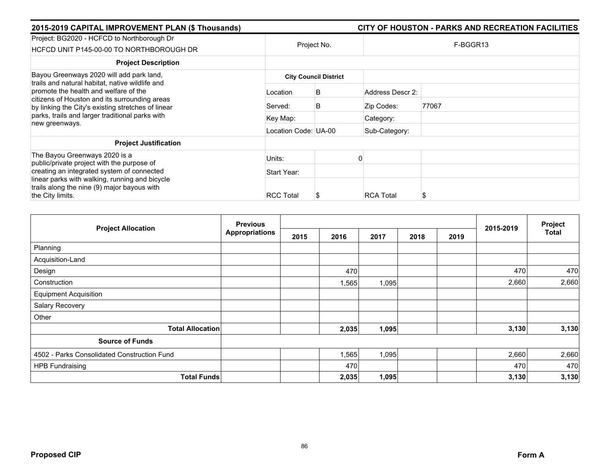| 2015-2019 CAPITAL IMPROVEMENT PLAN (\$ Thousands)                                                                                            |                      |                              |                  | CITY OF HOUSTON - PARKS AND RECREATION FACILITIES |  |  |
|----------------------------------------------------------------------------------------------------------------------------------------------|----------------------|------------------------------|------------------|---------------------------------------------------|--|--|
| Project: BG2020 - HCFCD to Northborough Dr<br>HCFCD UNIT P145-00-00 TO NORTHBOROUGH DR                                                       | Project No.          |                              | F-BGGR13         |                                                   |  |  |
| <b>Project Description</b>                                                                                                                   |                      |                              |                  |                                                   |  |  |
| Bayou Greenways 2020 will add park land,<br>trails and natural habitat, native wildlife and                                                  |                      | <b>City Council District</b> |                  |                                                   |  |  |
| promote the health and welfare of the<br>citizens of Houston and its surrounding areas<br>by linking the City's existing stretches of linear | Location             | B                            | Address Descr 2: |                                                   |  |  |
|                                                                                                                                              | Served:              | B                            | Zip Codes:       | 77067                                             |  |  |
| parks, trails and larger traditional parks with<br>new greenways.                                                                            | Key Map:             |                              | Category:        |                                                   |  |  |
|                                                                                                                                              | Location Code: UA-00 |                              | Sub-Category:    |                                                   |  |  |
| <b>Project Justification</b>                                                                                                                 |                      |                              |                  |                                                   |  |  |
| The Bayou Greenways 2020 is a<br>public/private project with the purpose of                                                                  | Units:               |                              |                  |                                                   |  |  |
| creating an integrated system of connected                                                                                                   | Start Year:          |                              |                  |                                                   |  |  |
| linear parks with walking, running and bicycle<br>trails along the nine (9) major bayous with                                                |                      |                              |                  |                                                   |  |  |
| the City limits.                                                                                                                             | <b>RCC Total</b>     | S                            | <b>RCA Total</b> |                                                   |  |  |

|                                             | <b>Previous</b>       |      |       |       | 2015-2019 | Project |       |              |
|---------------------------------------------|-----------------------|------|-------|-------|-----------|---------|-------|--------------|
| <b>Project Allocation</b>                   | <b>Appropriations</b> | 2015 | 2016  | 2017  | 2018      | 2019    |       | <b>Total</b> |
| Planning                                    |                       |      |       |       |           |         |       |              |
| Acquisition-Land                            |                       |      |       |       |           |         |       |              |
| Design                                      |                       |      | 470   |       |           |         | 470   | 470          |
| Construction                                |                       |      | ,565  | 1,095 |           |         | 2,660 | 2,660        |
| <b>Equipment Acquisition</b>                |                       |      |       |       |           |         |       |              |
| Salary Recovery                             |                       |      |       |       |           |         |       |              |
| Other                                       |                       |      |       |       |           |         |       |              |
| <b>Total Allocation</b>                     |                       |      | 2,035 | 1,095 |           |         | 3,130 | 3,130        |
| <b>Source of Funds</b>                      |                       |      |       |       |           |         |       |              |
| 4502 - Parks Consolidated Construction Fund |                       |      | ,565  | 1,095 |           |         | 2,660 | 2,660        |
| <b>HPB Fundraising</b>                      |                       |      | 470   |       |           |         | 470   | 470          |
| <b>Total Funds</b>                          |                       |      | 2,035 | 1,095 |           |         | 3,130 | 3,130        |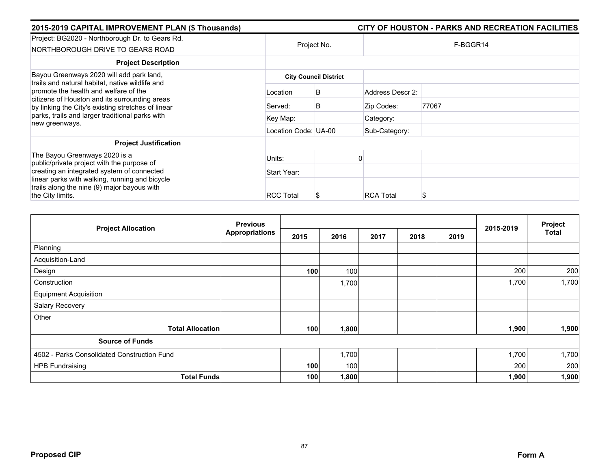| 2015-2019 CAPITAL IMPROVEMENT PLAN (\$ Thousands)                                                                                            |                      |                              |                  | CITY OF HOUSTON - PARKS AND RECREATION FACILITIES |
|----------------------------------------------------------------------------------------------------------------------------------------------|----------------------|------------------------------|------------------|---------------------------------------------------|
| Project: BG2020 - Northborough Dr. to Gears Rd.<br>NORTHBOROUGH DRIVE TO GEARS ROAD                                                          |                      | Project No.                  |                  | F-BGGR14                                          |
| <b>Project Description</b>                                                                                                                   |                      |                              |                  |                                                   |
| Bayou Greenways 2020 will add park land,<br>trails and natural habitat, native wildlife and                                                  |                      | <b>City Council District</b> |                  |                                                   |
| promote the health and welfare of the<br>citizens of Houston and its surrounding areas<br>by linking the City's existing stretches of linear | Location             | B                            | Address Descr 2: |                                                   |
|                                                                                                                                              | Served:              | B                            | Zip Codes:       | 77067                                             |
| parks, trails and larger traditional parks with<br>new greenways.                                                                            | Key Map:             |                              | Category:        |                                                   |
|                                                                                                                                              | Location Code: UA-00 |                              | Sub-Category:    |                                                   |
| <b>Project Justification</b>                                                                                                                 |                      |                              |                  |                                                   |
| The Bayou Greenways 2020 is a<br>public/private project with the purpose of                                                                  | Units:               |                              |                  |                                                   |
| creating an integrated system of connected                                                                                                   | Start Year:          |                              |                  |                                                   |
| linear parks with walking, running and bicycle<br>trails along the nine (9) major bayous with                                                |                      |                              |                  |                                                   |
| the City limits.                                                                                                                             | <b>RCC Total</b>     |                              | <b>RCA Total</b> | S                                                 |

| <b>Project Allocation</b>                   | <b>Previous</b>       | 2015-2019 | Project |      |      |      |       |              |
|---------------------------------------------|-----------------------|-----------|---------|------|------|------|-------|--------------|
|                                             | <b>Appropriations</b> | 2015      | 2016    | 2017 | 2018 | 2019 |       | <b>Total</b> |
| Planning                                    |                       |           |         |      |      |      |       |              |
| Acquisition-Land                            |                       |           |         |      |      |      |       |              |
| Design                                      |                       | 100       | 100     |      |      |      | 200   | 200          |
| Construction                                |                       |           | 1,700   |      |      |      | 1,700 | 1,700        |
| <b>Equipment Acquisition</b>                |                       |           |         |      |      |      |       |              |
| Salary Recovery                             |                       |           |         |      |      |      |       |              |
| Other                                       |                       |           |         |      |      |      |       |              |
| <b>Total Allocation</b>                     |                       | 100       | 1,800   |      |      |      | 1,900 | 1,900        |
| <b>Source of Funds</b>                      |                       |           |         |      |      |      |       |              |
| 4502 - Parks Consolidated Construction Fund |                       |           | 1,700   |      |      |      | 1,700 | 1,700        |
| <b>HPB Fundraising</b>                      |                       | 100       | 100     |      |      |      | 200   | 200          |
| <b>Total Funds</b>                          |                       | 100       | 1,800   |      |      |      | 1,900 | 1,900        |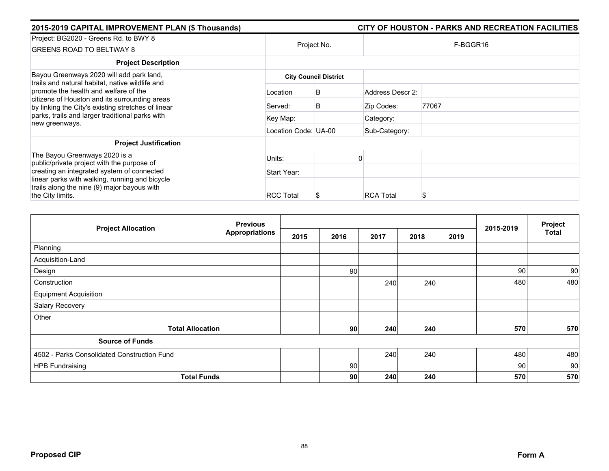| 2015-2019 CAPITAL IMPROVEMENT PLAN (\$ Thousands)                                                                                            |                              |             |                  | CITY OF HOUSTON - PARKS AND RECREATION FACILITIES |  |  |  |  |
|----------------------------------------------------------------------------------------------------------------------------------------------|------------------------------|-------------|------------------|---------------------------------------------------|--|--|--|--|
| Project: BG2020 - Greens Rd. to BWY 8<br><b>GREENS ROAD TO BELTWAY 8</b>                                                                     |                              | Project No. |                  | F-BGGR16                                          |  |  |  |  |
| <b>Project Description</b>                                                                                                                   |                              |             |                  |                                                   |  |  |  |  |
| Bayou Greenways 2020 will add park land,<br>trails and natural habitat, native wildlife and                                                  | <b>City Council District</b> |             |                  |                                                   |  |  |  |  |
| promote the health and welfare of the<br>citizens of Houston and its surrounding areas<br>by linking the City's existing stretches of linear | Location                     | B           | Address Descr 2: |                                                   |  |  |  |  |
|                                                                                                                                              | Served:                      | B           | Zip Codes:       | 77067                                             |  |  |  |  |
| parks, trails and larger traditional parks with<br>new greenways.                                                                            | Key Map:                     |             | Category:        |                                                   |  |  |  |  |
|                                                                                                                                              | Location Code: UA-00         |             | Sub-Category:    |                                                   |  |  |  |  |
| <b>Project Justification</b>                                                                                                                 |                              |             |                  |                                                   |  |  |  |  |
| The Bayou Greenways 2020 is a<br>public/private project with the purpose of                                                                  | Units:                       |             |                  |                                                   |  |  |  |  |
| creating an integrated system of connected                                                                                                   | Start Year:                  |             |                  |                                                   |  |  |  |  |
| linear parks with walking, running and bicycle<br>trails along the nine (9) major bayous with<br>the City limits.                            | <b>RCC Total</b>             |             | <b>RCA Total</b> | S                                                 |  |  |  |  |

| <b>Project Allocation</b>                   | <b>Previous</b>       |      |                 |      |      |      | 2015-2019 | Project      |
|---------------------------------------------|-----------------------|------|-----------------|------|------|------|-----------|--------------|
|                                             | <b>Appropriations</b> | 2015 | 2016            | 2017 | 2018 | 2019 |           | <b>Total</b> |
| Planning                                    |                       |      |                 |      |      |      |           |              |
| Acquisition-Land                            |                       |      |                 |      |      |      |           |              |
| Design                                      |                       |      | 90              |      |      |      | 90        | 90           |
| Construction                                |                       |      |                 | 240  | 240  |      | 480       | 480          |
| <b>Equipment Acquisition</b>                |                       |      |                 |      |      |      |           |              |
| Salary Recovery                             |                       |      |                 |      |      |      |           |              |
| Other                                       |                       |      |                 |      |      |      |           |              |
| <b>Total Allocation</b>                     |                       |      | 90 <sub>l</sub> | 240  | 240  |      | 570       | 570          |
| <b>Source of Funds</b>                      |                       |      |                 |      |      |      |           |              |
| 4502 - Parks Consolidated Construction Fund |                       |      |                 | 240  | 240  |      | 480       | 480          |
| <b>HPB Fundraising</b>                      |                       |      | 90              |      |      |      | 90        | 90           |
| <b>Total Funds</b>                          |                       |      | 90 <sub>l</sub> | 240  | 240  |      | 570       | 570          |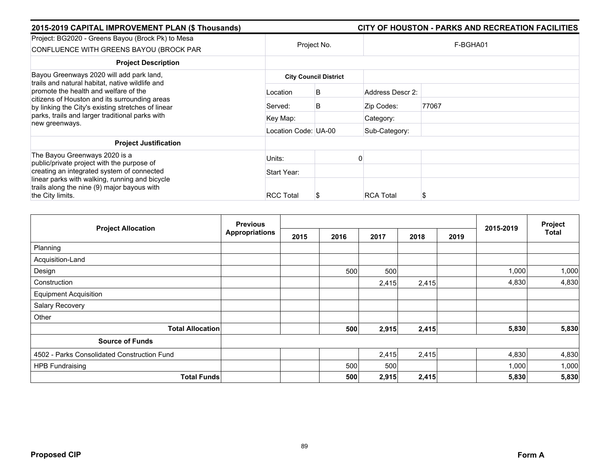| 2015-2019 CAPITAL IMPROVEMENT PLAN (\$ Thousands)                                                                                            |                      |                              |                  | CITY OF HOUSTON - PARKS AND RECREATION FACILITIES |
|----------------------------------------------------------------------------------------------------------------------------------------------|----------------------|------------------------------|------------------|---------------------------------------------------|
| Project: BG2020 - Greens Bayou (Brock Pk) to Mesa<br>CONFLUENCE WITH GREENS BAYOU (BROCK PAR                                                 |                      | Project No.                  |                  | F-BGHA01                                          |
| <b>Project Description</b>                                                                                                                   |                      |                              |                  |                                                   |
| Bayou Greenways 2020 will add park land,<br>trails and natural habitat, native wildlife and                                                  |                      | <b>City Council District</b> |                  |                                                   |
| promote the health and welfare of the<br>citizens of Houston and its surrounding areas<br>by linking the City's existing stretches of linear | Location             | B                            | Address Descr 2: |                                                   |
|                                                                                                                                              | Served:              | B                            | Zip Codes:       | 77067                                             |
| parks, trails and larger traditional parks with<br>new greenways.                                                                            | Key Map:             |                              | Category:        |                                                   |
|                                                                                                                                              | Location Code: UA-00 |                              | Sub-Category:    |                                                   |
| <b>Project Justification</b>                                                                                                                 |                      |                              |                  |                                                   |
| The Bayou Greenways 2020 is a<br>public/private project with the purpose of                                                                  | Units:               |                              |                  |                                                   |
| creating an integrated system of connected                                                                                                   | Start Year:          |                              |                  |                                                   |
| linear parks with walking, running and bicycle<br>trails along the nine (9) major bayous with                                                |                      |                              |                  |                                                   |
| the City limits.                                                                                                                             | <b>RCC Total</b>     | S                            | <b>RCA Total</b> |                                                   |

| <b>Project Allocation</b>                   | <b>Previous</b>       |      |      |       |       |      | 2015-2019 | Project |
|---------------------------------------------|-----------------------|------|------|-------|-------|------|-----------|---------|
|                                             | <b>Appropriations</b> | 2015 | 2016 | 2017  | 2018  | 2019 |           | Total   |
| Planning                                    |                       |      |      |       |       |      |           |         |
| Acquisition-Land                            |                       |      |      |       |       |      |           |         |
| Design                                      |                       |      | 500  | 500   |       |      | 1,000     | 1,000   |
| Construction                                |                       |      |      | 2,415 | 2,415 |      | 4,830     | 4,830   |
| <b>Equipment Acquisition</b>                |                       |      |      |       |       |      |           |         |
| Salary Recovery                             |                       |      |      |       |       |      |           |         |
| Other                                       |                       |      |      |       |       |      |           |         |
| <b>Total Allocation</b>                     |                       |      | 500  | 2,915 | 2,415 |      | 5,830     | 5,830   |
| <b>Source of Funds</b>                      |                       |      |      |       |       |      |           |         |
| 4502 - Parks Consolidated Construction Fund |                       |      |      | 2,415 | 2,415 |      | 4,830     | 4,830   |
| <b>HPB Fundraising</b>                      |                       |      | 500  | 500   |       |      | 1,000     | 1,000   |
| <b>Total Funds</b>                          |                       |      | 500  | 2,915 | 2,415 |      | 5,830     | 5,830   |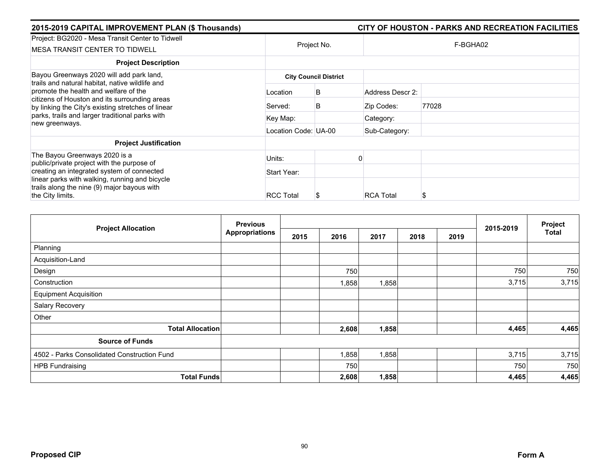| 2015-2019 CAPITAL IMPROVEMENT PLAN (\$ Thousands)                                                                                                                                                                                                  |                      |                              |                  | CITY OF HOUSTON - PARKS AND RECREATION FACILITIES |
|----------------------------------------------------------------------------------------------------------------------------------------------------------------------------------------------------------------------------------------------------|----------------------|------------------------------|------------------|---------------------------------------------------|
| Project: BG2020 - Mesa Transit Center to Tidwell<br>MESA TRANSIT CENTER TO TIDWELL                                                                                                                                                                 | Project No.          |                              |                  | F-BGHA02                                          |
| <b>Project Description</b>                                                                                                                                                                                                                         |                      |                              |                  |                                                   |
| Bayou Greenways 2020 will add park land,                                                                                                                                                                                                           |                      | <b>City Council District</b> |                  |                                                   |
| trails and natural habitat, native wildlife and<br>promote the health and welfare of the<br>citizens of Houston and its surrounding areas<br>by linking the City's existing stretches of linear<br>parks, trails and larger traditional parks with | Location             | B                            | Address Descr 2: |                                                   |
|                                                                                                                                                                                                                                                    | Served:              | B                            | Zip Codes:       | 77028                                             |
|                                                                                                                                                                                                                                                    | Key Map:             |                              | Category:        |                                                   |
| new greenways.                                                                                                                                                                                                                                     | Location Code: UA-00 |                              | Sub-Category:    |                                                   |
| <b>Project Justification</b>                                                                                                                                                                                                                       |                      |                              |                  |                                                   |
| The Bayou Greenways 2020 is a<br>public/private project with the purpose of                                                                                                                                                                        | Units:               |                              |                  |                                                   |
| creating an integrated system of connected                                                                                                                                                                                                         | Start Year:          |                              |                  |                                                   |
| linear parks with walking, running and bicycle<br>trails along the nine (9) major bayous with<br>the City limits.                                                                                                                                  | <b>RCC Total</b>     | S                            | <b>RCA Total</b> | S                                                 |

|                                             | <b>Previous</b>       |      |       |       | 2015-2019 | Project |       |              |
|---------------------------------------------|-----------------------|------|-------|-------|-----------|---------|-------|--------------|
| <b>Project Allocation</b>                   | <b>Appropriations</b> | 2015 | 2016  | 2017  | 2018      | 2019    |       | <b>Total</b> |
| Planning                                    |                       |      |       |       |           |         |       |              |
| Acquisition-Land                            |                       |      |       |       |           |         |       |              |
| Design                                      |                       |      | 750   |       |           |         | 750   | 750          |
| Construction                                |                       |      | ,858  | 1,858 |           |         | 3,715 | 3,715        |
| <b>Equipment Acquisition</b>                |                       |      |       |       |           |         |       |              |
| Salary Recovery                             |                       |      |       |       |           |         |       |              |
| Other                                       |                       |      |       |       |           |         |       |              |
| <b>Total Allocation</b>                     |                       |      | 2,608 | 1,858 |           |         | 4,465 | 4,465        |
| <b>Source of Funds</b>                      |                       |      |       |       |           |         |       |              |
| 4502 - Parks Consolidated Construction Fund |                       |      | .858  | 1,858 |           |         | 3,715 | 3,715        |
| <b>HPB Fundraising</b>                      |                       |      | 750   |       |           |         | 750   | 750          |
| <b>Total Funds</b>                          |                       |      | 2,608 | 1,858 |           |         | 4,465 | 4,465        |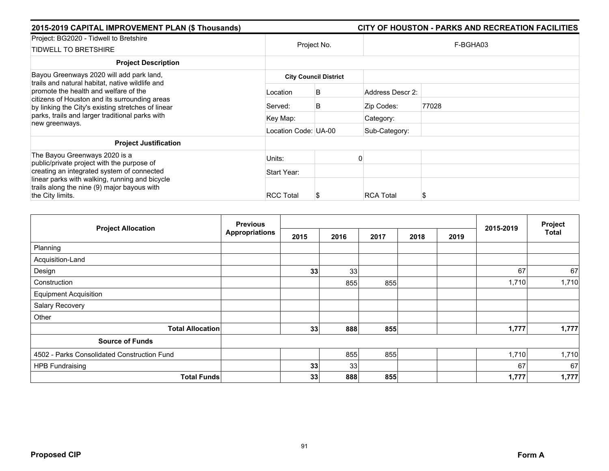| 2015-2019 CAPITAL IMPROVEMENT PLAN (\$ Thousands)                                                                                            |                      |                              |                  | CITY OF HOUSTON - PARKS AND RECREATION FACILITIES |  |  |  |  |
|----------------------------------------------------------------------------------------------------------------------------------------------|----------------------|------------------------------|------------------|---------------------------------------------------|--|--|--|--|
| Project: BG2020 - Tidwell to Bretshire<br><b>TIDWELL TO BRETSHIRE</b>                                                                        |                      | Project No.                  |                  | F-BGHA03                                          |  |  |  |  |
| <b>Project Description</b>                                                                                                                   |                      |                              |                  |                                                   |  |  |  |  |
| Bayou Greenways 2020 will add park land,<br>trails and natural habitat, native wildlife and                                                  |                      | <b>City Council District</b> |                  |                                                   |  |  |  |  |
| promote the health and welfare of the<br>citizens of Houston and its surrounding areas<br>by linking the City's existing stretches of linear | Location             | B                            | Address Descr 2: |                                                   |  |  |  |  |
|                                                                                                                                              | Served:              | B                            | Zip Codes:       | 77028                                             |  |  |  |  |
| parks, trails and larger traditional parks with<br>new greenways.                                                                            | Key Map:             |                              | Category:        |                                                   |  |  |  |  |
|                                                                                                                                              | Location Code: UA-00 |                              | Sub-Category:    |                                                   |  |  |  |  |
| <b>Project Justification</b>                                                                                                                 |                      |                              |                  |                                                   |  |  |  |  |
| The Bayou Greenways 2020 is a<br>public/private project with the purpose of                                                                  | Units:               |                              |                  |                                                   |  |  |  |  |
| creating an integrated system of connected                                                                                                   | Start Year:          |                              |                  |                                                   |  |  |  |  |
| linear parks with walking, running and bicycle<br>trails along the nine (9) major bayous with<br>the City limits.                            | <b>RCC Total</b>     |                              | <b>RCA Total</b> | S                                                 |  |  |  |  |

| <b>Project Allocation</b>                   | <b>Previous</b>       |      |      |      | 2015-2019 | Project |       |              |
|---------------------------------------------|-----------------------|------|------|------|-----------|---------|-------|--------------|
|                                             | <b>Appropriations</b> | 2015 | 2016 | 2017 | 2018      | 2019    |       | <b>Total</b> |
| Planning                                    |                       |      |      |      |           |         |       |              |
| Acquisition-Land                            |                       |      |      |      |           |         |       |              |
| Design                                      |                       | 33   | 33   |      |           |         | 67    | 67           |
| Construction                                |                       |      | 855  | 855  |           |         | 1,710 | 1,710        |
| <b>Equipment Acquisition</b>                |                       |      |      |      |           |         |       |              |
| Salary Recovery                             |                       |      |      |      |           |         |       |              |
| Other                                       |                       |      |      |      |           |         |       |              |
| <b>Total Allocation</b>                     |                       | 33   | 888  | 855  |           |         | 1,777 | 1,777        |
| <b>Source of Funds</b>                      |                       |      |      |      |           |         |       |              |
| 4502 - Parks Consolidated Construction Fund |                       |      | 855  | 855  |           |         | 1,710 | 1,710        |
| <b>HPB Fundraising</b>                      |                       | 33   | 33   |      |           |         | 67    | 67           |
| <b>Total Funds</b>                          |                       | 33   | 888  | 855  |           |         | 1,777 | 1,777        |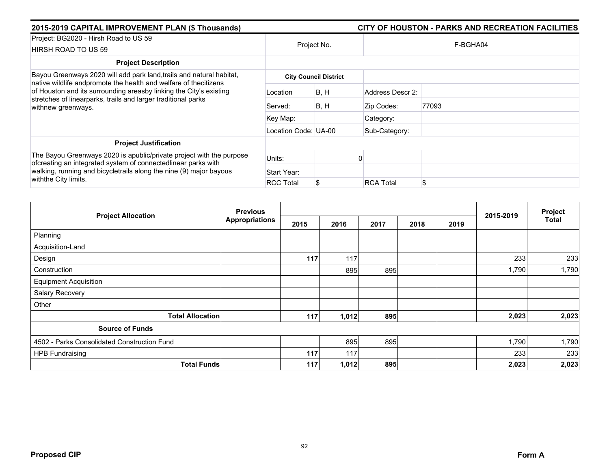| 2015-2019 CAPITAL IMPROVEMENT PLAN (\$ Thousands)                                                                                                                                                                             |                      |                              | CITY OF HOUSTON - PARKS AND RECREATION FACILITIES |          |  |  |  |  |
|-------------------------------------------------------------------------------------------------------------------------------------------------------------------------------------------------------------------------------|----------------------|------------------------------|---------------------------------------------------|----------|--|--|--|--|
| Project: BG2020 - Hirsh Road to US 59<br>HIRSH ROAD TO US 59                                                                                                                                                                  | Project No.          |                              |                                                   | F-BGHA04 |  |  |  |  |
| <b>Project Description</b>                                                                                                                                                                                                    |                      |                              |                                                   |          |  |  |  |  |
| Bayou Greenways 2020 will add park land, trails and natural habitat,                                                                                                                                                          |                      | <b>City Council District</b> |                                                   |          |  |  |  |  |
| native wildlife andpromote the health and welfare of thecitizens<br>of Houston and its surrounding areasby linking the City's existing<br>stretches of linearparks, trails and larger traditional parks<br>withnew greenways. | Location             | B, H                         | Address Descr 2:                                  |          |  |  |  |  |
|                                                                                                                                                                                                                               | Served:              | B, H                         | Zip Codes:                                        | 77093    |  |  |  |  |
|                                                                                                                                                                                                                               | Key Map:             |                              | Category:                                         |          |  |  |  |  |
|                                                                                                                                                                                                                               | Location Code: UA-00 |                              | Sub-Category:                                     |          |  |  |  |  |
| <b>Project Justification</b>                                                                                                                                                                                                  |                      |                              |                                                   |          |  |  |  |  |
| The Bayou Greenways 2020 is apublic/private project with the purpose<br>ofcreating an integrated system of connectedlinear parks with                                                                                         | Units:               |                              |                                                   |          |  |  |  |  |
| walking, running and bicycletrails along the nine (9) major bayous                                                                                                                                                            | Start Year:          |                              |                                                   |          |  |  |  |  |
| withthe City limits.                                                                                                                                                                                                          | <b>RCC Total</b>     |                              | <b>RCA Total</b>                                  | \$       |  |  |  |  |

|                                             | <b>Previous</b>       |      |       |      |      |      |           | Project |
|---------------------------------------------|-----------------------|------|-------|------|------|------|-----------|---------|
| <b>Project Allocation</b>                   | <b>Appropriations</b> | 2015 | 2016  | 2017 | 2018 | 2019 | 2015-2019 | Total   |
| Planning                                    |                       |      |       |      |      |      |           |         |
| Acquisition-Land                            |                       |      |       |      |      |      |           |         |
| Design                                      |                       | 117  | 117   |      |      |      | 233       | 233     |
| Construction                                |                       |      | 895   | 895  |      |      | 1,790     | 1,790   |
| <b>Equipment Acquisition</b>                |                       |      |       |      |      |      |           |         |
| Salary Recovery                             |                       |      |       |      |      |      |           |         |
| Other                                       |                       |      |       |      |      |      |           |         |
| <b>Total Allocation</b>                     |                       | 117  | 1,012 | 895  |      |      | 2,023     | 2,023   |
| <b>Source of Funds</b>                      |                       |      |       |      |      |      |           |         |
| 4502 - Parks Consolidated Construction Fund |                       |      | 895   | 895  |      |      | 1,790     | 1,790   |
| <b>HPB Fundraising</b>                      |                       | 117  | 117   |      |      |      | 233       | 233     |
| <b>Total Funds</b>                          |                       | 117  | 1,012 | 895  |      |      | 2,023     | 2,023   |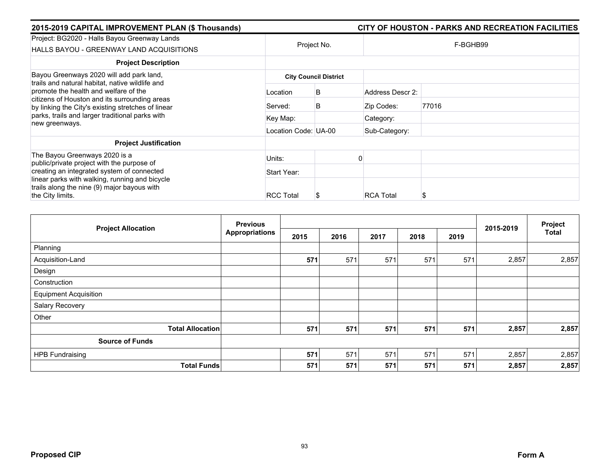| 2015-2019 CAPITAL IMPROVEMENT PLAN (\$ Thousands)                                                                                            |                      |                              |                  | CITY OF HOUSTON - PARKS AND RECREATION FACILITIES |
|----------------------------------------------------------------------------------------------------------------------------------------------|----------------------|------------------------------|------------------|---------------------------------------------------|
| Project: BG2020 - Halls Bayou Greenway Lands<br>HALLS BAYOU - GREENWAY LAND ACQUISITIONS                                                     | Project No.          |                              |                  | F-BGHB99                                          |
| <b>Project Description</b>                                                                                                                   |                      |                              |                  |                                                   |
| Bayou Greenways 2020 will add park land,<br>trails and natural habitat, native wildlife and                                                  |                      | <b>City Council District</b> |                  |                                                   |
| promote the health and welfare of the<br>citizens of Houston and its surrounding areas<br>by linking the City's existing stretches of linear | Location             | B                            | Address Descr 2: |                                                   |
|                                                                                                                                              | Served:              | B                            | Zip Codes:       | 77016                                             |
| parks, trails and larger traditional parks with<br>new greenways.                                                                            | Key Map:             |                              | Category:        |                                                   |
|                                                                                                                                              | Location Code: UA-00 |                              | Sub-Category:    |                                                   |
| <b>Project Justification</b>                                                                                                                 |                      |                              |                  |                                                   |
| The Bayou Greenways 2020 is a<br>public/private project with the purpose of                                                                  | Units:               |                              |                  |                                                   |
| creating an integrated system of connected                                                                                                   | Start Year:          |                              |                  |                                                   |
| linear parks with walking, running and bicycle<br>trails along the nine (9) major bayous with                                                |                      |                              |                  |                                                   |
| the City limits.                                                                                                                             | <b>RCC Total</b>     |                              | <b>RCA Total</b> |                                                   |

|                              | <b>Previous</b>       |      |      |      |      |      | 2015-2019 | Project      |
|------------------------------|-----------------------|------|------|------|------|------|-----------|--------------|
| <b>Project Allocation</b>    | <b>Appropriations</b> | 2015 | 2016 | 2017 | 2018 | 2019 |           | <b>Total</b> |
| Planning                     |                       |      |      |      |      |      |           |              |
| Acquisition-Land             |                       | 571  | 571  | 571  | 571  | 571  | 2,857     | 2,857        |
| Design                       |                       |      |      |      |      |      |           |              |
| Construction                 |                       |      |      |      |      |      |           |              |
| <b>Equipment Acquisition</b> |                       |      |      |      |      |      |           |              |
| Salary Recovery              |                       |      |      |      |      |      |           |              |
| Other                        |                       |      |      |      |      |      |           |              |
| <b>Total Allocation</b>      |                       | 571  | 571  | 571  | 571  | 571  | 2,857     | 2,857        |
| <b>Source of Funds</b>       |                       |      |      |      |      |      |           |              |
| <b>HPB Fundraising</b>       |                       | 571  | 571  | 571  | 571  | 571  | 2,857     | 2,857        |
| <b>Total Funds</b>           |                       | 571  | 571  | 571  | 571  | 571  | 2,857     | 2,857        |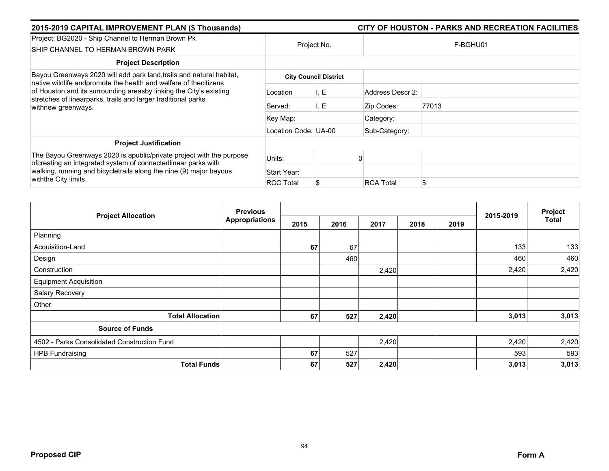| 2015-2019 CAPITAL IMPROVEMENT PLAN (\$ Thousands)                                                                                                                                                                             |                      |                              |                  | CITY OF HOUSTON - PARKS AND RECREATION FACILITIES |
|-------------------------------------------------------------------------------------------------------------------------------------------------------------------------------------------------------------------------------|----------------------|------------------------------|------------------|---------------------------------------------------|
| Project: BG2020 - Ship Channel to Herman Brown Pk<br>SHIP CHANNEL TO HERMAN BROWN PARK                                                                                                                                        |                      | Project No.                  |                  | F-BGHU01                                          |
| <b>Project Description</b>                                                                                                                                                                                                    |                      |                              |                  |                                                   |
| Bayou Greenways 2020 will add park land, trails and natural habitat,                                                                                                                                                          |                      | <b>City Council District</b> |                  |                                                   |
| native wildlife andpromote the health and welfare of thecitizens<br>of Houston and its surrounding areasby linking the City's existing<br>stretches of linearparks, trails and larger traditional parks<br>withnew greenways. | Location             | I, E                         | Address Descr 2: |                                                   |
|                                                                                                                                                                                                                               | Served:              | I, E                         | Zip Codes:       | 77013                                             |
|                                                                                                                                                                                                                               | Key Map:             |                              | Category:        |                                                   |
|                                                                                                                                                                                                                               | Location Code: UA-00 |                              | Sub-Category:    |                                                   |
| <b>Project Justification</b>                                                                                                                                                                                                  |                      |                              |                  |                                                   |
| The Bayou Greenways 2020 is apublic/private project with the purpose<br>ofcreating an integrated system of connectedlinear parks with<br>walking, running and bicycletrails along the nine (9) major bayous                   | Units:               |                              |                  |                                                   |
|                                                                                                                                                                                                                               | Start Year:          |                              |                  |                                                   |
| with the City limits.                                                                                                                                                                                                         | <b>RCC Total</b>     |                              | <b>RCA Total</b> | \$                                                |

| <b>Project Allocation</b>                   | <b>Previous</b>       |      |      |       |      | Project |           |       |
|---------------------------------------------|-----------------------|------|------|-------|------|---------|-----------|-------|
|                                             | <b>Appropriations</b> | 2015 | 2016 | 2017  | 2018 | 2019    | 2015-2019 | Total |
| Planning                                    |                       |      |      |       |      |         |           |       |
| Acquisition-Land                            |                       | 67   | 67   |       |      |         | 133       | 133   |
| Design                                      |                       |      | 460  |       |      |         | 460       | 460   |
| Construction                                |                       |      |      | 2,420 |      |         | 2,420     | 2,420 |
| <b>Equipment Acquisition</b>                |                       |      |      |       |      |         |           |       |
| Salary Recovery                             |                       |      |      |       |      |         |           |       |
| Other                                       |                       |      |      |       |      |         |           |       |
| <b>Total Allocation</b>                     |                       | 67   | 527  | 2,420 |      |         | 3,013     | 3,013 |
| <b>Source of Funds</b>                      |                       |      |      |       |      |         |           |       |
| 4502 - Parks Consolidated Construction Fund |                       |      |      | 2,420 |      |         | 2,420     | 2,420 |
| <b>HPB Fundraising</b>                      |                       | 67   | 527  |       |      |         | 593       | 593   |
| <b>Total Funds</b>                          |                       | 67   | 527  | 2,420 |      |         | 3,013     | 3,013 |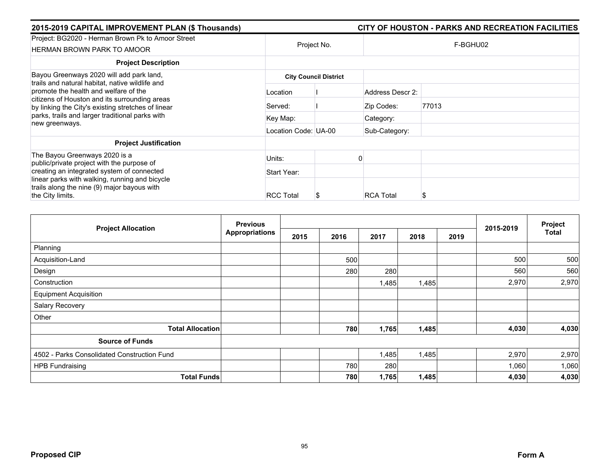| 2015-2019 CAPITAL IMPROVEMENT PLAN (\$ Thousands)                                                                                                                                               |                      |                              |                  | CITY OF HOUSTON - PARKS AND RECREATION FACILITIES |
|-------------------------------------------------------------------------------------------------------------------------------------------------------------------------------------------------|----------------------|------------------------------|------------------|---------------------------------------------------|
| Project: BG2020 - Herman Brown Pk to Amoor Street<br><b>HERMAN BROWN PARK TO AMOOR</b>                                                                                                          |                      | Project No.                  |                  | F-BGHU02                                          |
| <b>Project Description</b>                                                                                                                                                                      |                      |                              |                  |                                                   |
| Bayou Greenways 2020 will add park land,                                                                                                                                                        |                      | <b>City Council District</b> |                  |                                                   |
| trails and natural habitat, native wildlife and<br>promote the health and welfare of the<br>citizens of Houston and its surrounding areas<br>by linking the City's existing stretches of linear | Location             |                              | Address Descr 2: |                                                   |
|                                                                                                                                                                                                 | Served:              |                              | Zip Codes:       | 77013                                             |
| parks, trails and larger traditional parks with<br>new greenways.                                                                                                                               | Key Map:             |                              | Category:        |                                                   |
|                                                                                                                                                                                                 | Location Code: UA-00 |                              | Sub-Category:    |                                                   |
| <b>Project Justification</b>                                                                                                                                                                    |                      |                              |                  |                                                   |
| The Bayou Greenways 2020 is a<br>public/private project with the purpose of                                                                                                                     | Units:               |                              |                  |                                                   |
| creating an integrated system of connected                                                                                                                                                      | Start Year:          |                              |                  |                                                   |
| linear parks with walking, running and bicycle<br>trails along the nine (9) major bayous with<br>the City limits.                                                                               | <b>RCC Total</b>     | S                            | <b>RCA Total</b> |                                                   |

| <b>Project Allocation</b>                   | <b>Previous</b>       |      |      |       |       |      | 2015-2019 | Project      |
|---------------------------------------------|-----------------------|------|------|-------|-------|------|-----------|--------------|
|                                             | <b>Appropriations</b> | 2015 | 2016 | 2017  | 2018  | 2019 |           | <b>Total</b> |
| Planning                                    |                       |      |      |       |       |      |           |              |
| Acquisition-Land                            |                       |      | 500  |       |       |      | 500       | 500          |
| Design                                      |                       |      | 280  | 280   |       |      | 560       | 560          |
| Construction                                |                       |      |      | 1,485 | 1,485 |      | 2,970     | 2,970        |
| <b>Equipment Acquisition</b>                |                       |      |      |       |       |      |           |              |
| Salary Recovery                             |                       |      |      |       |       |      |           |              |
| Other                                       |                       |      |      |       |       |      |           |              |
| <b>Total Allocation</b>                     |                       |      | 780  | 1,765 | 1,485 |      | 4,030     | 4,030        |
| <b>Source of Funds</b>                      |                       |      |      |       |       |      |           |              |
| 4502 - Parks Consolidated Construction Fund |                       |      |      | 1,485 | 1,485 |      | 2,970     | 2,970        |
| <b>HPB Fundraising</b>                      |                       |      | 780  | 280   |       |      | 1,060     | 1,060        |
| <b>Total Funds</b>                          |                       |      | 780  | 1,765 | 1,485 |      | 4,030     | 4,030        |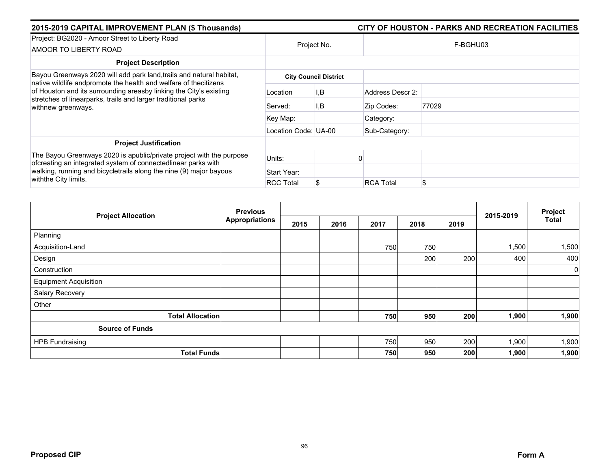| 2015-2019 CAPITAL IMPROVEMENT PLAN (\$ Thousands)                                                                                                                                                                             |                      |                              |                  |          |  |
|-------------------------------------------------------------------------------------------------------------------------------------------------------------------------------------------------------------------------------|----------------------|------------------------------|------------------|----------|--|
| Project: BG2020 - Amoor Street to Liberty Road<br>AMOOR TO LIBERTY ROAD                                                                                                                                                       |                      | Project No.                  |                  | F-BGHU03 |  |
| <b>Project Description</b>                                                                                                                                                                                                    |                      |                              |                  |          |  |
| Bayou Greenways 2020 will add park land, trails and natural habitat,                                                                                                                                                          |                      | <b>City Council District</b> |                  |          |  |
| native wildlife andpromote the health and welfare of thecitizens<br>of Houston and its surrounding areasby linking the City's existing<br>stretches of linearparks, trails and larger traditional parks<br>withnew greenways. | Location             | I,B                          | Address Descr 2: |          |  |
|                                                                                                                                                                                                                               | Served:              | I,B                          | Zip Codes:       | 77029    |  |
|                                                                                                                                                                                                                               | Key Map:             |                              | Category:        |          |  |
|                                                                                                                                                                                                                               | Location Code: UA-00 |                              | Sub-Category:    |          |  |
| <b>Project Justification</b>                                                                                                                                                                                                  |                      |                              |                  |          |  |
| The Bayou Greenways 2020 is apublic/private project with the purpose<br>ofcreating an integrated system of connectedlinear parks with<br>walking, running and bicycletrails along the nine (9) major bayous                   | Units:               |                              |                  |          |  |
|                                                                                                                                                                                                                               | Start Year:          |                              |                  |          |  |
| withthe City limits.                                                                                                                                                                                                          | <b>RCC Total</b>     |                              | <b>RCA Total</b> | \$       |  |

|                              | <b>Previous</b>       |      |      |      |      |      |           | Project |
|------------------------------|-----------------------|------|------|------|------|------|-----------|---------|
| <b>Project Allocation</b>    | <b>Appropriations</b> | 2015 | 2016 | 2017 | 2018 | 2019 | 2015-2019 | Total   |
| Planning                     |                       |      |      |      |      |      |           |         |
| Acquisition-Land             |                       |      |      | 750  | 750  |      | 1,500     | 1,500   |
| Design                       |                       |      |      |      | 200  | 200  | 400       | 400     |
| Construction                 |                       |      |      |      |      |      |           | 0       |
| <b>Equipment Acquisition</b> |                       |      |      |      |      |      |           |         |
| Salary Recovery              |                       |      |      |      |      |      |           |         |
| Other                        |                       |      |      |      |      |      |           |         |
| <b>Total Allocation</b>      |                       |      |      | 750  | 950  | 200  | 1,900     | 1,900   |
| <b>Source of Funds</b>       |                       |      |      |      |      |      |           |         |
| <b>HPB Fundraising</b>       |                       |      |      | 750  | 950  | 200  | 1,900     | 1,900   |
| <b>Total Funds</b>           |                       |      |      | 750  | 950  | 200  | 1,900     | 1,900   |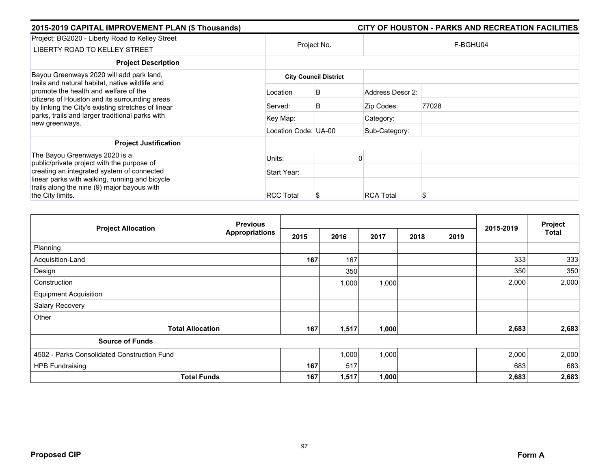| 2015-2019 CAPITAL IMPROVEMENT PLAN (\$ Thousands)                                                                                                                                                                                                                    |                      |                              |                  | CITY OF HOUSTON - PARKS AND RECREATION FACILITIES |
|----------------------------------------------------------------------------------------------------------------------------------------------------------------------------------------------------------------------------------------------------------------------|----------------------|------------------------------|------------------|---------------------------------------------------|
| Project: BG2020 - Liberty Road to Kelley Street<br>LIBERTY ROAD TO KELLEY STREET                                                                                                                                                                                     |                      | Project No.                  |                  | F-BGHU04                                          |
| <b>Project Description</b>                                                                                                                                                                                                                                           |                      |                              |                  |                                                   |
| Bayou Greenways 2020 will add park land,                                                                                                                                                                                                                             |                      | <b>City Council District</b> |                  |                                                   |
| trails and natural habitat, native wildlife and<br>promote the health and welfare of the<br>citizens of Houston and its surrounding areas<br>by linking the City's existing stretches of linear<br>parks, trails and larger traditional parks with<br>new greenways. | Location             | B                            | Address Descr 2: |                                                   |
|                                                                                                                                                                                                                                                                      | Served:              | B                            | Zip Codes:       | 77028                                             |
|                                                                                                                                                                                                                                                                      | Key Map:             |                              | Category:        |                                                   |
|                                                                                                                                                                                                                                                                      | Location Code: UA-00 |                              | Sub-Category:    |                                                   |
| <b>Project Justification</b>                                                                                                                                                                                                                                         |                      |                              |                  |                                                   |
| The Bayou Greenways 2020 is a<br>public/private project with the purpose of                                                                                                                                                                                          | Units:               |                              |                  |                                                   |
| creating an integrated system of connected                                                                                                                                                                                                                           | Start Year:          |                              |                  |                                                   |
| linear parks with walking, running and bicycle<br>trails along the nine (9) major bayous with<br>the City limits.                                                                                                                                                    | <b>RCC Total</b>     | Ъ                            | <b>RCA Total</b> | S                                                 |

| <b>Project Allocation</b>                   | <b>Previous</b>       |      |       | 2015-2019 | Project |      |       |       |
|---------------------------------------------|-----------------------|------|-------|-----------|---------|------|-------|-------|
|                                             | <b>Appropriations</b> | 2015 | 2016  | 2017      | 2018    | 2019 |       | Total |
| Planning                                    |                       |      |       |           |         |      |       |       |
| Acquisition-Land                            |                       | 167  | 167   |           |         |      | 333   | 333   |
| Design                                      |                       |      | 350   |           |         |      | 350   | 350   |
| Construction                                |                       |      | 1,000 | 1,000     |         |      | 2,000 | 2,000 |
| <b>Equipment Acquisition</b>                |                       |      |       |           |         |      |       |       |
| Salary Recovery                             |                       |      |       |           |         |      |       |       |
| Other                                       |                       |      |       |           |         |      |       |       |
| <b>Total Allocation</b>                     |                       | 167  | 1,517 | 1,000     |         |      | 2,683 | 2,683 |
| <b>Source of Funds</b>                      |                       |      |       |           |         |      |       |       |
| 4502 - Parks Consolidated Construction Fund |                       |      | 1,000 | 1,000     |         |      | 2,000 | 2,000 |
| <b>HPB Fundraising</b>                      |                       | 167  | 517   |           |         |      | 683   | 683   |
| <b>Total Funds</b>                          |                       | 167  | 1,517 | 1,000     |         |      | 2,683 | 2,683 |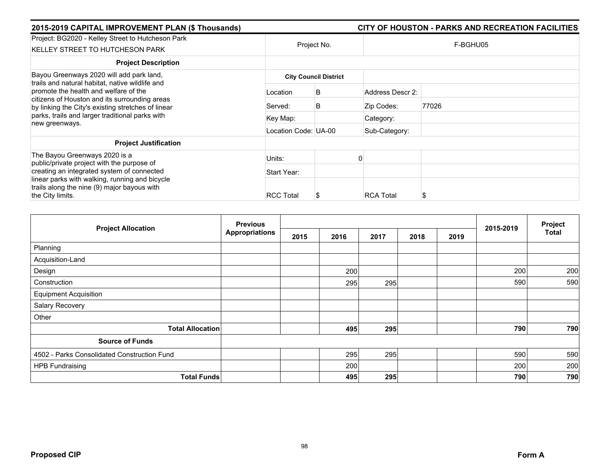| 2015-2019 CAPITAL IMPROVEMENT PLAN (\$ Thousands)                                                                                                                                                                                                  |                      |                              |                  | CITY OF HOUSTON - PARKS AND RECREATION FACILITIES |
|----------------------------------------------------------------------------------------------------------------------------------------------------------------------------------------------------------------------------------------------------|----------------------|------------------------------|------------------|---------------------------------------------------|
| Project: BG2020 - Kelley Street to Hutcheson Park<br>KELLEY STREET TO HUTCHESON PARK                                                                                                                                                               |                      | Project No.                  |                  | F-BGHU05                                          |
| <b>Project Description</b>                                                                                                                                                                                                                         |                      |                              |                  |                                                   |
| Bayou Greenways 2020 will add park land,                                                                                                                                                                                                           |                      | <b>City Council District</b> |                  |                                                   |
| trails and natural habitat, native wildlife and<br>promote the health and welfare of the<br>citizens of Houston and its surrounding areas<br>by linking the City's existing stretches of linear<br>parks, trails and larger traditional parks with | Location             | B                            | Address Descr 2: |                                                   |
|                                                                                                                                                                                                                                                    | Served:              | B                            | Zip Codes:       | 77026                                             |
|                                                                                                                                                                                                                                                    | Key Map:             |                              | Category:        |                                                   |
| new greenways.                                                                                                                                                                                                                                     | Location Code: UA-00 |                              | Sub-Category:    |                                                   |
| <b>Project Justification</b>                                                                                                                                                                                                                       |                      |                              |                  |                                                   |
| The Bayou Greenways 2020 is a<br>public/private project with the purpose of                                                                                                                                                                        | Units:               |                              |                  |                                                   |
| creating an integrated system of connected                                                                                                                                                                                                         | Start Year:          |                              |                  |                                                   |
| linear parks with walking, running and bicycle<br>trails along the nine (9) major bayous with<br>the City limits.                                                                                                                                  | <b>RCC Total</b>     | S                            | <b>RCA Total</b> |                                                   |

| <b>Project Allocation</b>                   | <b>Previous</b>       |      |      |      | 2015-2019 | Project |     |              |
|---------------------------------------------|-----------------------|------|------|------|-----------|---------|-----|--------------|
|                                             | <b>Appropriations</b> | 2015 | 2016 | 2017 | 2018      | 2019    |     | <b>Total</b> |
| Planning                                    |                       |      |      |      |           |         |     |              |
| Acquisition-Land                            |                       |      |      |      |           |         |     |              |
| Design                                      |                       |      | 200  |      |           |         | 200 | 200          |
| Construction                                |                       |      | 295  | 295  |           |         | 590 | 590          |
| <b>Equipment Acquisition</b>                |                       |      |      |      |           |         |     |              |
| Salary Recovery                             |                       |      |      |      |           |         |     |              |
| Other                                       |                       |      |      |      |           |         |     |              |
| <b>Total Allocation</b>                     |                       |      | 495  | 295  |           |         | 790 | 790          |
| <b>Source of Funds</b>                      |                       |      |      |      |           |         |     |              |
| 4502 - Parks Consolidated Construction Fund |                       |      | 295  | 295  |           |         | 590 | 590          |
| <b>HPB Fundraising</b>                      |                       |      | 200  |      |           |         | 200 | 200          |
| <b>Total Funds</b>                          |                       |      | 495  | 295  |           |         | 790 | 790          |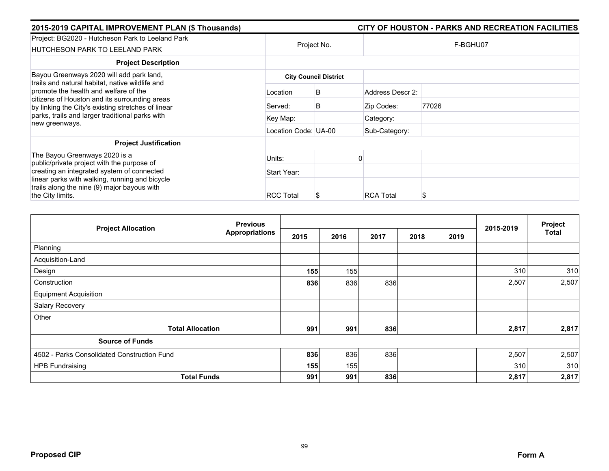| 2015-2019 CAPITAL IMPROVEMENT PLAN (\$ Thousands)                                                                                                                                               |                              |             |                  | CITY OF HOUSTON - PARKS AND RECREATION FACILITIES |  |  |  |  |
|-------------------------------------------------------------------------------------------------------------------------------------------------------------------------------------------------|------------------------------|-------------|------------------|---------------------------------------------------|--|--|--|--|
| Project: BG2020 - Hutcheson Park to Leeland Park<br><b>HUTCHESON PARK TO LEELAND PARK</b>                                                                                                       |                              | Project No. | F-BGHU07         |                                                   |  |  |  |  |
| <b>Project Description</b>                                                                                                                                                                      |                              |             |                  |                                                   |  |  |  |  |
| Bayou Greenways 2020 will add park land,                                                                                                                                                        | <b>City Council District</b> |             |                  |                                                   |  |  |  |  |
| trails and natural habitat, native wildlife and<br>promote the health and welfare of the<br>citizens of Houston and its surrounding areas<br>by linking the City's existing stretches of linear | Location                     | B           | Address Descr 2: |                                                   |  |  |  |  |
|                                                                                                                                                                                                 | Served:                      | B           | Zip Codes:       | 77026                                             |  |  |  |  |
| parks, trails and larger traditional parks with<br>new greenways.                                                                                                                               | Key Map:                     |             | Category:        |                                                   |  |  |  |  |
|                                                                                                                                                                                                 | Location Code: UA-00         |             | Sub-Category:    |                                                   |  |  |  |  |
| <b>Project Justification</b>                                                                                                                                                                    |                              |             |                  |                                                   |  |  |  |  |
| The Bayou Greenways 2020 is a<br>public/private project with the purpose of                                                                                                                     | Units:                       |             |                  |                                                   |  |  |  |  |
| creating an integrated system of connected                                                                                                                                                      | Start Year:                  |             |                  |                                                   |  |  |  |  |
| linear parks with walking, running and bicycle<br>trails along the nine (9) major bayous with<br>the City limits.                                                                               | <b>RCC Total</b>             |             | <b>RCA Total</b> | S                                                 |  |  |  |  |

|                                             | <b>Previous</b>       |      |      | 2015-2019 | Project |      |       |              |
|---------------------------------------------|-----------------------|------|------|-----------|---------|------|-------|--------------|
| <b>Project Allocation</b>                   | <b>Appropriations</b> | 2015 | 2016 | 2017      | 2018    | 2019 |       | <b>Total</b> |
| Planning                                    |                       |      |      |           |         |      |       |              |
| Acquisition-Land                            |                       |      |      |           |         |      |       |              |
| Design                                      |                       | 155  | 155  |           |         |      | 310   | 310          |
| Construction                                |                       | 836  | 836  | 836       |         |      | 2,507 | 2,507        |
| <b>Equipment Acquisition</b>                |                       |      |      |           |         |      |       |              |
| Salary Recovery                             |                       |      |      |           |         |      |       |              |
| Other                                       |                       |      |      |           |         |      |       |              |
| <b>Total Allocation</b>                     |                       | 991  | 991  | 836       |         |      | 2,817 | 2,817        |
| <b>Source of Funds</b>                      |                       |      |      |           |         |      |       |              |
| 4502 - Parks Consolidated Construction Fund |                       | 836  | 836  | 836       |         |      | 2,507 | 2,507        |
| <b>HPB Fundraising</b>                      |                       | 155  | 155  |           |         |      | 310   | 310          |
| <b>Total Funds</b>                          |                       | 991  | 991  | 836       |         |      | 2,817 | 2,817        |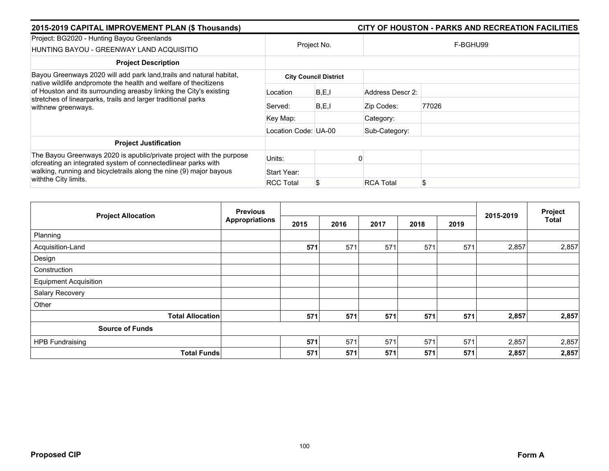| 2015-2019 CAPITAL IMPROVEMENT PLAN (\$ Thousands)                                                                                                                                                                                    |                      |                              | CITY OF HOUSTON - PARKS AND RECREATION FACILITIES |          |  |  |  |  |
|--------------------------------------------------------------------------------------------------------------------------------------------------------------------------------------------------------------------------------------|----------------------|------------------------------|---------------------------------------------------|----------|--|--|--|--|
| Project: BG2020 - Hunting Bayou Greenlands<br>HUNTING BAYOU - GREENWAY LAND ACQUISITIO                                                                                                                                               |                      | Project No.                  |                                                   | F-BGHU99 |  |  |  |  |
| <b>Project Description</b>                                                                                                                                                                                                           |                      |                              |                                                   |          |  |  |  |  |
| Bayou Greenways 2020 will add park land, trails and natural habitat,                                                                                                                                                                 |                      | <b>City Council District</b> |                                                   |          |  |  |  |  |
| native wildlife andpromote the health and welfare of thecitizens<br>of Houston and its surrounding areasby linking the City's existing<br>stretches of linearparks, trails and larger traditional parks<br>withnew greenways.        | Location             | B, E, I                      | Address Descr 2:                                  |          |  |  |  |  |
|                                                                                                                                                                                                                                      | Served:              | B.E,I                        | Zip Codes:                                        | 77026    |  |  |  |  |
|                                                                                                                                                                                                                                      | Key Map:             |                              | Category:                                         |          |  |  |  |  |
|                                                                                                                                                                                                                                      | Location Code: UA-00 |                              | Sub-Category:                                     |          |  |  |  |  |
| <b>Project Justification</b>                                                                                                                                                                                                         |                      |                              |                                                   |          |  |  |  |  |
| The Bayou Greenways 2020 is apublic/private project with the purpose<br>ofcreating an integrated system of connectedlinear parks with<br>walking, running and bicycletrails along the nine (9) major bayous<br>with the City limits. | Units:               |                              |                                                   |          |  |  |  |  |
|                                                                                                                                                                                                                                      | Start Year:          |                              |                                                   |          |  |  |  |  |
|                                                                                                                                                                                                                                      | <b>RCC Total</b>     |                              | <b>RCA Total</b>                                  | \$       |  |  |  |  |

|                              | <b>Previous</b>       |      |      |      |      |      |           | Project      |
|------------------------------|-----------------------|------|------|------|------|------|-----------|--------------|
| <b>Project Allocation</b>    | <b>Appropriations</b> | 2015 | 2016 | 2017 | 2018 | 2019 | 2015-2019 | <b>Total</b> |
| Planning                     |                       |      |      |      |      |      |           |              |
| Acquisition-Land             |                       | 571  | 571  | 571  | 571  | 571  | 2,857     | 2,857        |
| Design                       |                       |      |      |      |      |      |           |              |
| Construction                 |                       |      |      |      |      |      |           |              |
| <b>Equipment Acquisition</b> |                       |      |      |      |      |      |           |              |
| Salary Recovery              |                       |      |      |      |      |      |           |              |
| Other                        |                       |      |      |      |      |      |           |              |
| <b>Total Allocation</b>      |                       | 571  | 571  | 571  | 571  | 571  | 2,857     | 2,857        |
| <b>Source of Funds</b>       |                       |      |      |      |      |      |           |              |
| <b>HPB Fundraising</b>       |                       | 571  | 571  | 571  | 571  | 571  | 2,857     | 2,857        |
| <b>Total Funds</b>           |                       | 571  | 571  | 571  | 571  | 571  | 2,857     | 2,857        |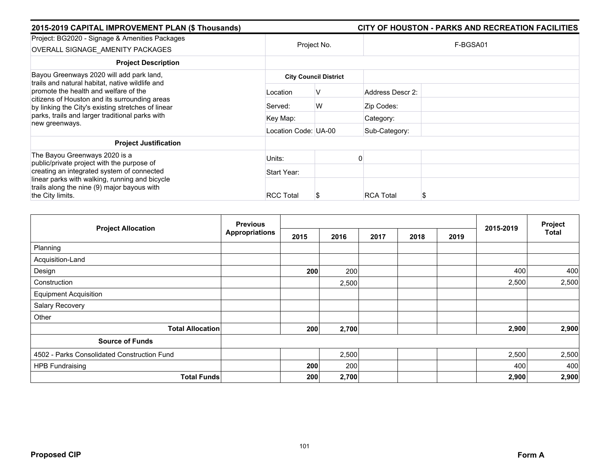| 2015-2019 CAPITAL IMPROVEMENT PLAN (\$ Thousands)                                                                                                                                                                                           |                      |                              |                  | CITY OF HOUSTON - PARKS AND RECREATION FACILITIES |
|---------------------------------------------------------------------------------------------------------------------------------------------------------------------------------------------------------------------------------------------|----------------------|------------------------------|------------------|---------------------------------------------------|
| Project: BG2020 - Signage & Amenities Packages<br>OVERALL SIGNAGE AMENITY PACKAGES                                                                                                                                                          |                      | Project No.                  |                  | F-BGSA01                                          |
| <b>Project Description</b>                                                                                                                                                                                                                  |                      |                              |                  |                                                   |
| Bayou Greenways 2020 will add park land,<br>trails and natural habitat, native wildlife and<br>promote the health and welfare of the<br>citizens of Houston and its surrounding areas<br>by linking the City's existing stretches of linear |                      | <b>City Council District</b> |                  |                                                   |
|                                                                                                                                                                                                                                             | Location             | V                            | Address Descr 2: |                                                   |
|                                                                                                                                                                                                                                             | Served:              | W                            | Zip Codes:       |                                                   |
| parks, trails and larger traditional parks with<br>new greenways.                                                                                                                                                                           | Key Map:             |                              | Category:        |                                                   |
|                                                                                                                                                                                                                                             | Location Code: UA-00 |                              | Sub-Category:    |                                                   |
| <b>Project Justification</b>                                                                                                                                                                                                                |                      |                              |                  |                                                   |
| The Bayou Greenways 2020 is a<br>public/private project with the purpose of                                                                                                                                                                 | Units:               |                              |                  |                                                   |
| creating an integrated system of connected                                                                                                                                                                                                  | Start Year:          |                              |                  |                                                   |
| linear parks with walking, running and bicycle<br>trails along the nine (9) major bayous with                                                                                                                                               |                      |                              |                  |                                                   |
| the City limits.                                                                                                                                                                                                                            | <b>RCC Total</b>     | æ                            | <b>RCA Total</b> | ъ                                                 |

| <b>Project Allocation</b>                   | <b>Previous</b>       |      |       |      | 2015-2019 | Project |       |              |
|---------------------------------------------|-----------------------|------|-------|------|-----------|---------|-------|--------------|
|                                             | <b>Appropriations</b> | 2015 | 2016  | 2017 | 2018      | 2019    |       | <b>Total</b> |
| Planning                                    |                       |      |       |      |           |         |       |              |
| Acquisition-Land                            |                       |      |       |      |           |         |       |              |
| Design                                      |                       | 200  | 200   |      |           |         | 400   | 400          |
| Construction                                |                       |      | 2,500 |      |           |         | 2,500 | 2,500        |
| <b>Equipment Acquisition</b>                |                       |      |       |      |           |         |       |              |
| Salary Recovery                             |                       |      |       |      |           |         |       |              |
| Other                                       |                       |      |       |      |           |         |       |              |
| <b>Total Allocation</b>                     |                       | 200  | 2,700 |      |           |         | 2,900 | 2,900        |
| <b>Source of Funds</b>                      |                       |      |       |      |           |         |       |              |
| 4502 - Parks Consolidated Construction Fund |                       |      | 2,500 |      |           |         | 2,500 | 2,500        |
| <b>HPB Fundraising</b>                      |                       | 200  | 200   |      |           |         | 400   | 400          |
| <b>Total Funds</b>                          |                       | 200  | 2,700 |      |           |         | 2,900 | 2,900        |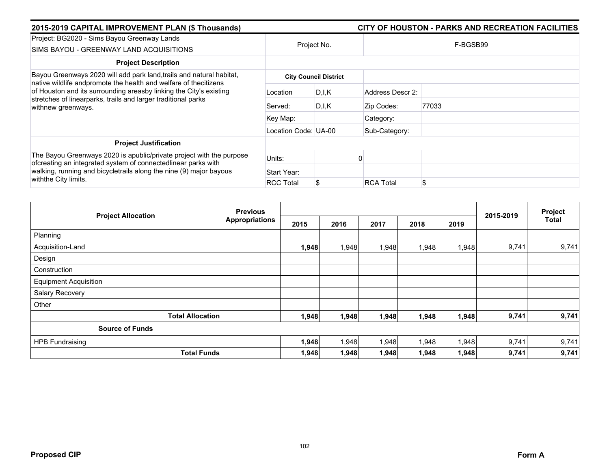| 2015-2019 CAPITAL IMPROVEMENT PLAN (\$ Thousands)                                                                                                         |                      |                              |                  | CITY OF HOUSTON - PARKS AND RECREATION FACILITIES |
|-----------------------------------------------------------------------------------------------------------------------------------------------------------|----------------------|------------------------------|------------------|---------------------------------------------------|
| Project: BG2020 - Sims Bayou Greenway Lands<br>SIMS BAYOU - GREENWAY LAND ACQUISITIONS                                                                    |                      | Project No.                  |                  | F-BGSB99                                          |
| <b>Project Description</b>                                                                                                                                |                      |                              |                  |                                                   |
| Bayou Greenways 2020 will add park land, trails and natural habitat,<br>native wildlife andpromote the health and welfare of thecitizens                  |                      | <b>City Council District</b> |                  |                                                   |
| of Houston and its surrounding areasby linking the City's existing<br>stretches of linearparks, trails and larger traditional parks<br>withnew greenways. | Location             | D.I.K                        | Address Descr 2: |                                                   |
|                                                                                                                                                           | Served:              | D.I.K                        | Zip Codes:       | 77033                                             |
|                                                                                                                                                           | Key Map:             |                              | Category:        |                                                   |
|                                                                                                                                                           | Location Code: UA-00 |                              | Sub-Category:    |                                                   |
| <b>Project Justification</b>                                                                                                                              |                      |                              |                  |                                                   |
| The Bayou Greenways 2020 is apublic/private project with the purpose<br>ofcreating an integrated system of connectedlinear parks with                     | Units:               |                              |                  |                                                   |
| walking, running and bicycletrails along the nine (9) major bayous                                                                                        | Start Year:          |                              |                  |                                                   |
| withthe City limits.                                                                                                                                      | <b>RCC Total</b>     |                              | <b>RCA Total</b> | \$                                                |

|                              | <b>Previous</b>       |       |       |       |       | Project |           |              |
|------------------------------|-----------------------|-------|-------|-------|-------|---------|-----------|--------------|
| <b>Project Allocation</b>    | <b>Appropriations</b> | 2015  | 2016  | 2017  | 2018  | 2019    | 2015-2019 | <b>Total</b> |
| Planning                     |                       |       |       |       |       |         |           |              |
| Acquisition-Land             |                       | 1,948 | .948  | 1,948 | 1,948 | 1,948   | 9,741     | 9,741        |
| Design                       |                       |       |       |       |       |         |           |              |
| Construction                 |                       |       |       |       |       |         |           |              |
| <b>Equipment Acquisition</b> |                       |       |       |       |       |         |           |              |
| Salary Recovery              |                       |       |       |       |       |         |           |              |
| Other                        |                       |       |       |       |       |         |           |              |
| <b>Total Allocation</b>      |                       | 1,948 | 1,948 | 1,948 | 1,948 | 1,948   | 9,741     | 9,741        |
| <b>Source of Funds</b>       |                       |       |       |       |       |         |           |              |
| <b>HPB Fundraising</b>       |                       | 1,948 | ,948  | 1,948 | 1,948 | 1,948   | 9,741     | 9,741        |
| <b>Total Funds</b>           |                       | 1,948 | 1,948 | 1,948 | 1,948 | 1,948   | 9,741     | 9,741        |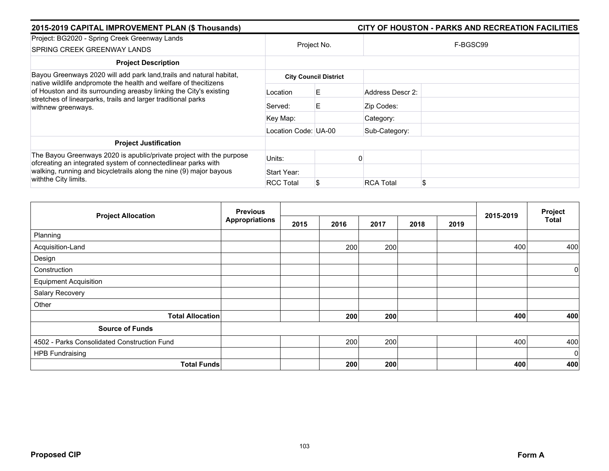| 2015-2019 CAPITAL IMPROVEMENT PLAN (\$ Thousands)                                                                                                                                                                             |                      |                              | CITY OF HOUSTON - PARKS AND RECREATION FACILITIES |
|-------------------------------------------------------------------------------------------------------------------------------------------------------------------------------------------------------------------------------|----------------------|------------------------------|---------------------------------------------------|
| Project: BG2020 - Spring Creek Greenway Lands<br>SPRING CREEK GREENWAY LANDS                                                                                                                                                  | Project No.          |                              | F-BGSC99                                          |
| <b>Project Description</b>                                                                                                                                                                                                    |                      |                              |                                                   |
| Bayou Greenways 2020 will add park land, trails and natural habitat,                                                                                                                                                          |                      | <b>City Council District</b> |                                                   |
| native wildlife andpromote the health and welfare of thecitizens<br>of Houston and its surrounding areasby linking the City's existing<br>stretches of linearparks, trails and larger traditional parks<br>withnew greenways. | Location             | E.                           | Address Descr 2:                                  |
|                                                                                                                                                                                                                               | Served:              | E                            | Zip Codes:                                        |
|                                                                                                                                                                                                                               | Key Map:             |                              | Category:                                         |
|                                                                                                                                                                                                                               | Location Code: UA-00 |                              | Sub-Category:                                     |
| <b>Project Justification</b>                                                                                                                                                                                                  |                      |                              |                                                   |
| The Bayou Greenways 2020 is apublic/private project with the purpose<br>ofcreating an integrated system of connectedlinear parks with                                                                                         | Units:               |                              |                                                   |
| walking, running and bicycletrails along the nine (9) major bayous<br>withthe City limits.                                                                                                                                    | Start Year:          |                              |                                                   |
|                                                                                                                                                                                                                               | <b>RCC Total</b>     |                              | \$<br><b>RCA Total</b>                            |

|                                             | <b>Previous</b>       |      |      |      |      |      |           | Project     |
|---------------------------------------------|-----------------------|------|------|------|------|------|-----------|-------------|
| <b>Project Allocation</b>                   | <b>Appropriations</b> | 2015 | 2016 | 2017 | 2018 | 2019 | 2015-2019 | Total       |
| Planning                                    |                       |      |      |      |      |      |           |             |
| Acquisition-Land                            |                       |      | 200  | 200  |      |      | 400       | 400         |
| Design                                      |                       |      |      |      |      |      |           |             |
| Construction                                |                       |      |      |      |      |      |           | $\mathbf 0$ |
| <b>Equipment Acquisition</b>                |                       |      |      |      |      |      |           |             |
| Salary Recovery                             |                       |      |      |      |      |      |           |             |
| Other                                       |                       |      |      |      |      |      |           |             |
| <b>Total Allocation</b>                     |                       |      | 200  | 200  |      |      | 400       | 400         |
| <b>Source of Funds</b>                      |                       |      |      |      |      |      |           |             |
| 4502 - Parks Consolidated Construction Fund |                       |      | 200  | 200  |      |      | 400       | 400         |
| <b>HPB Fundraising</b>                      |                       |      |      |      |      |      |           | $\mathbf 0$ |
| <b>Total Funds</b>                          |                       |      | 200  | 200  |      |      | 400       | 400         |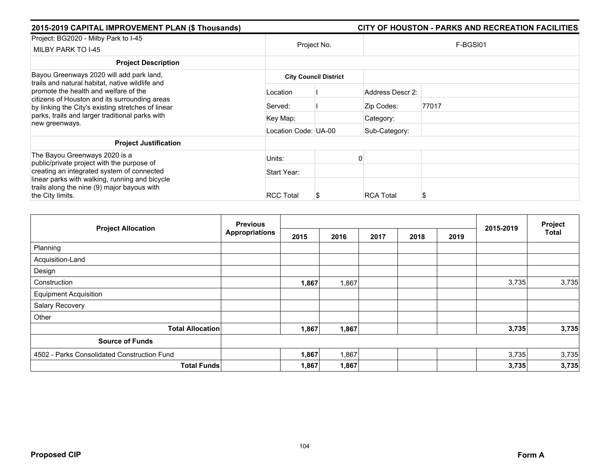| 2015-2019 CAPITAL IMPROVEMENT PLAN (\$ Thousands)                                                                                                                                                                                                                    |                      |                              |                  | CITY OF HOUSTON - PARKS AND RECREATION FACILITIES |  |  |
|----------------------------------------------------------------------------------------------------------------------------------------------------------------------------------------------------------------------------------------------------------------------|----------------------|------------------------------|------------------|---------------------------------------------------|--|--|
| Project: BG2020 - Milby Park to I-45<br>MILBY PARK TO I-45                                                                                                                                                                                                           | Project No.          |                              |                  | F-BGSI01                                          |  |  |
| <b>Project Description</b>                                                                                                                                                                                                                                           |                      |                              |                  |                                                   |  |  |
| Bayou Greenways 2020 will add park land,                                                                                                                                                                                                                             |                      | <b>City Council District</b> |                  |                                                   |  |  |
| trails and natural habitat, native wildlife and<br>promote the health and welfare of the<br>citizens of Houston and its surrounding areas<br>by linking the City's existing stretches of linear<br>parks, trails and larger traditional parks with<br>new greenways. | Location             |                              | Address Descr 2: |                                                   |  |  |
|                                                                                                                                                                                                                                                                      | Served:              |                              | Zip Codes:       | 77017                                             |  |  |
|                                                                                                                                                                                                                                                                      | Key Map:             |                              | Category:        |                                                   |  |  |
|                                                                                                                                                                                                                                                                      | Location Code: UA-00 |                              | Sub-Category:    |                                                   |  |  |
| <b>Project Justification</b>                                                                                                                                                                                                                                         |                      |                              |                  |                                                   |  |  |
| The Bayou Greenways 2020 is a<br>public/private project with the purpose of                                                                                                                                                                                          | Units:               |                              |                  |                                                   |  |  |
| creating an integrated system of connected                                                                                                                                                                                                                           | Start Year:          |                              |                  |                                                   |  |  |
| linear parks with walking, running and bicycle<br>trails along the nine (9) major bayous with<br>the City limits.                                                                                                                                                    | <b>RCC Total</b>     |                              | <b>RCA Total</b> | \$                                                |  |  |

|                                             | <b>Previous</b>       |       |       |      |      |      | 2015-2019 | Project      |
|---------------------------------------------|-----------------------|-------|-------|------|------|------|-----------|--------------|
| <b>Project Allocation</b>                   | <b>Appropriations</b> | 2015  | 2016  | 2017 | 2018 | 2019 |           | <b>Total</b> |
| Planning                                    |                       |       |       |      |      |      |           |              |
| Acquisition-Land                            |                       |       |       |      |      |      |           |              |
| Design                                      |                       |       |       |      |      |      |           |              |
| Construction                                |                       | 1,867 | 1,867 |      |      |      | 3,735     | 3,735        |
| <b>Equipment Acquisition</b>                |                       |       |       |      |      |      |           |              |
| Salary Recovery                             |                       |       |       |      |      |      |           |              |
| Other                                       |                       |       |       |      |      |      |           |              |
| <b>Total Allocation</b>                     |                       | 1,867 | 1,867 |      |      |      | 3,735     | 3,735        |
| <b>Source of Funds</b>                      |                       |       |       |      |      |      |           |              |
| 4502 - Parks Consolidated Construction Fund |                       | 1,867 | 1,867 |      |      |      | 3,735     | 3,735        |
| <b>Total Funds</b>                          |                       | 1,867 | 1,867 |      |      |      | 3,735     | 3,735        |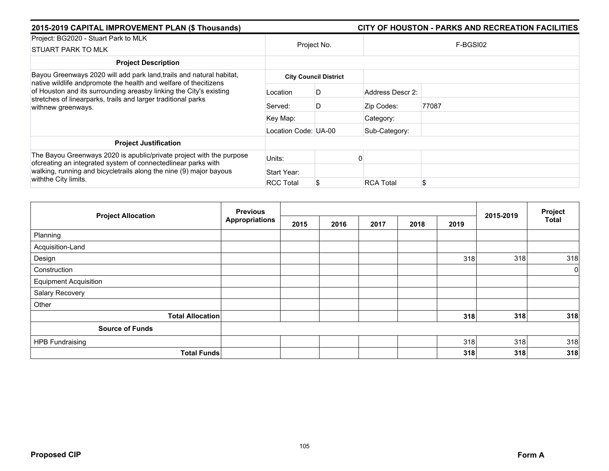| 2015-2019 CAPITAL IMPROVEMENT PLAN (\$ Thousands)                                                                                                                                                                             |                      | CITY OF HOUSTON - PARKS AND RECREATION FACILITIES |                  |          |  |  |
|-------------------------------------------------------------------------------------------------------------------------------------------------------------------------------------------------------------------------------|----------------------|---------------------------------------------------|------------------|----------|--|--|
| Project: BG2020 - Stuart Park to MLK<br><b>STUART PARK TO MLK</b>                                                                                                                                                             | Project No.          |                                                   |                  | F-BGSI02 |  |  |
| <b>Project Description</b>                                                                                                                                                                                                    |                      |                                                   |                  |          |  |  |
| Bayou Greenways 2020 will add park land, trails and natural habitat,                                                                                                                                                          |                      | <b>City Council District</b>                      |                  |          |  |  |
| native wildlife andpromote the health and welfare of thecitizens<br>of Houston and its surrounding areasby linking the City's existing<br>stretches of linearparks, trails and larger traditional parks<br>withnew greenways. | Location             | D                                                 | Address Descr 2: |          |  |  |
|                                                                                                                                                                                                                               | Served:              | D                                                 | Zip Codes:       | 77087    |  |  |
|                                                                                                                                                                                                                               | Key Map:             |                                                   | Category:        |          |  |  |
|                                                                                                                                                                                                                               | Location Code: UA-00 |                                                   | Sub-Category:    |          |  |  |
| <b>Project Justification</b>                                                                                                                                                                                                  |                      |                                                   |                  |          |  |  |
| The Bayou Greenways 2020 is apublic/private project with the purpose<br>ofcreating an integrated system of connectedlinear parks with                                                                                         | Units:               |                                                   |                  |          |  |  |
| walking, running and bicycletrails along the nine (9) major bayous                                                                                                                                                            | Start Year:          |                                                   |                  |          |  |  |
| withthe City limits.                                                                                                                                                                                                          | <b>RCC Total</b>     |                                                   | <b>RCA Total</b> | \$       |  |  |

| <b>Project Allocation</b>    | <b>Previous</b>       |      |      | 2015-2019 | Project |      |     |              |
|------------------------------|-----------------------|------|------|-----------|---------|------|-----|--------------|
|                              | <b>Appropriations</b> | 2015 | 2016 | 2017      | 2018    | 2019 |     | <b>Total</b> |
| Planning                     |                       |      |      |           |         |      |     |              |
| Acquisition-Land             |                       |      |      |           |         |      |     |              |
| Design                       |                       |      |      |           |         | 318  | 318 | 318          |
| Construction                 |                       |      |      |           |         |      |     | 0            |
| <b>Equipment Acquisition</b> |                       |      |      |           |         |      |     |              |
| Salary Recovery              |                       |      |      |           |         |      |     |              |
| Other                        |                       |      |      |           |         |      |     |              |
| <b>Total Allocation</b>      |                       |      |      |           |         | 318  | 318 | 318          |
| <b>Source of Funds</b>       |                       |      |      |           |         |      |     |              |
| <b>HPB Fundraising</b>       |                       |      |      |           |         | 318  | 318 | 318          |
| <b>Total Funds</b>           |                       |      |      |           |         | 318  | 318 | 318          |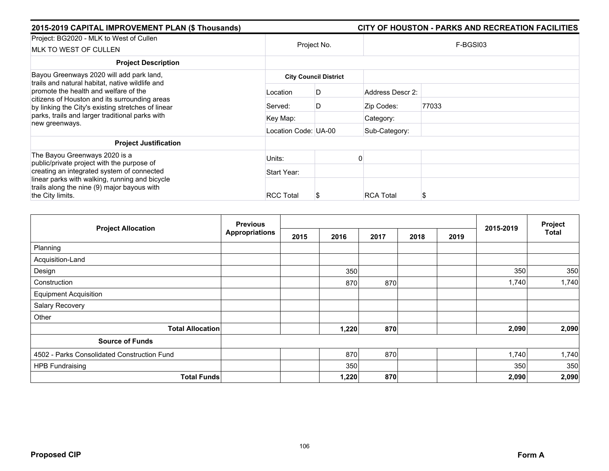| 2015-2019 CAPITAL IMPROVEMENT PLAN (\$ Thousands)                                                                                                                                                                 |                              |             |                  | CITY OF HOUSTON - PARKS AND RECREATION FACILITIES |  |  |  |  |
|-------------------------------------------------------------------------------------------------------------------------------------------------------------------------------------------------------------------|------------------------------|-------------|------------------|---------------------------------------------------|--|--|--|--|
| Project: BG2020 - MLK to West of Cullen<br><b>MLK TO WEST OF CULLEN</b>                                                                                                                                           |                              | Project No. |                  | F-BGSI03                                          |  |  |  |  |
| <b>Project Description</b>                                                                                                                                                                                        |                              |             |                  |                                                   |  |  |  |  |
| Bayou Greenways 2020 will add park land,<br>trails and natural habitat, native wildlife and                                                                                                                       | <b>City Council District</b> |             |                  |                                                   |  |  |  |  |
| promote the health and welfare of the<br>citizens of Houston and its surrounding areas<br>by linking the City's existing stretches of linear<br>parks, trails and larger traditional parks with<br>new greenways. | Location                     | D           | Address Descr 2: |                                                   |  |  |  |  |
|                                                                                                                                                                                                                   | Served:                      | D           | Zip Codes:       | 77033                                             |  |  |  |  |
|                                                                                                                                                                                                                   | Key Map:                     |             | Category:        |                                                   |  |  |  |  |
|                                                                                                                                                                                                                   | Location Code: UA-00         |             | Sub-Category:    |                                                   |  |  |  |  |
| <b>Project Justification</b>                                                                                                                                                                                      |                              |             |                  |                                                   |  |  |  |  |
| The Bayou Greenways 2020 is a<br>public/private project with the purpose of                                                                                                                                       | Units:                       |             |                  |                                                   |  |  |  |  |
| creating an integrated system of connected                                                                                                                                                                        | Start Year:                  |             |                  |                                                   |  |  |  |  |
| linear parks with walking, running and bicycle<br>trails along the nine (9) major bayous with<br>the City limits.                                                                                                 | <b>RCC Total</b>             |             | <b>RCA Total</b> | S                                                 |  |  |  |  |

| <b>Project Allocation</b>                   | <b>Previous</b>       |      |       |      |      |      | 2015-2019 | Project      |
|---------------------------------------------|-----------------------|------|-------|------|------|------|-----------|--------------|
|                                             | <b>Appropriations</b> | 2015 | 2016  | 2017 | 2018 | 2019 |           | <b>Total</b> |
| Planning                                    |                       |      |       |      |      |      |           |              |
| Acquisition-Land                            |                       |      |       |      |      |      |           |              |
| Design                                      |                       |      | 350   |      |      |      | 350       | 350          |
| Construction                                |                       |      | 870   | 870  |      |      | 1,740     | 1,740        |
| <b>Equipment Acquisition</b>                |                       |      |       |      |      |      |           |              |
| Salary Recovery                             |                       |      |       |      |      |      |           |              |
| Other                                       |                       |      |       |      |      |      |           |              |
| <b>Total Allocation</b>                     |                       |      | 1,220 | 870  |      |      | 2,090     | 2,090        |
| <b>Source of Funds</b>                      |                       |      |       |      |      |      |           |              |
| 4502 - Parks Consolidated Construction Fund |                       |      | 870   | 870  |      |      | 1,740     | 1,740        |
| <b>HPB Fundraising</b>                      |                       |      | 350   |      |      |      | 350       | 350          |
| <b>Total Funds</b>                          |                       |      | 1,220 | 870  |      |      | 2,090     | 2,090        |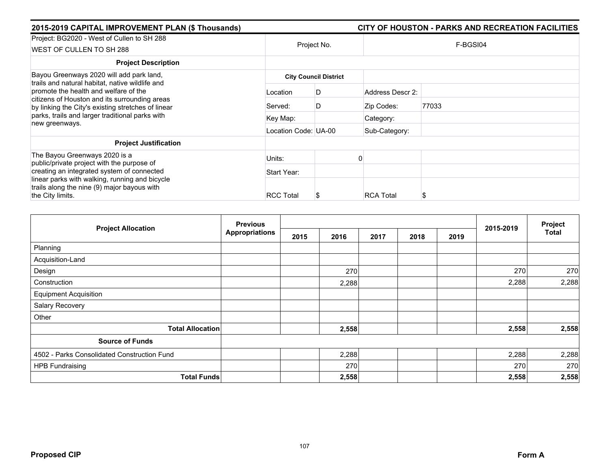| 2015-2019 CAPITAL IMPROVEMENT PLAN (\$ Thousands)                                                                                                                                                                 |                      |                              |                  | CITY OF HOUSTON - PARKS AND RECREATION FACILITIES |  |  |  |
|-------------------------------------------------------------------------------------------------------------------------------------------------------------------------------------------------------------------|----------------------|------------------------------|------------------|---------------------------------------------------|--|--|--|
| Project: BG2020 - West of Cullen to SH 288<br>WEST OF CULLEN TO SH 288                                                                                                                                            | Project No.          |                              | F-BGSI04         |                                                   |  |  |  |
| <b>Project Description</b>                                                                                                                                                                                        |                      |                              |                  |                                                   |  |  |  |
| Bayou Greenways 2020 will add park land,<br>trails and natural habitat, native wildlife and                                                                                                                       |                      | <b>City Council District</b> |                  |                                                   |  |  |  |
| promote the health and welfare of the<br>citizens of Houston and its surrounding areas<br>by linking the City's existing stretches of linear<br>parks, trails and larger traditional parks with<br>new greenways. | Location             | D                            | Address Descr 2: |                                                   |  |  |  |
|                                                                                                                                                                                                                   | Served:              | D                            | Zip Codes:       | 77033                                             |  |  |  |
|                                                                                                                                                                                                                   | Key Map:             |                              | Category:        |                                                   |  |  |  |
|                                                                                                                                                                                                                   | Location Code: UA-00 |                              | Sub-Category:    |                                                   |  |  |  |
| <b>Project Justification</b>                                                                                                                                                                                      |                      |                              |                  |                                                   |  |  |  |
| The Bayou Greenways 2020 is a<br>public/private project with the purpose of                                                                                                                                       | Units:               |                              |                  |                                                   |  |  |  |
| creating an integrated system of connected                                                                                                                                                                        | Start Year:          |                              |                  |                                                   |  |  |  |
| linear parks with walking, running and bicycle<br>trails along the nine (9) major bayous with<br>the City limits.                                                                                                 | <b>RCC Total</b>     | S                            | <b>RCA Total</b> | S                                                 |  |  |  |

| <b>Project Allocation</b>                   | <b>Previous</b>       |      |       |      | 2015-2019 | Project |       |              |
|---------------------------------------------|-----------------------|------|-------|------|-----------|---------|-------|--------------|
|                                             | <b>Appropriations</b> | 2015 | 2016  | 2017 | 2018      | 2019    |       | <b>Total</b> |
| Planning                                    |                       |      |       |      |           |         |       |              |
| Acquisition-Land                            |                       |      |       |      |           |         |       |              |
| Design                                      |                       |      | 270   |      |           |         | 270   | 270          |
| Construction                                |                       |      | 2,288 |      |           |         | 2,288 | 2,288        |
| <b>Equipment Acquisition</b>                |                       |      |       |      |           |         |       |              |
| Salary Recovery                             |                       |      |       |      |           |         |       |              |
| Other                                       |                       |      |       |      |           |         |       |              |
| <b>Total Allocation</b>                     |                       |      | 2,558 |      |           |         | 2,558 | 2,558        |
| <b>Source of Funds</b>                      |                       |      |       |      |           |         |       |              |
| 4502 - Parks Consolidated Construction Fund |                       |      | 2,288 |      |           |         | 2,288 | 2,288        |
| <b>HPB Fundraising</b>                      |                       |      | 270   |      |           |         | 270   | 270          |
| <b>Total Funds</b>                          |                       |      | 2,558 |      |           |         | 2,558 | 2,558        |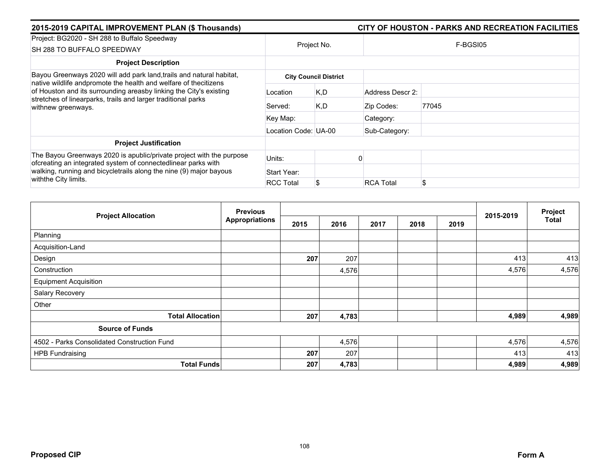| 2015-2019 CAPITAL IMPROVEMENT PLAN (\$ Thousands)                                                                                                                                                                             |                      | CITY OF HOUSTON - PARKS AND RECREATION FACILITIES |                  |          |  |  |  |
|-------------------------------------------------------------------------------------------------------------------------------------------------------------------------------------------------------------------------------|----------------------|---------------------------------------------------|------------------|----------|--|--|--|
| Project: BG2020 - SH 288 to Buffalo Speedway<br>SH 288 TO BUFFALO SPEEDWAY                                                                                                                                                    | Project No.          |                                                   |                  | F-BGSI05 |  |  |  |
| <b>Project Description</b>                                                                                                                                                                                                    |                      |                                                   |                  |          |  |  |  |
| Bayou Greenways 2020 will add park land, trails and natural habitat,                                                                                                                                                          |                      | <b>City Council District</b>                      |                  |          |  |  |  |
| native wildlife andpromote the health and welfare of thecitizens<br>of Houston and its surrounding areasby linking the City's existing<br>stretches of linearparks, trails and larger traditional parks<br>withnew greenways. | Location             | K, D                                              | Address Descr 2: |          |  |  |  |
|                                                                                                                                                                                                                               | Served:              | K,D                                               | Zip Codes:       | 77045    |  |  |  |
|                                                                                                                                                                                                                               | Key Map:             |                                                   | Category:        |          |  |  |  |
|                                                                                                                                                                                                                               | Location Code: UA-00 |                                                   | Sub-Category:    |          |  |  |  |
| <b>Project Justification</b>                                                                                                                                                                                                  |                      |                                                   |                  |          |  |  |  |
| The Bayou Greenways 2020 is apublic/private project with the purpose<br>ofcreating an integrated system of connectedlinear parks with                                                                                         | Units:               |                                                   |                  |          |  |  |  |
| walking, running and bicycletrails along the nine (9) major bayous<br>withthe City limits.                                                                                                                                    | Start Year:          |                                                   |                  |          |  |  |  |
|                                                                                                                                                                                                                               | <b>RCC Total</b>     |                                                   | <b>RCA Total</b> | \$       |  |  |  |

|                                             | <b>Previous</b>       |      |       |      | Project |      |           |              |
|---------------------------------------------|-----------------------|------|-------|------|---------|------|-----------|--------------|
| <b>Project Allocation</b>                   | <b>Appropriations</b> | 2015 | 2016  | 2017 | 2018    | 2019 | 2015-2019 | <b>Total</b> |
| Planning                                    |                       |      |       |      |         |      |           |              |
| Acquisition-Land                            |                       |      |       |      |         |      |           |              |
| Design                                      |                       | 207  | 207   |      |         |      | 413       | 413          |
| Construction                                |                       |      | 4,576 |      |         |      | 4,576     | 4,576        |
| <b>Equipment Acquisition</b>                |                       |      |       |      |         |      |           |              |
| Salary Recovery                             |                       |      |       |      |         |      |           |              |
| Other                                       |                       |      |       |      |         |      |           |              |
| <b>Total Allocation</b>                     |                       | 207  | 4,783 |      |         |      | 4,989     | 4,989        |
| <b>Source of Funds</b>                      |                       |      |       |      |         |      |           |              |
| 4502 - Parks Consolidated Construction Fund |                       |      | 4,576 |      |         |      | 4,576     | 4,576        |
| <b>HPB Fundraising</b>                      |                       | 207  | 207   |      |         |      | 413       | 413          |
| <b>Total Funds</b>                          |                       | 207  | 4,783 |      |         |      | 4,989     | 4,989        |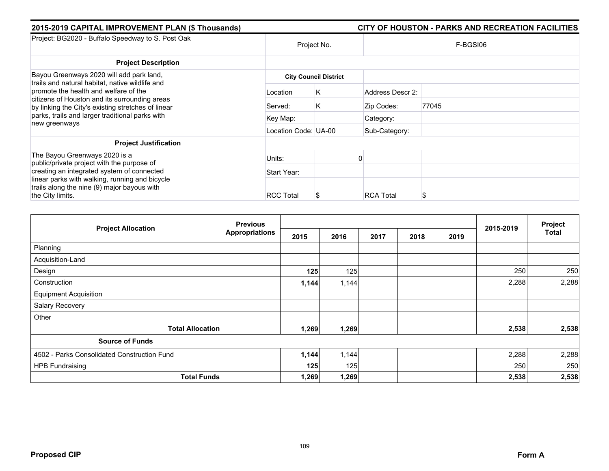| 2015-2019 CAPITAL IMPROVEMENT PLAN (\$ Thousands)                                                                                            |                      |                              |                  | CITY OF HOUSTON - PARKS AND RECREATION FACILITIES |  |  |  |
|----------------------------------------------------------------------------------------------------------------------------------------------|----------------------|------------------------------|------------------|---------------------------------------------------|--|--|--|
| Project: BG2020 - Buffalo Speedway to S. Post Oak                                                                                            | Project No.          |                              | F-BGSI06         |                                                   |  |  |  |
| <b>Project Description</b>                                                                                                                   |                      |                              |                  |                                                   |  |  |  |
| Bayou Greenways 2020 will add park land,<br>trails and natural habitat, native wildlife and                                                  |                      | <b>City Council District</b> |                  |                                                   |  |  |  |
| promote the health and welfare of the<br>citizens of Houston and its surrounding areas<br>by linking the City's existing stretches of linear | Location             | K                            | Address Descr 2: |                                                   |  |  |  |
|                                                                                                                                              | Served:              | K                            | Zip Codes:       | 77045                                             |  |  |  |
| parks, trails and larger traditional parks with<br>new greenways                                                                             | Key Map:             |                              | Category:        |                                                   |  |  |  |
|                                                                                                                                              | Location Code: UA-00 |                              | Sub-Category:    |                                                   |  |  |  |
| <b>Project Justification</b>                                                                                                                 |                      |                              |                  |                                                   |  |  |  |
| The Bayou Greenways 2020 is a<br>public/private project with the purpose of                                                                  | Units:               |                              |                  |                                                   |  |  |  |
| creating an integrated system of connected                                                                                                   | Start Year:          |                              |                  |                                                   |  |  |  |
| linear parks with walking, running and bicycle<br>trails along the nine (9) major bayous with                                                |                      |                              |                  |                                                   |  |  |  |
| the City limits.                                                                                                                             | <b>RCC Total</b>     | S                            | <b>RCA Total</b> |                                                   |  |  |  |

| <b>Project Allocation</b>                   | <b>Previous</b>       |       |       | 2015-2019 | Project |      |       |              |
|---------------------------------------------|-----------------------|-------|-------|-----------|---------|------|-------|--------------|
|                                             | <b>Appropriations</b> | 2015  | 2016  | 2017      | 2018    | 2019 |       | <b>Total</b> |
| Planning                                    |                       |       |       |           |         |      |       |              |
| Acquisition-Land                            |                       |       |       |           |         |      |       |              |
| Design                                      |                       | 125   | 125   |           |         |      | 250   | 250          |
| Construction                                |                       | 1,144 | 1,144 |           |         |      | 2,288 | 2,288        |
| <b>Equipment Acquisition</b>                |                       |       |       |           |         |      |       |              |
| Salary Recovery                             |                       |       |       |           |         |      |       |              |
| Other                                       |                       |       |       |           |         |      |       |              |
| <b>Total Allocation</b>                     |                       | 1,269 | 1,269 |           |         |      | 2,538 | 2,538        |
| <b>Source of Funds</b>                      |                       |       |       |           |         |      |       |              |
| 4502 - Parks Consolidated Construction Fund |                       | 1,144 | 1,144 |           |         |      | 2,288 | 2,288        |
| <b>HPB Fundraising</b>                      |                       | 125   | 125   |           |         |      | 250   | 250          |
| <b>Total Funds</b>                          |                       | 1,269 | 1,269 |           |         |      | 2,538 | 2,538        |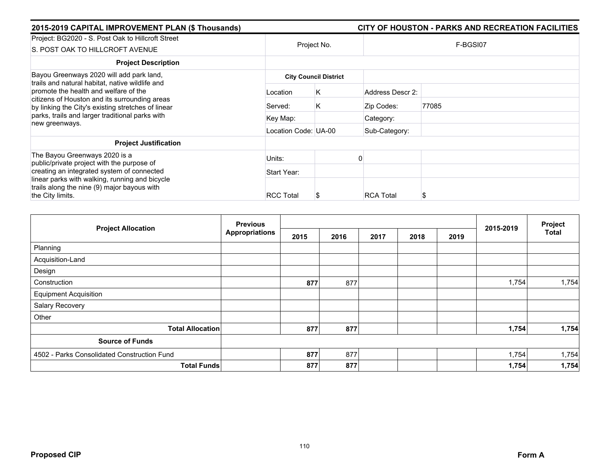| 2015-2019 CAPITAL IMPROVEMENT PLAN (\$ Thousands)                                                                                            |                      |                              |                  | CITY OF HOUSTON - PARKS AND RECREATION FACILITIES |
|----------------------------------------------------------------------------------------------------------------------------------------------|----------------------|------------------------------|------------------|---------------------------------------------------|
| Project: BG2020 - S. Post Oak to Hillcroft Street<br>S. POST OAK TO HILLCROFT AVENUE                                                         |                      | Project No.                  |                  | F-BGSI07                                          |
| <b>Project Description</b>                                                                                                                   |                      |                              |                  |                                                   |
| Bayou Greenways 2020 will add park land,<br>trails and natural habitat, native wildlife and                                                  |                      | <b>City Council District</b> |                  |                                                   |
| promote the health and welfare of the<br>citizens of Houston and its surrounding areas<br>by linking the City's existing stretches of linear | Location             | Κ                            | Address Descr 2: |                                                   |
|                                                                                                                                              | Served:              | K                            | Zip Codes:       | 77085                                             |
| parks, trails and larger traditional parks with<br>new greenways.                                                                            | Key Map:             |                              | Category:        |                                                   |
|                                                                                                                                              | Location Code: UA-00 |                              | Sub-Category:    |                                                   |
| <b>Project Justification</b>                                                                                                                 |                      |                              |                  |                                                   |
| The Bayou Greenways 2020 is a<br>public/private project with the purpose of                                                                  | Units:               |                              |                  |                                                   |
| creating an integrated system of connected                                                                                                   | Start Year:          |                              |                  |                                                   |
| linear parks with walking, running and bicycle<br>trails along the nine (9) major bayous with<br>the City limits.                            | <b>RCC Total</b>     | S                            | <b>RCA Total</b> |                                                   |

|                                             | <b>Previous</b> |      |      |      |      |      | 2015-2019 | Project      |
|---------------------------------------------|-----------------|------|------|------|------|------|-----------|--------------|
| <b>Project Allocation</b>                   | Appropriations  | 2015 | 2016 | 2017 | 2018 | 2019 |           | <b>Total</b> |
| Planning                                    |                 |      |      |      |      |      |           |              |
| Acquisition-Land                            |                 |      |      |      |      |      |           |              |
| Design                                      |                 |      |      |      |      |      |           |              |
| Construction                                |                 | 877  | 877  |      |      |      | 1,754     | 1,754        |
| <b>Equipment Acquisition</b>                |                 |      |      |      |      |      |           |              |
| Salary Recovery                             |                 |      |      |      |      |      |           |              |
| Other                                       |                 |      |      |      |      |      |           |              |
| <b>Total Allocation</b>                     |                 | 877  | 877  |      |      |      | 1,754     | 1,754        |
| <b>Source of Funds</b>                      |                 |      |      |      |      |      |           |              |
| 4502 - Parks Consolidated Construction Fund |                 | 877  | 877  |      |      |      | 1,754     | 1,754        |
| <b>Total Funds</b>                          |                 | 877  | 877  |      |      |      | 1,754     | 1,754        |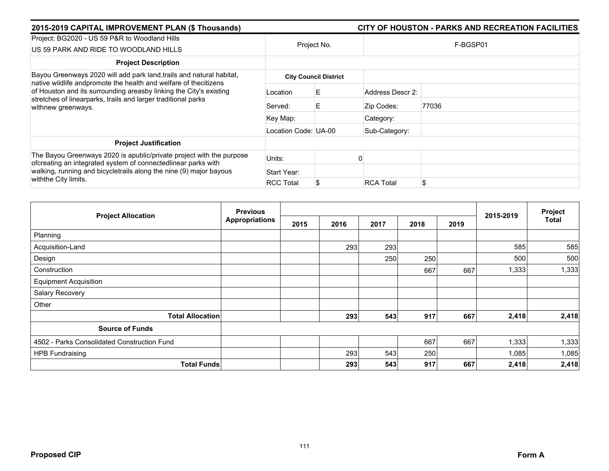| 2015-2019 CAPITAL IMPROVEMENT PLAN (\$ Thousands)                                                                                                         |                      |                              |                  | CITY OF HOUSTON - PARKS AND RECREATION FACILITIES |
|-----------------------------------------------------------------------------------------------------------------------------------------------------------|----------------------|------------------------------|------------------|---------------------------------------------------|
| Project: BG2020 - US 59 P&R to Woodland Hills<br>US 59 PARK AND RIDE TO WOODLAND HILLS                                                                    |                      | Project No.                  |                  | F-BGSP01                                          |
| <b>Project Description</b>                                                                                                                                |                      |                              |                  |                                                   |
| Bayou Greenways 2020 will add park land, trails and natural habitat,<br>native wildlife andpromote the health and welfare of thecitizens                  |                      | <b>City Council District</b> |                  |                                                   |
| of Houston and its surrounding areasby linking the City's existing<br>stretches of linearparks, trails and larger traditional parks<br>withnew greenways. | Location             | E.                           | Address Descr 2: |                                                   |
|                                                                                                                                                           | Served:              | E                            | Zip Codes:       | 77036                                             |
|                                                                                                                                                           | Key Map:             |                              | Category:        |                                                   |
|                                                                                                                                                           | Location Code: UA-00 |                              | Sub-Category:    |                                                   |
| <b>Project Justification</b>                                                                                                                              |                      |                              |                  |                                                   |
| The Bayou Greenways 2020 is apublic/private project with the purpose<br>ofcreating an integrated system of connectedlinear parks with                     | Units:               |                              |                  |                                                   |
| walking, running and bicycletrails along the nine (9) major bayous<br>with the City limits.                                                               | Start Year:          |                              |                  |                                                   |
|                                                                                                                                                           | <b>RCC Total</b>     |                              | <b>RCA Total</b> | \$                                                |

|                                             | <b>Previous</b>       |      |      |      |      |      |           | Project |
|---------------------------------------------|-----------------------|------|------|------|------|------|-----------|---------|
| <b>Project Allocation</b>                   | <b>Appropriations</b> | 2015 | 2016 | 2017 | 2018 | 2019 | 2015-2019 | Total   |
| Planning                                    |                       |      |      |      |      |      |           |         |
| Acquisition-Land                            |                       |      | 293  | 293  |      |      | 585       | 585     |
| Design                                      |                       |      |      | 250  | 250  |      | 500       | 500     |
| Construction                                |                       |      |      |      | 667  | 667  | 1,333     | 1,333   |
| <b>Equipment Acquisition</b>                |                       |      |      |      |      |      |           |         |
| Salary Recovery                             |                       |      |      |      |      |      |           |         |
| Other                                       |                       |      |      |      |      |      |           |         |
| <b>Total Allocation</b>                     |                       |      | 293  | 543  | 917  | 667  | 2,418     | 2,418   |
| <b>Source of Funds</b>                      |                       |      |      |      |      |      |           |         |
| 4502 - Parks Consolidated Construction Fund |                       |      |      |      | 667  | 667  | 1,333     | 1,333   |
| <b>HPB Fundraising</b>                      |                       |      | 293  | 543  | 250  |      | 1,085     | 1,085   |
| <b>Total Funds</b>                          |                       |      | 293  | 543  | 917  | 667  | 2,418     | 2,418   |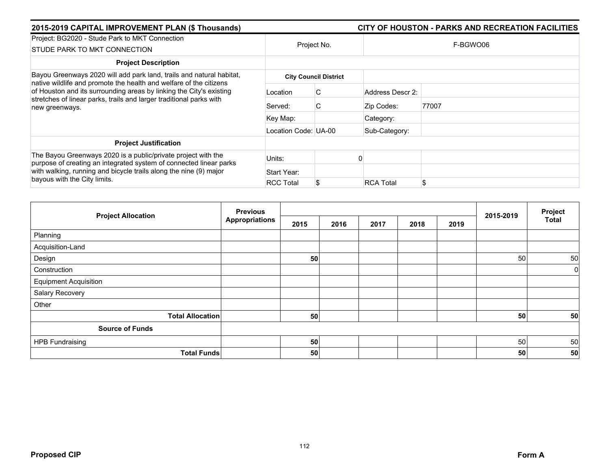| 2015-2019 CAPITAL IMPROVEMENT PLAN (\$ Thousands)                                                                                                                                                                                        |                      |                              | CITY OF HOUSTON - PARKS AND RECREATION FACILITIES |  |  |  |  |  |
|------------------------------------------------------------------------------------------------------------------------------------------------------------------------------------------------------------------------------------------|----------------------|------------------------------|---------------------------------------------------|--|--|--|--|--|
| Project: BG2020 - Stude Park to MKT Connection                                                                                                                                                                                           |                      | Project No.                  | F-BGWO06                                          |  |  |  |  |  |
| STUDE PARK TO MKT CONNECTION                                                                                                                                                                                                             |                      |                              |                                                   |  |  |  |  |  |
| <b>Project Description</b>                                                                                                                                                                                                               |                      |                              |                                                   |  |  |  |  |  |
| Bayou Greenways 2020 will add park land, trails and natural habitat,<br>native wildlife and promote the health and welfare of the citizens                                                                                               |                      | <b>City Council District</b> |                                                   |  |  |  |  |  |
| of Houston and its surrounding areas by linking the City's existing<br>stretches of linear parks, trails and larger traditional parks with<br>new greenways.                                                                             | Location             | C                            | Address Descr 2:                                  |  |  |  |  |  |
|                                                                                                                                                                                                                                          | Served:              | C                            | 77007<br>Zip Codes:                               |  |  |  |  |  |
|                                                                                                                                                                                                                                          | Key Map:             |                              | Category:                                         |  |  |  |  |  |
|                                                                                                                                                                                                                                          | Location Code: UA-00 |                              | Sub-Category:                                     |  |  |  |  |  |
| <b>Project Justification</b>                                                                                                                                                                                                             |                      |                              |                                                   |  |  |  |  |  |
| The Bayou Greenways 2020 is a public/private project with the<br>purpose of creating an integrated system of connected linear parks<br>with walking, running and bicycle trails along the nine (9) major<br>bayous with the City limits. | Units:               |                              |                                                   |  |  |  |  |  |
|                                                                                                                                                                                                                                          | Start Year:          |                              |                                                   |  |  |  |  |  |
|                                                                                                                                                                                                                                          | <b>RCC Total</b>     |                              | \$<br><b>RCA Total</b>                            |  |  |  |  |  |

|                              | <b>Previous</b>       |      |      | 2015-2019 | Project |      |    |              |
|------------------------------|-----------------------|------|------|-----------|---------|------|----|--------------|
| <b>Project Allocation</b>    | <b>Appropriations</b> | 2015 | 2016 | 2017      | 2018    | 2019 |    | <b>Total</b> |
| Planning                     |                       |      |      |           |         |      |    |              |
| Acquisition-Land             |                       |      |      |           |         |      |    |              |
| Design                       |                       | 50   |      |           |         |      | 50 | 50           |
| Construction                 |                       |      |      |           |         |      |    | 0            |
| <b>Equipment Acquisition</b> |                       |      |      |           |         |      |    |              |
| Salary Recovery              |                       |      |      |           |         |      |    |              |
| Other                        |                       |      |      |           |         |      |    |              |
| <b>Total Allocation</b>      |                       | 50   |      |           |         |      | 50 | 50           |
| <b>Source of Funds</b>       |                       |      |      |           |         |      |    |              |
| <b>HPB Fundraising</b>       |                       | 50   |      |           |         |      | 50 | 50           |
| <b>Total Funds</b>           |                       | 50   |      |           |         |      | 50 | 50           |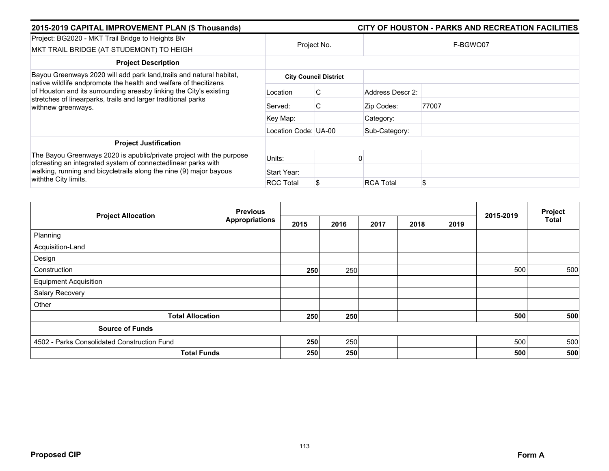| 2015-2019 CAPITAL IMPROVEMENT PLAN (\$ Thousands)                                                                                                                                                                             |                      | CITY OF HOUSTON - PARKS AND RECREATION FACILITIES |                  |       |  |  |  |
|-------------------------------------------------------------------------------------------------------------------------------------------------------------------------------------------------------------------------------|----------------------|---------------------------------------------------|------------------|-------|--|--|--|
| Project: BG2020 - MKT Trail Bridge to Heights Blv<br>MKT TRAIL BRIDGE (AT STUDEMONT) TO HEIGH                                                                                                                                 | Project No.          |                                                   | F-BGWO07         |       |  |  |  |
| <b>Project Description</b>                                                                                                                                                                                                    |                      |                                                   |                  |       |  |  |  |
| Bayou Greenways 2020 will add park land, trails and natural habitat,                                                                                                                                                          |                      | <b>City Council District</b>                      |                  |       |  |  |  |
| native wildlife andpromote the health and welfare of thecitizens<br>of Houston and its surrounding areasby linking the City's existing<br>stretches of linearparks, trails and larger traditional parks<br>withnew greenways. | Location             | C                                                 | Address Descr 2: |       |  |  |  |
|                                                                                                                                                                                                                               | Served:              | C                                                 | Zip Codes:       | 77007 |  |  |  |
|                                                                                                                                                                                                                               | Key Map:             |                                                   | Category:        |       |  |  |  |
|                                                                                                                                                                                                                               | Location Code: UA-00 |                                                   | Sub-Category:    |       |  |  |  |
| <b>Project Justification</b>                                                                                                                                                                                                  |                      |                                                   |                  |       |  |  |  |
| The Bayou Greenways 2020 is apublic/private project with the purpose<br>ofcreating an integrated system of connectedlinear parks with                                                                                         | Units:               |                                                   |                  |       |  |  |  |
| walking, running and bicycletrails along the nine (9) major bayous<br>withthe City limits.                                                                                                                                    | Start Year:          |                                                   |                  |       |  |  |  |
|                                                                                                                                                                                                                               | <b>RCC Total</b>     |                                                   | <b>RCA Total</b> | \$    |  |  |  |

| <b>Project Allocation</b>                   | <b>Previous</b>       |      |      | 2015-2019 | Project |      |     |              |
|---------------------------------------------|-----------------------|------|------|-----------|---------|------|-----|--------------|
|                                             | <b>Appropriations</b> | 2015 | 2016 | 2017      | 2018    | 2019 |     | <b>Total</b> |
| Planning                                    |                       |      |      |           |         |      |     |              |
| Acquisition-Land                            |                       |      |      |           |         |      |     |              |
| Design                                      |                       |      |      |           |         |      |     |              |
| Construction                                |                       | 250  | 250  |           |         |      | 500 | 500          |
| <b>Equipment Acquisition</b>                |                       |      |      |           |         |      |     |              |
| Salary Recovery                             |                       |      |      |           |         |      |     |              |
| Other                                       |                       |      |      |           |         |      |     |              |
| <b>Total Allocation</b>                     |                       | 250  | 250  |           |         |      | 500 | 500          |
| <b>Source of Funds</b>                      |                       |      |      |           |         |      |     |              |
| 4502 - Parks Consolidated Construction Fund |                       | 250  | 250  |           |         |      | 500 | 500          |
| <b>Total Funds</b>                          |                       | 250  | 250  |           |         |      | 500 | 500          |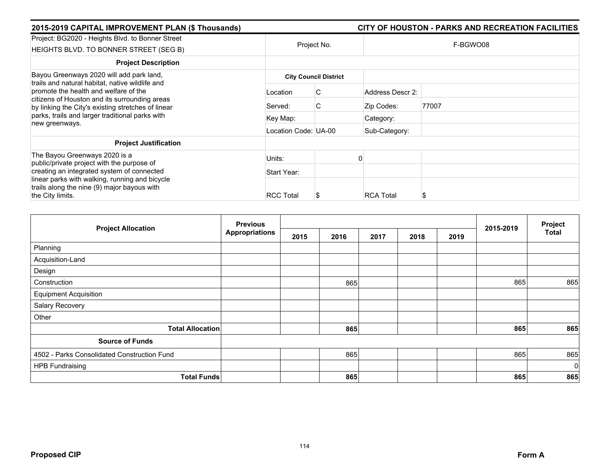| 2015-2019 CAPITAL IMPROVEMENT PLAN (\$ Thousands)                                                                                                                                                                                           |                      |                              |                  | CITY OF HOUSTON - PARKS AND RECREATION FACILITIES |
|---------------------------------------------------------------------------------------------------------------------------------------------------------------------------------------------------------------------------------------------|----------------------|------------------------------|------------------|---------------------------------------------------|
| Project: BG2020 - Heights Blvd. to Bonner Street<br>HEIGHTS BLVD. TO BONNER STREET (SEG B)                                                                                                                                                  |                      | Project No.                  |                  | F-BGWO08                                          |
| <b>Project Description</b>                                                                                                                                                                                                                  |                      |                              |                  |                                                   |
| Bayou Greenways 2020 will add park land,<br>trails and natural habitat, native wildlife and<br>promote the health and welfare of the<br>citizens of Houston and its surrounding areas<br>by linking the City's existing stretches of linear |                      | <b>City Council District</b> |                  |                                                   |
|                                                                                                                                                                                                                                             | Location             | C                            | Address Descr 2: |                                                   |
|                                                                                                                                                                                                                                             | Served:              | C                            | Zip Codes:       | 77007                                             |
| parks, trails and larger traditional parks with<br>new greenways.                                                                                                                                                                           | Key Map:             |                              | Category:        |                                                   |
|                                                                                                                                                                                                                                             | Location Code: UA-00 |                              | Sub-Category:    |                                                   |
| <b>Project Justification</b>                                                                                                                                                                                                                |                      |                              |                  |                                                   |
| The Bayou Greenways 2020 is a<br>public/private project with the purpose of                                                                                                                                                                 | Units:               |                              |                  |                                                   |
| creating an integrated system of connected                                                                                                                                                                                                  | Start Year:          |                              |                  |                                                   |
| linear parks with walking, running and bicycle<br>trails along the nine (9) major bayous with                                                                                                                                               |                      |                              |                  |                                                   |
| the City limits.                                                                                                                                                                                                                            | <b>RCC Total</b>     | S                            | <b>RCA Total</b> |                                                   |

| <b>Project Allocation</b>                   | <b>Previous</b>       |      |      |      | 2015-2019 | Project |     |              |
|---------------------------------------------|-----------------------|------|------|------|-----------|---------|-----|--------------|
|                                             | <b>Appropriations</b> | 2015 | 2016 | 2017 | 2018      | 2019    |     | <b>Total</b> |
| Planning                                    |                       |      |      |      |           |         |     |              |
| Acquisition-Land                            |                       |      |      |      |           |         |     |              |
| Design                                      |                       |      |      |      |           |         |     |              |
| Construction                                |                       |      | 865  |      |           |         | 865 | 865          |
| <b>Equipment Acquisition</b>                |                       |      |      |      |           |         |     |              |
| Salary Recovery                             |                       |      |      |      |           |         |     |              |
| Other                                       |                       |      |      |      |           |         |     |              |
| <b>Total Allocation</b>                     |                       |      | 865  |      |           |         | 865 | 865          |
| <b>Source of Funds</b>                      |                       |      |      |      |           |         |     |              |
| 4502 - Parks Consolidated Construction Fund |                       |      | 865  |      |           |         | 865 | 865          |
| <b>HPB Fundraising</b>                      |                       |      |      |      |           |         |     | $\mathbf 0$  |
| <b>Total Funds</b>                          |                       |      | 865  |      |           |         | 865 | 865          |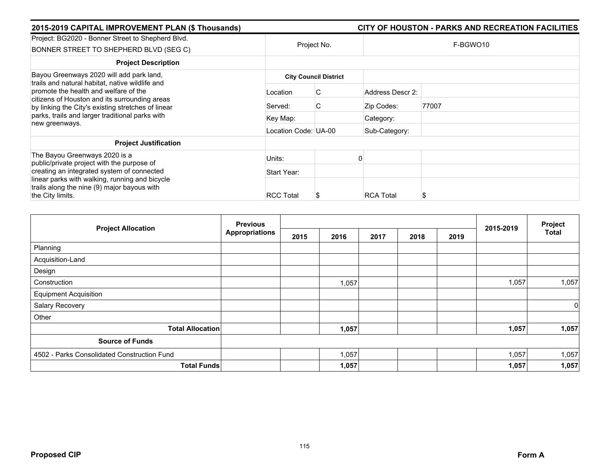| 2015-2019 CAPITAL IMPROVEMENT PLAN (\$ Thousands)                                                                                            |                      |                              |                  | CITY OF HOUSTON - PARKS AND RECREATION FACILITIES |  |  |  |
|----------------------------------------------------------------------------------------------------------------------------------------------|----------------------|------------------------------|------------------|---------------------------------------------------|--|--|--|
| Project: BG2020 - Bonner Street to Shepherd Blvd.<br>BONNER STREET TO SHEPHERD BLVD (SEG C)                                                  | Project No.          |                              | F-BGWO10         |                                                   |  |  |  |
| <b>Project Description</b>                                                                                                                   |                      |                              |                  |                                                   |  |  |  |
| Bayou Greenways 2020 will add park land,<br>trails and natural habitat, native wildlife and                                                  |                      | <b>City Council District</b> |                  |                                                   |  |  |  |
| promote the health and welfare of the<br>citizens of Houston and its surrounding areas<br>by linking the City's existing stretches of linear | Location             | C                            | Address Descr 2: |                                                   |  |  |  |
|                                                                                                                                              | Served:              | C                            | Zip Codes:       | 77007                                             |  |  |  |
| parks, trails and larger traditional parks with<br>new greenways.                                                                            | Key Map:             |                              | Category:        |                                                   |  |  |  |
|                                                                                                                                              | Location Code: UA-00 |                              | Sub-Category:    |                                                   |  |  |  |
| <b>Project Justification</b>                                                                                                                 |                      |                              |                  |                                                   |  |  |  |
| The Bayou Greenways 2020 is a<br>public/private project with the purpose of                                                                  | Units:               |                              |                  |                                                   |  |  |  |
| creating an integrated system of connected                                                                                                   | Start Year:          |                              |                  |                                                   |  |  |  |
| linear parks with walking, running and bicycle<br>trails along the nine (9) major bayous with                                                |                      |                              |                  |                                                   |  |  |  |
| the City limits.                                                                                                                             | <b>RCC Total</b>     | S                            | <b>RCA Total</b> |                                                   |  |  |  |

|                                             | <b>Previous</b>       |      |       |      |      |      | 2015-2019 | Project      |
|---------------------------------------------|-----------------------|------|-------|------|------|------|-----------|--------------|
| <b>Project Allocation</b>                   | <b>Appropriations</b> | 2015 | 2016  | 2017 | 2018 | 2019 |           | <b>Total</b> |
| Planning                                    |                       |      |       |      |      |      |           |              |
| Acquisition-Land                            |                       |      |       |      |      |      |           |              |
| Design                                      |                       |      |       |      |      |      |           |              |
| Construction                                |                       |      | 1,057 |      |      |      | 1,057     | 1,057        |
| <b>Equipment Acquisition</b>                |                       |      |       |      |      |      |           |              |
| Salary Recovery                             |                       |      |       |      |      |      |           | 0            |
| Other                                       |                       |      |       |      |      |      |           |              |
| <b>Total Allocation</b>                     |                       |      | 1,057 |      |      |      | 1,057     | 1,057        |
| <b>Source of Funds</b>                      |                       |      |       |      |      |      |           |              |
| 4502 - Parks Consolidated Construction Fund |                       |      | 1,057 |      |      |      | 1,057     | 1,057        |
| <b>Total Funds</b>                          |                       |      | 1,057 |      |      |      | 1,057     | 1,057        |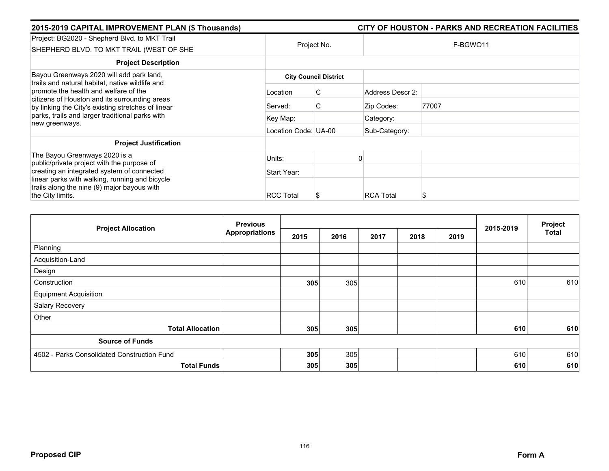| 2015-2019 CAPITAL IMPROVEMENT PLAN (\$ Thousands)                                                                                                                                               |                      |                              |                  | CITY OF HOUSTON - PARKS AND RECREATION FACILITIES |  |  |  |
|-------------------------------------------------------------------------------------------------------------------------------------------------------------------------------------------------|----------------------|------------------------------|------------------|---------------------------------------------------|--|--|--|
| Project: BG2020 - Shepherd Blvd. to MKT Trail<br>SHEPHERD BLVD. TO MKT TRAIL (WEST OF SHE                                                                                                       | Project No.          |                              | F-BGWO11         |                                                   |  |  |  |
| <b>Project Description</b>                                                                                                                                                                      |                      |                              |                  |                                                   |  |  |  |
| Bayou Greenways 2020 will add park land,<br>trails and natural habitat, native wildlife and                                                                                                     |                      | <b>City Council District</b> |                  |                                                   |  |  |  |
| promote the health and welfare of the<br>citizens of Houston and its surrounding areas<br>by linking the City's existing stretches of linear<br>parks, trails and larger traditional parks with | Location             | C                            | Address Descr 2: |                                                   |  |  |  |
|                                                                                                                                                                                                 | Served:              | C                            | Zip Codes:       | 77007                                             |  |  |  |
|                                                                                                                                                                                                 | Key Map:             |                              | Category:        |                                                   |  |  |  |
| new greenways.                                                                                                                                                                                  | Location Code: UA-00 |                              | Sub-Category:    |                                                   |  |  |  |
| <b>Project Justification</b>                                                                                                                                                                    |                      |                              |                  |                                                   |  |  |  |
| The Bayou Greenways 2020 is a<br>public/private project with the purpose of                                                                                                                     | Units:               |                              |                  |                                                   |  |  |  |
| creating an integrated system of connected                                                                                                                                                      | Start Year:          |                              |                  |                                                   |  |  |  |
| linear parks with walking, running and bicycle<br>trails along the nine (9) major bayous with                                                                                                   |                      |                              |                  |                                                   |  |  |  |
| the City limits.                                                                                                                                                                                | <b>RCC Total</b>     | S                            | <b>RCA Total</b> |                                                   |  |  |  |

| <b>Project Allocation</b>                   | <b>Previous</b>       |      |      |      |      |      | 2015-2019 | Project      |
|---------------------------------------------|-----------------------|------|------|------|------|------|-----------|--------------|
|                                             | <b>Appropriations</b> | 2015 | 2016 | 2017 | 2018 | 2019 |           | <b>Total</b> |
| Planning                                    |                       |      |      |      |      |      |           |              |
| Acquisition-Land                            |                       |      |      |      |      |      |           |              |
| Design                                      |                       |      |      |      |      |      |           |              |
| Construction                                |                       | 305  | 305  |      |      |      | 610       | 610          |
| <b>Equipment Acquisition</b>                |                       |      |      |      |      |      |           |              |
| Salary Recovery                             |                       |      |      |      |      |      |           |              |
| Other                                       |                       |      |      |      |      |      |           |              |
| <b>Total Allocation</b>                     |                       | 305  | 305  |      |      |      | 610       | 610          |
| <b>Source of Funds</b>                      |                       |      |      |      |      |      |           |              |
| 4502 - Parks Consolidated Construction Fund |                       | 305  | 305  |      |      |      | 610       | 610          |
| <b>Total Funds</b>                          |                       | 305  | 305  |      |      |      | 610       | 610          |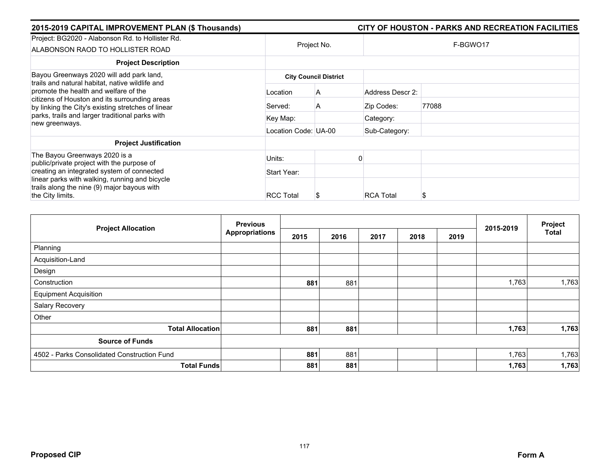| 2015-2019 CAPITAL IMPROVEMENT PLAN (\$ Thousands)                                                                                            |                              |             |                  | CITY OF HOUSTON - PARKS AND RECREATION FACILITIES |  |  |  |
|----------------------------------------------------------------------------------------------------------------------------------------------|------------------------------|-------------|------------------|---------------------------------------------------|--|--|--|
| Project: BG2020 - Alabonson Rd. to Hollister Rd.<br>ALABONSON RAOD TO HOLLISTER ROAD                                                         |                              | Project No. | F-BGWO17         |                                                   |  |  |  |
| <b>Project Description</b>                                                                                                                   |                              |             |                  |                                                   |  |  |  |
| Bayou Greenways 2020 will add park land,<br>trails and natural habitat, native wildlife and                                                  | <b>City Council District</b> |             |                  |                                                   |  |  |  |
| promote the health and welfare of the<br>citizens of Houston and its surrounding areas<br>by linking the City's existing stretches of linear | Location                     | A           | Address Descr 2: |                                                   |  |  |  |
|                                                                                                                                              | Served:                      | A           | Zip Codes:       | 77088                                             |  |  |  |
| parks, trails and larger traditional parks with<br>new greenways.                                                                            | Key Map:                     |             | Category:        |                                                   |  |  |  |
|                                                                                                                                              | Location Code: UA-00         |             | Sub-Category:    |                                                   |  |  |  |
| <b>Project Justification</b>                                                                                                                 |                              |             |                  |                                                   |  |  |  |
| The Bayou Greenways 2020 is a<br>public/private project with the purpose of                                                                  | Units:                       |             |                  |                                                   |  |  |  |
| creating an integrated system of connected                                                                                                   | Start Year:                  |             |                  |                                                   |  |  |  |
| linear parks with walking, running and bicycle<br>trails along the nine (9) major bayous with                                                |                              |             |                  |                                                   |  |  |  |
| the City limits.                                                                                                                             | <b>RCC Total</b>             |             | <b>RCA Total</b> | S                                                 |  |  |  |

| <b>Project Allocation</b>                   | <b>Previous</b>       |      |      |      |      |      | 2015-2019 | Project      |
|---------------------------------------------|-----------------------|------|------|------|------|------|-----------|--------------|
|                                             | <b>Appropriations</b> | 2015 | 2016 | 2017 | 2018 | 2019 |           | <b>Total</b> |
| Planning                                    |                       |      |      |      |      |      |           |              |
| Acquisition-Land                            |                       |      |      |      |      |      |           |              |
| Design                                      |                       |      |      |      |      |      |           |              |
| Construction                                |                       | 881  | 881  |      |      |      | 1,763     | 1,763        |
| <b>Equipment Acquisition</b>                |                       |      |      |      |      |      |           |              |
| Salary Recovery                             |                       |      |      |      |      |      |           |              |
| Other                                       |                       |      |      |      |      |      |           |              |
| <b>Total Allocation</b>                     |                       | 881  | 881  |      |      |      | 1,763     | 1,763        |
| <b>Source of Funds</b>                      |                       |      |      |      |      |      |           |              |
| 4502 - Parks Consolidated Construction Fund |                       | 881  | 881  |      |      |      | 1,763     | 1,763        |
| <b>Total Funds</b>                          |                       | 881  | 881  |      |      |      | 1,763     | 1,763        |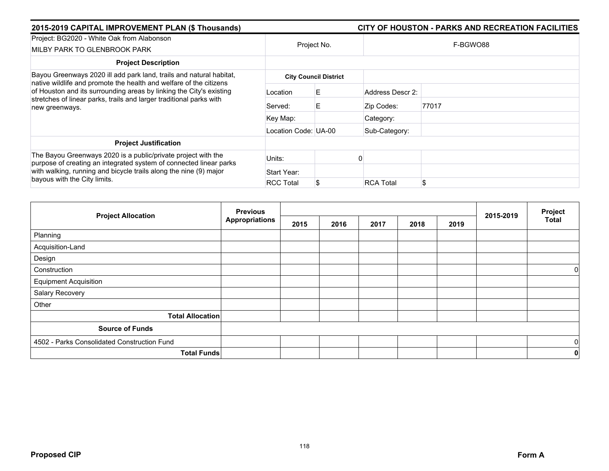| 2015-2019 CAPITAL IMPROVEMENT PLAN (\$ Thousands)                                                                                                            |                      |                              | CITY OF HOUSTON - PARKS AND RECREATION FACILITIES |  |  |  |  |  |
|--------------------------------------------------------------------------------------------------------------------------------------------------------------|----------------------|------------------------------|---------------------------------------------------|--|--|--|--|--|
| Project: BG2020 - White Oak from Alabonson                                                                                                                   |                      |                              |                                                   |  |  |  |  |  |
| MILBY PARK TO GLENBROOK PARK                                                                                                                                 |                      | Project No.                  | F-BGWO88                                          |  |  |  |  |  |
| <b>Project Description</b>                                                                                                                                   |                      |                              |                                                   |  |  |  |  |  |
| Bayou Greenways 2020 ill add park land, trails and natural habitat,<br>native wildlife and promote the health and welfare of the citizens                    |                      | <b>City Council District</b> |                                                   |  |  |  |  |  |
| of Houston and its surrounding areas by linking the City's existing<br>stretches of linear parks, trails and larger traditional parks with<br>new greenways. | Location             | E.                           | Address Descr 2:                                  |  |  |  |  |  |
|                                                                                                                                                              | Served:              | Е                            | 77017<br>Zip Codes:                               |  |  |  |  |  |
|                                                                                                                                                              | Key Map:             |                              | Category:                                         |  |  |  |  |  |
|                                                                                                                                                              | Location Code: UA-00 |                              | Sub-Category:                                     |  |  |  |  |  |
| <b>Project Justification</b>                                                                                                                                 |                      |                              |                                                   |  |  |  |  |  |
| The Bayou Greenways 2020 is a public/private project with the<br>purpose of creating an integrated system of connected linear parks                          | Units:               |                              |                                                   |  |  |  |  |  |
| with walking, running and bicycle trails along the nine (9) major<br>bayous with the City limits.                                                            | Start Year:          |                              |                                                   |  |  |  |  |  |
|                                                                                                                                                              | <b>RCC Total</b>     |                              | \$<br><b>RCA Total</b>                            |  |  |  |  |  |

| <b>Project Allocation</b>                   | <b>Previous</b>       |      |      | 2015-2019 | Project |      |  |              |
|---------------------------------------------|-----------------------|------|------|-----------|---------|------|--|--------------|
|                                             | <b>Appropriations</b> | 2015 | 2016 | 2017      | 2018    | 2019 |  | <b>Total</b> |
| Planning                                    |                       |      |      |           |         |      |  |              |
| Acquisition-Land                            |                       |      |      |           |         |      |  |              |
| Design                                      |                       |      |      |           |         |      |  |              |
| Construction                                |                       |      |      |           |         |      |  | 0            |
| <b>Equipment Acquisition</b>                |                       |      |      |           |         |      |  |              |
| Salary Recovery                             |                       |      |      |           |         |      |  |              |
| Other                                       |                       |      |      |           |         |      |  |              |
| <b>Total Allocation</b>                     |                       |      |      |           |         |      |  |              |
| <b>Source of Funds</b>                      |                       |      |      |           |         |      |  |              |
| 4502 - Parks Consolidated Construction Fund |                       |      |      |           |         |      |  | $\mathbf 0$  |
|                                             | <b>Total Funds</b>    |      |      |           |         |      |  | 0            |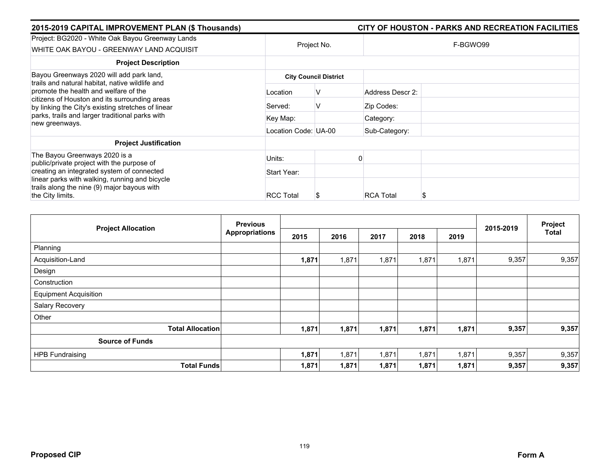| 2015-2019 CAPITAL IMPROVEMENT PLAN (\$ Thousands)                                                                                            |                      |                              |                  | CITY OF HOUSTON - PARKS AND RECREATION FACILITIES |  |  |
|----------------------------------------------------------------------------------------------------------------------------------------------|----------------------|------------------------------|------------------|---------------------------------------------------|--|--|
| Project: BG2020 - White Oak Bayou Greenway Lands                                                                                             |                      | Project No.                  | F-BGWO99         |                                                   |  |  |
| WHITE OAK BAYOU - GREENWAY LAND ACQUISIT                                                                                                     |                      |                              |                  |                                                   |  |  |
| <b>Project Description</b>                                                                                                                   |                      |                              |                  |                                                   |  |  |
| Bayou Greenways 2020 will add park land,<br>trails and natural habitat, native wildlife and                                                  |                      | <b>City Council District</b> |                  |                                                   |  |  |
| promote the health and welfare of the<br>citizens of Houston and its surrounding areas<br>by linking the City's existing stretches of linear | Location             | v                            | Address Descr 2: |                                                   |  |  |
|                                                                                                                                              | Served:              | V                            | Zip Codes:       |                                                   |  |  |
| parks, trails and larger traditional parks with<br>new greenways.                                                                            | Key Map:             |                              | Category:        |                                                   |  |  |
|                                                                                                                                              | Location Code: UA-00 |                              | Sub-Category:    |                                                   |  |  |
| <b>Project Justification</b>                                                                                                                 |                      |                              |                  |                                                   |  |  |
| The Bayou Greenways 2020 is a<br>public/private project with the purpose of                                                                  | Units:               |                              |                  |                                                   |  |  |
| creating an integrated system of connected                                                                                                   | Start Year:          |                              |                  |                                                   |  |  |
| linear parks with walking, running and bicycle<br>trails along the nine (9) major bayous with                                                |                      |                              |                  |                                                   |  |  |
| the City limits.                                                                                                                             | <b>RCC Total</b>     | S                            | <b>RCA Total</b> |                                                   |  |  |

| <b>Project Allocation</b>    | <b>Previous</b>       |       |       |       |       |       |           | Project |
|------------------------------|-----------------------|-------|-------|-------|-------|-------|-----------|---------|
|                              | <b>Appropriations</b> | 2015  | 2016  | 2017  | 2018  | 2019  | 2015-2019 | Total   |
| Planning                     |                       |       |       |       |       |       |           |         |
| Acquisition-Land             |                       | 1,871 | 1,871 | 1,871 | 1,871 | 1,871 | 9,357     | 9,357   |
| Design                       |                       |       |       |       |       |       |           |         |
| Construction                 |                       |       |       |       |       |       |           |         |
| <b>Equipment Acquisition</b> |                       |       |       |       |       |       |           |         |
| Salary Recovery              |                       |       |       |       |       |       |           |         |
| Other                        |                       |       |       |       |       |       |           |         |
| <b>Total Allocation</b>      |                       | 1,871 | 1,871 | 1,871 | 1,871 | 1,871 | 9,357     | 9,357   |
| <b>Source of Funds</b>       |                       |       |       |       |       |       |           |         |
| <b>HPB Fundraising</b>       |                       | 1,871 | 1,871 | 1,871 | 1,871 | 1,871 | 9,357     | 9,357   |
| <b>Total Funds</b>           |                       | 1,871 | 1,871 | 1,871 | 1,871 | 1,871 | 9,357     | 9,357   |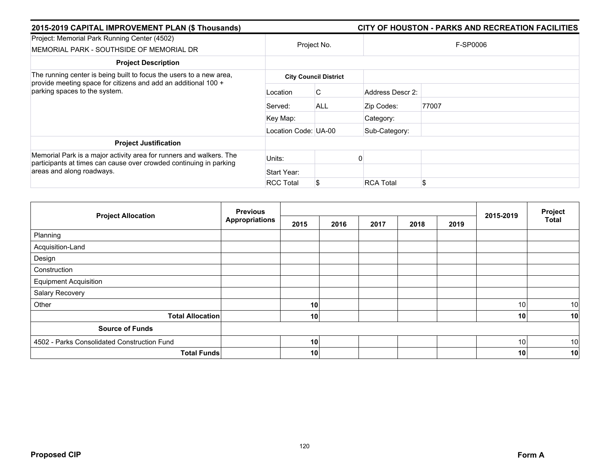| 2015-2019 CAPITAL IMPROVEMENT PLAN (\$ Thousands)                                                                                         |                      |                              |                  | CITY OF HOUSTON - PARKS AND RECREATION FACILITIES |
|-------------------------------------------------------------------------------------------------------------------------------------------|----------------------|------------------------------|------------------|---------------------------------------------------|
| Project: Memorial Park Running Center (4502)<br>MEMORIAL PARK - SOUTHSIDE OF MEMORIAL DR                                                  |                      | Project No.                  |                  | F-SP0006                                          |
| <b>Project Description</b>                                                                                                                |                      |                              |                  |                                                   |
| The running center is being built to focus the users to a new area,                                                                       |                      | <b>City Council District</b> |                  |                                                   |
| provide meeting space for citizens and add an additional 100 +<br>parking spaces to the system.                                           | Location             | C.                           | Address Descr 2: |                                                   |
|                                                                                                                                           | Served:              | <b>ALL</b>                   | Zip Codes:       | 77007                                             |
|                                                                                                                                           | Key Map:             |                              | Category:        |                                                   |
|                                                                                                                                           | Location Code: UA-00 |                              | Sub-Category:    |                                                   |
| <b>Project Justification</b>                                                                                                              |                      |                              |                  |                                                   |
| Memorial Park is a major activity area for runners and walkers. The<br>participants at times can cause over crowded continuing in parking | Units:               |                              |                  |                                                   |
| areas and along roadways.                                                                                                                 | Start Year:          |                              |                  |                                                   |
|                                                                                                                                           | <b>RCC Total</b>     |                              | <b>RCA Total</b> | \$                                                |

| <b>Project Allocation</b>                   | <b>Previous</b>       |      |      |      | Project |      |           |              |
|---------------------------------------------|-----------------------|------|------|------|---------|------|-----------|--------------|
|                                             | <b>Appropriations</b> | 2015 | 2016 | 2017 | 2018    | 2019 | 2015-2019 | <b>Total</b> |
| Planning                                    |                       |      |      |      |         |      |           |              |
| Acquisition-Land                            |                       |      |      |      |         |      |           |              |
| Design                                      |                       |      |      |      |         |      |           |              |
| Construction                                |                       |      |      |      |         |      |           |              |
| <b>Equipment Acquisition</b>                |                       |      |      |      |         |      |           |              |
| Salary Recovery                             |                       |      |      |      |         |      |           |              |
| Other                                       |                       | 10   |      |      |         |      | 10        | 10           |
| <b>Total Allocation</b>                     |                       | 10   |      |      |         |      | 10        | 10           |
| <b>Source of Funds</b>                      |                       |      |      |      |         |      |           |              |
| 4502 - Parks Consolidated Construction Fund |                       | 10   |      |      |         |      | 10        | 10           |
| <b>Total Funds</b>                          |                       | 10   |      |      |         |      | 10        | 10           |